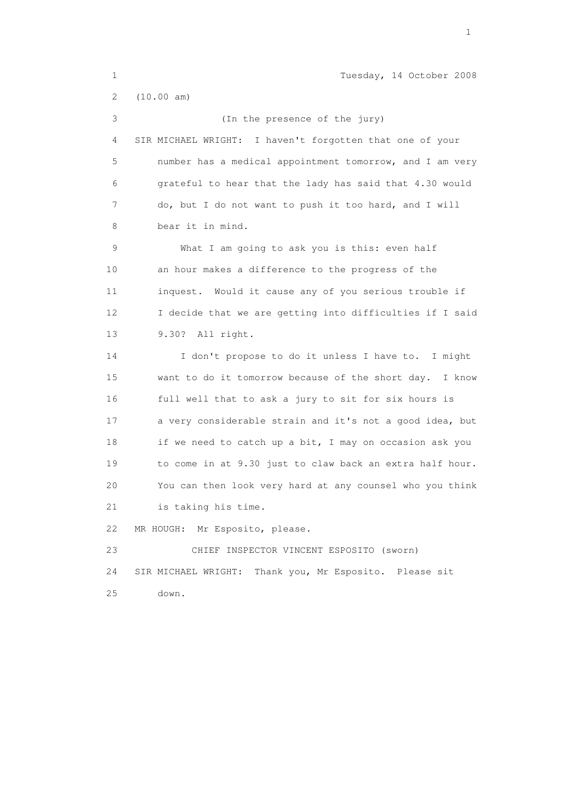1 Tuesday, 14 October 2008 2 (10.00 am) 3 (In the presence of the jury) 4 SIR MICHAEL WRIGHT: I haven't forgotten that one of your 5 number has a medical appointment tomorrow, and I am very 6 grateful to hear that the lady has said that 4.30 would 7 do, but I do not want to push it too hard, and I will 8 bear it in mind. 9 What I am going to ask you is this: even half 10 an hour makes a difference to the progress of the 11 inquest. Would it cause any of you serious trouble if 12 I decide that we are getting into difficulties if I said 13 9.30? All right. 14 I don't propose to do it unless I have to. I might 15 want to do it tomorrow because of the short day. I know 16 full well that to ask a jury to sit for six hours is 17 a very considerable strain and it's not a good idea, but 18 if we need to catch up a bit, I may on occasion ask you 19 to come in at 9.30 just to claw back an extra half hour. 20 You can then look very hard at any counsel who you think 21 is taking his time. 22 MR HOUGH: Mr Esposito, please. 23 CHIEF INSPECTOR VINCENT ESPOSITO (sworn) 24 SIR MICHAEL WRIGHT: Thank you, Mr Esposito. Please sit 25 down.

the contract of the contract of the contract of the contract of the contract of the contract of the contract of the contract of the contract of the contract of the contract of the contract of the contract of the contract o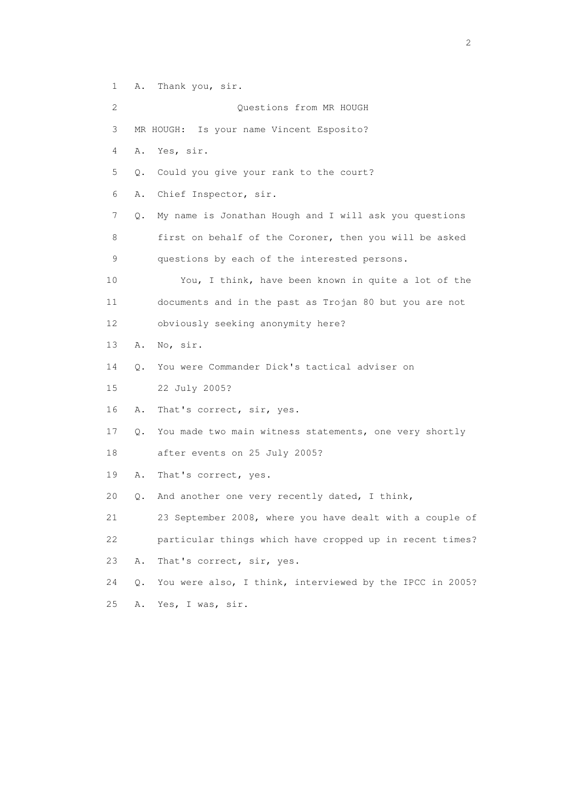1 A. Thank you, sir.

 2 Questions from MR HOUGH 3 MR HOUGH: Is your name Vincent Esposito? 4 A. Yes, sir. 5 Q. Could you give your rank to the court? 6 A. Chief Inspector, sir. 7 Q. My name is Jonathan Hough and I will ask you questions 8 first on behalf of the Coroner, then you will be asked 9 questions by each of the interested persons. 10 You, I think, have been known in quite a lot of the 11 documents and in the past as Trojan 80 but you are not 12 obviously seeking anonymity here? 13 A. No, sir. 14 Q. You were Commander Dick's tactical adviser on 15 22 July 2005? 16 A. That's correct, sir, yes. 17 Q. You made two main witness statements, one very shortly 18 after events on 25 July 2005? 19 A. That's correct, yes. 20 Q. And another one very recently dated, I think, 21 23 September 2008, where you have dealt with a couple of 22 particular things which have cropped up in recent times? 23 A. That's correct, sir, yes. 24 Q. You were also, I think, interviewed by the IPCC in 2005? 25 A. Yes, I was, sir.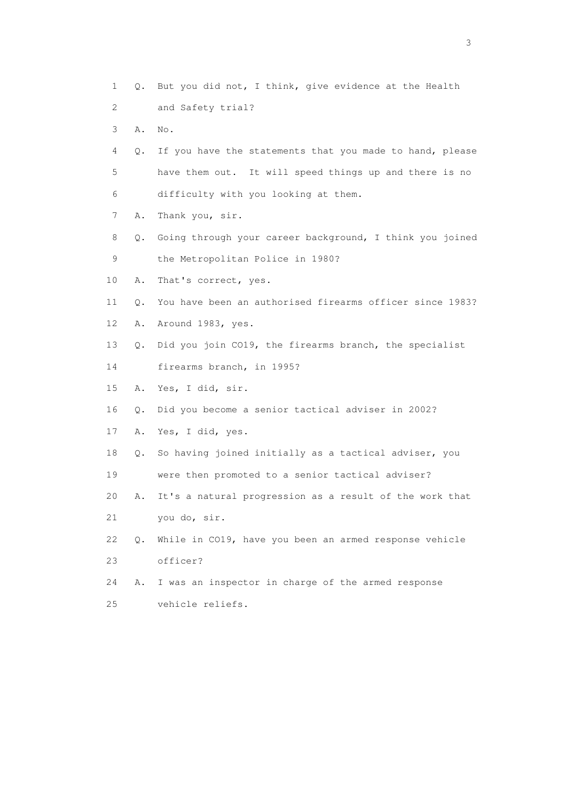1 Q. But you did not, I think, give evidence at the Health 2 and Safety trial? 3 A. No. 4 Q. If you have the statements that you made to hand, please 5 have them out. It will speed things up and there is no 6 difficulty with you looking at them. 7 A. Thank you, sir. 8 Q. Going through your career background, I think you joined 9 the Metropolitan Police in 1980? 10 A. That's correct, yes. 11 Q. You have been an authorised firearms officer since 1983? 12 A. Around 1983, yes. 13 Q. Did you join CO19, the firearms branch, the specialist 14 firearms branch, in 1995? 15 A. Yes, I did, sir. 16 Q. Did you become a senior tactical adviser in 2002? 17 A. Yes, I did, yes. 18 Q. So having joined initially as a tactical adviser, you 19 were then promoted to a senior tactical adviser? 20 A. It's a natural progression as a result of the work that 21 you do, sir. 22 Q. While in CO19, have you been an armed response vehicle 23 officer? 24 A. I was an inspector in charge of the armed response 25 vehicle reliefs.

 $\sim$  3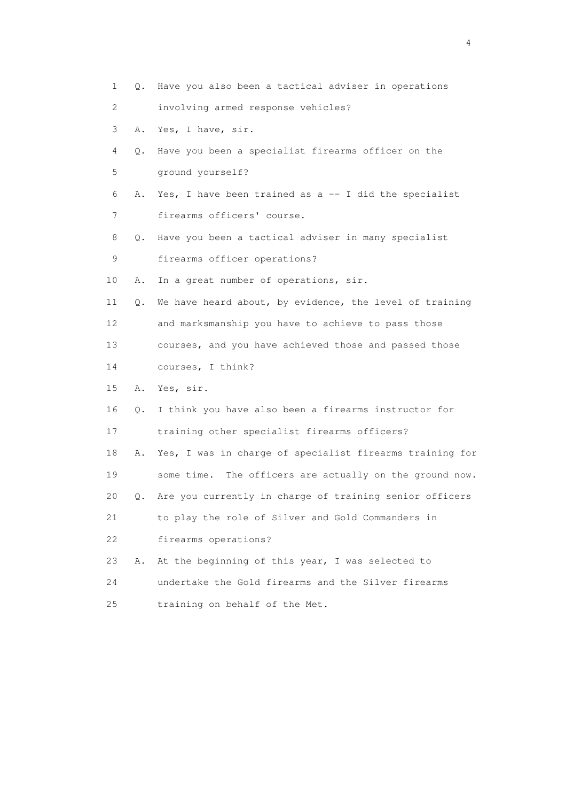| 1  |    | Q. Have you also been a tactical adviser in operations   |
|----|----|----------------------------------------------------------|
| 2  |    | involving armed response vehicles?                       |
| 3  | Α. | Yes, I have, sir.                                        |
| 4  | Q. | Have you been a specialist firearms officer on the       |
| 5  |    | ground yourself?                                         |
| 6  | Α. | Yes, I have been trained as $a - I$ did the specialist   |
| 7  |    | firearms officers' course.                               |
| 8  | Q. | Have you been a tactical adviser in many specialist      |
| 9  |    | firearms officer operations?                             |
| 10 | Α. | In a great number of operations, sir.                    |
| 11 | Q. | We have heard about, by evidence, the level of training  |
| 12 |    | and marksmanship you have to achieve to pass those       |
| 13 |    | courses, and you have achieved those and passed those    |
| 14 |    | courses, I think?                                        |
| 15 | Α. | Yes, sir.                                                |
| 16 | Q. | I think you have also been a firearms instructor for     |
| 17 |    | training other specialist firearms officers?             |
| 18 | Α. | Yes, I was in charge of specialist firearms training for |
| 19 |    | some time. The officers are actually on the ground now.  |
| 20 | Q. | Are you currently in charge of training senior officers  |
| 21 |    | to play the role of Silver and Gold Commanders in        |
| 22 |    | firearms operations?                                     |
| 23 | Α. | At the beginning of this year, I was selected to         |
| 24 |    | undertake the Gold firearms and the Silver firearms      |
| 25 |    | training on behalf of the Met.                           |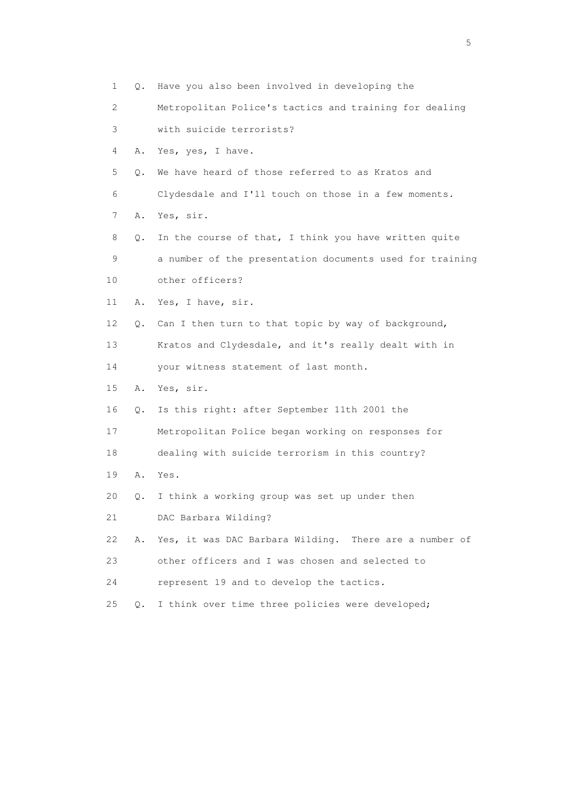| 1                         | Q. | Have you also been involved in developing the            |
|---------------------------|----|----------------------------------------------------------|
| $\mathbf{2}^{\mathsf{I}}$ |    | Metropolitan Police's tactics and training for dealing   |
| 3                         |    | with suicide terrorists?                                 |
| 4                         | Α. | Yes, yes, I have.                                        |
| 5                         | Q. | We have heard of those referred to as Kratos and         |
| 6                         |    | Clydesdale and I'll touch on those in a few moments.     |
| 7                         | Α. | Yes, sir.                                                |
| 8                         | Q. | In the course of that, I think you have written quite    |
| 9                         |    | a number of the presentation documents used for training |
| 10                        |    | other officers?                                          |
| 11                        | Α. | Yes, I have, sir.                                        |
| 12                        | Q. | Can I then turn to that topic by way of background,      |
| 13                        |    | Kratos and Clydesdale, and it's really dealt with in     |
| 14                        |    | your witness statement of last month.                    |
| 15                        | Α. | Yes, sir.                                                |
| 16                        | Q. | Is this right: after September 11th 2001 the             |
| 17                        |    | Metropolitan Police began working on responses for       |
| 18                        |    | dealing with suicide terrorism in this country?          |
| 19                        | Α. | Yes.                                                     |
| 20                        | Q. | I think a working group was set up under then            |
| 21                        |    | DAC Barbara Wilding?                                     |
| 22                        | Α. | Yes, it was DAC Barbara Wilding. There are a number of   |
| 23                        |    | other officers and I was chosen and selected to          |
| 24                        |    | represent 19 and to develop the tactics.                 |
| 25                        | Q. | I think over time three policies were developed;         |

 $\sim$  5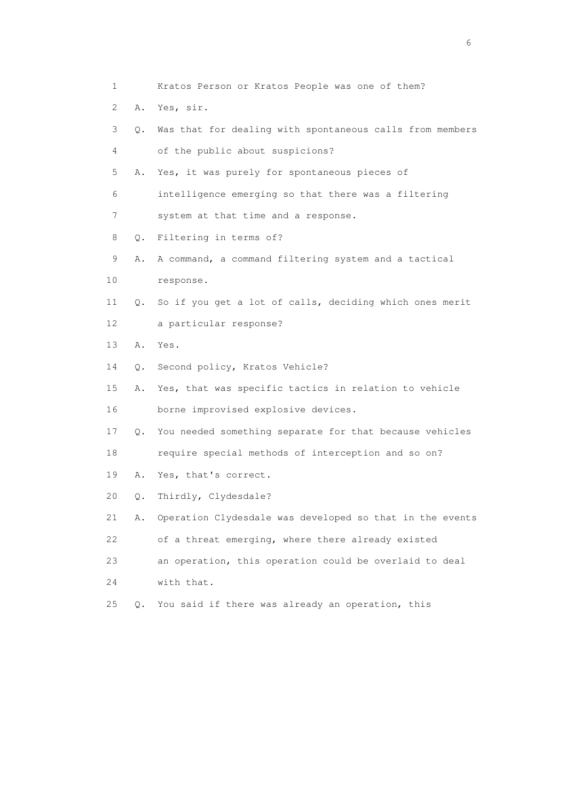1 Kratos Person or Kratos People was one of them? 2 A. Yes, sir. 3 Q. Was that for dealing with spontaneous calls from members 4 of the public about suspicions? 5 A. Yes, it was purely for spontaneous pieces of 6 intelligence emerging so that there was a filtering 7 system at that time and a response. 8 Q. Filtering in terms of? 9 A. A command, a command filtering system and a tactical 10 response. 11 Q. So if you get a lot of calls, deciding which ones merit 12 a particular response? 13 A. Yes. 14 Q. Second policy, Kratos Vehicle? 15 A. Yes, that was specific tactics in relation to vehicle 16 borne improvised explosive devices. 17 Q. You needed something separate for that because vehicles 18 require special methods of interception and so on? 19 A. Yes, that's correct. 20 Q. Thirdly, Clydesdale? 21 A. Operation Clydesdale was developed so that in the events 22 of a threat emerging, where there already existed 23 an operation, this operation could be overlaid to deal 24 with that. 25 Q. You said if there was already an operation, this

 $\sim$  6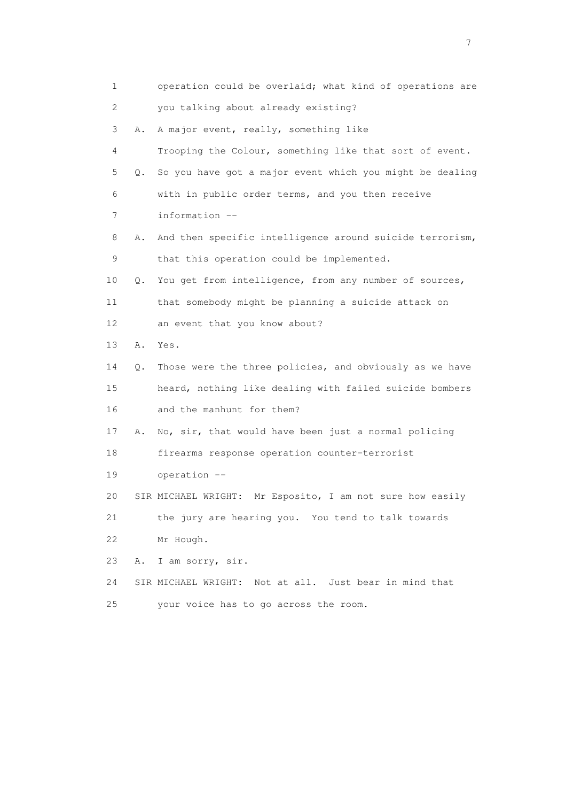| 1               |    | operation could be overlaid; what kind of operations are  |
|-----------------|----|-----------------------------------------------------------|
| 2               |    | you talking about already existing?                       |
| 3               | Α. | A major event, really, something like                     |
| 4               |    | Trooping the Colour, something like that sort of event.   |
| 5               | Q. | So you have got a major event which you might be dealing  |
| 6               |    | with in public order terms, and you then receive          |
| 7               |    | information --                                            |
| 8               | Α. | And then specific intelligence around suicide terrorism,  |
| 9               |    | that this operation could be implemented.                 |
| 10              | Q. | You get from intelligence, from any number of sources,    |
| 11              |    | that somebody might be planning a suicide attack on       |
| 12 <sup>°</sup> |    | an event that you know about?                             |
| 13              | Α. | Yes.                                                      |
| 14              | Q. | Those were the three policies, and obviously as we have   |
| 15              |    | heard, nothing like dealing with failed suicide bombers   |
| 16              |    | and the manhunt for them?                                 |
| 17              | Α. | No, sir, that would have been just a normal policing      |
| 18              |    | firearms response operation counter-terrorist             |
| 19              |    | operation --                                              |
| 20              |    | SIR MICHAEL WRIGHT: Mr Esposito, I am not sure how easily |
| 21              |    | the jury are hearing you. You tend to talk towards        |
| 22              |    | Mr Hough.                                                 |
| 23              | Α. | I am sorry, sir.                                          |
| 24              |    | SIR MICHAEL WRIGHT: Not at all. Just bear in mind that    |
| 25              |    | your voice has to go across the room.                     |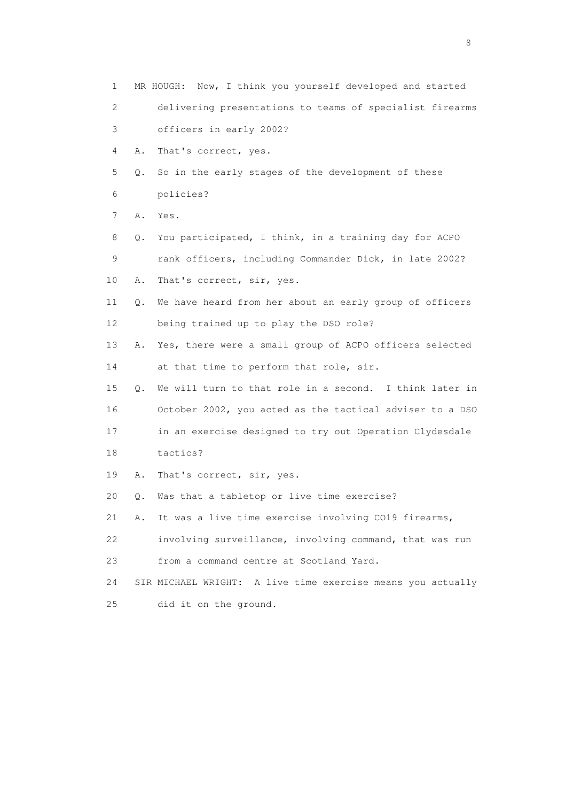| 1  |    | MR HOUGH: Now, I think you yourself developed and started   |
|----|----|-------------------------------------------------------------|
| 2  |    | delivering presentations to teams of specialist firearms    |
| 3  |    | officers in early 2002?                                     |
| 4  | Α. | That's correct, yes.                                        |
| 5  | Q. | So in the early stages of the development of these          |
| 6  |    | policies?                                                   |
| 7  | Α. | Yes.                                                        |
| 8  | Q. | You participated, I think, in a training day for ACPO       |
| 9  |    | rank officers, including Commander Dick, in late 2002?      |
| 10 | Α. | That's correct, sir, yes.                                   |
| 11 | Q. | We have heard from her about an early group of officers     |
| 12 |    | being trained up to play the DSO role?                      |
| 13 | Α. | Yes, there were a small group of ACPO officers selected     |
| 14 |    | at that time to perform that role, sir.                     |
| 15 | Q. | We will turn to that role in a second. I think later in     |
| 16 |    | October 2002, you acted as the tactical adviser to a DSO    |
| 17 |    | in an exercise designed to try out Operation Clydesdale     |
| 18 |    | tactics?                                                    |
| 19 | Α. | That's correct, sir, yes.                                   |
| 20 | Q. | Was that a tabletop or live time exercise?                  |
| 21 | Α. | It was a live time exercise involving CO19 firearms,        |
| 22 |    | involving surveillance, involving command, that was run     |
| 23 |    | from a command centre at Scotland Yard.                     |
| 24 |    | SIR MICHAEL WRIGHT: A live time exercise means you actually |
| 25 |    | did it on the ground.                                       |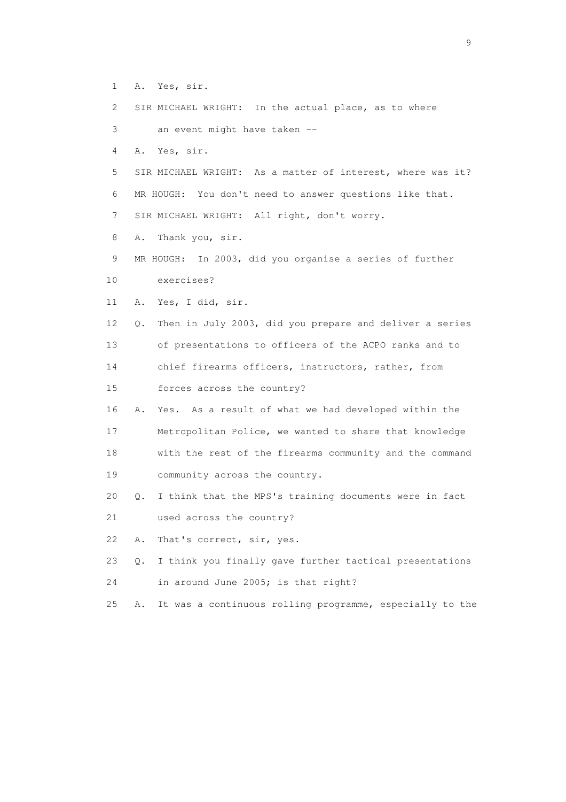- 1 A. Yes, sir.
- 2 SIR MICHAEL WRIGHT: In the actual place, as to where
- 3 an event might have taken --
- 4 A. Yes, sir.
- 5 SIR MICHAEL WRIGHT: As a matter of interest, where was it? 6 MR HOUGH: You don't need to answer questions like that. 7 SIR MICHAEL WRIGHT: All right, don't worry.
- 8 A. Thank you, sir.
- 9 MR HOUGH: In 2003, did you organise a series of further
- 10 exercises?
- 11 A. Yes, I did, sir.
- 12 Q. Then in July 2003, did you prepare and deliver a series 13 of presentations to officers of the ACPO ranks and to
- 
- 14 chief firearms officers, instructors, rather, from
- 15 forces across the country?
- 16 A. Yes. As a result of what we had developed within the
- 17 Metropolitan Police, we wanted to share that knowledge 18 with the rest of the firearms community and the command 19 community across the country.
- 20 Q. I think that the MPS's training documents were in fact
- 21 used across the country?
- 22 A. That's correct, sir, yes.
- 23 Q. I think you finally gave further tactical presentations
- 24 in around June 2005; is that right?
- 25 A. It was a continuous rolling programme, especially to the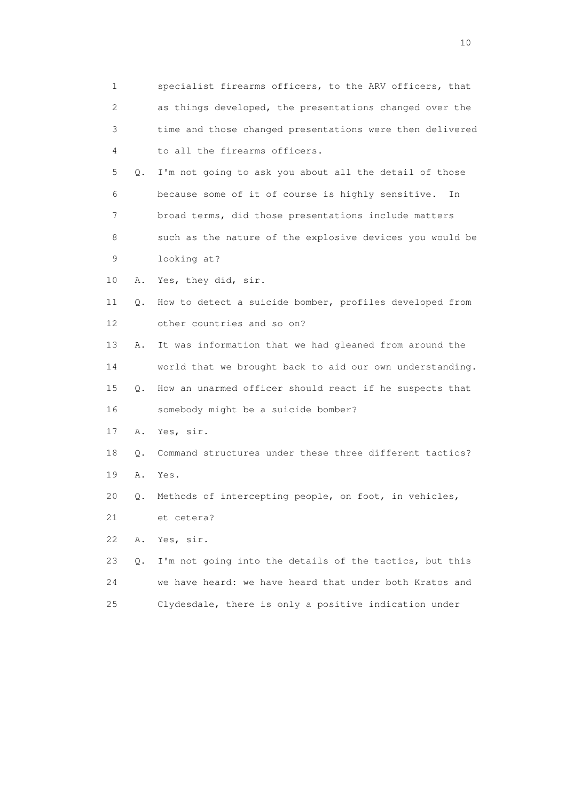1 specialist firearms officers, to the ARV officers, that 2 as things developed, the presentations changed over the 3 time and those changed presentations were then delivered 4 to all the firearms officers. 5 Q. I'm not going to ask you about all the detail of those 6 because some of it of course is highly sensitive. In 7 broad terms, did those presentations include matters 8 such as the nature of the explosive devices you would be 9 looking at? 10 A. Yes, they did, sir. 11 Q. How to detect a suicide bomber, profiles developed from 12 other countries and so on? 13 A. It was information that we had gleaned from around the 14 world that we brought back to aid our own understanding. 15 Q. How an unarmed officer should react if he suspects that 16 somebody might be a suicide bomber? 17 A. Yes, sir. 18 Q. Command structures under these three different tactics? 19 A. Yes. 20 Q. Methods of intercepting people, on foot, in vehicles, 21 et cetera? 22 A. Yes, sir. 23 Q. I'm not going into the details of the tactics, but this 24 we have heard: we have heard that under both Kratos and 25 Clydesdale, there is only a positive indication under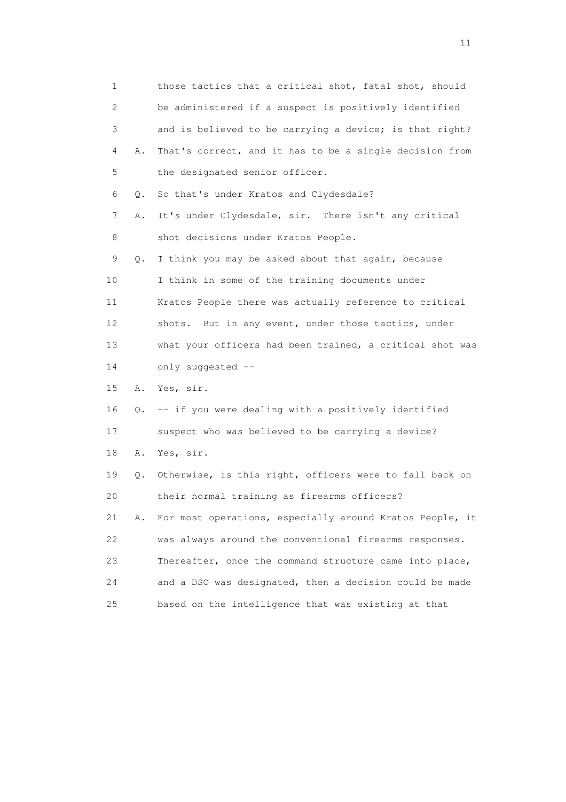| 1               |           | those tactics that a critical shot, fatal shot, should   |
|-----------------|-----------|----------------------------------------------------------|
| 2               |           | be administered if a suspect is positively identified    |
| 3               |           | and is believed to be carrying a device; is that right?  |
| 4               | Α.        | That's correct, and it has to be a single decision from  |
| 5               |           | the designated senior officer.                           |
| 6               | Q.        | So that's under Kratos and Clydesdale?                   |
| 7               | Α.        | It's under Clydesdale, sir. There isn't any critical     |
| 8               |           | shot decisions under Kratos People.                      |
| 9               | Q.        | I think you may be asked about that again, because       |
| 10              |           | I think in some of the training documents under          |
| 11              |           | Kratos People there was actually reference to critical   |
| 12 <sup>°</sup> |           | shots. But in any event, under those tactics, under      |
| 13              |           | what your officers had been trained, a critical shot was |
| 14              |           | only suggested --                                        |
| 15              | Α.        | Yes, sir.                                                |
| 16              | $\circ$ . | -- if you were dealing with a positively identified      |
| 17              |           | suspect who was believed to be carrying a device?        |
| 18              | Α.        | Yes, sir.                                                |
| 19              | Q.        | Otherwise, is this right, officers were to fall back on  |
| 20              |           | their normal training as firearms officers?              |
| 21              | Α.        | For most operations, especially around Kratos People, it |
| 22              |           | was always around the conventional firearms responses.   |
| 23              |           | Thereafter, once the command structure came into place,  |
| 24              |           | and a DSO was designated, then a decision could be made  |
| 25              |           | based on the intelligence that was existing at that      |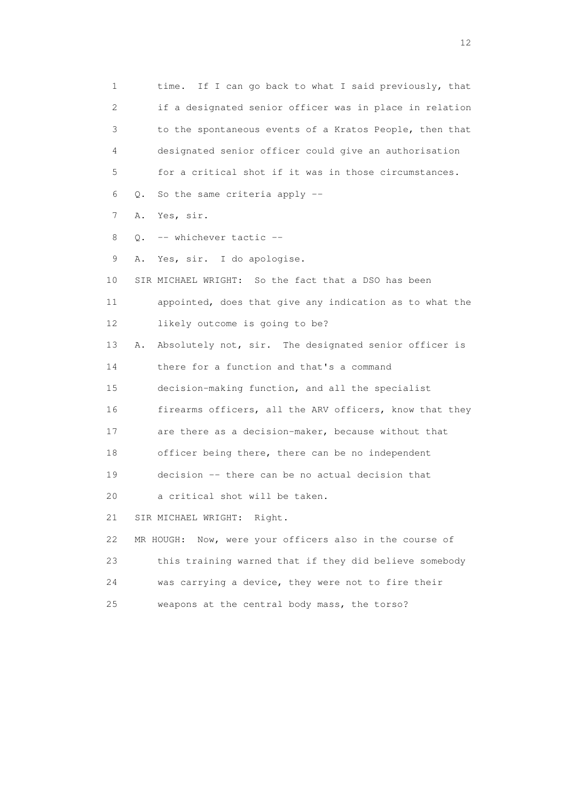1 time. If I can go back to what I said previously, that 2 if a designated senior officer was in place in relation 3 to the spontaneous events of a Kratos People, then that 4 designated senior officer could give an authorisation 5 for a critical shot if it was in those circumstances. 6 Q. So the same criteria apply -- 7 A. Yes, sir. 8 O. -- whichever tactic -- 9 A. Yes, sir. I do apologise. 10 SIR MICHAEL WRIGHT: So the fact that a DSO has been 11 appointed, does that give any indication as to what the 12 likely outcome is going to be? 13 A. Absolutely not, sir. The designated senior officer is 14 there for a function and that's a command 15 decision-making function, and all the specialist 16 firearms officers, all the ARV officers, know that they 17 are there as a decision-maker, because without that 18 officer being there, there can be no independent 19 decision -- there can be no actual decision that 20 a critical shot will be taken. 21 SIR MICHAEL WRIGHT: Right. 22 MR HOUGH: Now, were your officers also in the course of 23 this training warned that if they did believe somebody 24 was carrying a device, they were not to fire their 25 weapons at the central body mass, the torso?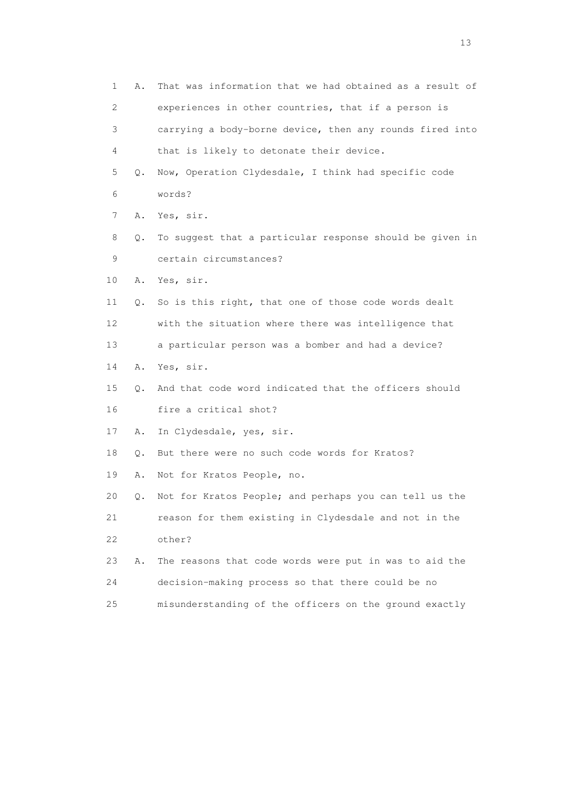| 1           | Α. | That was information that we had obtained as a result of |
|-------------|----|----------------------------------------------------------|
| 2           |    | experiences in other countries, that if a person is      |
| 3           |    | carrying a body-borne device, then any rounds fired into |
| 4           |    | that is likely to detonate their device.                 |
| 5           | Q. | Now, Operation Clydesdale, I think had specific code     |
| 6           |    | words?                                                   |
| 7           | Α. | Yes, sir.                                                |
| 8           | Q. | To suggest that a particular response should be given in |
| $\mathsf 9$ |    | certain circumstances?                                   |
| 10          | Α. | Yes, sir.                                                |
| 11          | Q. | So is this right, that one of those code words dealt     |
| 12          |    | with the situation where there was intelligence that     |
| 13          |    | a particular person was a bomber and had a device?       |
| 14          | Α. | Yes, sir.                                                |
| 15          | Q. | And that code word indicated that the officers should    |
| 16          |    | fire a critical shot?                                    |
| 17          | Α. | In Clydesdale, yes, sir.                                 |
| 18          | Q. | But there were no such code words for Kratos?            |
| 19          | Α. | Not for Kratos People, no.                               |
| 20          | Q. | Not for Kratos People; and perhaps you can tell us the   |
| 21          |    | reason for them existing in Clydesdale and not in the    |
| 22          |    | other?                                                   |
| 23          | Α. | The reasons that code words were put in was to aid the   |
| 24          |    | decision-making process so that there could be no        |
| 25          |    | misunderstanding of the officers on the ground exactly   |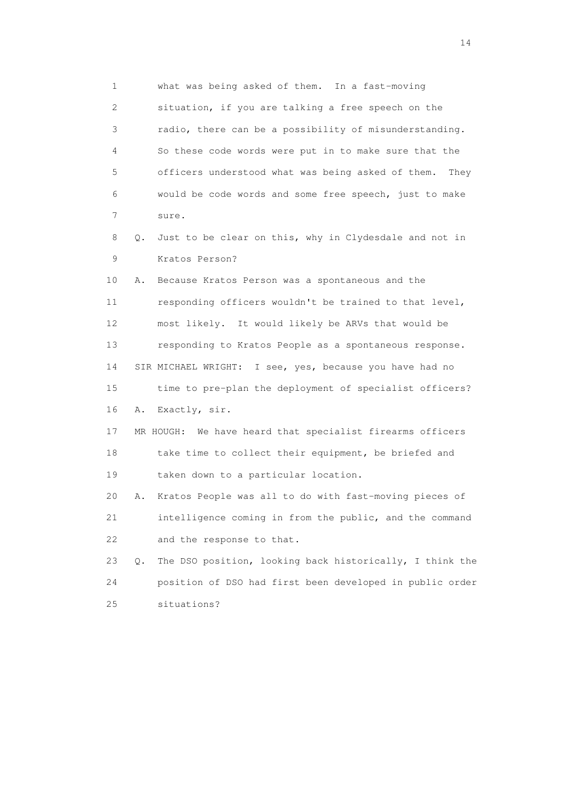1 what was being asked of them. In a fast-moving

 2 situation, if you are talking a free speech on the 3 radio, there can be a possibility of misunderstanding. 4 So these code words were put in to make sure that the 5 officers understood what was being asked of them. They 6 would be code words and some free speech, just to make 7 sure.

 8 Q. Just to be clear on this, why in Clydesdale and not in 9 Kratos Person?

 10 A. Because Kratos Person was a spontaneous and the 11 responding officers wouldn't be trained to that level, 12 most likely. It would likely be ARVs that would be 13 responding to Kratos People as a spontaneous response. 14 SIR MICHAEL WRIGHT: I see, yes, because you have had no 15 time to pre-plan the deployment of specialist officers? 16 A. Exactly, sir.

 17 MR HOUGH: We have heard that specialist firearms officers 18 take time to collect their equipment, be briefed and 19 taken down to a particular location.

 20 A. Kratos People was all to do with fast-moving pieces of 21 intelligence coming in from the public, and the command 22 and the response to that.

 23 Q. The DSO position, looking back historically, I think the 24 position of DSO had first been developed in public order 25 situations?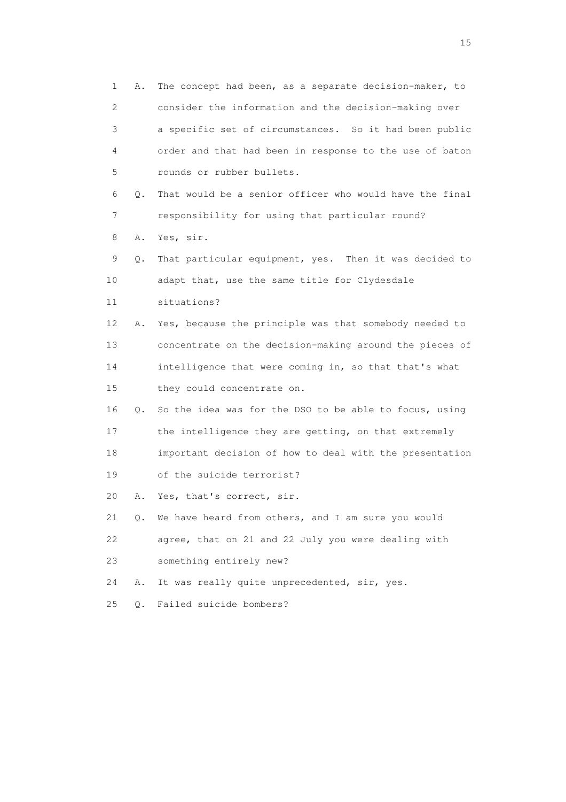1 A. The concept had been, as a separate decision-maker, to 2 consider the information and the decision-making over 3 a specific set of circumstances. So it had been public 4 order and that had been in response to the use of baton 5 rounds or rubber bullets. 6 Q. That would be a senior officer who would have the final 7 responsibility for using that particular round? 8 A. Yes, sir. 9 Q. That particular equipment, yes. Then it was decided to 10 adapt that, use the same title for Clydesdale 11 situations? 12 A. Yes, because the principle was that somebody needed to 13 concentrate on the decision-making around the pieces of 14 intelligence that were coming in, so that that's what 15 they could concentrate on. 16 Q. So the idea was for the DSO to be able to focus, using 17 the intelligence they are getting, on that extremely 18 important decision of how to deal with the presentation 19 of the suicide terrorist? 20 A. Yes, that's correct, sir. 21 Q. We have heard from others, and I am sure you would 22 agree, that on 21 and 22 July you were dealing with 23 something entirely new? 24 A. It was really quite unprecedented, sir, yes. 25 Q. Failed suicide bombers?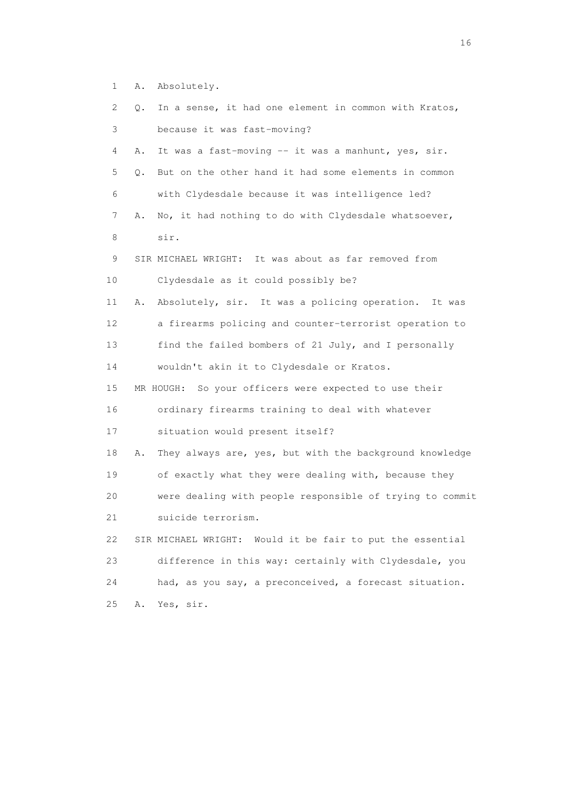|  | <b>A</b> . | Absolutely. |
|--|------------|-------------|
|--|------------|-------------|

| 2  | In a sense, it had one element in common with Kratos,<br>Q.   |
|----|---------------------------------------------------------------|
| 3  | because it was fast-moving?                                   |
| 4  | It was a fast-moving -- it was a manhunt, yes, sir.<br>Α.     |
| 5  | But on the other hand it had some elements in common<br>Q.    |
| 6  | with Clydesdale because it was intelligence led?              |
| 7  | No, it had nothing to do with Clydesdale whatsoever,<br>Α.    |
| 8  | sir.                                                          |
| 9  | SIR MICHAEL WRIGHT: It was about as far removed from          |
| 10 | Clydesdale as it could possibly be?                           |
| 11 | Absolutely, sir. It was a policing operation. It was<br>Α.    |
| 12 | a firearms policing and counter-terrorist operation to        |
| 13 | find the failed bombers of 21 July, and I personally          |
| 14 | wouldn't akin it to Clydesdale or Kratos.                     |
| 15 | MR HOUGH: So your officers were expected to use their         |
| 16 | ordinary firearms training to deal with whatever              |
| 17 | situation would present itself?                               |
| 18 | They always are, yes, but with the background knowledge<br>Α. |
| 19 | of exactly what they were dealing with, because they          |
| 20 | were dealing with people responsible of trying to commit      |
| 21 | suicide terrorism.                                            |
| 22 | Would it be fair to put the essential<br>SIR MICHAEL WRIGHT:  |
| 23 | difference in this way: certainly with Clydesdale, you        |
| 24 | had, as you say, a preconceived, a forecast situation.        |
| 25 | Yes, sir.<br>Α.                                               |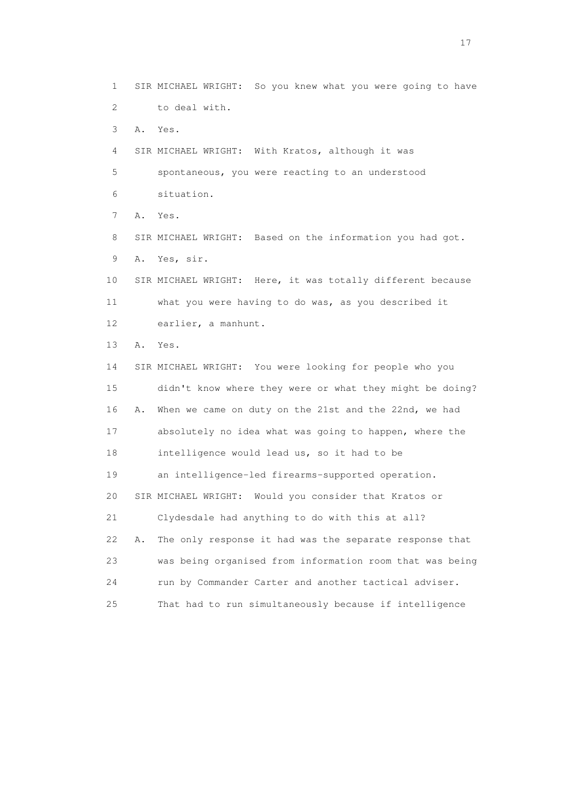1 SIR MICHAEL WRIGHT: So you knew what you were going to have 2 to deal with.

3 A. Yes.

 4 SIR MICHAEL WRIGHT: With Kratos, although it was 5 spontaneous, you were reacting to an understood 6 situation.

7 A. Yes.

 8 SIR MICHAEL WRIGHT: Based on the information you had got. 9 A. Yes, sir.

 10 SIR MICHAEL WRIGHT: Here, it was totally different because 11 what you were having to do was, as you described it 12 earlier, a manhunt.

13 A. Yes.

 14 SIR MICHAEL WRIGHT: You were looking for people who you 15 didn't know where they were or what they might be doing? 16 A. When we came on duty on the 21st and the 22nd, we had 17 absolutely no idea what was going to happen, where the 18 intelligence would lead us, so it had to be 19 an intelligence-led firearms-supported operation. 20 SIR MICHAEL WRIGHT: Would you consider that Kratos or 21 Clydesdale had anything to do with this at all? 22 A. The only response it had was the separate response that 23 was being organised from information room that was being 24 run by Commander Carter and another tactical adviser. 25 That had to run simultaneously because if intelligence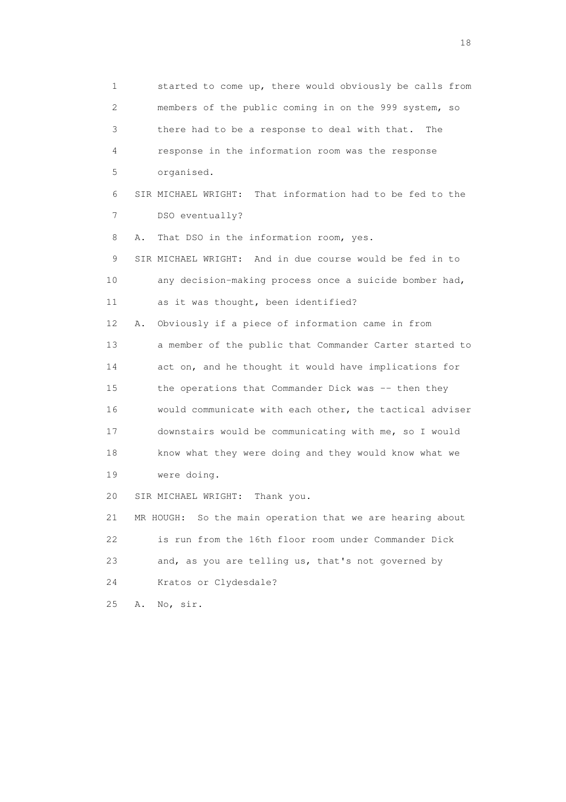1 started to come up, there would obviously be calls from 2 members of the public coming in on the 999 system, so 3 there had to be a response to deal with that. The 4 response in the information room was the response 5 organised. 6 SIR MICHAEL WRIGHT: That information had to be fed to the 7 DSO eventually? 8 A. That DSO in the information room, yes. 9 SIR MICHAEL WRIGHT: And in due course would be fed in to 10 any decision-making process once a suicide bomber had, 11 as it was thought, been identified? 12 A. Obviously if a piece of information came in from 13 a member of the public that Commander Carter started to 14 act on, and he thought it would have implications for 15 the operations that Commander Dick was -- then they 16 would communicate with each other, the tactical adviser 17 downstairs would be communicating with me, so I would 18 know what they were doing and they would know what we 19 were doing. 20 SIR MICHAEL WRIGHT: Thank you. 21 MR HOUGH: So the main operation that we are hearing about 22 is run from the 16th floor room under Commander Dick 23 and, as you are telling us, that's not governed by 24 Kratos or Clydesdale? 25 A. No, sir.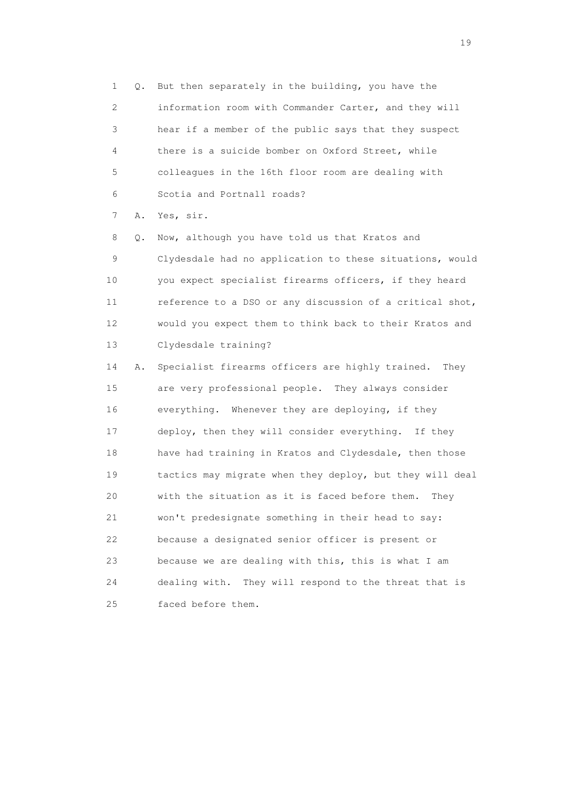1 Q. But then separately in the building, you have the 2 information room with Commander Carter, and they will 3 hear if a member of the public says that they suspect 4 there is a suicide bomber on Oxford Street, while 5 colleagues in the 16th floor room are dealing with 6 Scotia and Portnall roads?

7 A. Yes, sir.

 8 Q. Now, although you have told us that Kratos and 9 Clydesdale had no application to these situations, would 10 you expect specialist firearms officers, if they heard 11 reference to a DSO or any discussion of a critical shot, 12 would you expect them to think back to their Kratos and 13 Clydesdale training?

 14 A. Specialist firearms officers are highly trained. They 15 are very professional people. They always consider 16 everything. Whenever they are deploying, if they 17 deploy, then they will consider everything. If they 18 have had training in Kratos and Clydesdale, then those 19 tactics may migrate when they deploy, but they will deal 20 with the situation as it is faced before them. They 21 won't predesignate something in their head to say: 22 because a designated senior officer is present or 23 because we are dealing with this, this is what I am 24 dealing with. They will respond to the threat that is 25 faced before them.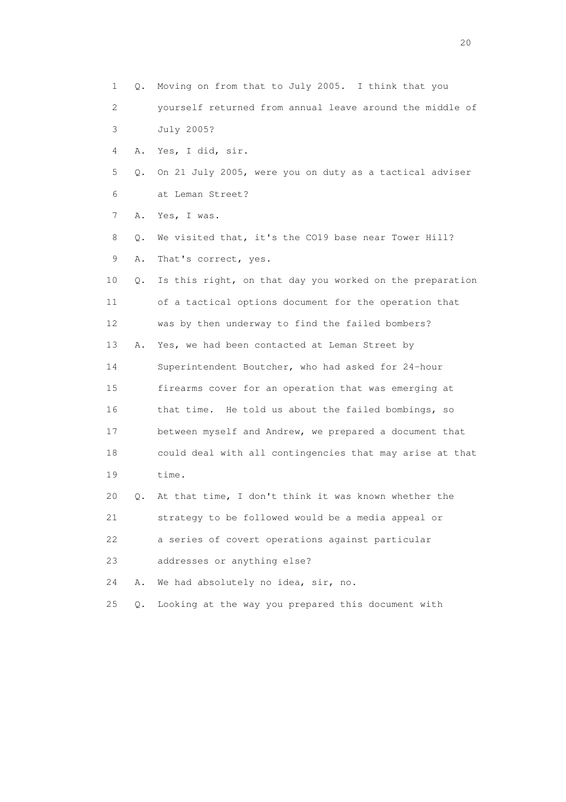1 Q. Moving on from that to July 2005. I think that you 2 yourself returned from annual leave around the middle of 3 July 2005? 4 A. Yes, I did, sir. 5 Q. On 21 July 2005, were you on duty as a tactical adviser 6 at Leman Street? 7 A. Yes, I was. 8 0. We visited that, it's the CO19 base near Tower Hill? 9 A. That's correct, yes. 10 Q. Is this right, on that day you worked on the preparation 11 of a tactical options document for the operation that 12 was by then underway to find the failed bombers? 13 A. Yes, we had been contacted at Leman Street by 14 Superintendent Boutcher, who had asked for 24-hour 15 firearms cover for an operation that was emerging at 16 that time. He told us about the failed bombings, so 17 between myself and Andrew, we prepared a document that 18 could deal with all contingencies that may arise at that 19 time. 20 Q. At that time, I don't think it was known whether the 21 strategy to be followed would be a media appeal or 22 a series of covert operations against particular 23 addresses or anything else? 24 A. We had absolutely no idea, sir, no. 25 Q. Looking at the way you prepared this document with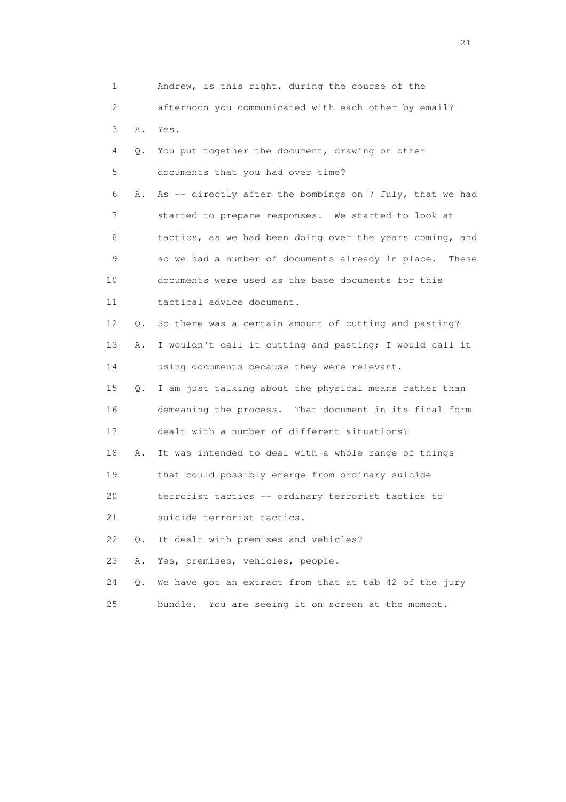| 1  |    | Andrew, is this right, during the course of the          |
|----|----|----------------------------------------------------------|
| 2  |    | afternoon you communicated with each other by email?     |
| 3  | Α. | Yes.                                                     |
| 4  | Q. | You put together the document, drawing on other          |
| 5  |    | documents that you had over time?                        |
| 6  | Α. | As -- directly after the bombings on 7 July, that we had |
| 7  |    | started to prepare responses. We started to look at      |
| 8  |    | tactics, as we had been doing over the years coming, and |
| 9  |    | so we had a number of documents already in place. These  |
| 10 |    | documents were used as the base documents for this       |
| 11 |    | tactical advice document.                                |
| 12 | Q. | So there was a certain amount of cutting and pasting?    |
| 13 | Α. | I wouldn't call it cutting and pasting; I would call it  |
| 14 |    | using documents because they were relevant.              |
| 15 | Q. | I am just talking about the physical means rather than   |
| 16 |    | demeaning the process. That document in its final form   |
| 17 |    | dealt with a number of different situations?             |
| 18 | Α. | It was intended to deal with a whole range of things     |
| 19 |    | that could possibly emerge from ordinary suicide         |
| 20 |    | terrorist tactics -- ordinary terrorist tactics to       |
| 21 |    | suicide terrorist tactics.                               |
| 22 | О. | It dealt with premises and vehicles?                     |
| 23 | Α. | Yes, premises, vehicles, people.                         |
| 24 | Q. | We have got an extract from that at tab 42 of the jury   |
| 25 |    | You are seeing it on screen at the moment.<br>bundle.    |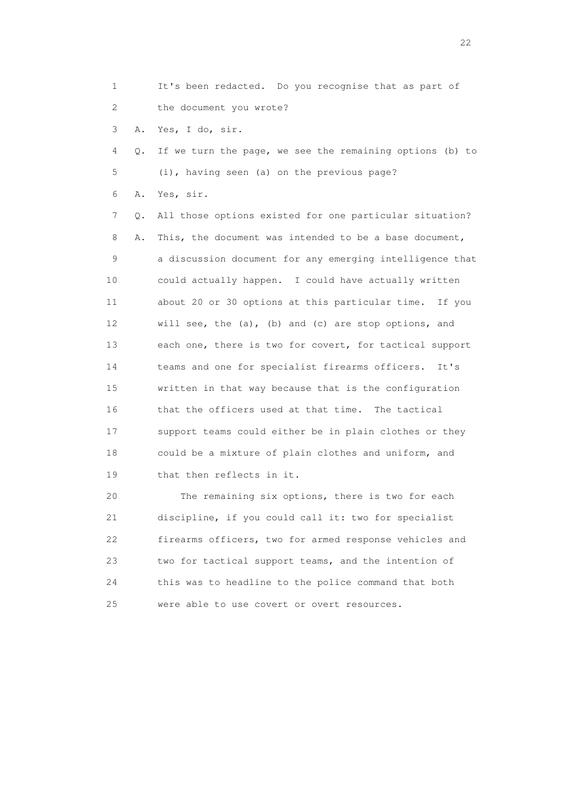1 It's been redacted. Do you recognise that as part of 2 the document you wrote?

3 A. Yes, I do, sir.

 4 Q. If we turn the page, we see the remaining options (b) to 5 (i), having seen (a) on the previous page?

6 A. Yes, sir.

 7 Q. All those options existed for one particular situation? 8 A. This, the document was intended to be a base document, 9 a discussion document for any emerging intelligence that 10 could actually happen. I could have actually written 11 about 20 or 30 options at this particular time. If you 12 will see, the (a), (b) and (c) are stop options, and 13 each one, there is two for covert, for tactical support 14 teams and one for specialist firearms officers. It's 15 written in that way because that is the configuration 16 that the officers used at that time. The tactical 17 support teams could either be in plain clothes or they 18 could be a mixture of plain clothes and uniform, and 19 that then reflects in it.

 20 The remaining six options, there is two for each 21 discipline, if you could call it: two for specialist 22 firearms officers, two for armed response vehicles and 23 two for tactical support teams, and the intention of 24 this was to headline to the police command that both 25 were able to use covert or overt resources.

22 and 22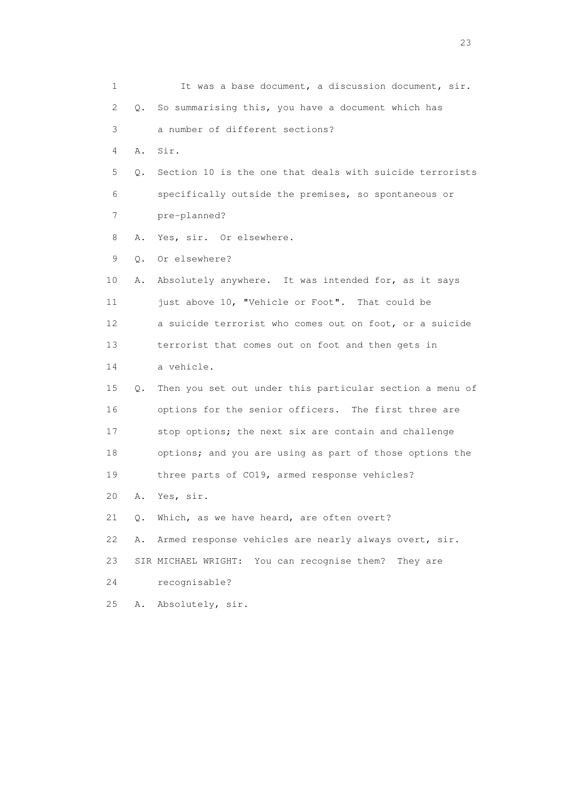| 1  |    | It was a base document, a discussion document, sir.      |
|----|----|----------------------------------------------------------|
| 2  | О. | So summarising this, you have a document which has       |
| 3  |    | a number of different sections?                          |
| 4  | Α. | Sir.                                                     |
| 5  | Q. | Section 10 is the one that deals with suicide terrorists |
| 6  |    | specifically outside the premises, so spontaneous or     |
| 7  |    | pre-planned?                                             |
| 8  | Α. | Yes, sir. Or elsewhere.                                  |
| 9  | Q. | Or elsewhere?                                            |
| 10 | Α. | Absolutely anywhere. It was intended for, as it says     |
| 11 |    | just above 10, "Vehicle or Foot". That could be          |
| 12 |    | a suicide terrorist who comes out on foot, or a suicide  |
| 13 |    | terrorist that comes out on foot and then gets in        |
| 14 |    | a vehicle.                                               |
| 15 | Q. | Then you set out under this particular section a menu of |
| 16 |    | options for the senior officers. The first three are     |
| 17 |    | stop options; the next six are contain and challenge     |
| 18 |    | options; and you are using as part of those options the  |
| 19 |    | three parts of CO19, armed response vehicles?            |
| 20 | Α. | Yes, sir.                                                |
| 21 | Q. | Which, as we have heard, are often overt?                |
| 22 | Α. | Armed response vehicles are nearly always overt, sir.    |
| 23 |    | SIR MICHAEL WRIGHT: You can recognise them?<br>They are  |
| 24 |    | recognisable?                                            |
| 25 | Α. | Absolutely, sir.                                         |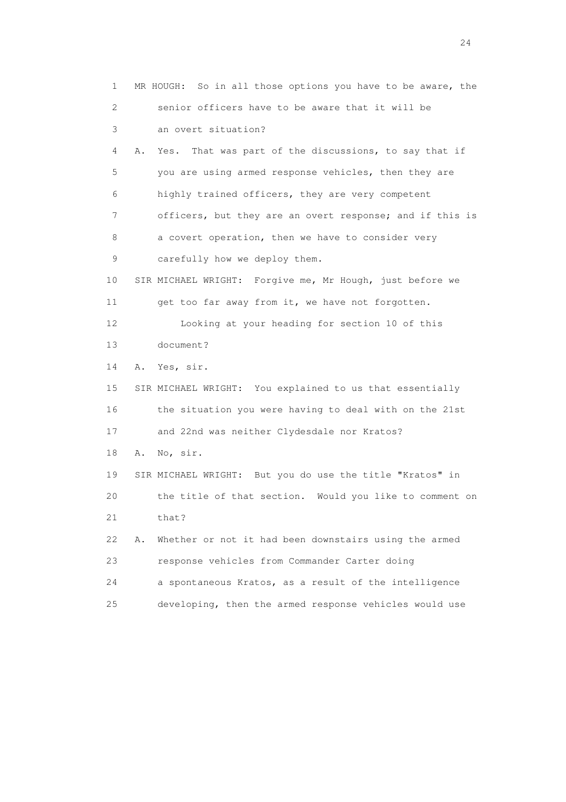1 MR HOUGH: So in all those options you have to be aware, the 2 senior officers have to be aware that it will be 3 an overt situation? 4 A. Yes. That was part of the discussions, to say that if 5 you are using armed response vehicles, then they are 6 highly trained officers, they are very competent 7 officers, but they are an overt response; and if this is 8 a covert operation, then we have to consider very 9 carefully how we deploy them. 10 SIR MICHAEL WRIGHT: Forgive me, Mr Hough, just before we 11 get too far away from it, we have not forgotten. 12 Looking at your heading for section 10 of this 13 document? 14 A. Yes, sir. 15 SIR MICHAEL WRIGHT: You explained to us that essentially 16 the situation you were having to deal with on the 21st 17 and 22nd was neither Clydesdale nor Kratos? 18 A. No, sir. 19 SIR MICHAEL WRIGHT: But you do use the title "Kratos" in 20 the title of that section. Would you like to comment on 21 that? 22 A. Whether or not it had been downstairs using the armed 23 response vehicles from Commander Carter doing 24 a spontaneous Kratos, as a result of the intelligence 25 developing, then the armed response vehicles would use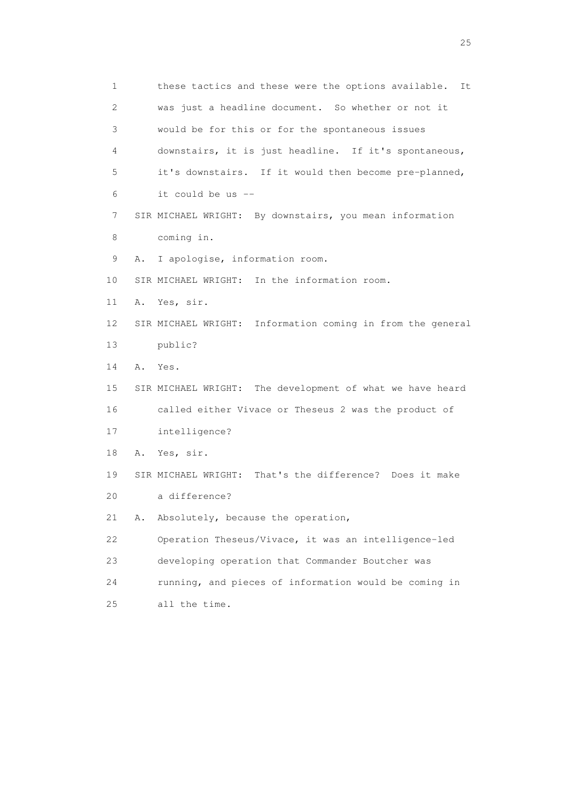1 these tactics and these were the options available. It 2 was just a headline document. So whether or not it 3 would be for this or for the spontaneous issues 4 downstairs, it is just headline. If it's spontaneous, 5 it's downstairs. If it would then become pre-planned, 6 it could be us -- 7 SIR MICHAEL WRIGHT: By downstairs, you mean information 8 coming in. 9 A. I apologise, information room. 10 SIR MICHAEL WRIGHT: In the information room. 11 A. Yes, sir. 12 SIR MICHAEL WRIGHT: Information coming in from the general 13 public? 14 A. Yes. 15 SIR MICHAEL WRIGHT: The development of what we have heard 16 called either Vivace or Theseus 2 was the product of 17 intelligence? 18 A. Yes, sir. 19 SIR MICHAEL WRIGHT: That's the difference? Does it make 20 a difference? 21 A. Absolutely, because the operation, 22 Operation Theseus/Vivace, it was an intelligence-led 23 developing operation that Commander Boutcher was 24 running, and pieces of information would be coming in 25 all the time.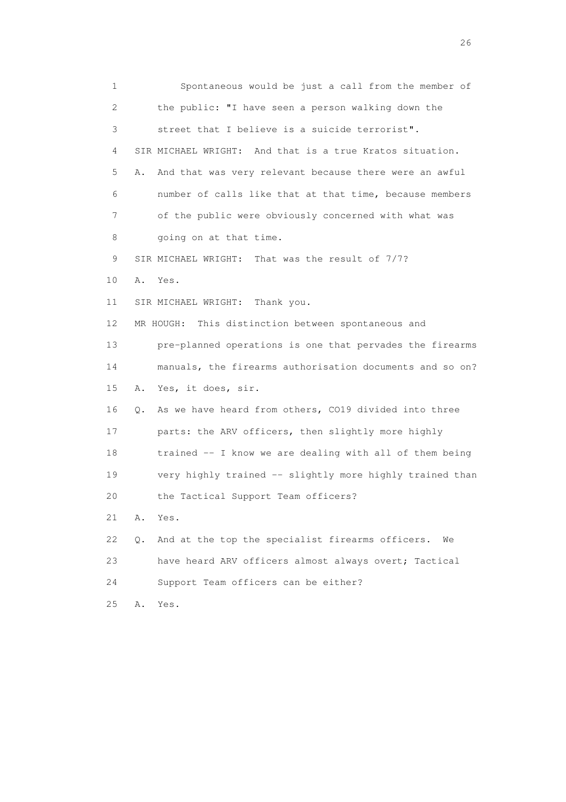1 Spontaneous would be just a call from the member of 2 the public: "I have seen a person walking down the 3 street that I believe is a suicide terrorist". 4 SIR MICHAEL WRIGHT: And that is a true Kratos situation. 5 A. And that was very relevant because there were an awful 6 number of calls like that at that time, because members 7 of the public were obviously concerned with what was 8 going on at that time. 9 SIR MICHAEL WRIGHT: That was the result of 7/7? 10 A. Yes. 11 SIR MICHAEL WRIGHT: Thank you. 12 MR HOUGH: This distinction between spontaneous and 13 pre-planned operations is one that pervades the firearms 14 manuals, the firearms authorisation documents and so on? 15 A. Yes, it does, sir. 16 Q. As we have heard from others, CO19 divided into three 17 parts: the ARV officers, then slightly more highly 18 trained -- I know we are dealing with all of them being 19 very highly trained -- slightly more highly trained than 20 the Tactical Support Team officers? 21 A. Yes. 22 Q. And at the top the specialist firearms officers. We 23 have heard ARV officers almost always overt; Tactical 24 Support Team officers can be either? 25 A. Yes.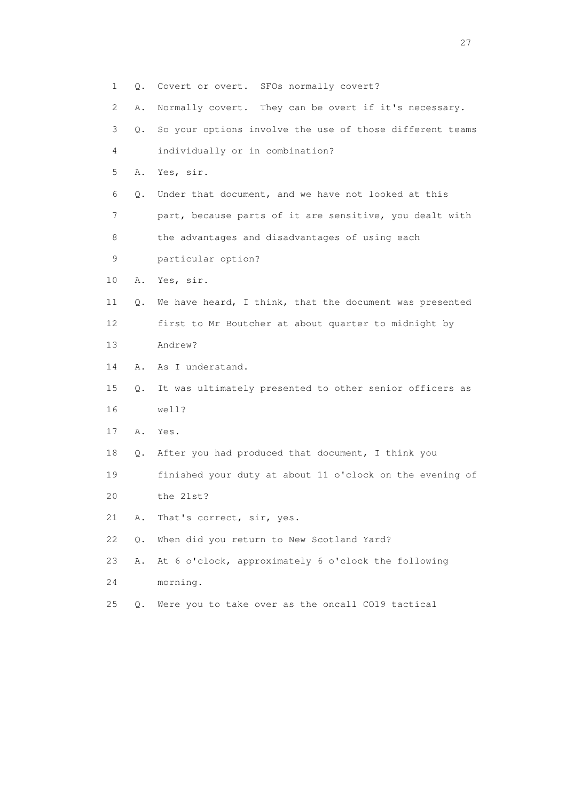| 1  | Q.    | Covert or overt. SFOs normally covert?                   |
|----|-------|----------------------------------------------------------|
| 2  | Α.    | Normally covert. They can be overt if it's necessary.    |
| 3  | О.    | So your options involve the use of those different teams |
| 4  |       | individually or in combination?                          |
| 5  | Α.    | Yes, sir.                                                |
| 6  | Q.    | Under that document, and we have not looked at this      |
| 7  |       | part, because parts of it are sensitive, you dealt with  |
| 8  |       | the advantages and disadvantages of using each           |
| 9  |       | particular option?                                       |
| 10 |       | A. Yes, sir.                                             |
| 11 | Q.    | We have heard, I think, that the document was presented  |
| 12 |       | first to Mr Boutcher at about quarter to midnight by     |
| 13 |       | Andrew?                                                  |
| 14 | Α.    | As I understand.                                         |
| 15 | О.    | It was ultimately presented to other senior officers as  |
| 16 |       | well?                                                    |
| 17 | Α.    | Yes.                                                     |
| 18 | Q.    | After you had produced that document, I think you        |
| 19 |       | finished your duty at about 11 o'clock on the evening of |
| 20 |       | the 21st?                                                |
| 21 | Α.    | That's correct, sir, yes.                                |
| 22 | $Q$ . | When did you return to New Scotland Yard?                |
| 23 | Α.    | At 6 o'clock, approximately 6 o'clock the following      |
| 24 |       | morning.                                                 |
| 25 | О.    | Were you to take over as the oncall CO19 tactical        |
|    |       |                                                          |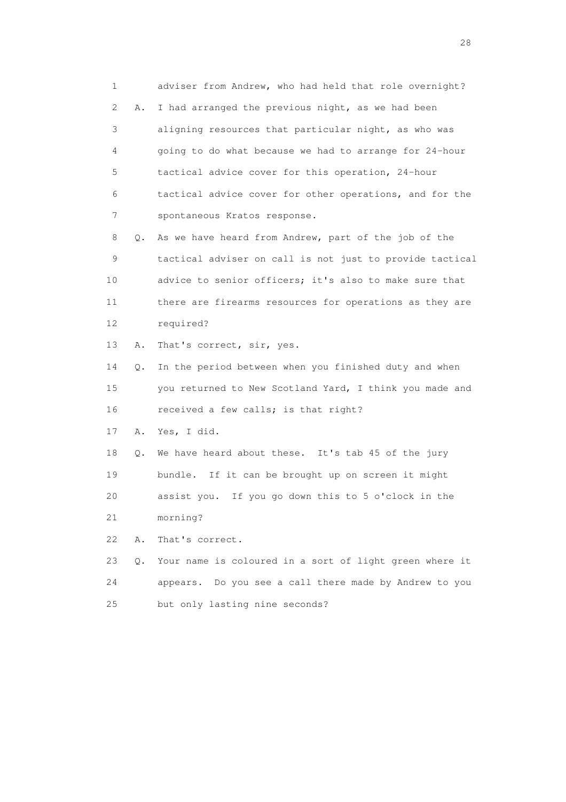1 adviser from Andrew, who had held that role overnight? 2 A. I had arranged the previous night, as we had been 3 aligning resources that particular night, as who was 4 going to do what because we had to arrange for 24-hour 5 tactical advice cover for this operation, 24-hour 6 tactical advice cover for other operations, and for the 7 spontaneous Kratos response.

 8 Q. As we have heard from Andrew, part of the job of the 9 tactical adviser on call is not just to provide tactical 10 advice to senior officers; it's also to make sure that 11 there are firearms resources for operations as they are 12 required?

13 A. That's correct, sir, yes.

 14 Q. In the period between when you finished duty and when 15 you returned to New Scotland Yard, I think you made and 16 received a few calls; is that right?

17 A. Yes, I did.

 18 Q. We have heard about these. It's tab 45 of the jury 19 bundle. If it can be brought up on screen it might 20 assist you. If you go down this to 5 o'clock in the

21 morning?

22 A. That's correct.

 23 Q. Your name is coloured in a sort of light green where it 24 appears. Do you see a call there made by Andrew to you 25 but only lasting nine seconds?

28 and 28 and 28 and 28 and 28 and 28 and 28 and 28 and 28 and 28 and 28 and 28 and 28 and 28 and 28 and 28 and 28 and 28 and 28 and 28 and 28 and 28 and 28 and 28 and 28 and 28 and 28 and 28 and 28 and 28 and 28 and 28 an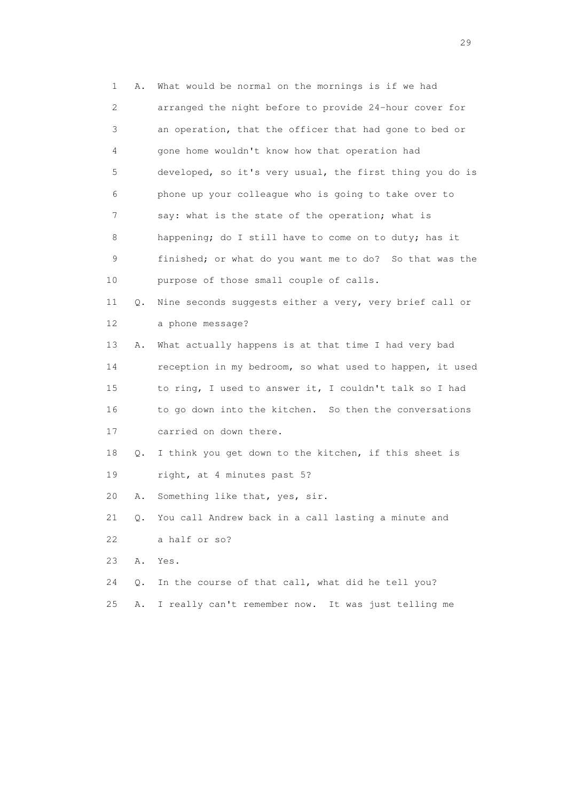1 A. What would be normal on the mornings is if we had 2 arranged the night before to provide 24-hour cover for 3 an operation, that the officer that had gone to bed or 4 gone home wouldn't know how that operation had 5 developed, so it's very usual, the first thing you do is 6 phone up your colleague who is going to take over to 7 say: what is the state of the operation; what is 8 happening; do I still have to come on to duty; has it 9 finished; or what do you want me to do? So that was the 10 purpose of those small couple of calls. 11 Q. Nine seconds suggests either a very, very brief call or 12 a phone message? 13 A. What actually happens is at that time I had very bad 14 reception in my bedroom, so what used to happen, it used 15 to ring, I used to answer it, I couldn't talk so I had 16 to go down into the kitchen. So then the conversations 17 carried on down there. 18 Q. I think you get down to the kitchen, if this sheet is 19 right, at 4 minutes past 5? 20 A. Something like that, yes, sir. 21 Q. You call Andrew back in a call lasting a minute and 22 a half or so? 23 A. Yes. 24 Q. In the course of that call, what did he tell you? 25 A. I really can't remember now. It was just telling me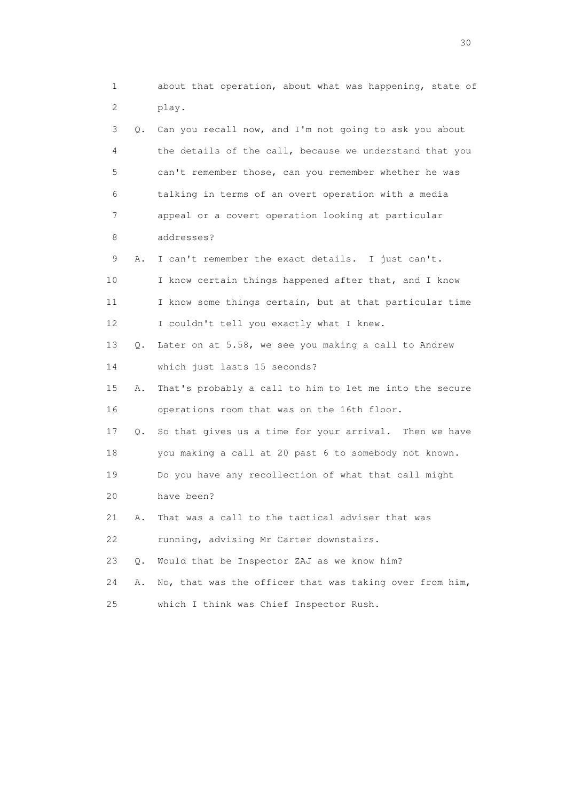1 about that operation, about what was happening, state of 2 play. 3 Q. Can you recall now, and I'm not going to ask you about 4 the details of the call, because we understand that you 5 can't remember those, can you remember whether he was 6 talking in terms of an overt operation with a media 7 appeal or a covert operation looking at particular 8 addresses? 9 A. I can't remember the exact details. I just can't. 10 I know certain things happened after that, and I know 11 I know some things certain, but at that particular time 12 I couldn't tell you exactly what I knew. 13 Q. Later on at 5.58, we see you making a call to Andrew 14 which just lasts 15 seconds? 15 A. That's probably a call to him to let me into the secure 16 operations room that was on the 16th floor. 17 Q. So that gives us a time for your arrival. Then we have 18 you making a call at 20 past 6 to somebody not known. 19 Do you have any recollection of what that call might 20 have been? 21 A. That was a call to the tactical adviser that was 22 running, advising Mr Carter downstairs. 23 Q. Would that be Inspector ZAJ as we know him? 24 A. No, that was the officer that was taking over from him, 25 which I think was Chief Inspector Rush.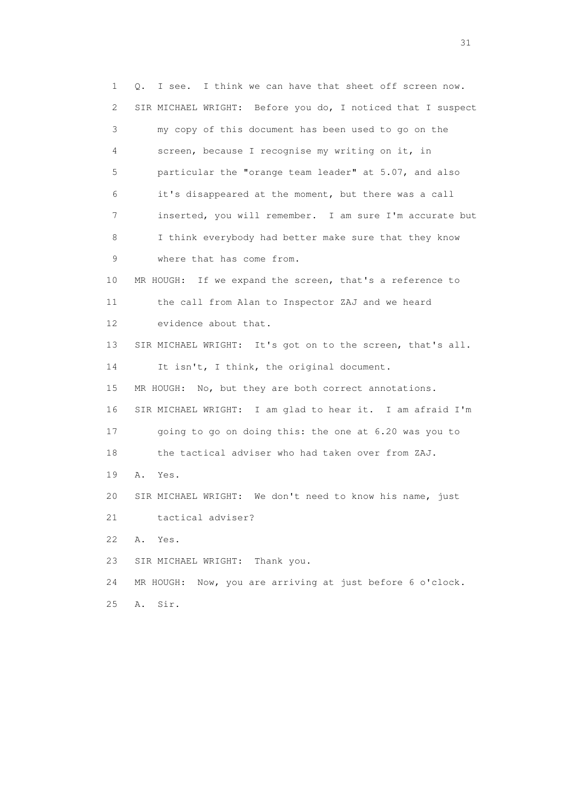1 Q. I see. I think we can have that sheet off screen now. 2 SIR MICHAEL WRIGHT: Before you do, I noticed that I suspect 3 my copy of this document has been used to go on the 4 screen, because I recognise my writing on it, in 5 particular the "orange team leader" at 5.07, and also 6 it's disappeared at the moment, but there was a call 7 inserted, you will remember. I am sure I'm accurate but 8 I think everybody had better make sure that they know 9 where that has come from. 10 MR HOUGH: If we expand the screen, that's a reference to 11 the call from Alan to Inspector ZAJ and we heard 12 evidence about that. 13 SIR MICHAEL WRIGHT: It's got on to the screen, that's all. 14 It isn't, I think, the original document. 15 MR HOUGH: No, but they are both correct annotations. 16 SIR MICHAEL WRIGHT: I am glad to hear it. I am afraid I'm 17 going to go on doing this: the one at 6.20 was you to 18 the tactical adviser who had taken over from ZAJ. 19 A. Yes. 20 SIR MICHAEL WRIGHT: We don't need to know his name, just 21 tactical adviser? 22 A. Yes. 23 SIR MICHAEL WRIGHT: Thank you. 24 MR HOUGH: Now, you are arriving at just before 6 o'clock. 25 A. Sir.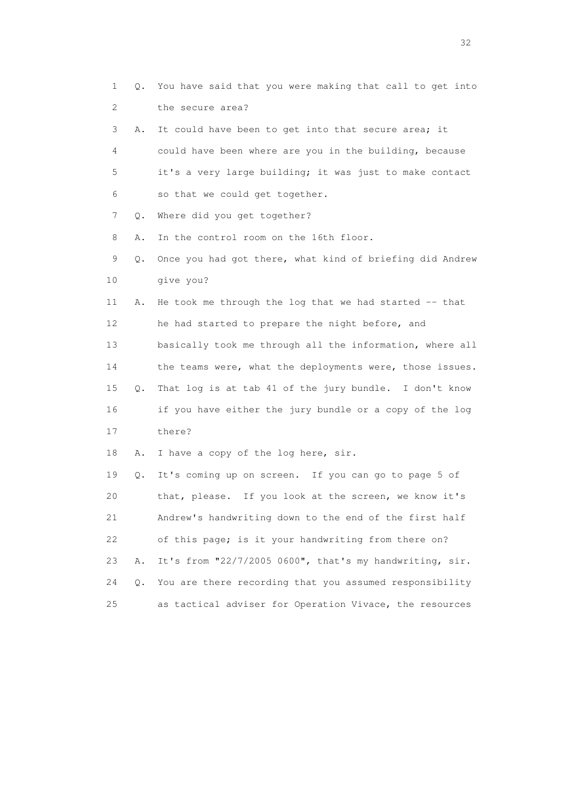1 Q. You have said that you were making that call to get into 2 the secure area? 3 A. It could have been to get into that secure area; it 4 could have been where are you in the building, because 5 it's a very large building; it was just to make contact 6 so that we could get together. 7 Q. Where did you get together? 8 A. In the control room on the 16th floor. 9 Q. Once you had got there, what kind of briefing did Andrew 10 give you? 11 A. He took me through the log that we had started -- that 12 he had started to prepare the night before, and 13 basically took me through all the information, where all 14 the teams were, what the deployments were, those issues. 15 Q. That log is at tab 41 of the jury bundle. I don't know 16 if you have either the jury bundle or a copy of the log 17 there? 18 A. I have a copy of the log here, sir. 19 Q. It's coming up on screen. If you can go to page 5 of 20 that, please. If you look at the screen, we know it's 21 Andrew's handwriting down to the end of the first half 22 of this page; is it your handwriting from there on? 23 A. It's from "22/7/2005 0600", that's my handwriting, sir. 24 Q. You are there recording that you assumed responsibility 25 as tactical adviser for Operation Vivace, the resources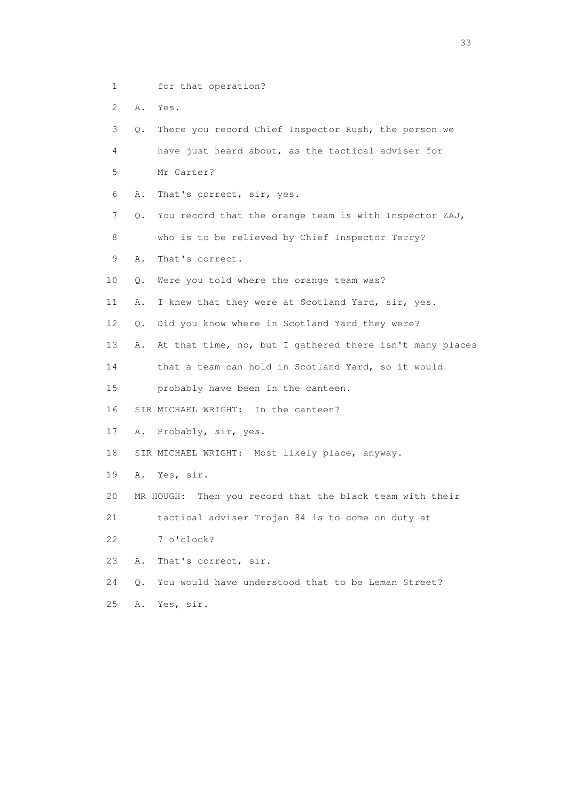- 1 for that operation?
- 2 A. Yes.

 3 Q. There you record Chief Inspector Rush, the person we 4 have just heard about, as the tactical adviser for 5 Mr Carter? 6 A. That's correct, sir, yes. 7 Q. You record that the orange team is with Inspector ZAJ, 8 who is to be relieved by Chief Inspector Terry? 9 A. That's correct. 10 Q. Were you told where the orange team was? 11 A. I knew that they were at Scotland Yard, sir, yes. 12 Q. Did you know where in Scotland Yard they were? 13 A. At that time, no, but I gathered there isn't many places 14 that a team can hold in Scotland Yard, so it would 15 probably have been in the canteen. 16 SIR MICHAEL WRIGHT: In the canteen? 17 A. Probably, sir, yes. 18 SIR MICHAEL WRIGHT: Most likely place, anyway. 19 A. Yes, sir. 20 MR HOUGH: Then you record that the black team with their 21 tactical adviser Trojan 84 is to come on duty at 22 7 o'clock? 23 A. That's correct, sir. 24 Q. You would have understood that to be Leman Street? 25 A. Yes, sir.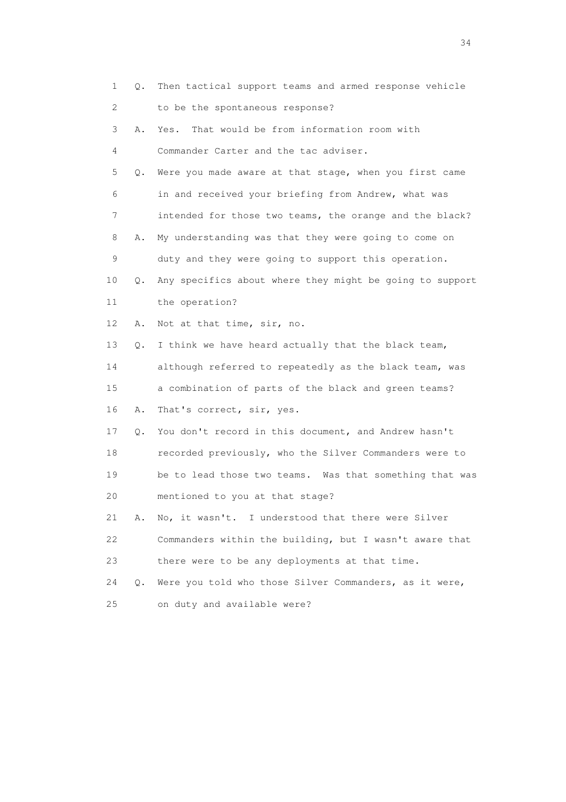|    | $\mathbf 1$<br>Q.         | Then tactical support teams and armed response vehicle   |
|----|---------------------------|----------------------------------------------------------|
|    | $\mathbf{2}^{\mathsf{I}}$ | to be the spontaneous response?                          |
|    | 3<br>Α.                   | That would be from information room with<br>Yes.         |
|    | 4                         | Commander Carter and the tac adviser.                    |
|    | 5<br>Q.                   | Were you made aware at that stage, when you first came   |
|    | 6                         | in and received your briefing from Andrew, what was      |
|    | 7                         | intended for those two teams, the orange and the black?  |
|    | 8<br>Α.                   | My understanding was that they were going to come on     |
|    | 9                         | duty and they were going to support this operation.      |
| 10 | Q.                        | Any specifics about where they might be going to support |
| 11 |                           | the operation?                                           |
| 12 | Α.                        | Not at that time, sir, no.                               |
| 13 | $Q$ .                     | I think we have heard actually that the black team,      |
|    | 14                        | although referred to repeatedly as the black team, was   |
|    | 15                        | a combination of parts of the black and green teams?     |
| 16 | Α.                        | That's correct, sir, yes.                                |
| 17 | Q.                        | You don't record in this document, and Andrew hasn't     |
| 18 |                           | recorded previously, who the Silver Commanders were to   |
| 19 |                           | be to lead those two teams. Was that something that was  |
| 20 |                           | mentioned to you at that stage?                          |
| 21 | Α.                        | No, it wasn't. I understood that there were Silver       |
| 22 |                           | Commanders within the building, but I wasn't aware that  |
| 23 |                           | there were to be any deployments at that time.           |
| 24 | $\circ$ .                 | Were you told who those Silver Commanders, as it were,   |
| 25 |                           | on duty and available were?                              |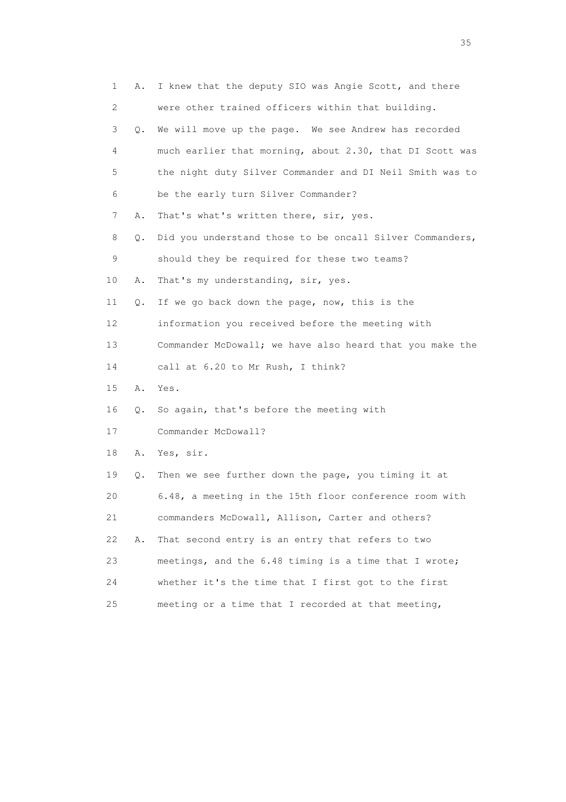| 1  | Α. | I knew that the deputy SIO was Angie Scott, and there    |
|----|----|----------------------------------------------------------|
| 2  |    | were other trained officers within that building.        |
| 3  | Q. | We will move up the page. We see Andrew has recorded     |
| 4  |    | much earlier that morning, about 2.30, that DI Scott was |
| 5  |    | the night duty Silver Commander and DI Neil Smith was to |
| 6  |    | be the early turn Silver Commander?                      |
| 7  | Α. | That's what's written there, sir, yes.                   |
| 8  | Q. | Did you understand those to be oncall Silver Commanders, |
| 9  |    | should they be required for these two teams?             |
| 10 | Α. | That's my understanding, sir, yes.                       |
| 11 | Q. | If we go back down the page, now, this is the            |
| 12 |    | information you received before the meeting with         |
| 13 |    | Commander McDowall; we have also heard that you make the |
| 14 |    | call at 6.20 to Mr Rush, I think?                        |
| 15 | Α. | Yes.                                                     |
| 16 | Q. | So again, that's before the meeting with                 |
| 17 |    | Commander McDowall?                                      |
| 18 | Α. | Yes, sir.                                                |
| 19 | Q. | Then we see further down the page, you timing it at      |
| 20 |    | 6.48, a meeting in the 15th floor conference room with   |
| 21 |    | commanders McDowall, Allison, Carter and others?         |
| 22 | Α. | That second entry is an entry that refers to two         |
| 23 |    | meetings, and the 6.48 timing is a time that I wrote;    |
| 24 |    | whether it's the time that I first got to the first      |
| 25 |    | meeting or a time that I recorded at that meeting,       |

<u>35</u> and the state of the state of the state of the state of the state of the state of the state of the state of the state of the state of the state of the state of the state of the state of the state of the state of the s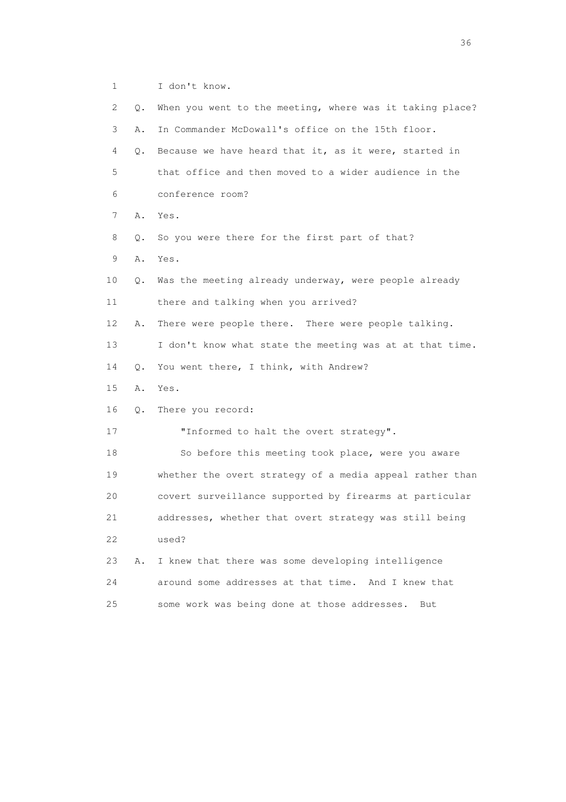1 I don't know.

| $\mathbf{2}^{\prime}$ | Q. | When you went to the meeting, where was it taking place? |
|-----------------------|----|----------------------------------------------------------|
| 3                     | Α. | In Commander McDowall's office on the 15th floor.        |
| 4                     | Q. | Because we have heard that it, as it were, started in    |
| 5                     |    | that office and then moved to a wider audience in the    |
| 6                     |    | conference room?                                         |
| 7                     | Α. | Yes.                                                     |
| 8                     | Q. | So you were there for the first part of that?            |
| 9                     | Α. | Yes.                                                     |
| 10                    | Q. | Was the meeting already underway, were people already    |
| 11                    |    | there and talking when you arrived?                      |
| 12                    | Α. | There were people there. There were people talking.      |
| 13                    |    | I don't know what state the meeting was at at that time. |
| 14                    | Q. | You went there, I think, with Andrew?                    |
| 15                    | Α. | Yes.                                                     |
| 16                    | Q. | There you record:                                        |
| 17                    |    | "Informed to halt the overt strategy".                   |
| 18                    |    | So before this meeting took place, were you aware        |
| 19                    |    | whether the overt strategy of a media appeal rather than |
| 20                    |    | covert surveillance supported by firearms at particular  |
| 21                    |    | addresses, whether that overt strategy was still being   |
| 22                    |    | used?                                                    |
| 23                    | Α. | I knew that there was some developing intelligence       |
| 24                    |    | around some addresses at that time. And I knew that      |
| 25                    |    | some work was being done at those addresses.<br>But      |

 $36<sup>2</sup>$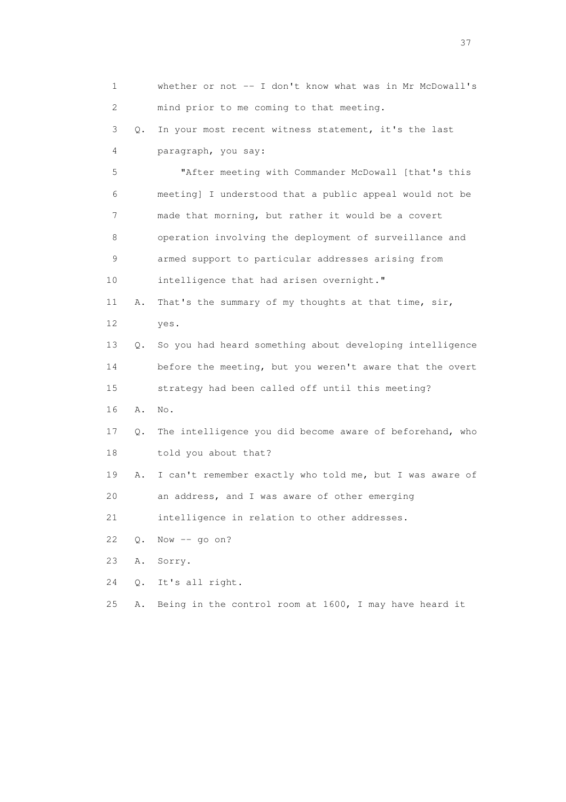1 whether or not -- I don't know what was in Mr McDowall's 2 mind prior to me coming to that meeting. 3 Q. In your most recent witness statement, it's the last 4 paragraph, you say: 5 "After meeting with Commander McDowall [that's this 6 meeting] I understood that a public appeal would not be 7 made that morning, but rather it would be a covert 8 operation involving the deployment of surveillance and 9 armed support to particular addresses arising from 10 intelligence that had arisen overnight." 11 A. That's the summary of my thoughts at that time, sir, 12 yes. 13 Q. So you had heard something about developing intelligence 14 before the meeting, but you weren't aware that the overt 15 strategy had been called off until this meeting? 16 A. No. 17 Q. The intelligence you did become aware of beforehand, who 18 told you about that? 19 A. I can't remember exactly who told me, but I was aware of 20 an address, and I was aware of other emerging 21 intelligence in relation to other addresses. 22 Q. Now -- go on? 23 A. Sorry. 24 Q. It's all right. 25 A. Being in the control room at 1600, I may have heard it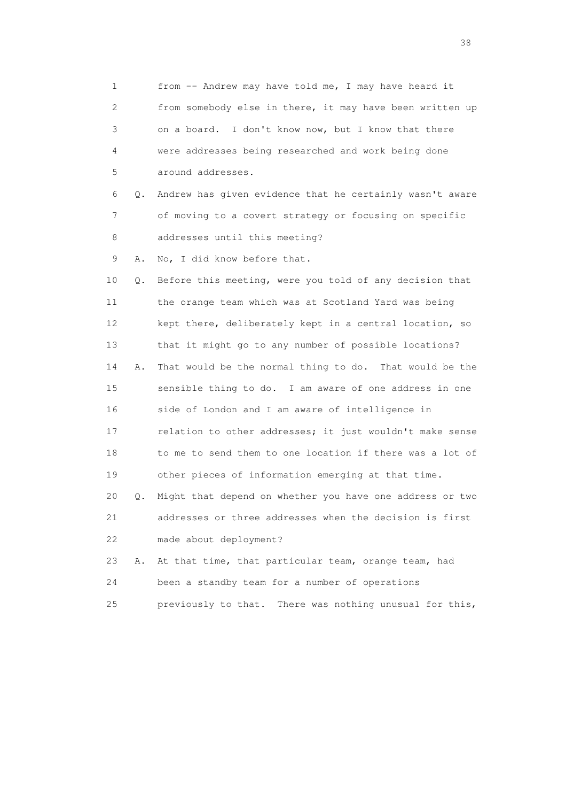1 from -- Andrew may have told me, I may have heard it 2 from somebody else in there, it may have been written up 3 on a board. I don't know now, but I know that there 4 were addresses being researched and work being done 5 around addresses. 6 Q. Andrew has given evidence that he certainly wasn't aware 7 of moving to a covert strategy or focusing on specific 8 addresses until this meeting? 9 A. No, I did know before that. 10 Q. Before this meeting, were you told of any decision that 11 the orange team which was at Scotland Yard was being 12 kept there, deliberately kept in a central location, so 13 that it might go to any number of possible locations? 14 A. That would be the normal thing to do. That would be the 15 sensible thing to do. I am aware of one address in one 16 side of London and I am aware of intelligence in 17 relation to other addresses; it just wouldn't make sense 18 to me to send them to one location if there was a lot of 19 other pieces of information emerging at that time. 20 Q. Might that depend on whether you have one address or two 21 addresses or three addresses when the decision is first 22 made about deployment? 23 A. At that time, that particular team, orange team, had 24 been a standby team for a number of operations 25 previously to that. There was nothing unusual for this,

and the state of the state of the state of the state of the state of the state of the state of the state of the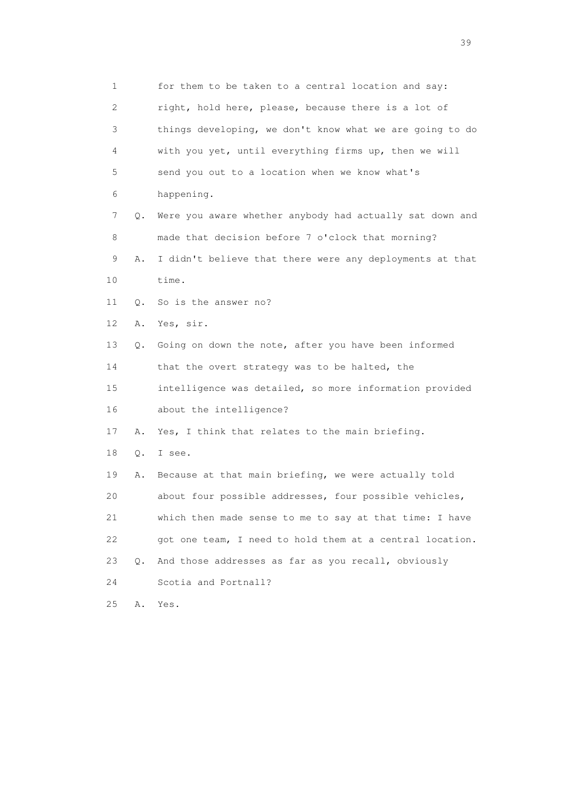1 for them to be taken to a central location and say: 2 right, hold here, please, because there is a lot of 3 things developing, we don't know what we are going to do 4 with you yet, until everything firms up, then we will 5 send you out to a location when we know what's 6 happening. 7 Q. Were you aware whether anybody had actually sat down and 8 made that decision before 7 o'clock that morning? 9 A. I didn't believe that there were any deployments at that 10 time. 11 Q. So is the answer no? 12 A. Yes, sir. 13 Q. Going on down the note, after you have been informed 14 that the overt strategy was to be halted, the 15 intelligence was detailed, so more information provided 16 about the intelligence? 17 A. Yes, I think that relates to the main briefing. 18 Q. I see. 19 A. Because at that main briefing, we were actually told 20 about four possible addresses, four possible vehicles, 21 which then made sense to me to say at that time: I have 22 got one team, I need to hold them at a central location. 23 Q. And those addresses as far as you recall, obviously 24 Scotia and Portnall? 25 A. Yes.

 $39<sup>2</sup>$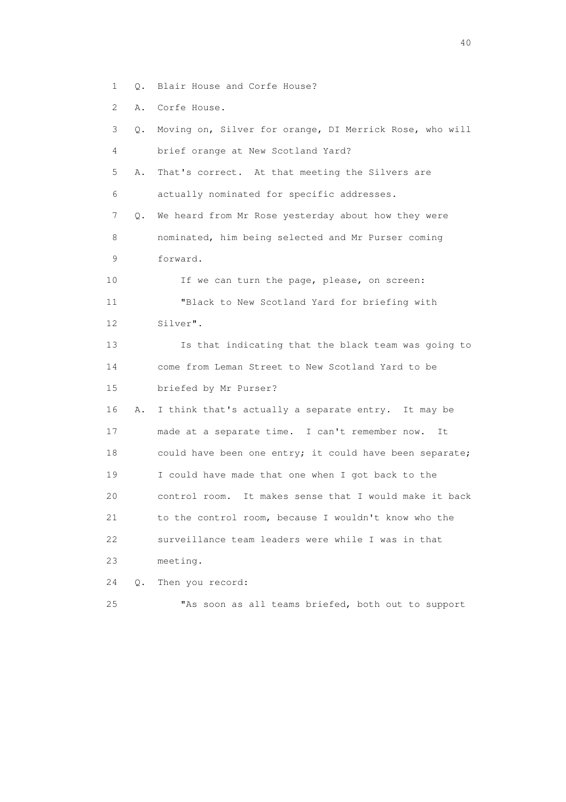- 1 Q. Blair House and Corfe House?
- 2 A. Corfe House.

| 3<br>О.           | Moving on, Silver for orange, DI Merrick Rose, who will |
|-------------------|---------------------------------------------------------|
| 4                 | brief orange at New Scotland Yard?                      |
| 5<br>Α.           | That's correct. At that meeting the Silvers are         |
| 6                 | actually nominated for specific addresses.              |
| 7<br>Q.           | We heard from Mr Rose yesterday about how they were     |
| 8                 | nominated, him being selected and Mr Purser coming      |
| 9                 | forward.                                                |
| 10                | If we can turn the page, please, on screen:             |
| 11                | "Black to New Scotland Yard for briefing with           |
| $12 \overline{c}$ | Silver".                                                |
| 13                | Is that indicating that the black team was going to     |
| 14                | come from Leman Street to New Scotland Yard to be       |
| 15                | briefed by Mr Purser?                                   |
| 16<br>Α.          | I think that's actually a separate entry. It may be     |
| 17                | made at a separate time. I can't remember now.<br>It    |
| 18                | could have been one entry; it could have been separate; |
| 19                | I could have made that one when I got back to the       |
| 20                | control room. It makes sense that I would make it back  |
| 21                | to the control room, because I wouldn't know who the    |
| 22                | surveillance team leaders were while I was in that      |
| 23                | meeting.                                                |
| 24<br>Q.          | Then you record:                                        |
| 25                | "As soon as all teams briefed, both out to support      |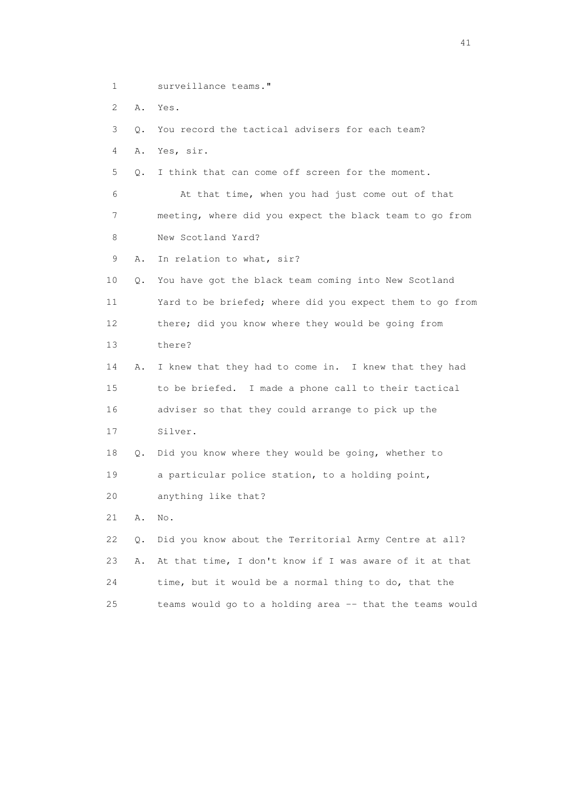- 1 surveillance teams."
- 2 A. Yes.

3 Q. You record the tactical advisers for each team?

4 A. Yes, sir.

5 Q. I think that can come off screen for the moment.

 6 At that time, when you had just come out of that 7 meeting, where did you expect the black team to go from 8 New Scotland Yard?

9 A. In relation to what, sir?

 10 Q. You have got the black team coming into New Scotland 11 Yard to be briefed; where did you expect them to go from 12 there; did you know where they would be going from 13 there?

 14 A. I knew that they had to come in. I knew that they had 15 to be briefed. I made a phone call to their tactical 16 adviser so that they could arrange to pick up the 17 Silver.

 18 Q. Did you know where they would be going, whether to 19 a particular police station, to a holding point,

20 anything like that?

21 A. No.

 22 Q. Did you know about the Territorial Army Centre at all? 23 A. At that time, I don't know if I was aware of it at that 24 time, but it would be a normal thing to do, that the 25 teams would go to a holding area -- that the teams would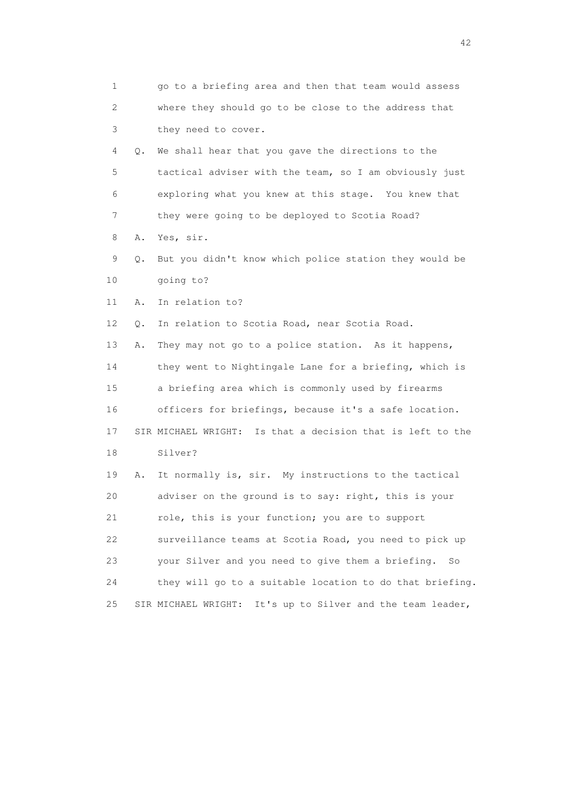1 go to a briefing area and then that team would assess 2 where they should go to be close to the address that 3 they need to cover. 4 Q. We shall hear that you gave the directions to the 5 tactical adviser with the team, so I am obviously just 6 exploring what you knew at this stage. You knew that 7 they were going to be deployed to Scotia Road? 8 A. Yes, sir. 9 Q. But you didn't know which police station they would be 10 going to? 11 A. In relation to? 12 Q. In relation to Scotia Road, near Scotia Road. 13 A. They may not go to a police station. As it happens, 14 they went to Nightingale Lane for a briefing, which is 15 a briefing area which is commonly used by firearms 16 officers for briefings, because it's a safe location. 17 SIR MICHAEL WRIGHT: Is that a decision that is left to the 18 Silver? 19 A. It normally is, sir. My instructions to the tactical 20 adviser on the ground is to say: right, this is your 21 role, this is your function; you are to support 22 surveillance teams at Scotia Road, you need to pick up 23 your Silver and you need to give them a briefing. So 24 they will go to a suitable location to do that briefing. 25 SIR MICHAEL WRIGHT: It's up to Silver and the team leader,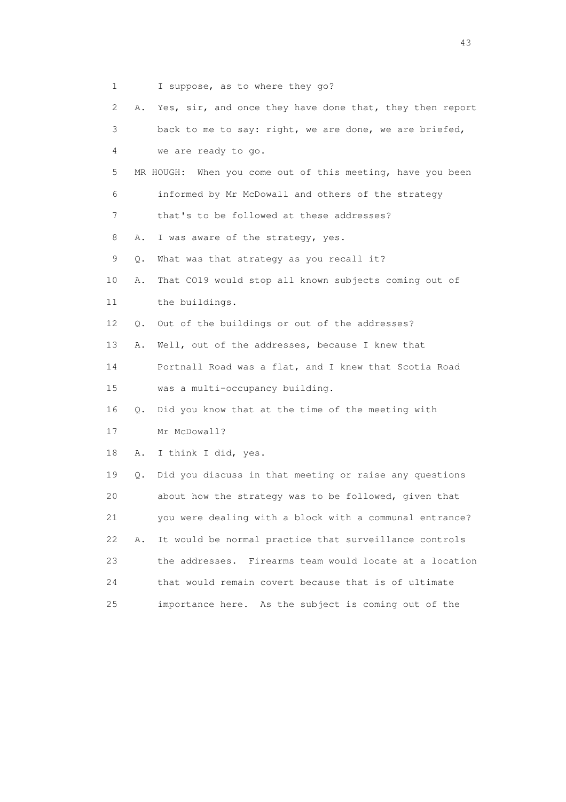1 I suppose, as to where they go?

 2 A. Yes, sir, and once they have done that, they then report 3 back to me to say: right, we are done, we are briefed, 4 we are ready to go. 5 MR HOUGH: When you come out of this meeting, have you been 6 informed by Mr McDowall and others of the strategy 7 that's to be followed at these addresses? 8 A. I was aware of the strategy, yes. 9 Q. What was that strategy as you recall it? 10 A. That CO19 would stop all known subjects coming out of 11 the buildings. 12 Q. Out of the buildings or out of the addresses? 13 A. Well, out of the addresses, because I knew that 14 Portnall Road was a flat, and I knew that Scotia Road 15 was a multi-occupancy building. 16 Q. Did you know that at the time of the meeting with 17 Mr McDowall? 18 A. I think I did, yes. 19 Q. Did you discuss in that meeting or raise any questions 20 about how the strategy was to be followed, given that 21 you were dealing with a block with a communal entrance? 22 A. It would be normal practice that surveillance controls 23 the addresses. Firearms team would locate at a location 24 that would remain covert because that is of ultimate 25 importance here. As the subject is coming out of the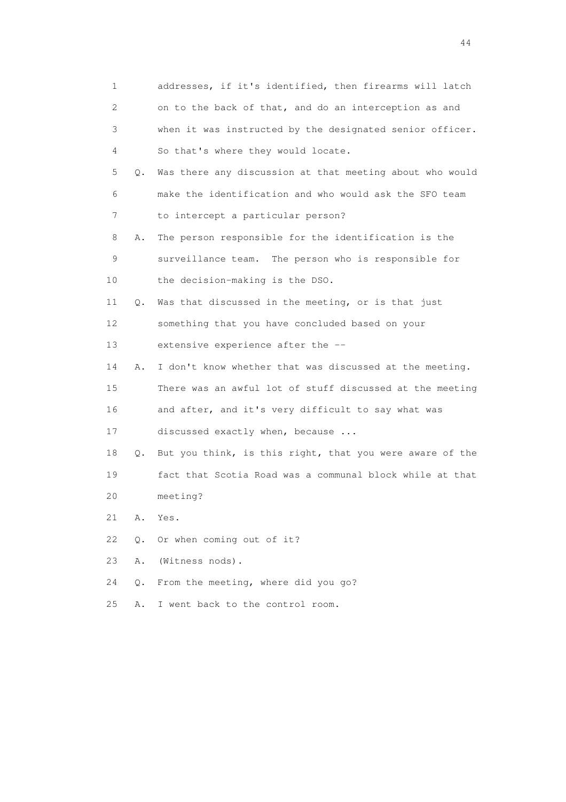| 1  |       | addresses, if it's identified, then firearms will latch  |
|----|-------|----------------------------------------------------------|
| 2  |       | on to the back of that, and do an interception as and    |
| 3  |       | when it was instructed by the designated senior officer. |
| 4  |       | So that's where they would locate.                       |
| 5  | Q.    | Was there any discussion at that meeting about who would |
| 6  |       | make the identification and who would ask the SFO team   |
| 7  |       | to intercept a particular person?                        |
| 8  | Α.    | The person responsible for the identification is the     |
| 9  |       | surveillance team. The person who is responsible for     |
| 10 |       | the decision-making is the DSO.                          |
| 11 | Q.    | Was that discussed in the meeting, or is that just       |
| 12 |       | something that you have concluded based on your          |
| 13 |       | extensive experience after the --                        |
| 14 | Α.    | I don't know whether that was discussed at the meeting.  |
| 15 |       | There was an awful lot of stuff discussed at the meeting |
| 16 |       | and after, and it's very difficult to say what was       |
| 17 |       | discussed exactly when, because                          |
| 18 | Q.    | But you think, is this right, that you were aware of the |
| 19 |       | fact that Scotia Road was a communal block while at that |
| 20 |       | meeting?                                                 |
| 21 | Α.    | Yes.                                                     |
| 22 | $Q$ . | Or when coming out of it?                                |
| 23 | Α.    | (Witness nods).                                          |
| 24 | Q.    | From the meeting, where did you go?                      |
| 25 | Α.    | I went back to the control room.                         |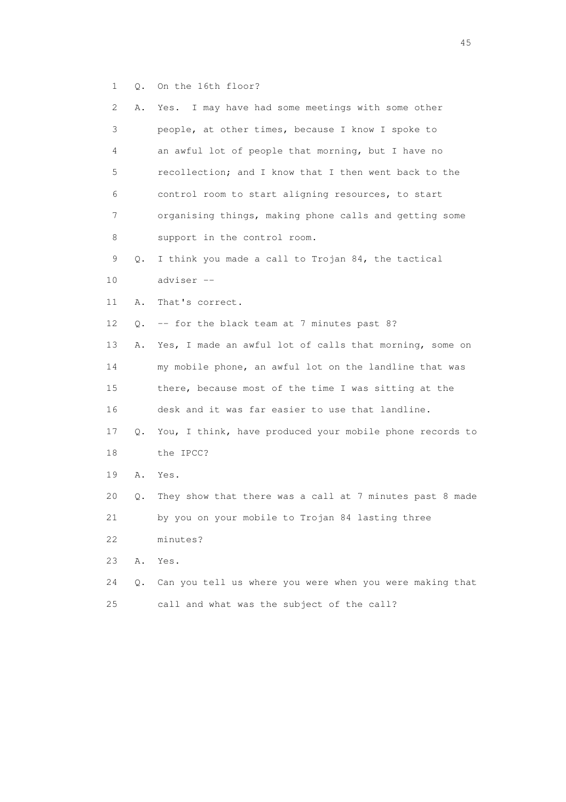1 Q. On the 16th floor?

| 2  | Α. | Yes. I may have had some meetings with some other        |
|----|----|----------------------------------------------------------|
| 3  |    | people, at other times, because I know I spoke to        |
| 4  |    | an awful lot of people that morning, but I have no       |
| 5  |    | recollection; and I know that I then went back to the    |
| 6  |    | control room to start aligning resources, to start       |
| 7  |    | organising things, making phone calls and getting some   |
| 8  |    | support in the control room.                             |
| 9  | Q. | I think you made a call to Trojan 84, the tactical       |
| 10 |    | adviser --                                               |
| 11 | Α. | That's correct.                                          |
| 12 | Q. | -- for the black team at 7 minutes past 8?               |
| 13 | Α. | Yes, I made an awful lot of calls that morning, some on  |
| 14 |    | my mobile phone, an awful lot on the landline that was   |
| 15 |    | there, because most of the time I was sitting at the     |
| 16 |    | desk and it was far easier to use that landline.         |
| 17 | Q. | You, I think, have produced your mobile phone records to |
| 18 |    | the IPCC?                                                |
| 19 | Α. | Yes.                                                     |
| 20 | Q. | They show that there was a call at 7 minutes past 8 made |
| 21 |    | by you on your mobile to Trojan 84 lasting three         |
| 22 |    | minutes?                                                 |
| 23 | Α. | Yes.                                                     |
| 24 | Q. | Can you tell us where you were when you were making that |
| 25 |    | call and what was the subject of the call?               |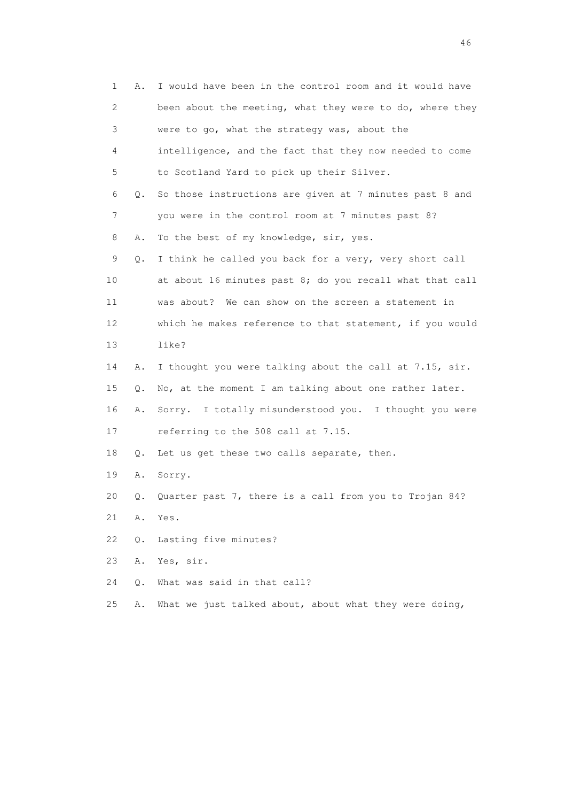| 1               | Α. | I would have been in the control room and it would have  |
|-----------------|----|----------------------------------------------------------|
| 2               |    | been about the meeting, what they were to do, where they |
| 3               |    | were to go, what the strategy was, about the             |
| 4               |    | intelligence, and the fact that they now needed to come  |
| 5               |    | to Scotland Yard to pick up their Silver.                |
| 6               | Q. | So those instructions are given at 7 minutes past 8 and  |
| 7               |    | you were in the control room at 7 minutes past 8?        |
| 8               | Α. | To the best of my knowledge, sir, yes.                   |
| 9               | Q. | I think he called you back for a very, very short call   |
| 10              |    | at about 16 minutes past 8; do you recall what that call |
| 11              |    | was about? We can show on the screen a statement in      |
| 12 <sup>°</sup> |    | which he makes reference to that statement, if you would |
| 13              |    | like?                                                    |
| 14              | Α. | I thought you were talking about the call at 7.15, sir.  |
| 15              | Q. | No, at the moment I am talking about one rather later.   |
| 16              | Α. | Sorry. I totally misunderstood you. I thought you were   |
| 17              |    | referring to the 508 call at 7.15.                       |
| 18              | Q. | Let us get these two calls separate, then.               |
| 19              | Α. | Sorry.                                                   |
| 20              | Q. | Quarter past 7, there is a call from you to Trojan 84?   |
| 21              | Α. | Yes.                                                     |
| 22              | Q. | Lasting five minutes?                                    |
| 23              | Α. | Yes, sir.                                                |
| 24              | О. | What was said in that call?                              |
| 25              | Α. | What we just talked about, about what they were doing,   |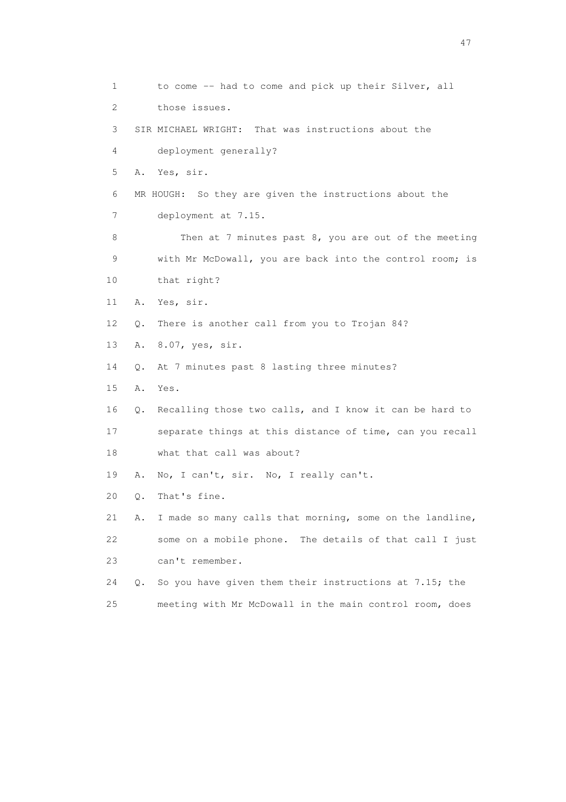1 to come -- had to come and pick up their Silver, all 2 those issues. 3 SIR MICHAEL WRIGHT: That was instructions about the 4 deployment generally? 5 A. Yes, sir. 6 MR HOUGH: So they are given the instructions about the 7 deployment at 7.15. 8 Then at 7 minutes past 8, you are out of the meeting 9 with Mr McDowall, you are back into the control room; is 10 that right? 11 A. Yes, sir. 12 Q. There is another call from you to Trojan 84? 13 A. 8.07, yes, sir. 14 Q. At 7 minutes past 8 lasting three minutes? 15 A. Yes. 16 Q. Recalling those two calls, and I know it can be hard to 17 separate things at this distance of time, can you recall 18 what that call was about? 19 A. No, I can't, sir. No, I really can't. 20 Q. That's fine. 21 A. I made so many calls that morning, some on the landline, 22 some on a mobile phone. The details of that call I just 23 can't remember. 24 Q. So you have given them their instructions at 7.15; the 25 meeting with Mr McDowall in the main control room, does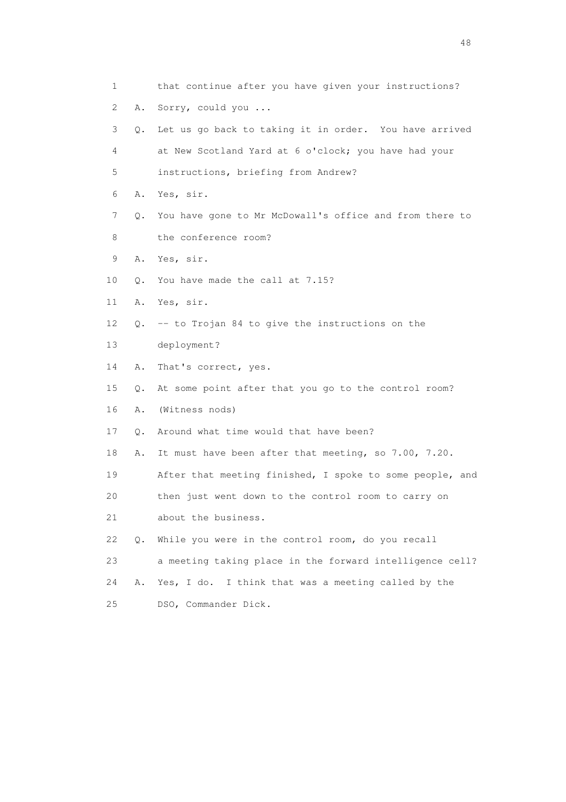| 1  |    | that continue after you have given your instructions?    |
|----|----|----------------------------------------------------------|
| 2  | Α. | Sorry, could you                                         |
| 3  | Q. | Let us go back to taking it in order. You have arrived   |
| 4  |    | at New Scotland Yard at 6 o'clock; you have had your     |
| 5  |    | instructions, briefing from Andrew?                      |
| 6  | Α. | Yes, sir.                                                |
| 7  | Q. | You have gone to Mr McDowall's office and from there to  |
| 8  |    | the conference room?                                     |
| 9  | Α. | Yes, sir.                                                |
| 10 | Q. | You have made the call at 7.15?                          |
| 11 | Α. | Yes, sir.                                                |
| 12 | О. | -- to Trojan 84 to give the instructions on the          |
| 13 |    | deployment?                                              |
| 14 | Α. | That's correct, yes.                                     |
| 15 | Q. | At some point after that you go to the control room?     |
| 16 | Α. | (Witness nods)                                           |
| 17 | Q. | Around what time would that have been?                   |
| 18 | Α. | It must have been after that meeting, so 7.00, 7.20.     |
| 19 |    | After that meeting finished, I spoke to some people, and |
| 20 |    | then just went down to the control room to carry on      |
| 21 |    | about the business.                                      |
| 22 | Q. | While you were in the control room, do you recall        |
| 23 |    | a meeting taking place in the forward intelligence cell? |
| 24 | Α. | I think that was a meeting called by the<br>Yes, I do.   |
| 25 |    | DSO, Commander Dick.                                     |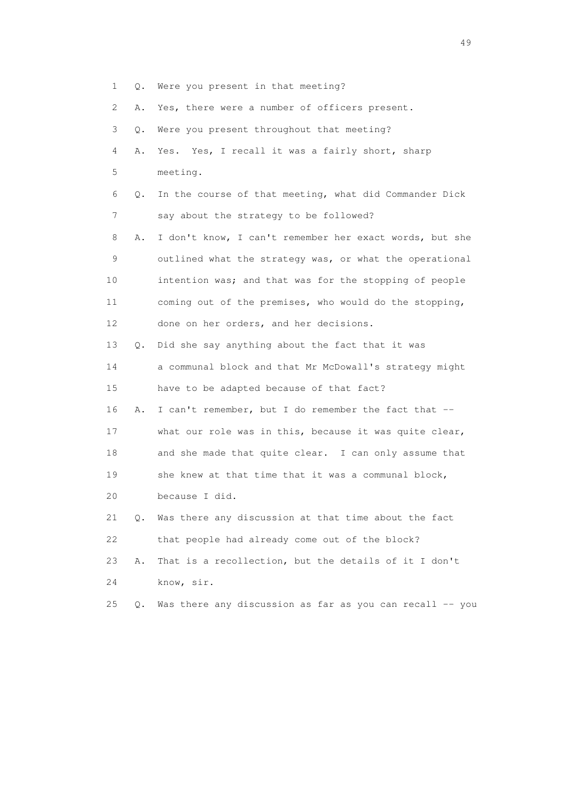- 1 Q. Were you present in that meeting?
- 2 A. Yes, there were a number of officers present.

| 3  | $\circ$ . | Were you present throughout that meeting?               |
|----|-----------|---------------------------------------------------------|
| 4  | Α.        | Yes. Yes, I recall it was a fairly short, sharp         |
| 5  |           | meeting.                                                |
| 6  | $\circ$ . | In the course of that meeting, what did Commander Dick  |
| 7  |           | say about the strategy to be followed?                  |
| 8  | Α.        | I don't know, I can't remember her exact words, but she |
| 9  |           | outlined what the strategy was, or what the operational |
| 10 |           | intention was; and that was for the stopping of people  |
| 11 |           | coming out of the premises, who would do the stopping,  |
| 12 |           | done on her orders, and her decisions.                  |
| 13 | $\circ$ . | Did she say anything about the fact that it was         |
| 14 |           | a communal block and that Mr McDowall's strategy might  |
| 15 |           | have to be adapted because of that fact?                |
| 16 | Α.        | I can't remember, but I do remember the fact that --    |
| 17 |           | what our role was in this, because it was quite clear,  |
| 18 |           | and she made that quite clear. I can only assume that   |
| 19 |           | she knew at that time that it was a communal block,     |
| 20 |           | because I did.                                          |
| 21 | Q.        | Was there any discussion at that time about the fact    |
| 22 |           | that people had already come out of the block?          |
| 23 | Α.        | That is a recollection, but the details of it I don't   |
| 24 |           | know, sir.                                              |

25 Q. Was there any discussion as far as you can recall -- you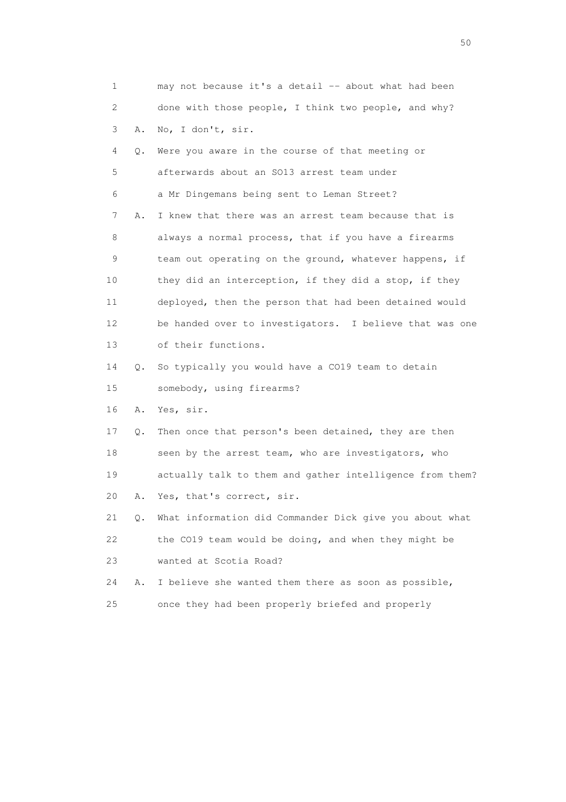| 1                     |    | may not because it's a detail -- about what had been     |
|-----------------------|----|----------------------------------------------------------|
| $\mathbf{2}^{\prime}$ |    | done with those people, I think two people, and why?     |
| 3                     | Α. | No, I don't, sir.                                        |
| 4                     | Q. | Were you aware in the course of that meeting or          |
| 5                     |    | afterwards about an SO13 arrest team under               |
| 6                     |    | a Mr Dingemans being sent to Leman Street?               |
| 7                     | Α. | I knew that there was an arrest team because that is     |
| 8                     |    | always a normal process, that if you have a firearms     |
| 9                     |    | team out operating on the ground, whatever happens, if   |
| 10                    |    | they did an interception, if they did a stop, if they    |
| 11                    |    | deployed, then the person that had been detained would   |
| 12                    |    | be handed over to investigators. I believe that was one  |
| 13                    |    | of their functions.                                      |
| 14                    | Q. | So typically you would have a CO19 team to detain        |
| 15                    |    | somebody, using firearms?                                |
| 16                    | Α. | Yes, sir.                                                |
| 17                    | Q. | Then once that person's been detained, they are then     |
| 18                    |    | seen by the arrest team, who are investigators, who      |
| 19                    |    | actually talk to them and gather intelligence from them? |
| 20                    | Α. | Yes, that's correct, sir.                                |
| 21                    | Q. | What information did Commander Dick give you about what  |
| 22                    |    | the CO19 team would be doing, and when they might be     |
| 23                    |    | wanted at Scotia Road?                                   |
| 24                    | Α. | I believe she wanted them there as soon as possible,     |
| 25                    |    | once they had been properly briefed and properly         |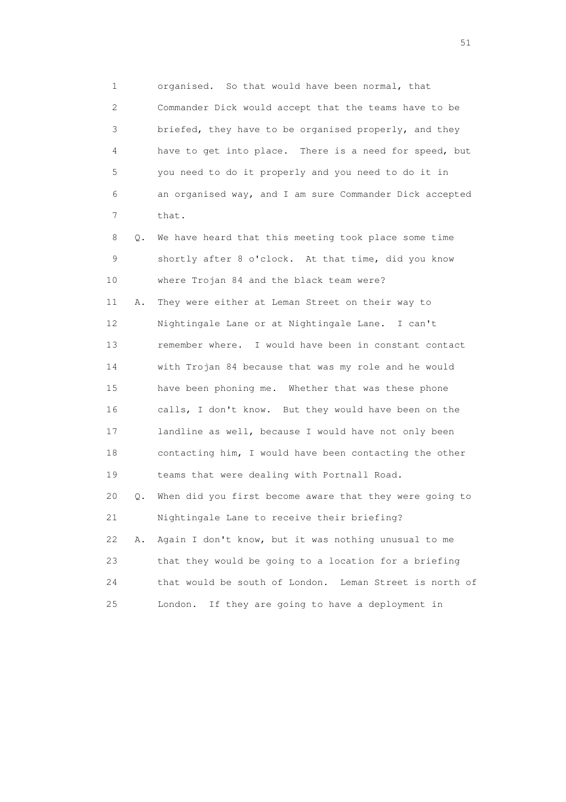1 organised. So that would have been normal, that 2 Commander Dick would accept that the teams have to be 3 briefed, they have to be organised properly, and they 4 have to get into place. There is a need for speed, but 5 you need to do it properly and you need to do it in 6 an organised way, and I am sure Commander Dick accepted 7 that.

 8 Q. We have heard that this meeting took place some time 9 shortly after 8 o'clock. At that time, did you know 10 where Trojan 84 and the black team were? 11 A. They were either at Leman Street on their way to

 12 Nightingale Lane or at Nightingale Lane. I can't 13 remember where. I would have been in constant contact 14 with Trojan 84 because that was my role and he would 15 have been phoning me. Whether that was these phone 16 calls, I don't know. But they would have been on the 17 landline as well, because I would have not only been 18 contacting him, I would have been contacting the other 19 teams that were dealing with Portnall Road. 20 Q. When did you first become aware that they were going to 21 Nightingale Lane to receive their briefing?

 22 A. Again I don't know, but it was nothing unusual to me 23 that they would be going to a location for a briefing 24 that would be south of London. Leman Street is north of 25 London. If they are going to have a deployment in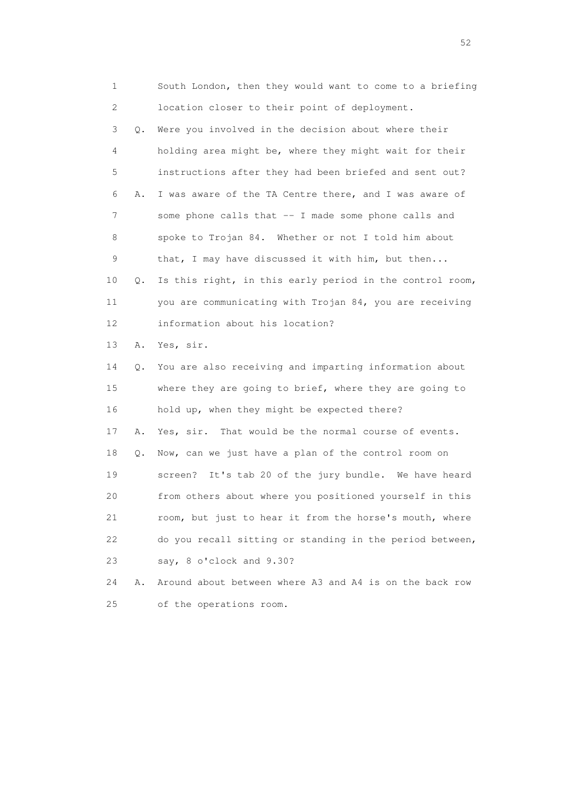1 South London, then they would want to come to a briefing 2 location closer to their point of deployment. 3 Q. Were you involved in the decision about where their 4 holding area might be, where they might wait for their 5 instructions after they had been briefed and sent out? 6 A. I was aware of the TA Centre there, and I was aware of 7 some phone calls that -- I made some phone calls and 8 spoke to Trojan 84. Whether or not I told him about 9 that, I may have discussed it with him, but then... 10 Q. Is this right, in this early period in the control room, 11 you are communicating with Trojan 84, you are receiving 12 information about his location? 13 A. Yes, sir. 14 Q. You are also receiving and imparting information about 15 where they are going to brief, where they are going to 16 hold up, when they might be expected there? 17 A. Yes, sir. That would be the normal course of events. 18 Q. Now, can we just have a plan of the control room on 19 screen? It's tab 20 of the jury bundle. We have heard 20 from others about where you positioned yourself in this 21 room, but just to hear it from the horse's mouth, where 22 do you recall sitting or standing in the period between, 23 say, 8 o'clock and 9.30? 24 A. Around about between where A3 and A4 is on the back row

25 of the operations room.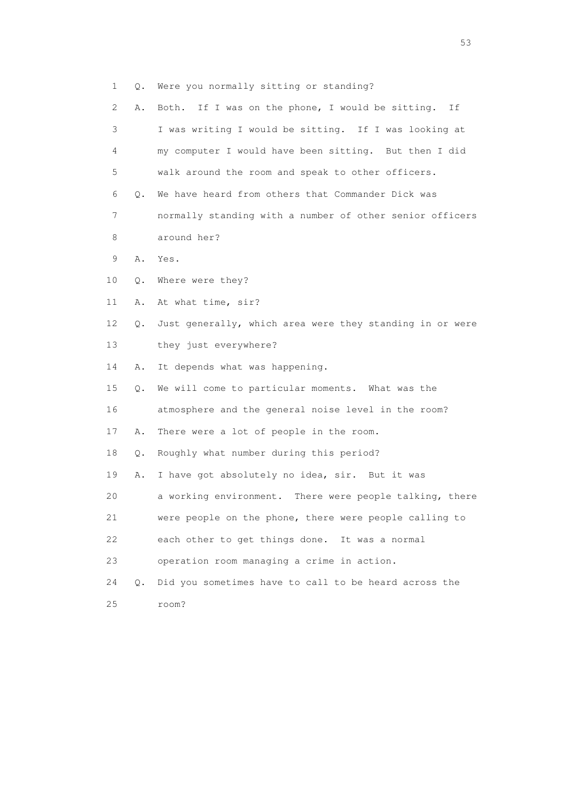|  |  |  |  |  |  | Were you normally sitting or standing? |
|--|--|--|--|--|--|----------------------------------------|
|--|--|--|--|--|--|----------------------------------------|

| 2               | Α. | Both. If I was on the phone, I would be sitting. If      |
|-----------------|----|----------------------------------------------------------|
| 3               |    | I was writing I would be sitting. If I was looking at    |
| 4               |    | my computer I would have been sitting. But then I did    |
| 5               |    | walk around the room and speak to other officers.        |
| 6               | Q. | We have heard from others that Commander Dick was        |
| 7               |    | normally standing with a number of other senior officers |
| 8               |    | around her?                                              |
| 9               | Α. | Yes.                                                     |
| 10              | Q. | Where were they?                                         |
| 11              | Α. | At what time, sir?                                       |
| 12 <sup>°</sup> | Q. | Just generally, which area were they standing in or were |
| 13              |    | they just everywhere?                                    |
| 14              | Α. | It depends what was happening.                           |
| 15              | Q. | We will come to particular moments. What was the         |
| 16              |    | atmosphere and the general noise level in the room?      |
| 17              | Α. | There were a lot of people in the room.                  |
| 18              | Q. | Roughly what number during this period?                  |
| 19              | Α. | I have got absolutely no idea, sir. But it was           |
| 20              |    | a working environment. There were people talking, there  |
| 21              |    | were people on the phone, there were people calling to   |
| 22              |    | each other to get things done. It was a normal           |
| 23              |    | operation room managing a crime in action.               |
| 24              | О. | Did you sometimes have to call to be heard across the    |
| 25              |    | room?                                                    |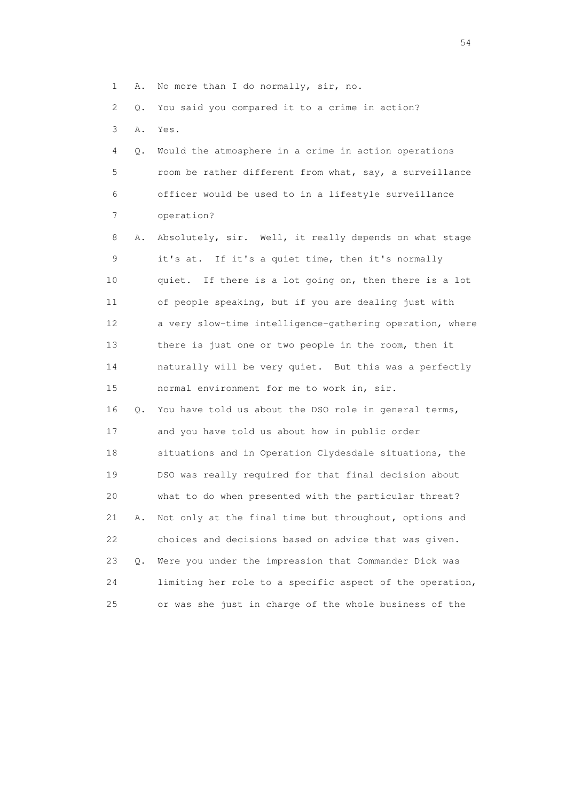1 A. No more than I do normally, sir, no.

2 Q. You said you compared it to a crime in action?

3 A. Yes.

 4 Q. Would the atmosphere in a crime in action operations 5 room be rather different from what, say, a surveillance 6 officer would be used to in a lifestyle surveillance 7 operation?

 8 A. Absolutely, sir. Well, it really depends on what stage 9 it's at. If it's a quiet time, then it's normally 10 quiet. If there is a lot going on, then there is a lot 11 of people speaking, but if you are dealing just with 12 a very slow-time intelligence-gathering operation, where 13 there is just one or two people in the room, then it 14 naturally will be very quiet. But this was a perfectly 15 normal environment for me to work in, sir. 16 Q. You have told us about the DSO role in general terms, 17 and you have told us about how in public order 18 situations and in Operation Clydesdale situations, the 19 DSO was really required for that final decision about 20 what to do when presented with the particular threat? 21 A. Not only at the final time but throughout, options and 22 choices and decisions based on advice that was given. 23 Q. Were you under the impression that Commander Dick was 24 limiting her role to a specific aspect of the operation, 25 or was she just in charge of the whole business of the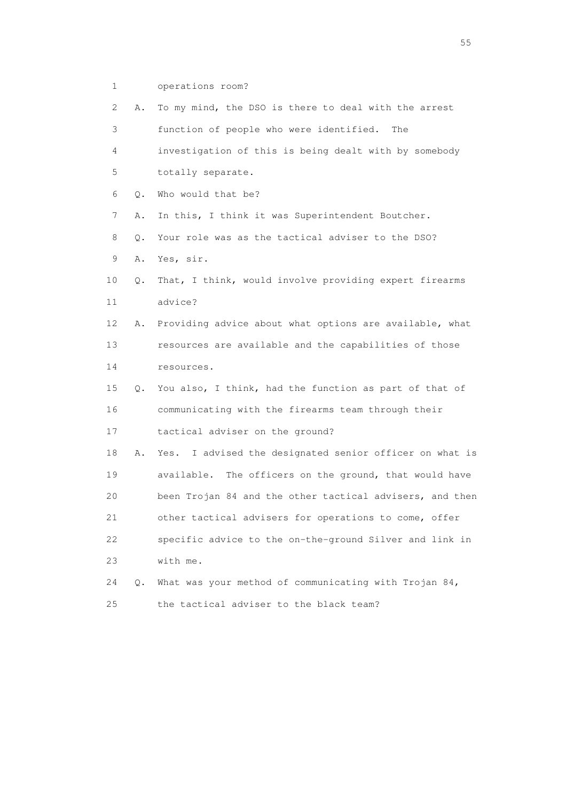1 operations room?

| $\mathbf{2}^{\mathsf{I}}$ | Α. | To my mind, the DSO is there to deal with the arrest       |
|---------------------------|----|------------------------------------------------------------|
| 3                         |    | function of people who were identified.<br>The             |
| 4                         |    | investigation of this is being dealt with by somebody      |
| 5                         |    | totally separate.                                          |
| 6                         | Q. | Who would that be?                                         |
| 7                         | Α. | In this, I think it was Superintendent Boutcher.           |
| 8                         | Q. | Your role was as the tactical adviser to the DSO?          |
| 9                         | Α. | Yes, sir.                                                  |
| 10                        | Q. | That, I think, would involve providing expert firearms     |
| 11                        |    | advice?                                                    |
| 12                        | Α. | Providing advice about what options are available, what    |
| 13                        |    | resources are available and the capabilities of those      |
| 14                        |    | resources.                                                 |
| 15                        | Q. | You also, I think, had the function as part of that of     |
| 16                        |    | communicating with the firearms team through their         |
| 17                        |    | tactical adviser on the ground?                            |
| 18                        | Α. | I advised the designated senior officer on what is<br>Yes. |
| 19                        |    | available. The officers on the ground, that would have     |
| 20                        |    | been Trojan 84 and the other tactical advisers, and then   |
| 21                        |    | other tactical advisers for operations to come, offer      |
| 22                        |    | specific advice to the on-the-ground Silver and link in    |
| 23                        |    | with me.                                                   |
| 24                        | Q. | What was your method of communicating with Trojan 84,      |
| 25                        |    | the tactical adviser to the black team?                    |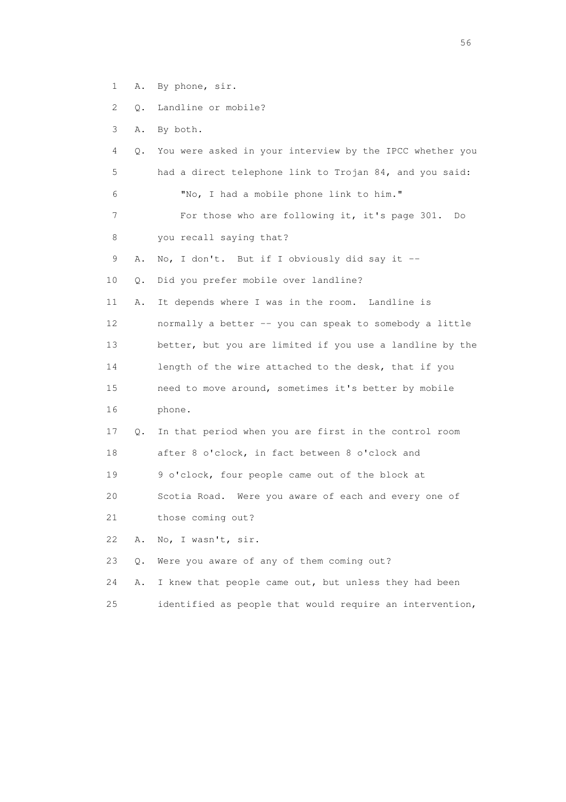1 A. By phone, sir.

2 Q. Landline or mobile?

3 A. By both.

- 4 Q. You were asked in your interview by the IPCC whether you 5 had a direct telephone link to Trojan 84, and you said: 6 "No, I had a mobile phone link to him." 7 For those who are following it, it's page 301. Do 8 you recall saying that? 9 A. No, I don't. But if I obviously did say it -- 10 Q. Did you prefer mobile over landline? 11 A. It depends where I was in the room. Landline is 12 normally a better -- you can speak to somebody a little 13 better, but you are limited if you use a landline by the 14 length of the wire attached to the desk, that if you 15 need to move around, sometimes it's better by mobile 16 phone. 17 Q. In that period when you are first in the control room 18 after 8 o'clock, in fact between 8 o'clock and 19 9 o'clock, four people came out of the block at 20 Scotia Road. Were you aware of each and every one of 21 those coming out? 22 A. No, I wasn't, sir. 23 Q. Were you aware of any of them coming out? 24 A. I knew that people came out, but unless they had been
- 25 identified as people that would require an intervention,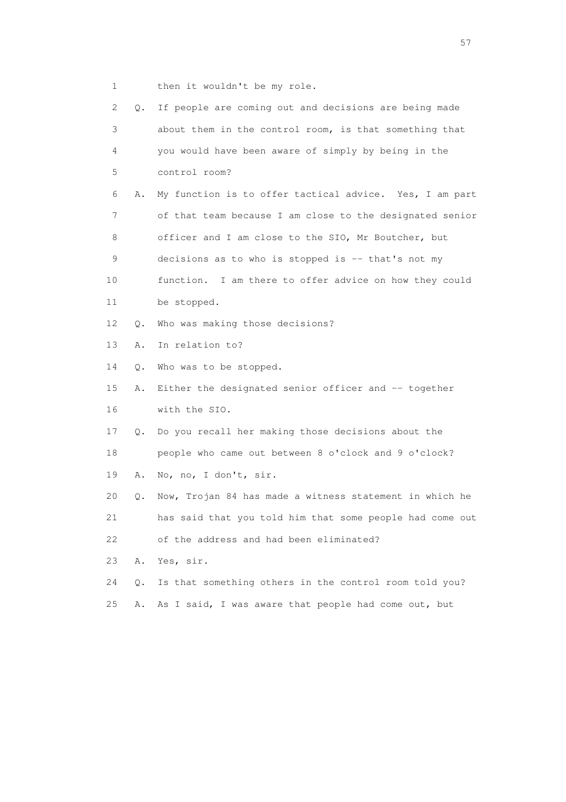1 then it wouldn't be my role.

| $\mathbf{2}^{\mathsf{I}}$ | Q.    | If people are coming out and decisions are being made    |
|---------------------------|-------|----------------------------------------------------------|
| 3                         |       | about them in the control room, is that something that   |
| 4                         |       | you would have been aware of simply by being in the      |
| 5                         |       | control room?                                            |
| 6                         | Α.    | My function is to offer tactical advice. Yes, I am part  |
| 7                         |       | of that team because I am close to the designated senior |
| 8                         |       | officer and I am close to the SIO, Mr Boutcher, but      |
| 9                         |       | decisions as to who is stopped is -- that's not my       |
| 10                        |       | function. I am there to offer advice on how they could   |
| 11                        |       | be stopped.                                              |
| 12 <sup>°</sup>           | Q.    | Who was making those decisions?                          |
| 13                        | Α.    | In relation to?                                          |
| 14                        | Q.    | Who was to be stopped.                                   |
| 15                        | Α.    | Either the designated senior officer and -- together     |
| 16                        |       | with the SIO.                                            |
| 17                        | Q.    | Do you recall her making those decisions about the       |
| 18                        |       | people who came out between 8 o'clock and 9 o'clock?     |
| 19                        | Α.    | No, no, I don't, sir.                                    |
| 20                        | Q.    | Now, Trojan 84 has made a witness statement in which he  |
| 21                        |       | has said that you told him that some people had come out |
| 22                        |       | of the address and had been eliminated?                  |
| 23                        | Α.    | Yes, sir.                                                |
| 24                        | $Q$ . | Is that something others in the control room told you?   |
| 25                        | Α.    | As I said, I was aware that people had come out, but     |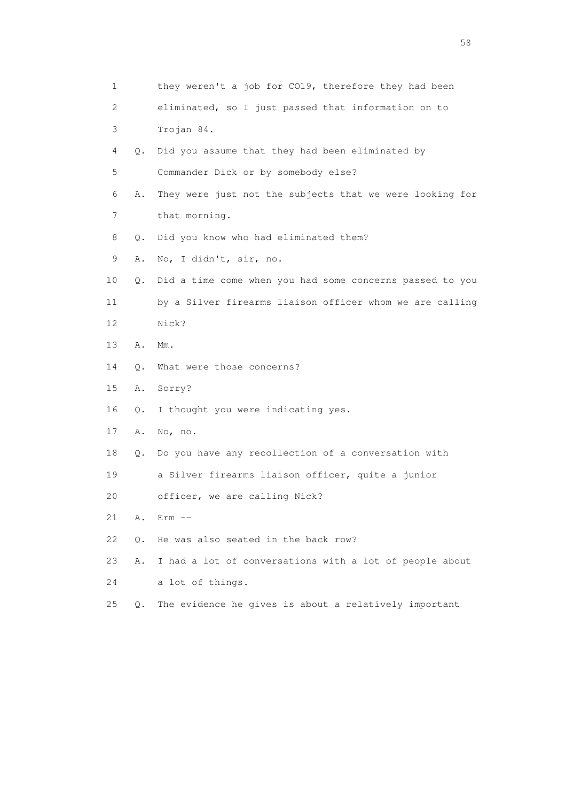| 1  |    | they weren't a job for CO19, therefore they had been     |
|----|----|----------------------------------------------------------|
| 2  |    | eliminated, so I just passed that information on to      |
| 3  |    | Trojan 84.                                               |
| 4  | Q. | Did you assume that they had been eliminated by          |
| 5  |    | Commander Dick or by somebody else?                      |
| 6  | Α. | They were just not the subjects that we were looking for |
| 7  |    | that morning.                                            |
| 8  | Q. | Did you know who had eliminated them?                    |
| 9  | Α. | No, I didn't, sir, no.                                   |
| 10 | Q. | Did a time come when you had some concerns passed to you |
| 11 |    | by a Silver firearms liaison officer whom we are calling |
| 12 |    | Nick?                                                    |
| 13 | Α. | $Mm$ .                                                   |
| 14 | Q. | What were those concerns?                                |
| 15 | Α. | Sorry?                                                   |
| 16 | Q. | I thought you were indicating yes.                       |
| 17 | Α. | No, no.                                                  |
| 18 | Q. | Do you have any recollection of a conversation with      |
| 19 |    | a Silver firearms liaison officer, quite a junior        |
| 20 |    | officer, we are calling Nick?                            |
| 21 | Α. | $Err$ $--$                                               |
| 22 | Q. | He was also seated in the back row?                      |
| 23 | Α. | I had a lot of conversations with a lot of people about  |
| 24 |    | a lot of things.                                         |
| 25 | О. | The evidence he gives is about a relatively important    |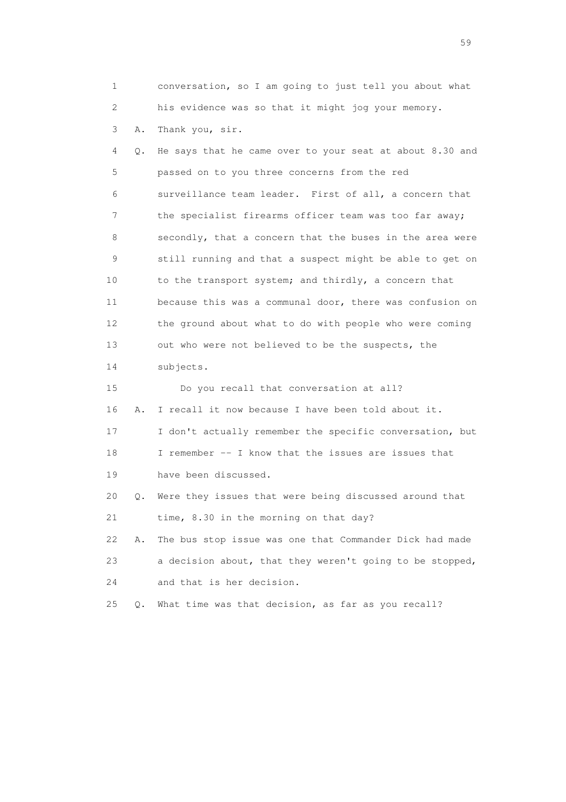1 conversation, so I am going to just tell you about what 2 his evidence was so that it might jog your memory. 3 A. Thank you, sir. 4 Q. He says that he came over to your seat at about 8.30 and 5 passed on to you three concerns from the red 6 surveillance team leader. First of all, a concern that 7 the specialist firearms officer team was too far away; 8 secondly, that a concern that the buses in the area were 9 still running and that a suspect might be able to get on 10 to the transport system; and thirdly, a concern that 11 because this was a communal door, there was confusion on 12 the ground about what to do with people who were coming 13 out who were not believed to be the suspects, the 14 subjects. 15 Do you recall that conversation at all? 16 A. I recall it now because I have been told about it. 17 I don't actually remember the specific conversation, but 18 I remember -- I know that the issues are issues that 19 have been discussed. 20 Q. Were they issues that were being discussed around that 21 time, 8.30 in the morning on that day? 22 A. The bus stop issue was one that Commander Dick had made 23 a decision about, that they weren't going to be stopped, 24 and that is her decision. 25 Q. What time was that decision, as far as you recall?

 $59<sub>2</sub>$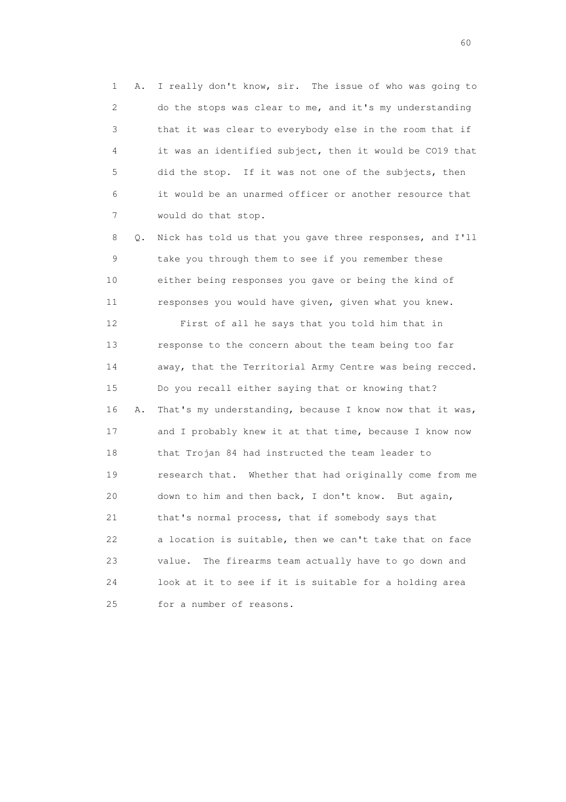1 A. I really don't know, sir. The issue of who was going to 2 do the stops was clear to me, and it's my understanding 3 that it was clear to everybody else in the room that if 4 it was an identified subject, then it would be CO19 that 5 did the stop. If it was not one of the subjects, then 6 it would be an unarmed officer or another resource that 7 would do that stop.

 8 Q. Nick has told us that you gave three responses, and I'll 9 take you through them to see if you remember these 10 either being responses you gave or being the kind of 11 responses you would have given, given what you knew. 12 First of all he says that you told him that in 13 response to the concern about the team being too far 14 away, that the Territorial Army Centre was being recced. 15 Do you recall either saying that or knowing that? 16 A. That's my understanding, because I know now that it was, 17 and I probably knew it at that time, because I know now 18 that Trojan 84 had instructed the team leader to 19 research that. Whether that had originally come from me 20 down to him and then back, I don't know. But again, 21 that's normal process, that if somebody says that 22 a location is suitable, then we can't take that on face 23 value. The firearms team actually have to go down and 24 look at it to see if it is suitable for a holding area 25 for a number of reasons.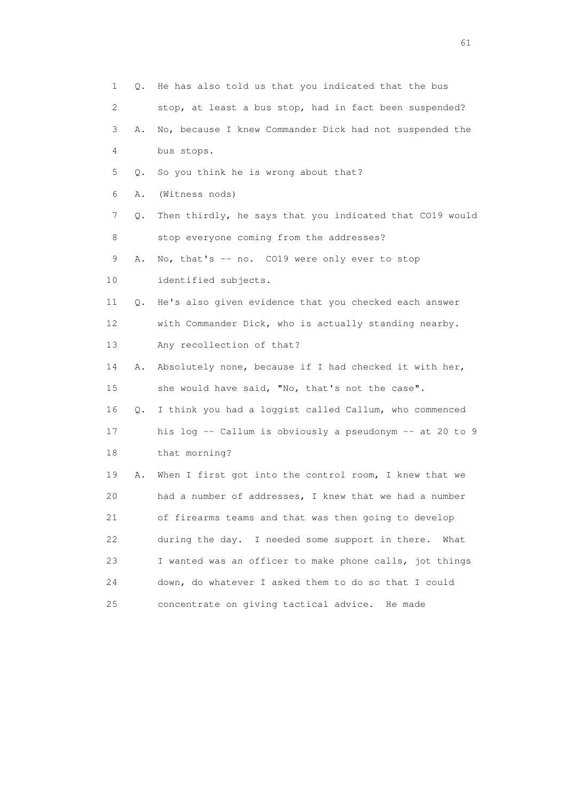|    | 1<br>Q. | He has also told us that you indicated that the bus      |
|----|---------|----------------------------------------------------------|
|    | 2       | stop, at least a bus stop, had in fact been suspended?   |
|    | 3<br>Α. | No, because I knew Commander Dick had not suspended the  |
|    | 4       | bus stops.                                               |
| 5  | Q.      | So you think he is wrong about that?                     |
| 6  | Α.      | (Witness nods)                                           |
|    | 7<br>Q. | Then thirdly, he says that you indicated that CO19 would |
|    | 8       | stop everyone coming from the addresses?                 |
| 9  | Α.      | No, that's -- no. CO19 were only ever to stop            |
| 10 |         | identified subjects.                                     |
| 11 | Q.      | He's also given evidence that you checked each answer    |
| 12 |         | with Commander Dick, who is actually standing nearby.    |
| 13 |         | Any recollection of that?                                |
| 14 | Α.      | Absolutely none, because if I had checked it with her,   |
| 15 |         | she would have said, "No, that's not the case".          |
| 16 | Q.      | I think you had a loggist called Callum, who commenced   |
| 17 |         | his log -- Callum is obviously a pseudonym -- at 20 to 9 |
| 18 |         | that morning?                                            |
| 19 | Α.      | When I first got into the control room, I knew that we   |
| 20 |         | had a number of addresses, I knew that we had a number   |
| 21 |         | of firearms teams and that was then going to develop     |
| 22 |         | during the day. I needed some support in there.<br>What  |
| 23 |         | I wanted was an officer to make phone calls, jot things  |
| 24 |         | down, do whatever I asked them to do so that I could     |
| 25 |         | concentrate on giving tactical advice. He made           |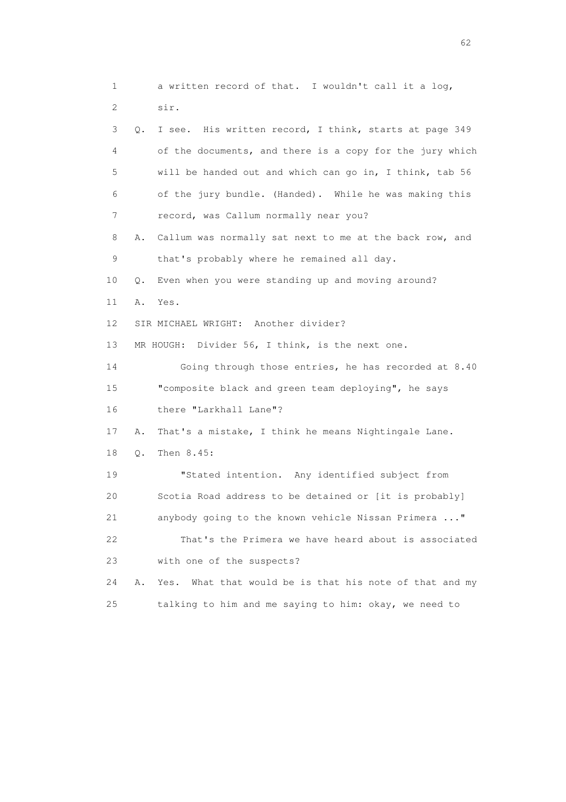1 a written record of that. I wouldn't call it a log, 2 sir. 3 Q. I see. His written record, I think, starts at page 349 4 of the documents, and there is a copy for the jury which 5 will be handed out and which can go in, I think, tab 56 6 of the jury bundle. (Handed). While he was making this 7 record, was Callum normally near you? 8 A. Callum was normally sat next to me at the back row, and 9 that's probably where he remained all day. 10 Q. Even when you were standing up and moving around? 11 A. Yes. 12 SIR MICHAEL WRIGHT: Another divider? 13 MR HOUGH: Divider 56, I think, is the next one. 14 Going through those entries, he has recorded at 8.40 15 "composite black and green team deploying", he says 16 there "Larkhall Lane"? 17 A. That's a mistake, I think he means Nightingale Lane. 18 Q. Then 8.45: 19 "Stated intention. Any identified subject from 20 Scotia Road address to be detained or [it is probably] 21 anybody going to the known vehicle Nissan Primera ..." 22 That's the Primera we have heard about is associated 23 with one of the suspects? 24 A. Yes. What that would be is that his note of that and my 25 talking to him and me saying to him: okay, we need to

 $\sim$  62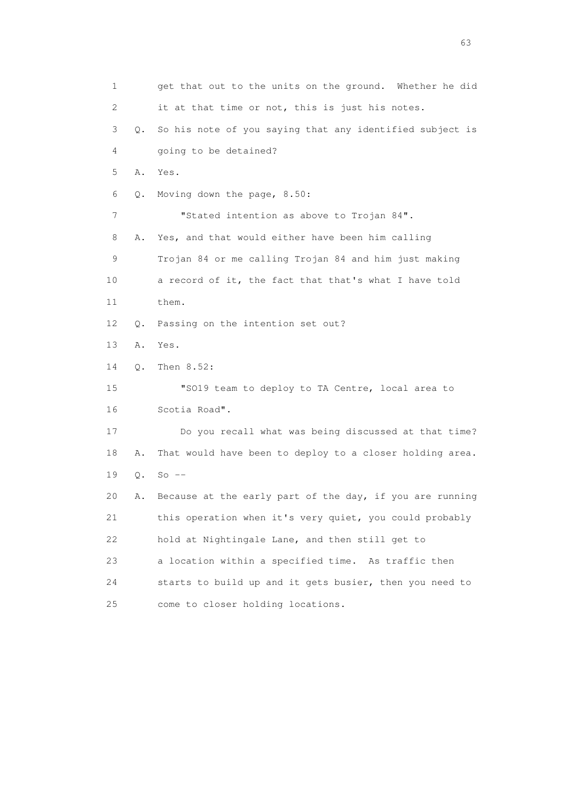1 get that out to the units on the ground. Whether he did 2 it at that time or not, this is just his notes. 3 Q. So his note of you saying that any identified subject is 4 going to be detained? 5 A. Yes. 6 Q. Moving down the page, 8.50: 7 "Stated intention as above to Trojan 84". 8 A. Yes, and that would either have been him calling 9 Trojan 84 or me calling Trojan 84 and him just making 10 a record of it, the fact that that's what I have told 11 them. 12 Q. Passing on the intention set out? 13 A. Yes. 14 Q. Then 8.52: 15 "SO19 team to deploy to TA Centre, local area to 16 Scotia Road". 17 Do you recall what was being discussed at that time? 18 A. That would have been to deploy to a closer holding area. 19 Q. So -- 20 A. Because at the early part of the day, if you are running 21 this operation when it's very quiet, you could probably 22 hold at Nightingale Lane, and then still get to 23 a location within a specified time. As traffic then 24 starts to build up and it gets busier, then you need to 25 come to closer holding locations.

experience of the contract of the contract of the contract of the contract of the contract of the contract of the contract of the contract of the contract of the contract of the contract of the contract of the contract of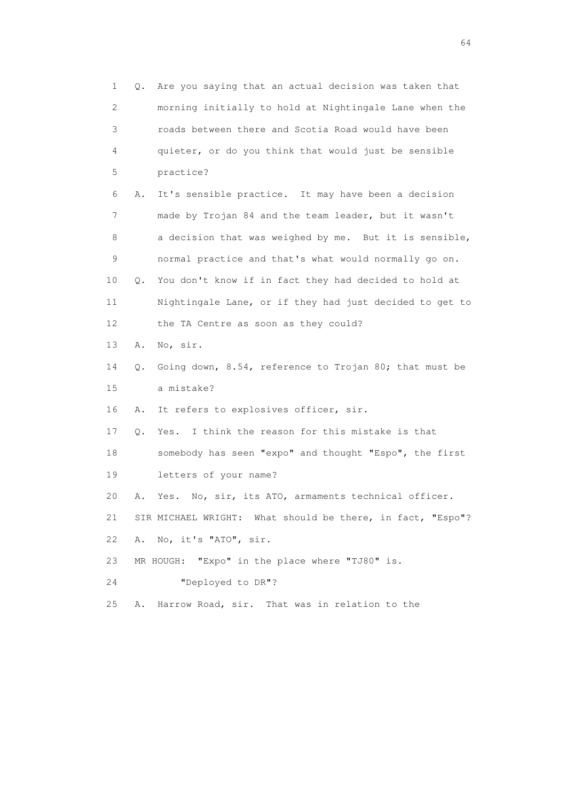1 Q. Are you saying that an actual decision was taken that 2 morning initially to hold at Nightingale Lane when the 3 roads between there and Scotia Road would have been 4 quieter, or do you think that would just be sensible 5 practice? 6 A. It's sensible practice. It may have been a decision 7 made by Trojan 84 and the team leader, but it wasn't 8 a decision that was weighed by me. But it is sensible, 9 normal practice and that's what would normally go on. 10 Q. You don't know if in fact they had decided to hold at 11 Nightingale Lane, or if they had just decided to get to 12 the TA Centre as soon as they could? 13 A. No, sir. 14 Q. Going down, 8.54, reference to Trojan 80; that must be 15 a mistake? 16 A. It refers to explosives officer, sir. 17 Q. Yes. I think the reason for this mistake is that 18 somebody has seen "expo" and thought "Espo", the first 19 letters of your name? 20 A. Yes. No, sir, its ATO, armaments technical officer. 21 SIR MICHAEL WRIGHT: What should be there, in fact, "Espo"? 22 A. No, it's "ATO", sir. 23 MR HOUGH: "Expo" in the place where "TJ80" is. 24 "Deployed to DR"? 25 A. Harrow Road, sir. That was in relation to the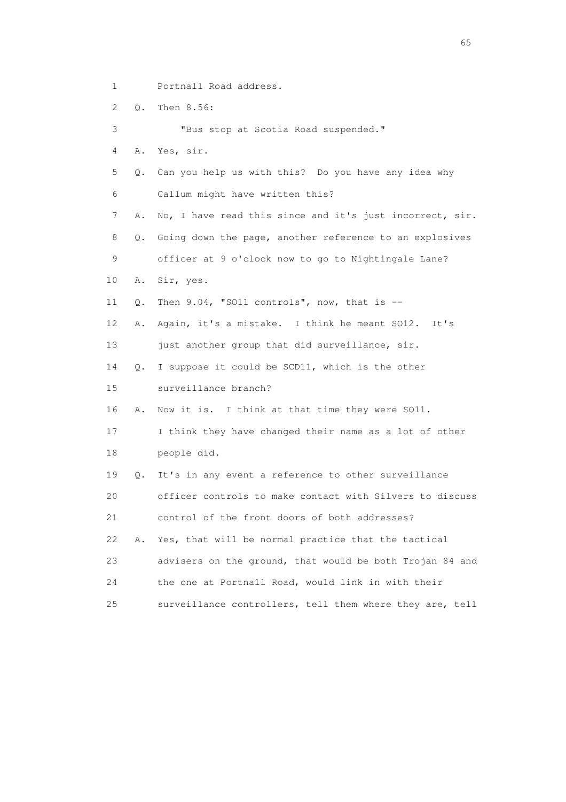- 1 Portnall Road address.
- 2 Q. Then 8.56:

3 "Bus stop at Scotia Road suspended."

4 A. Yes, sir.

 5 Q. Can you help us with this? Do you have any idea why 6 Callum might have written this?

7 A. No, I have read this since and it's just incorrect, sir.

8 Q. Going down the page, another reference to an explosives

9 officer at 9 o'clock now to go to Nightingale Lane?

- 10 A. Sir, yes.
- 11  $Q$ . Then 9.04, "SO11 controls", now, that is  $-$
- 12 A. Again, it's a mistake. I think he meant SO12. It's

13 just another group that did surveillance, sir.

14 Q. I suppose it could be SCD11, which is the other

15 surveillance branch?

16 A. Now it is. I think at that time they were SO11.

 17 I think they have changed their name as a lot of other 18 people did.

 19 Q. It's in any event a reference to other surveillance 20 officer controls to make contact with Silvers to discuss 21 control of the front doors of both addresses? 22 A. Yes, that will be normal practice that the tactical 23 advisers on the ground, that would be both Trojan 84 and 24 the one at Portnall Road, would link in with their

25 surveillance controllers, tell them where they are, tell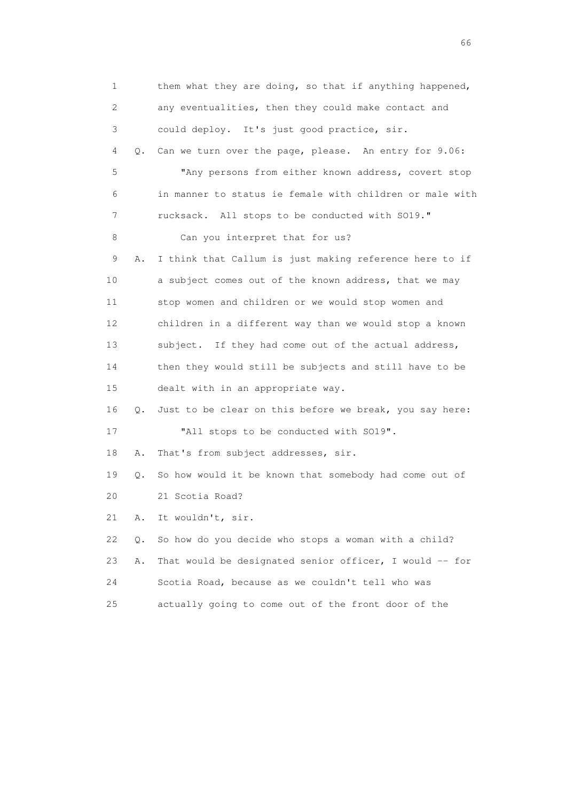1 them what they are doing, so that if anything happened, 2 any eventualities, then they could make contact and 3 could deploy. It's just good practice, sir. 4 Q. Can we turn over the page, please. An entry for 9.06: 5 "Any persons from either known address, covert stop 6 in manner to status ie female with children or male with 7 rucksack. All stops to be conducted with SO19." 8 Can you interpret that for us? 9 A. I think that Callum is just making reference here to if 10 a subject comes out of the known address, that we may 11 stop women and children or we would stop women and 12 children in a different way than we would stop a known 13 subject. If they had come out of the actual address, 14 then they would still be subjects and still have to be 15 dealt with in an appropriate way. 16 Q. Just to be clear on this before we break, you say here: 17 "All stops to be conducted with SO19". 18 A. That's from subject addresses, sir. 19 Q. So how would it be known that somebody had come out of 20 21 Scotia Road? 21 A. It wouldn't, sir. 22 Q. So how do you decide who stops a woman with a child? 23 A. That would be designated senior officer, I would -- for 24 Scotia Road, because as we couldn't tell who was 25 actually going to come out of the front door of the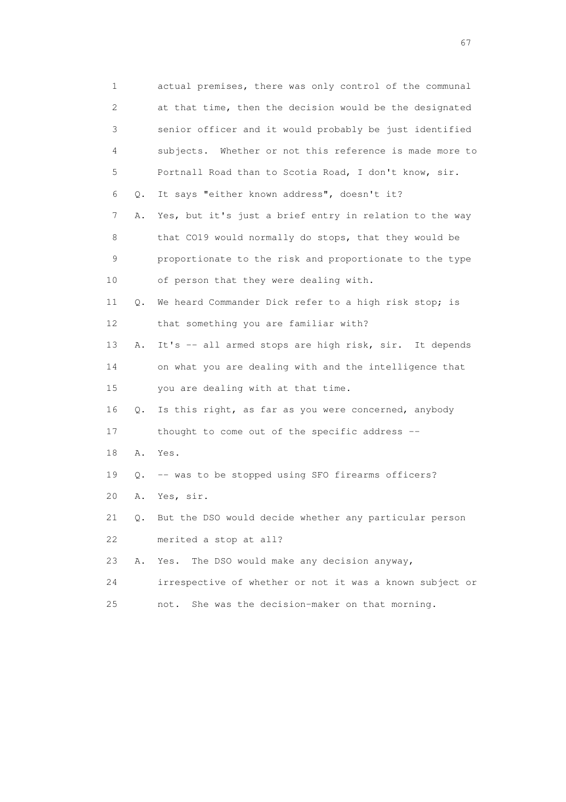| 1  |               | actual premises, there was only control of the communal  |
|----|---------------|----------------------------------------------------------|
| 2  |               | at that time, then the decision would be the designated  |
| 3  |               | senior officer and it would probably be just identified  |
| 4  |               | subjects. Whether or not this reference is made more to  |
| 5  |               | Portnall Road than to Scotia Road, I don't know, sir.    |
| 6  | Q.            | It says "either known address", doesn't it?              |
| 7  | Α.            | Yes, but it's just a brief entry in relation to the way  |
| 8  |               | that CO19 would normally do stops, that they would be    |
| 9  |               | proportionate to the risk and proportionate to the type  |
| 10 |               | of person that they were dealing with.                   |
| 11 | Q.            | We heard Commander Dick refer to a high risk stop; is    |
| 12 |               | that something you are familiar with?                    |
| 13 | Α.            | It's -- all armed stops are high risk, sir. It depends   |
| 14 |               | on what you are dealing with and the intelligence that   |
| 15 |               | you are dealing with at that time.                       |
| 16 | Q.            | Is this right, as far as you were concerned, anybody     |
| 17 |               | thought to come out of the specific address --           |
| 18 | Α.            | Yes.                                                     |
| 19 | Q.            | -- was to be stopped using SFO firearms officers?        |
| 20 | Α.            | Yes, sir.                                                |
| 21 | $Q_{\bullet}$ | But the DSO would decide whether any particular person   |
| 22 |               | merited a stop at all?                                   |
| 23 | Α.            | The DSO would make any decision anyway,<br>Yes.          |
| 24 |               | irrespective of whether or not it was a known subject or |
| 25 |               | She was the decision-maker on that morning.<br>not.      |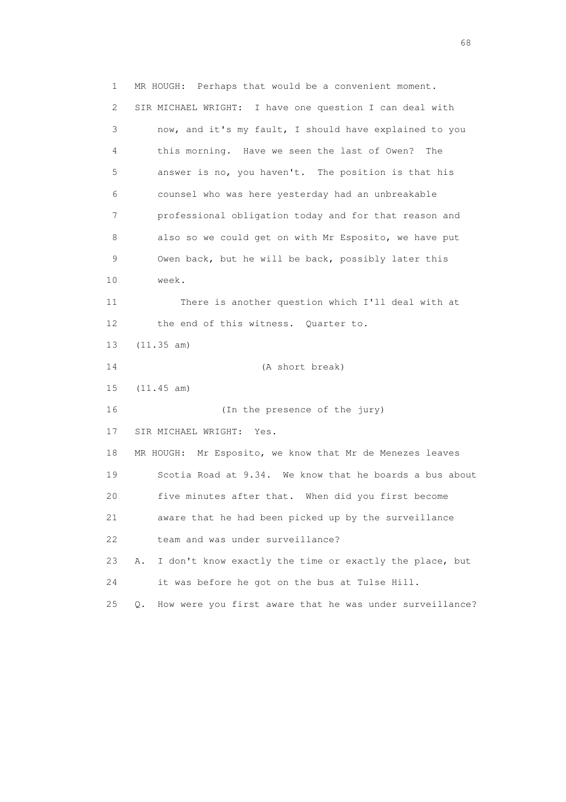1 MR HOUGH: Perhaps that would be a convenient moment. 2 SIR MICHAEL WRIGHT: I have one question I can deal with 3 now, and it's my fault, I should have explained to you 4 this morning. Have we seen the last of Owen? The 5 answer is no, you haven't. The position is that his 6 counsel who was here yesterday had an unbreakable 7 professional obligation today and for that reason and 8 also so we could get on with Mr Esposito, we have put 9 Owen back, but he will be back, possibly later this 10 week. 11 There is another question which I'll deal with at 12 the end of this witness. Quarter to. 13 (11.35 am) 14 (A short break) 15 (11.45 am) 16 (In the presence of the jury) 17 SIR MICHAEL WRIGHT: Yes. 18 MR HOUGH: Mr Esposito, we know that Mr de Menezes leaves 19 Scotia Road at 9.34. We know that he boards a bus about 20 five minutes after that. When did you first become 21 aware that he had been picked up by the surveillance 22 team and was under surveillance? 23 A. I don't know exactly the time or exactly the place, but 24 it was before he got on the bus at Tulse Hill. 25 Q. How were you first aware that he was under surveillance?

entration of the contract of the contract of the contract of the contract of the contract of the contract of the contract of the contract of the contract of the contract of the contract of the contract of the contract of t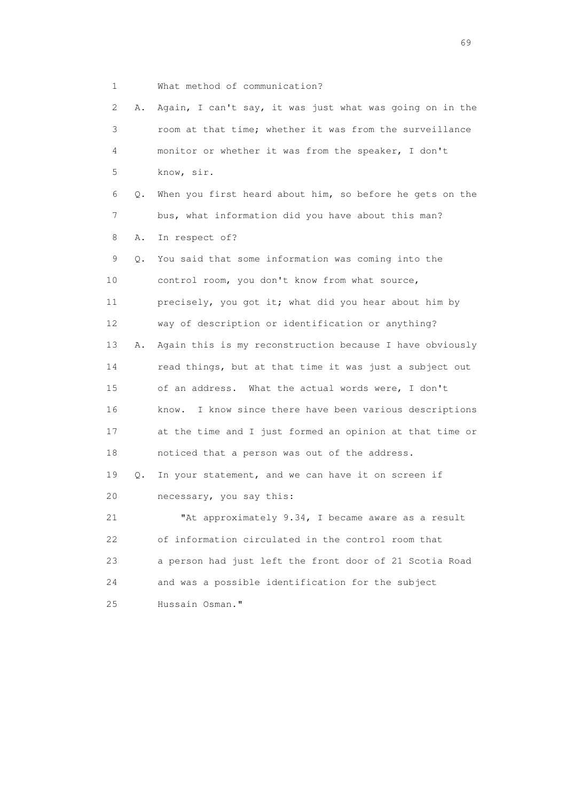1 What method of communication?

 2 A. Again, I can't say, it was just what was going on in the 3 room at that time; whether it was from the surveillance 4 monitor or whether it was from the speaker, I don't 5 know, sir. 6 Q. When you first heard about him, so before he gets on the 7 bus, what information did you have about this man? 8 A. In respect of? 9 Q. You said that some information was coming into the 10 control room, you don't know from what source, 11 precisely, you got it; what did you hear about him by 12 way of description or identification or anything? 13 A. Again this is my reconstruction because I have obviously 14 read things, but at that time it was just a subject out 15 of an address. What the actual words were, I don't 16 know. I know since there have been various descriptions 17 at the time and I just formed an opinion at that time or 18 noticed that a person was out of the address. 19 Q. In your statement, and we can have it on screen if 20 necessary, you say this: 21 "At approximately 9.34, I became aware as a result 22 of information circulated in the control room that 23 a person had just left the front door of 21 Scotia Road 24 and was a possible identification for the subject 25 Hussain Osman."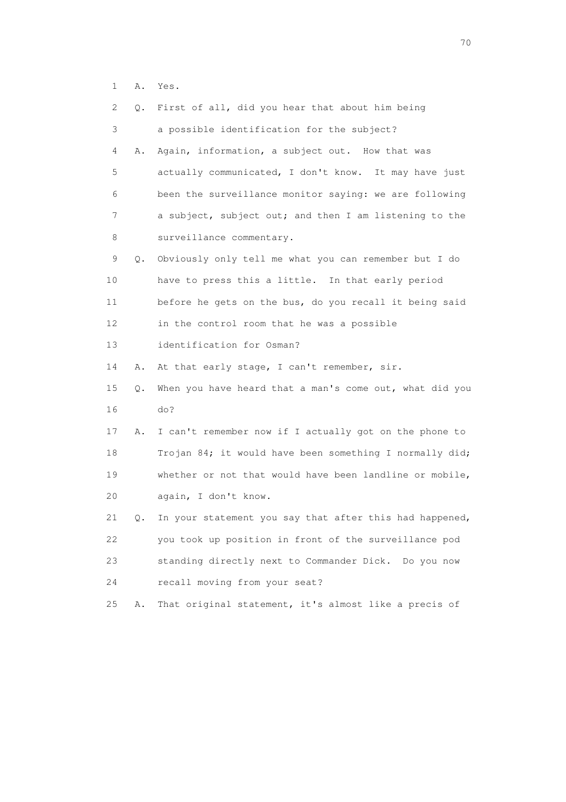1 A. Yes.

| 2  | О.        | First of all, did you hear that about him being         |
|----|-----------|---------------------------------------------------------|
| 3  |           | a possible identification for the subject?              |
| 4  | Α.        | Again, information, a subject out. How that was         |
| 5  |           | actually communicated, I don't know. It may have just   |
| 6  |           | been the surveillance monitor saying: we are following  |
| 7  |           | a subject, subject out; and then I am listening to the  |
| 8  |           | surveillance commentary.                                |
| 9  | Q.        | Obviously only tell me what you can remember but I do   |
| 10 |           | have to press this a little. In that early period       |
| 11 |           | before he gets on the bus, do you recall it being said  |
| 12 |           | in the control room that he was a possible              |
| 13 |           | identification for Osman?                               |
| 14 | Α.        | At that early stage, I can't remember, sir.             |
| 15 | $\circ$ . | When you have heard that a man's come out, what did you |
| 16 |           | do?                                                     |
| 17 | Α.        | I can't remember now if I actually got on the phone to  |
| 18 |           | Trojan 84; it would have been something I normally did; |
| 19 |           | whether or not that would have been landline or mobile, |
| 20 |           | again, I don't know.                                    |
| 21 | Q.        | In your statement you say that after this had happened, |
| 22 |           | you took up position in front of the surveillance pod   |
| 23 |           | standing directly next to Commander Dick. Do you now    |
| 24 |           | recall moving from your seat?                           |
| 25 | Α.        | That original statement, it's almost like a precis of   |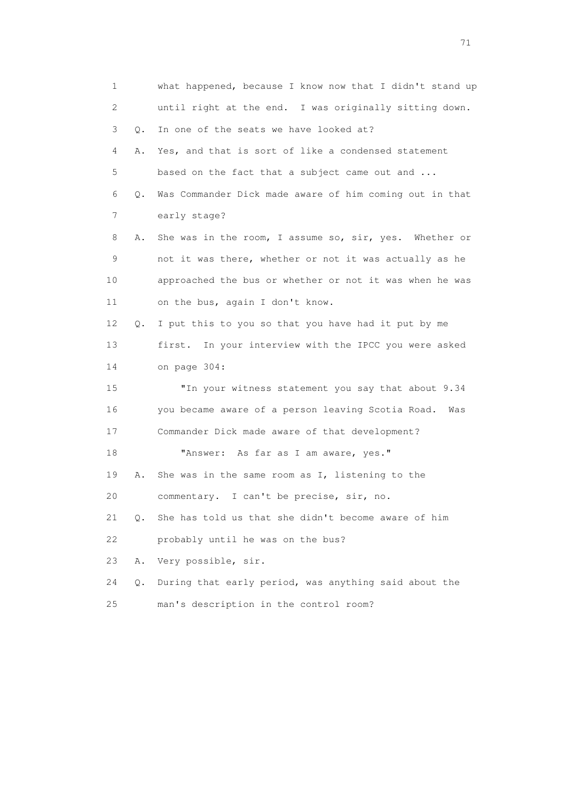| 1  |    | what happened, because I know now that I didn't stand up |
|----|----|----------------------------------------------------------|
| 2  |    | until right at the end. I was originally sitting down.   |
| 3  | Q. | In one of the seats we have looked at?                   |
| 4  | Α. | Yes, and that is sort of like a condensed statement      |
| 5  |    | based on the fact that a subject came out and            |
| 6  | Q. | Was Commander Dick made aware of him coming out in that  |
| 7  |    | early stage?                                             |
| 8  | Α. | She was in the room, I assume so, sir, yes. Whether or   |
| 9  |    | not it was there, whether or not it was actually as he   |
| 10 |    | approached the bus or whether or not it was when he was  |
| 11 |    | on the bus, again I don't know.                          |
| 12 | Q. | I put this to you so that you have had it put by me      |
| 13 |    | first. In your interview with the IPCC you were asked    |
| 14 |    | on page 304:                                             |
| 15 |    | "In your witness statement you say that about 9.34       |
| 16 |    | you became aware of a person leaving Scotia Road.<br>Was |
| 17 |    | Commander Dick made aware of that development?           |
| 18 |    | "Answer: As far as I am aware, yes."                     |
| 19 | Α. | She was in the same room as I, listening to the          |
| 20 |    | commentary. I can't be precise, sir, no.                 |
| 21 | О. | She has told us that she didn't become aware of him      |
| 22 |    | probably until he was on the bus?                        |
| 23 | Α. | Very possible, sir.                                      |
| 24 | Q. | During that early period, was anything said about the    |
| 25 |    | man's description in the control room?                   |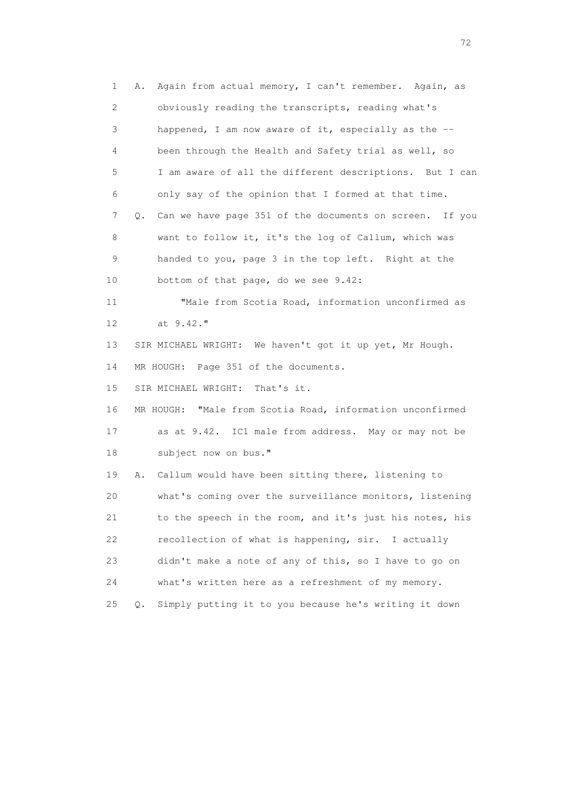1 A. Again from actual memory, I can't remember. Again, as 2 obviously reading the transcripts, reading what's 3 happened, I am now aware of it, especially as the -- 4 been through the Health and Safety trial as well, so 5 I am aware of all the different descriptions. But I can 6 only say of the opinion that I formed at that time. 7 Q. Can we have page 351 of the documents on screen. If you 8 want to follow it, it's the log of Callum, which was 9 handed to you, page 3 in the top left. Right at the 10 bottom of that page, do we see 9.42: 11 "Male from Scotia Road, information unconfirmed as 12 at 9.42." 13 SIR MICHAEL WRIGHT: We haven't got it up yet, Mr Hough. 14 MR HOUGH: Page 351 of the documents. 15 SIR MICHAEL WRIGHT: That's it. 16 MR HOUGH: "Male from Scotia Road, information unconfirmed 17 as at 9.42. IC1 male from address. May or may not be 18 subject now on bus." 19 A. Callum would have been sitting there, listening to 20 what's coming over the surveillance monitors, listening 21 to the speech in the room, and it's just his notes, his 22 recollection of what is happening, sir. I actually 23 didn't make a note of any of this, so I have to go on 24 what's written here as a refreshment of my memory. 25 Q. Simply putting it to you because he's writing it down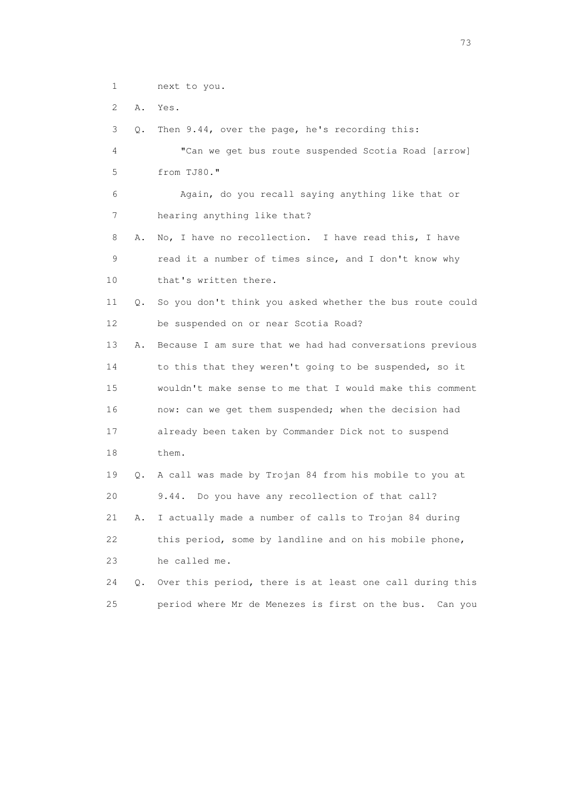1 next to you.

2 A. Yes.

3 Q. Then 9.44, over the page, he's recording this:

```
 4 "Can we get bus route suspended Scotia Road [arrow] 
5 from TJ80." 
6 Again, do you recall saying anything like that or 
7 hearing anything like that?
```
 8 A. No, I have no recollection. I have read this, I have 9 read it a number of times since, and I don't know why 10 that's written there.

 11 Q. So you don't think you asked whether the bus route could 12 be suspended on or near Scotia Road?

 13 A. Because I am sure that we had had conversations previous 14 to this that they weren't going to be suspended, so it 15 wouldn't make sense to me that I would make this comment 16 now: can we get them suspended; when the decision had 17 already been taken by Commander Dick not to suspend 18 them.

 19 Q. A call was made by Trojan 84 from his mobile to you at 20 9.44. Do you have any recollection of that call? 21 A. I actually made a number of calls to Trojan 84 during 22 this period, some by landline and on his mobile phone, 23 he called me.

```
 24 Q. Over this period, there is at least one call during this 
25 period where Mr de Menezes is first on the bus. Can you
```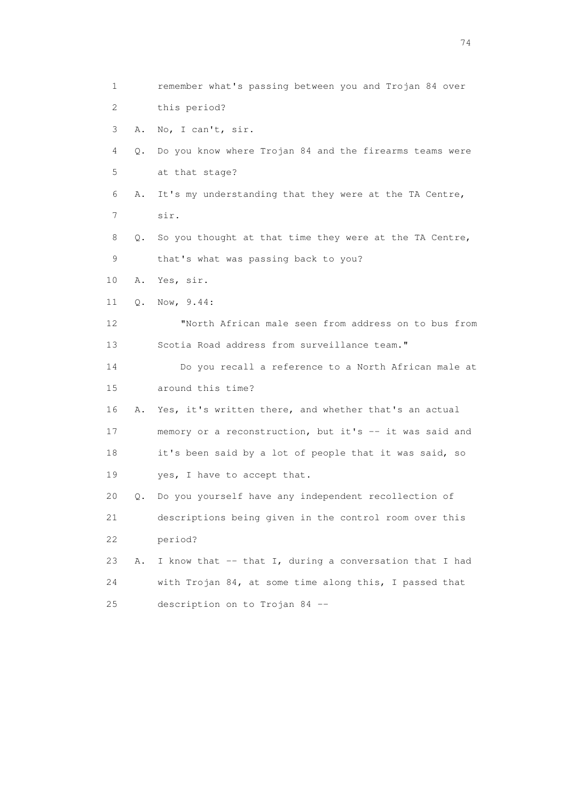1 remember what's passing between you and Trojan 84 over 2 this period? 3 A. No, I can't, sir. 4 Q. Do you know where Trojan 84 and the firearms teams were 5 at that stage? 6 A. It's my understanding that they were at the TA Centre, 7 sir. 8 Q. So you thought at that time they were at the TA Centre, 9 that's what was passing back to you? 10 A. Yes, sir. 11 Q. Now, 9.44: 12 "North African male seen from address on to bus from 13 Scotia Road address from surveillance team." 14 Do you recall a reference to a North African male at 15 around this time? 16 A. Yes, it's written there, and whether that's an actual 17 memory or a reconstruction, but it's -- it was said and 18 it's been said by a lot of people that it was said, so 19 yes, I have to accept that. 20 Q. Do you yourself have any independent recollection of 21 descriptions being given in the control room over this 22 period? 23 A. I know that -- that I, during a conversation that I had 24 with Trojan 84, at some time along this, I passed that 25 description on to Trojan 84 --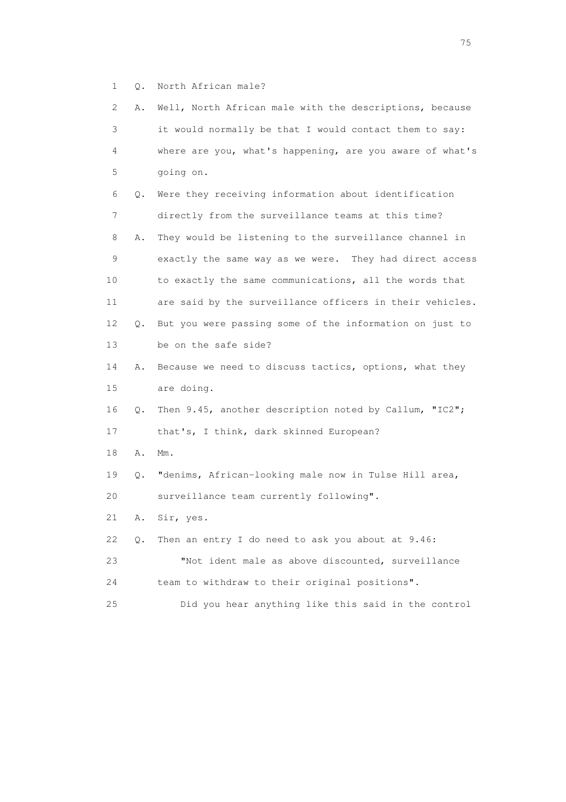1 Q. North African male?

| 2  | Α. | Well, North African male with the descriptions, because  |
|----|----|----------------------------------------------------------|
| 3  |    | it would normally be that I would contact them to say:   |
| 4  |    | where are you, what's happening, are you aware of what's |
| 5  |    | going on.                                                |
| 6  | Q. | Were they receiving information about identification     |
| 7  |    | directly from the surveillance teams at this time?       |
| 8  | Α. | They would be listening to the surveillance channel in   |
| 9  |    | exactly the same way as we were. They had direct access  |
| 10 |    | to exactly the same communications, all the words that   |
| 11 |    | are said by the surveillance officers in their vehicles. |
| 12 | Q. | But you were passing some of the information on just to  |
| 13 |    | be on the safe side?                                     |
| 14 | Α. | Because we need to discuss tactics, options, what they   |
| 15 |    | are doing.                                               |
| 16 | Q. | Then 9.45, another description noted by Callum, "IC2";   |
| 17 |    | that's, I think, dark skinned European?                  |
| 18 | Α. | $Mm$ .                                                   |
| 19 | Q. | "denims, African-looking male now in Tulse Hill area,    |
| 20 |    | surveillance team currently following".                  |
| 21 | Α. | Sir, yes.                                                |
| 22 | Q. | Then an entry I do need to ask you about at 9.46:        |
| 23 |    | "Not ident male as above discounted, surveillance        |
| 24 |    | team to withdraw to their original positions".           |
| 25 |    | Did you hear anything like this said in the control      |

na matsay na katalog as na kasang na mga 175 may 2008. Ang isang isang nagsang nagsang nagsang nagsang nagsang<br>Tagapang nagsang nagsang nagsang nagsang nagsang nagsang nagsang nagsang nagsang nagsang nagsang nagsang nagsa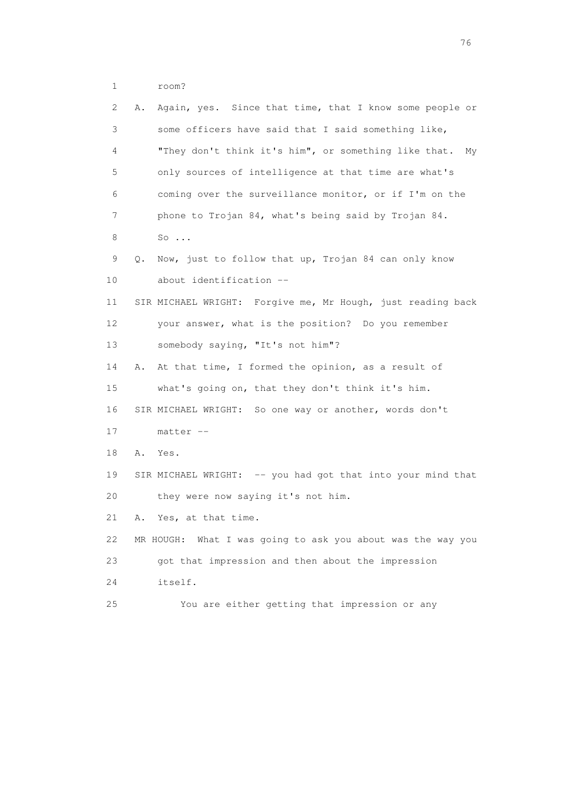1 room?

| 2  | Again, yes. Since that time, that I know some people or<br>Α. |
|----|---------------------------------------------------------------|
| 3  | some officers have said that I said something like,           |
| 4  | "They don't think it's him", or something like that.<br>My    |
| 5  | only sources of intelligence at that time are what's          |
| 6  | coming over the surveillance monitor, or if I'm on the        |
| 7  | phone to Trojan 84, what's being said by Trojan 84.           |
| 8  | $So \ldots$                                                   |
| 9  | Now, just to follow that up, Trojan 84 can only know<br>Q.    |
| 10 | about identification --                                       |
| 11 | SIR MICHAEL WRIGHT: Forgive me, Mr Hough, just reading back   |
| 12 | your answer, what is the position? Do you remember            |
| 13 | somebody saying, "It's not him"?                              |
| 14 | At that time, I formed the opinion, as a result of<br>Α.      |
| 15 | what's going on, that they don't think it's him.              |
| 16 | SIR MICHAEL WRIGHT: So one way or another, words don't        |
| 17 | $matter --$                                                   |
| 18 | Yes.<br>Α.                                                    |
| 19 | SIR MICHAEL WRIGHT: -- you had got that into your mind that   |
| 20 | they were now saying it's not him.                            |
| 21 | Yes, at that time.<br>Α.                                      |
| 22 | MR HOUGH: What I was going to ask you about was the way you   |
| 23 | got that impression and then about the impression             |
| 24 | itself.                                                       |
| 25 | You are either getting that impression or any                 |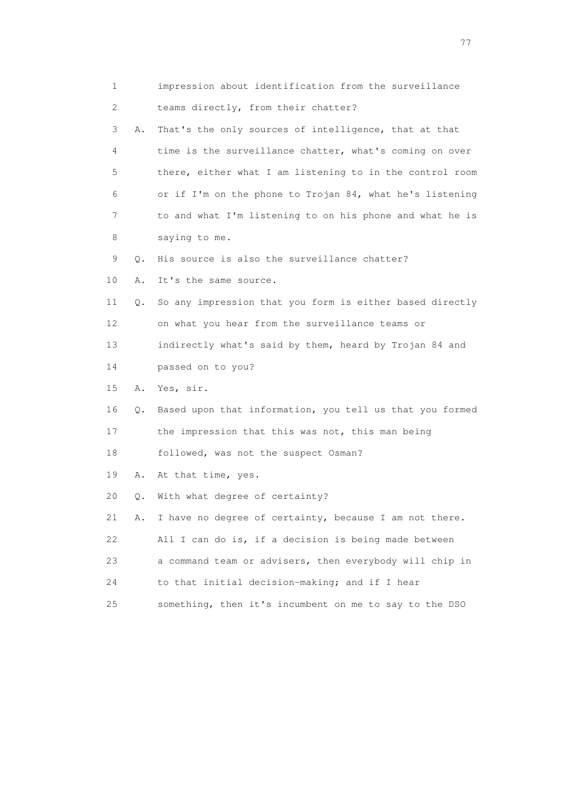| 1  |    | impression about identification from the surveillance    |
|----|----|----------------------------------------------------------|
| 2  |    | teams directly, from their chatter?                      |
| 3  | Α. | That's the only sources of intelligence, that at that    |
| 4  |    | time is the surveillance chatter, what's coming on over  |
| 5  |    | there, either what I am listening to in the control room |
| 6  |    | or if I'm on the phone to Trojan 84, what he's listening |
| 7  |    | to and what I'm listening to on his phone and what he is |
| 8  |    | saying to me.                                            |
| 9  | Q. | His source is also the surveillance chatter?             |
| 10 | Α. | It's the same source.                                    |
| 11 | Q. | So any impression that you form is either based directly |
| 12 |    | on what you hear from the surveillance teams or          |
| 13 |    | indirectly what's said by them, heard by Trojan 84 and   |
| 14 |    | passed on to you?                                        |
| 15 | Α. | Yes, sir.                                                |
| 16 | Q. | Based upon that information, you tell us that you formed |
| 17 |    | the impression that this was not, this man being         |
| 18 |    | followed, was not the suspect Osman?                     |
| 19 | Α. | At that time, yes.                                       |
| 20 | Q. | With what degree of certainty?                           |
| 21 | Α. | I have no degree of certainty, because I am not there.   |
| 22 |    | All I can do is, if a decision is being made between     |
| 23 |    | a command team or advisers, then everybody will chip in  |
| 24 |    | to that initial decision-making; and if I hear           |
| 25 |    | something, then it's incumbent on me to say to the DSO   |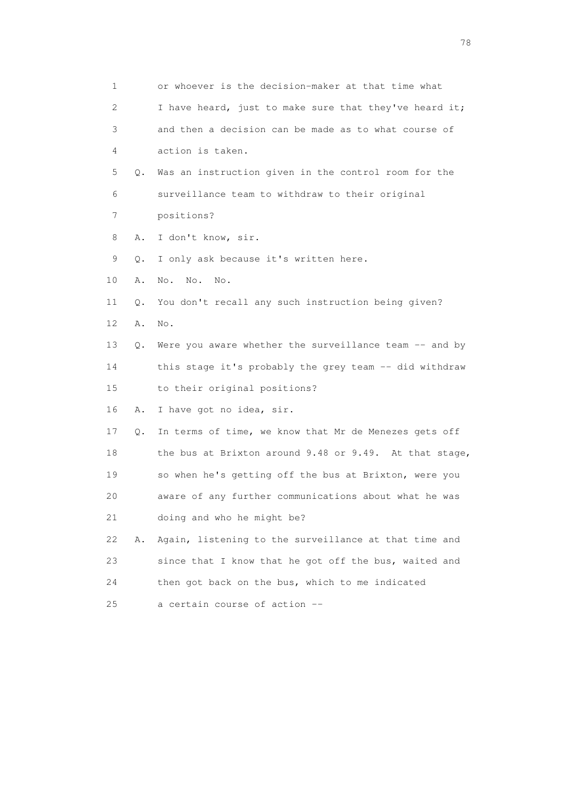| $\mathbf{1}$ |    | or whoever is the decision-maker at that time what     |
|--------------|----|--------------------------------------------------------|
| 2            |    | I have heard, just to make sure that they've heard it; |
| 3            |    | and then a decision can be made as to what course of   |
| 4            |    | action is taken.                                       |
| 5            | Q. | Was an instruction given in the control room for the   |
| 6            |    | surveillance team to withdraw to their original        |
| 7            |    | positions?                                             |
| 8            | Α. | I don't know, sir.                                     |
| 9            | Q. | I only ask because it's written here.                  |
| 10           | Α. | No.<br>No.<br>$\mathbb{N} \circ$ .                     |
| 11           | Q. | You don't recall any such instruction being given?     |
| 12           | Α. | No.                                                    |
| 13           | 0. | Were you aware whether the surveillance team -- and by |
| 14           |    | this stage it's probably the grey team -- did withdraw |
| 15           |    | to their original positions?                           |
| 16           | Α. | I have got no idea, sir.                               |
| 17           | Q. | In terms of time, we know that Mr de Menezes gets off  |
| 18           |    | the bus at Brixton around 9.48 or 9.49. At that stage, |
| 19           |    | so when he's getting off the bus at Brixton, were you  |
| 20           |    | aware of any further communications about what he was  |
| 21           |    | doing and who he might be?                             |
| 22           | Α. | Again, listening to the surveillance at that time and  |
| 23           |    | since that I know that he got off the bus, waited and  |
| 24           |    | then got back on the bus, which to me indicated        |
| 25           |    | a certain course of action --                          |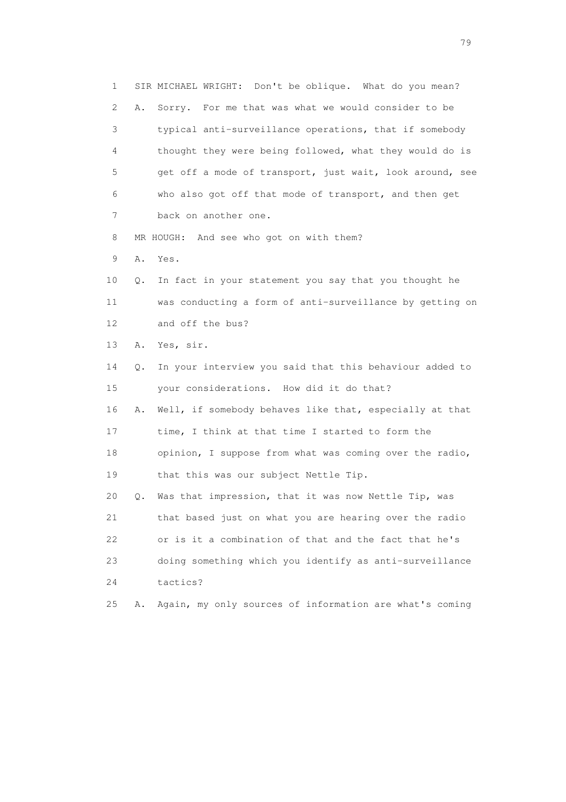1 SIR MICHAEL WRIGHT: Don't be oblique. What do you mean? 2 A. Sorry. For me that was what we would consider to be 3 typical anti-surveillance operations, that if somebody 4 thought they were being followed, what they would do is 5 get off a mode of transport, just wait, look around, see 6 who also got off that mode of transport, and then get 7 back on another one. 8 MR HOUGH: And see who got on with them? 9 A. Yes. 10 Q. In fact in your statement you say that you thought he 11 was conducting a form of anti-surveillance by getting on 12 and off the bus? 13 A. Yes, sir. 14 Q. In your interview you said that this behaviour added to 15 your considerations. How did it do that? 16 A. Well, if somebody behaves like that, especially at that 17 time, I think at that time I started to form the 18 opinion, I suppose from what was coming over the radio, 19 that this was our subject Nettle Tip. 20 Q. Was that impression, that it was now Nettle Tip, was 21 that based just on what you are hearing over the radio 22 or is it a combination of that and the fact that he's 23 doing something which you identify as anti-surveillance 24 tactics? 25 A. Again, my only sources of information are what's coming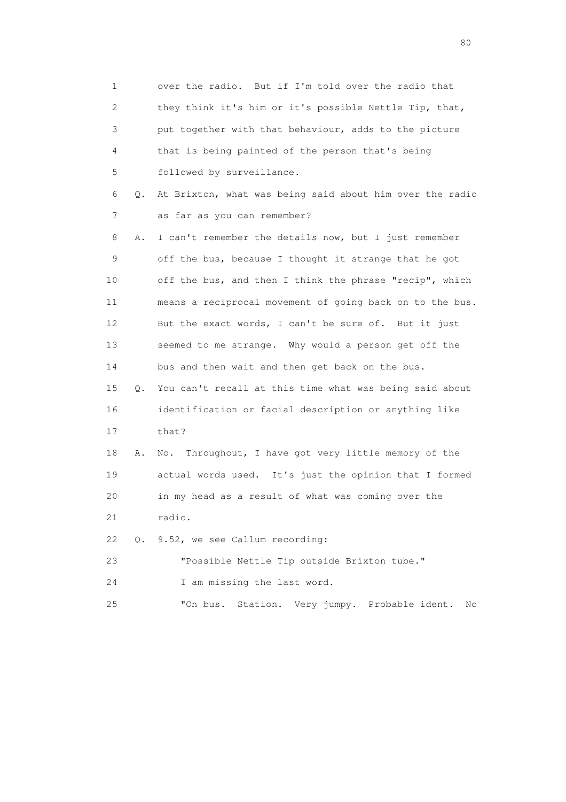1 over the radio. But if I'm told over the radio that 2 they think it's him or it's possible Nettle Tip, that, 3 put together with that behaviour, adds to the picture 4 that is being painted of the person that's being 5 followed by surveillance. 6 Q. At Brixton, what was being said about him over the radio 7 as far as you can remember? 8 A. I can't remember the details now, but I just remember 9 off the bus, because I thought it strange that he got 10 off the bus, and then I think the phrase "recip", which 11 means a reciprocal movement of going back on to the bus. 12 But the exact words, I can't be sure of. But it just 13 seemed to me strange. Why would a person get off the 14 bus and then wait and then get back on the bus. 15 Q. You can't recall at this time what was being said about 16 identification or facial description or anything like 17 that? 18 A. No. Throughout, I have got very little memory of the 19 actual words used. It's just the opinion that I formed 20 in my head as a result of what was coming over the 21 radio. 22 Q. 9.52, we see Callum recording: 23 "Possible Nettle Tip outside Brixton tube." 24 I am missing the last word. 25 "On bus. Station. Very jumpy. Probable ident. No

entration of the state of the state of the state of the state of the state of the state of the state of the state of the state of the state of the state of the state of the state of the state of the state of the state of t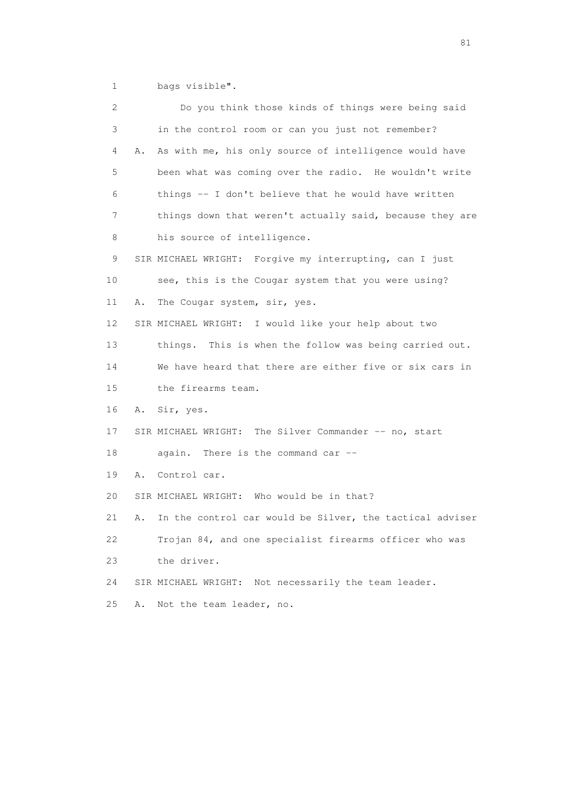1 bags visible".

| 2  | Do you think those kinds of things were being said             |
|----|----------------------------------------------------------------|
| 3  | in the control room or can you just not remember?              |
| 4  | As with me, his only source of intelligence would have<br>Α.   |
| 5  | been what was coming over the radio. He wouldn't write         |
| 6  | things -- I don't believe that he would have written           |
| 7  | things down that weren't actually said, because they are       |
| 8  | his source of intelligence.                                    |
| 9  | SIR MICHAEL WRIGHT: Forgive my interrupting, can I just        |
| 10 | see, this is the Cougar system that you were using?            |
| 11 | The Cougar system, sir, yes.<br>Α.                             |
| 12 | SIR MICHAEL WRIGHT: I would like your help about two           |
| 13 | things. This is when the follow was being carried out.         |
| 14 | We have heard that there are either five or six cars in        |
| 15 | the firearms team.                                             |
| 16 | Sir, yes.<br>Α.                                                |
| 17 | SIR MICHAEL WRIGHT: The Silver Commander -- no, start          |
| 18 | again. There is the command car --                             |
| 19 | Control car.<br>Α.                                             |
| 20 | SIR MICHAEL WRIGHT: Who would be in that?                      |
| 21 | In the control car would be Silver, the tactical adviser<br>Α. |
| 22 | Trojan 84, and one specialist firearms officer who was         |
| 23 | the driver.                                                    |
| 24 | SIR MICHAEL WRIGHT:<br>Not necessarily the team leader.        |
| 25 | Not the team leader, no.<br>Α.                                 |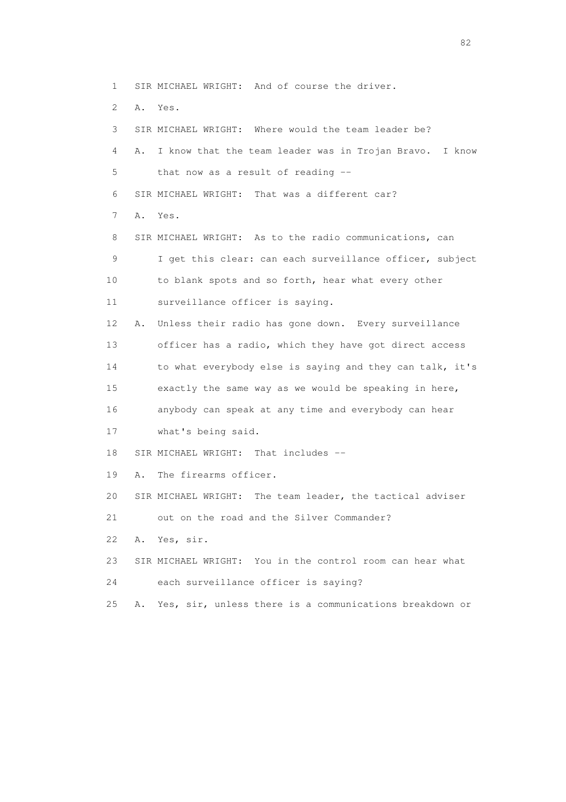- 1 SIR MICHAEL WRIGHT: And of course the driver.
- 2 A. Yes.
- 

 3 SIR MICHAEL WRIGHT: Where would the team leader be? 4 A. I know that the team leader was in Trojan Bravo. I know 5 that now as a result of reading -- 6 SIR MICHAEL WRIGHT: That was a different car? 7 A. Yes. 8 SIR MICHAEL WRIGHT: As to the radio communications, can 9 I get this clear: can each surveillance officer, subject 10 to blank spots and so forth, hear what every other 11 surveillance officer is saying. 12 A. Unless their radio has gone down. Every surveillance 13 officer has a radio, which they have got direct access 14 to what everybody else is saying and they can talk, it's 15 exactly the same way as we would be speaking in here,

16 anybody can speak at any time and everybody can hear

17 what's being said.

18 SIR MICHAEL WRIGHT: That includes --

- 19 A. The firearms officer.
- 20 SIR MICHAEL WRIGHT: The team leader, the tactical adviser

21 out on the road and the Silver Commander?

- 22 A. Yes, sir.
- 23 SIR MICHAEL WRIGHT: You in the control room can hear what
- 24 each surveillance officer is saying?

25 A. Yes, sir, unless there is a communications breakdown or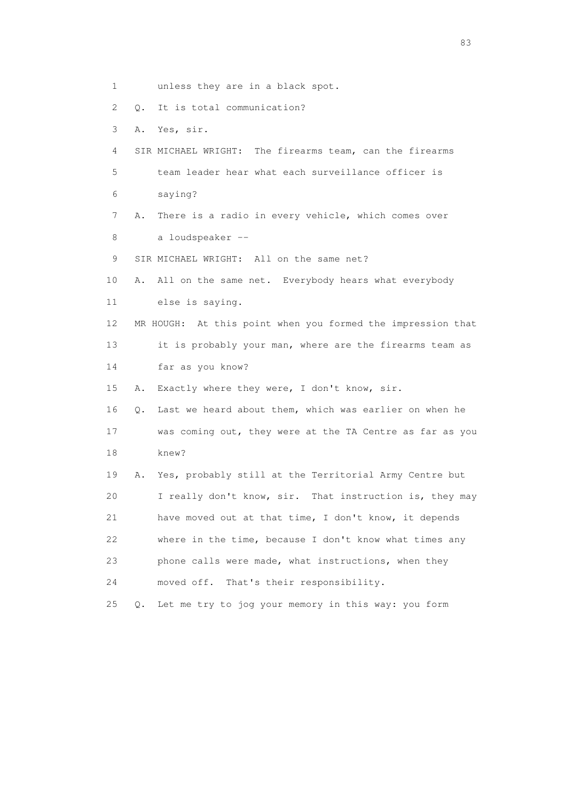1 unless they are in a black spot. 2 Q. It is total communication? 3 A. Yes, sir. 4 SIR MICHAEL WRIGHT: The firearms team, can the firearms 5 team leader hear what each surveillance officer is 6 saying? 7 A. There is a radio in every vehicle, which comes over 8 a loudspeaker -- 9 SIR MICHAEL WRIGHT: All on the same net? 10 A. All on the same net. Everybody hears what everybody 11 else is saying. 12 MR HOUGH: At this point when you formed the impression that 13 it is probably your man, where are the firearms team as 14 far as you know? 15 A. Exactly where they were, I don't know, sir. 16 Q. Last we heard about them, which was earlier on when he 17 was coming out, they were at the TA Centre as far as you 18 knew? 19 A. Yes, probably still at the Territorial Army Centre but 20 I really don't know, sir. That instruction is, they may 21 have moved out at that time, I don't know, it depends 22 where in the time, because I don't know what times any 23 phone calls were made, what instructions, when they 24 moved off. That's their responsibility. 25 Q. Let me try to jog your memory in this way: you form

experience of the contract of the contract of the contract of the contract of the contract of the contract of the contract of the contract of the contract of the contract of the contract of the contract of the contract of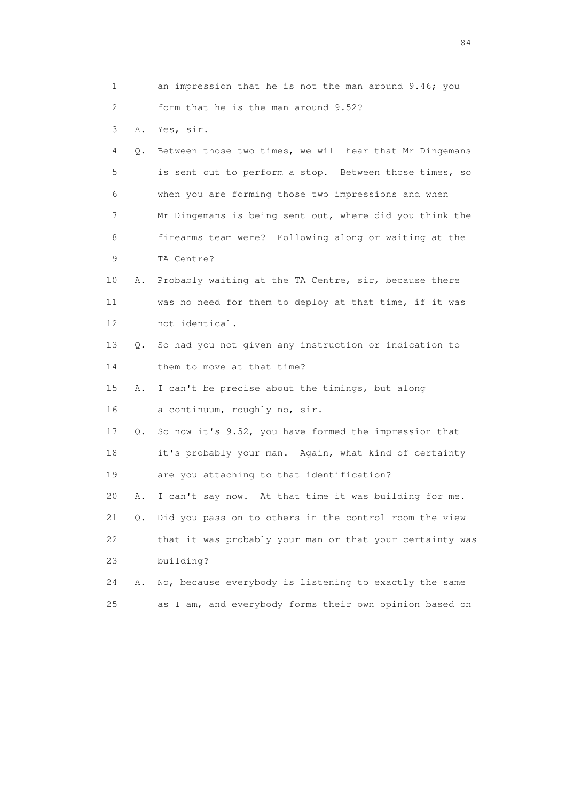| 1                         |    | an impression that he is not the man around 9.46; you    |
|---------------------------|----|----------------------------------------------------------|
| $\mathbf{2}^{\mathsf{I}}$ |    | form that he is the man around 9.52?                     |
| 3                         | Α. | Yes, sir.                                                |
| 4                         | О. | Between those two times, we will hear that Mr Dingemans  |
| 5                         |    | is sent out to perform a stop. Between those times, so   |
| 6                         |    | when you are forming those two impressions and when      |
| 7                         |    | Mr Dingemans is being sent out, where did you think the  |
| 8                         |    | firearms team were? Following along or waiting at the    |
| 9                         |    | TA Centre?                                               |
| 10                        | Α. | Probably waiting at the TA Centre, sir, because there    |
| 11                        |    | was no need for them to deploy at that time, if it was   |
| 12                        |    | not identical.                                           |
| 13                        | О. | So had you not given any instruction or indication to    |
| 14                        |    | them to move at that time?                               |
| 15                        | Α. | I can't be precise about the timings, but along          |
| 16                        |    | a continuum, roughly no, sir.                            |
| 17                        | Q. | So now it's 9.52, you have formed the impression that    |
| 18                        |    | it's probably your man. Again, what kind of certainty    |
| 19                        |    | are you attaching to that identification?                |
| 20                        | Α. | I can't say now. At that time it was building for me.    |
| 21                        | Q. | Did you pass on to others in the control room the view   |
| 22                        |    | that it was probably your man or that your certainty was |
| 23                        |    | building?                                                |
| 24                        | Α. | No, because everybody is listening to exactly the same   |
| 25                        |    | as I am, and everybody forms their own opinion based on  |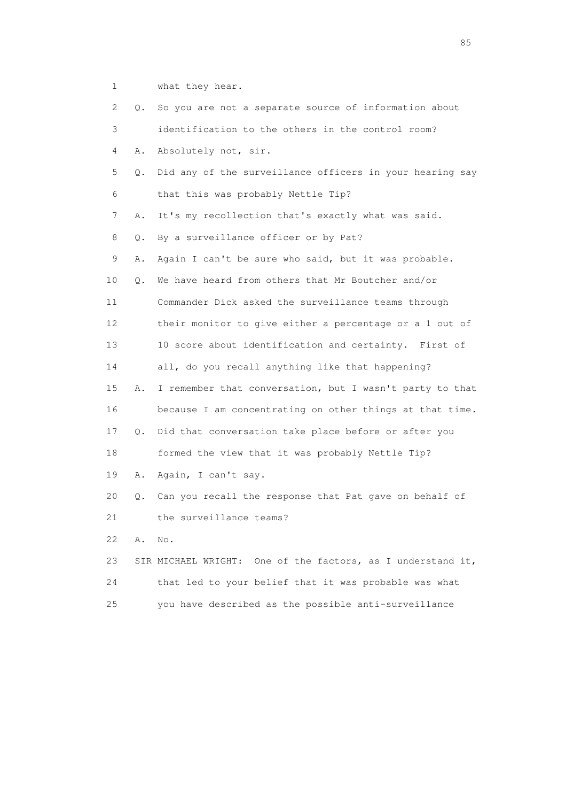1 what they hear.

 2 Q. So you are not a separate source of information about 3 identification to the others in the control room? 4 A. Absolutely not, sir. 5 Q. Did any of the surveillance officers in your hearing say 6 that this was probably Nettle Tip? 7 A. It's my recollection that's exactly what was said. 8 Q. By a surveillance officer or by Pat? 9 A. Again I can't be sure who said, but it was probable. 10 Q. We have heard from others that Mr Boutcher and/or 11 Commander Dick asked the surveillance teams through 12 their monitor to give either a percentage or a 1 out of 13 10 score about identification and certainty. First of 14 all, do you recall anything like that happening? 15 A. I remember that conversation, but I wasn't party to that 16 because I am concentrating on other things at that time. 17 Q. Did that conversation take place before or after you 18 formed the view that it was probably Nettle Tip? 19 A. Again, I can't say. 20 Q. Can you recall the response that Pat gave on behalf of 21 the surveillance teams? 22 A. No. 23 SIR MICHAEL WRIGHT: One of the factors, as I understand it, 24 that led to your belief that it was probable was what 25 you have described as the possible anti-surveillance

experience of the contract of the contract of the contract of the contract of the contract of the contract of the contract of the contract of the contract of the contract of the contract of the contract of the contract of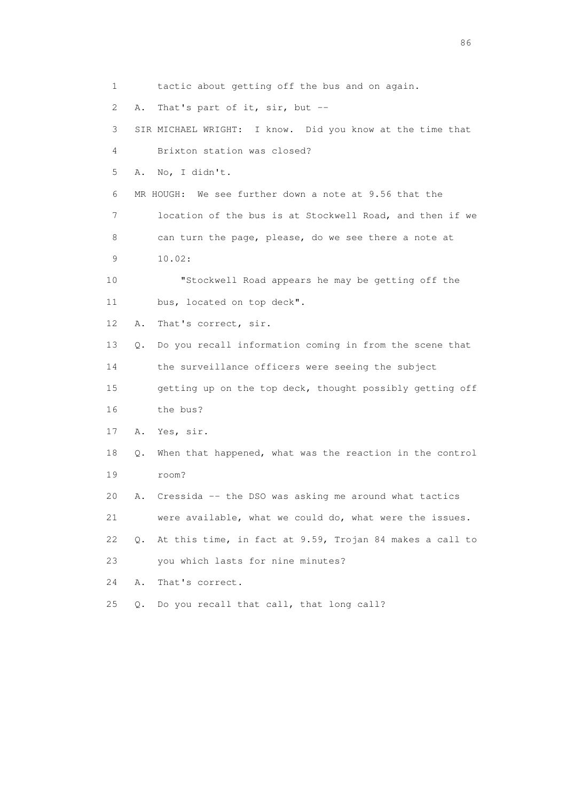1 tactic about getting off the bus and on again. 2 A. That's part of it, sir, but -- 3 SIR MICHAEL WRIGHT: I know. Did you know at the time that 4 Brixton station was closed? 5 A. No, I didn't. 6 MR HOUGH: We see further down a note at 9.56 that the 7 location of the bus is at Stockwell Road, and then if we 8 can turn the page, please, do we see there a note at 9 10.02: 10 "Stockwell Road appears he may be getting off the 11 bus, located on top deck". 12 A. That's correct, sir. 13 Q. Do you recall information coming in from the scene that 14 the surveillance officers were seeing the subject 15 getting up on the top deck, thought possibly getting off 16 the bus? 17 A. Yes, sir. 18 Q. When that happened, what was the reaction in the control 19 room? 20 A. Cressida -- the DSO was asking me around what tactics 21 were available, what we could do, what were the issues. 22 Q. At this time, in fact at 9.59, Trojan 84 makes a call to 23 you which lasts for nine minutes? 24 A. That's correct. 25 Q. Do you recall that call, that long call?

entration of the contract of the contract of the contract of the contract of the contract of the contract of the contract of the contract of the contract of the contract of the contract of the contract of the contract of t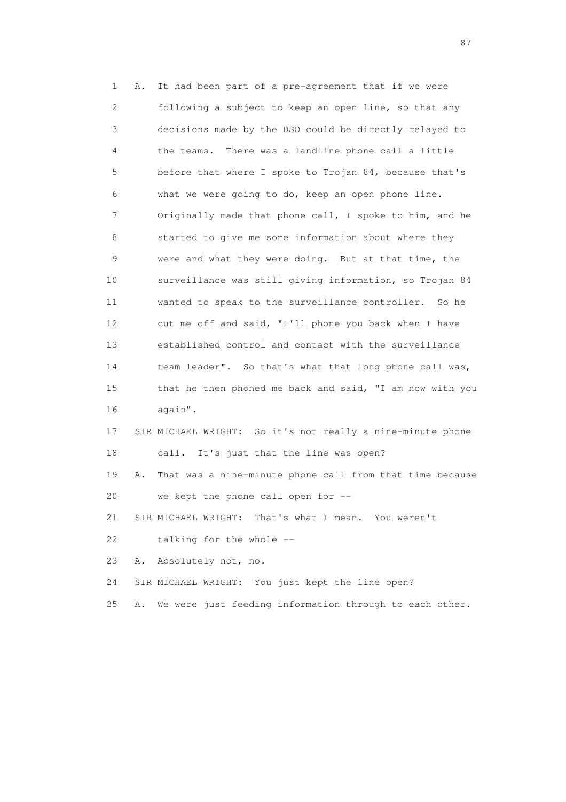1 A. It had been part of a pre-agreement that if we were 2 following a subject to keep an open line, so that any 3 decisions made by the DSO could be directly relayed to 4 the teams. There was a landline phone call a little 5 before that where I spoke to Trojan 84, because that's 6 what we were going to do, keep an open phone line. 7 Originally made that phone call, I spoke to him, and he 8 started to give me some information about where they 9 were and what they were doing. But at that time, the 10 surveillance was still giving information, so Trojan 84 11 wanted to speak to the surveillance controller. So he 12 cut me off and said, "I'll phone you back when I have 13 established control and contact with the surveillance 14 team leader". So that's what that long phone call was, 15 that he then phoned me back and said, "I am now with you 16 again". 17 SIR MICHAEL WRIGHT: So it's not really a nine-minute phone 18 call. It's just that the line was open? 19 A. That was a nine-minute phone call from that time because 20 we kept the phone call open for -- 21 SIR MICHAEL WRIGHT: That's what I mean. You weren't 22 talking for the whole -- 23 A. Absolutely not, no. 24 SIR MICHAEL WRIGHT: You just kept the line open? 25 A. We were just feeding information through to each other.

experience of the state of the state of the state of the state of the state of the state of the state of the s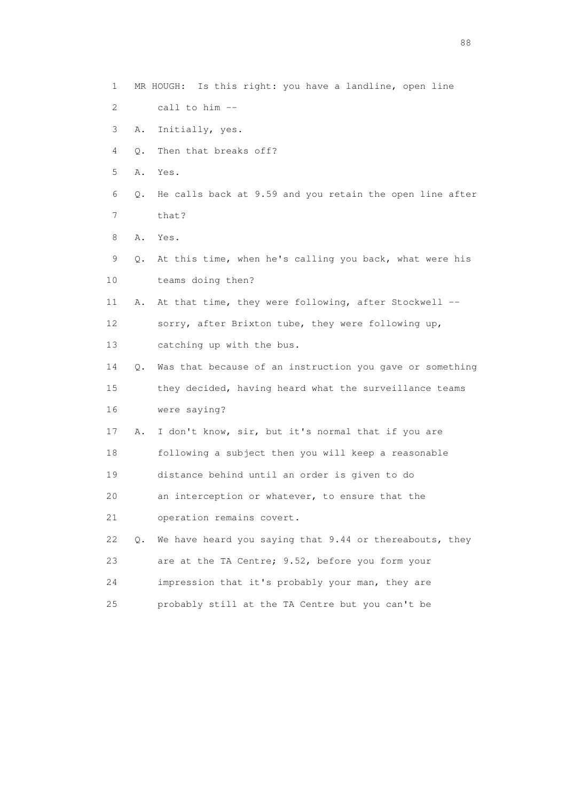- 1 MR HOUGH: Is this right: you have a landline, open line
- 2 call to him --
- 3 A. Initially, yes.
- 4 Q. Then that breaks off?
- 5 A. Yes.
- 6 Q. He calls back at 9.59 and you retain the open line after 7 that?
- 8 A. Yes.
- 9 Q. At this time, when he's calling you back, what were his 10 teams doing then?
- 11 A. At that time, they were following, after Stockwell -- 12 sorry, after Brixton tube, they were following up, 13 catching up with the bus.

 14 Q. Was that because of an instruction you gave or something 15 they decided, having heard what the surveillance teams 16 were saying?

- 17 A. I don't know, sir, but it's normal that if you are 18 following a subject then you will keep a reasonable 19 distance behind until an order is given to do
- 
- 20 an interception or whatever, to ensure that the
- 21 operation remains covert.
- 22 Q. We have heard you saying that 9.44 or thereabouts, they 23 are at the TA Centre; 9.52, before you form your 24 impression that it's probably your man, they are 25 probably still at the TA Centre but you can't be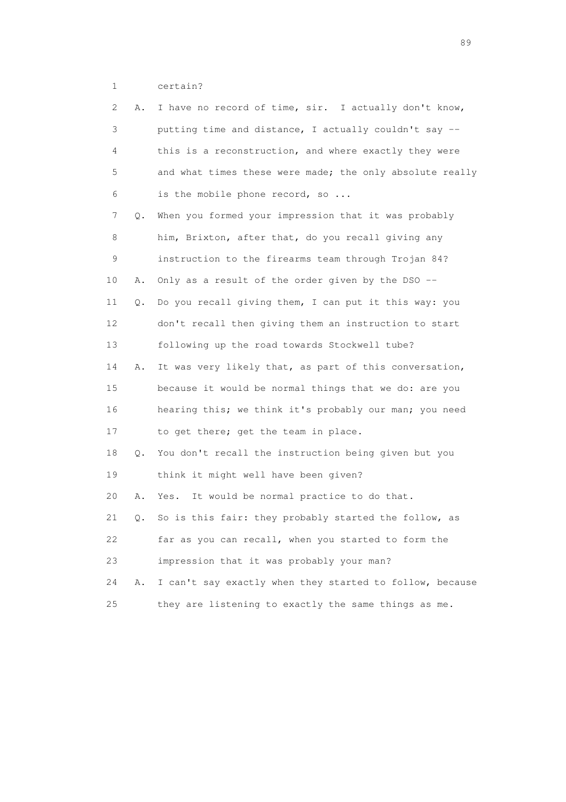1 certain?

| 2<br>Α.  | I have no record of time, sir. I actually don't know,    |
|----------|----------------------------------------------------------|
| 3        | putting time and distance, I actually couldn't say --    |
| 4        | this is a reconstruction, and where exactly they were    |
| 5        | and what times these were made; the only absolute really |
| 6        | is the mobile phone record, so                           |
| 7<br>Q.  | When you formed your impression that it was probably     |
| 8        | him, Brixton, after that, do you recall giving any       |
| 9        | instruction to the firearms team through Trojan 84?      |
| 10<br>Α. | Only as a result of the order given by the DSO --        |
| 11<br>Q. | Do you recall giving them, I can put it this way: you    |
| 12       | don't recall then giving them an instruction to start    |
| 13       | following up the road towards Stockwell tube?            |
| 14<br>Α. | It was very likely that, as part of this conversation,   |
| 15       | because it would be normal things that we do: are you    |
| 16       | hearing this; we think it's probably our man; you need   |
| 17       | to get there; get the team in place.                     |
| 18<br>Q. | You don't recall the instruction being given but you     |
| 19       | think it might well have been given?                     |
| 20<br>Α. | It would be normal practice to do that.<br>Yes.          |
| 21<br>Q. | So is this fair: they probably started the follow, as    |
| 22       | far as you can recall, when you started to form the      |
| 23       | impression that it was probably your man?                |
| 24<br>Α. | I can't say exactly when they started to follow, because |
| 25       | they are listening to exactly the same things as me.     |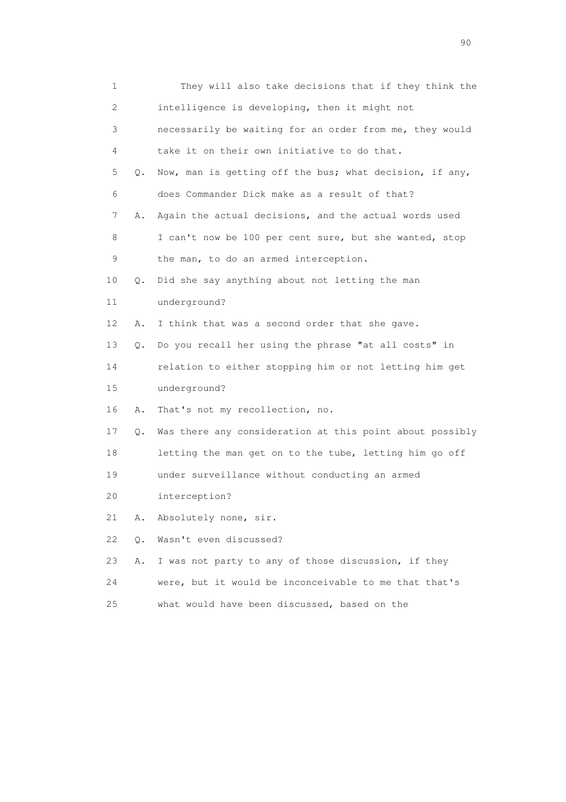|    | $\mathbf 1$    | They will also take decisions that if they think the     |
|----|----------------|----------------------------------------------------------|
|    | 2              | intelligence is developing, then it might not            |
|    | 3              | necessarily be waiting for an order from me, they would  |
|    | 4              | take it on their own initiative to do that.              |
|    | 5<br>$\circ$ . | Now, man is getting off the bus; what decision, if any,  |
|    | 6              | does Commander Dick make as a result of that?            |
|    | 7<br>Α.        | Again the actual decisions, and the actual words used    |
|    | 8              | I can't now be 100 per cent sure, but she wanted, stop   |
|    | 9              | the man, to do an armed interception.                    |
| 10 | Q.             | Did she say anything about not letting the man           |
| 11 |                | underground?                                             |
| 12 | Α.             | I think that was a second order that she gave.           |
| 13 | Q.             | Do you recall her using the phrase "at all costs" in     |
| 14 |                | relation to either stopping him or not letting him get   |
| 15 |                | underground?                                             |
| 16 | Α.             | That's not my recollection, no.                          |
| 17 | Q.             | Was there any consideration at this point about possibly |
| 18 |                | letting the man get on to the tube, letting him go off   |
| 19 |                | under surveillance without conducting an armed           |
| 20 |                | interception?                                            |
| 21 | Α.             | Absolutely none, sir.                                    |
| 22 | $Q$ .          | Wasn't even discussed?                                   |
| 23 | Α.             | I was not party to any of those discussion, if they      |
| 24 |                | were, but it would be inconceivable to me that that's    |
| 25 |                | what would have been discussed, based on the             |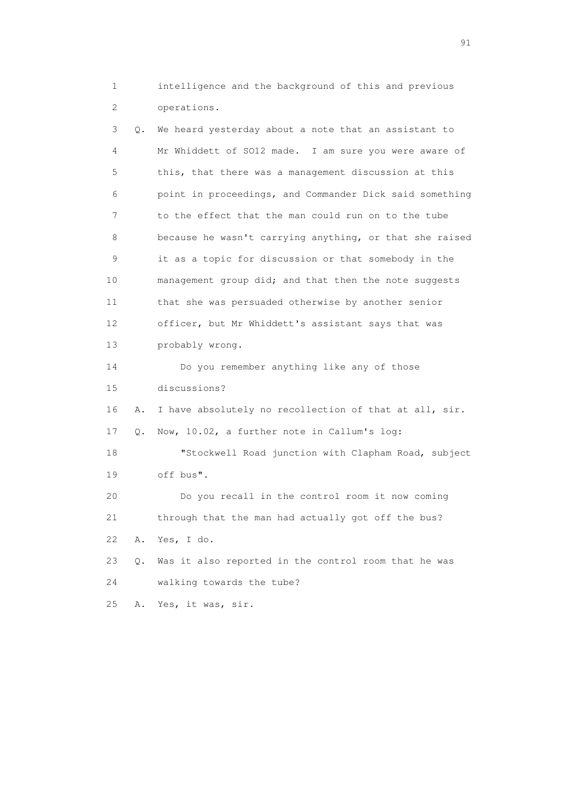1 intelligence and the background of this and previous 2 operations.

 3 Q. We heard yesterday about a note that an assistant to 4 Mr Whiddett of SO12 made. I am sure you were aware of 5 this, that there was a management discussion at this 6 point in proceedings, and Commander Dick said something 7 to the effect that the man could run on to the tube 8 because he wasn't carrying anything, or that she raised 9 it as a topic for discussion or that somebody in the 10 management group did; and that then the note suggests 11 that she was persuaded otherwise by another senior 12 officer, but Mr Whiddett's assistant says that was 13 probably wrong. 14 Do you remember anything like any of those 15 discussions? 16 A. I have absolutely no recollection of that at all, sir. 17 Q. Now, 10.02, a further note in Callum's log: 18 "Stockwell Road junction with Clapham Road, subject 19 off bus". 20 Do you recall in the control room it now coming 21 through that the man had actually got off the bus? 22 A. Yes, I do. 23 Q. Was it also reported in the control room that he was 24 walking towards the tube? 25 A. Yes, it was, sir.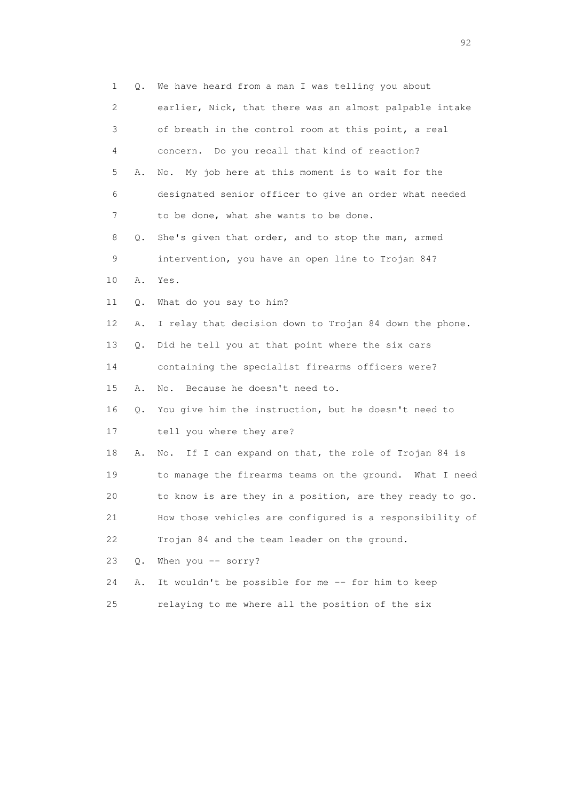| 1  | Q.    | We have heard from a man I was telling you about         |
|----|-------|----------------------------------------------------------|
| 2  |       | earlier, Nick, that there was an almost palpable intake  |
| 3  |       | of breath in the control room at this point, a real      |
| 4  |       | concern. Do you recall that kind of reaction?            |
| 5  | Α.    | My job here at this moment is to wait for the<br>No.     |
| 6  |       | designated senior officer to give an order what needed   |
| 7  |       | to be done, what she wants to be done.                   |
| 8  | Q.    | She's given that order, and to stop the man, armed       |
| 9  |       | intervention, you have an open line to Trojan 84?        |
| 10 | Α.    | Yes.                                                     |
| 11 | Q.    | What do you say to him?                                  |
| 12 | Α.    | I relay that decision down to Trojan 84 down the phone.  |
| 13 | Q.    | Did he tell you at that point where the six cars         |
| 14 |       | containing the specialist firearms officers were?        |
| 15 | Α.    | Because he doesn't need to.<br>No.                       |
| 16 | Q.    | You give him the instruction, but he doesn't need to     |
| 17 |       | tell you where they are?                                 |
| 18 | Α.    | If I can expand on that, the role of Trojan 84 is<br>No. |
| 19 |       | to manage the firearms teams on the ground. What I need  |
| 20 |       | to know is are they in a position, are they ready to go. |
| 21 |       | How those vehicles are configured is a responsibility of |
| 22 |       | Trojan 84 and the team leader on the ground.             |
| 23 | $Q$ . | When you -- sorry?                                       |
| 24 | Α.    | It wouldn't be possible for me -- for him to keep        |
| 25 |       | relaying to me where all the position of the six         |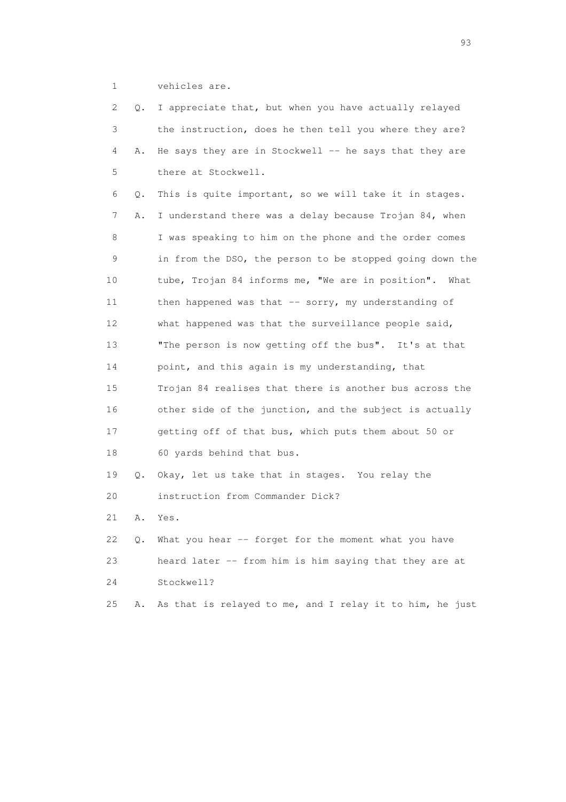1 vehicles are.

| 2  | Q. | I appreciate that, but when you have actually relayed    |
|----|----|----------------------------------------------------------|
| 3  |    | the instruction, does he then tell you where they are?   |
| 4  | Α. | He says they are in Stockwell $-$ he says that they are  |
| 5  |    | there at Stockwell.                                      |
| 6  | Q. | This is quite important, so we will take it in stages.   |
| 7  | Α. | I understand there was a delay because Trojan 84, when   |
| 8  |    | I was speaking to him on the phone and the order comes   |
| 9  |    | in from the DSO, the person to be stopped going down the |
| 10 |    | tube, Trojan 84 informs me, "We are in position". What   |
| 11 |    | then happened was that $-$ sorry, my understanding of    |
| 12 |    | what happened was that the surveillance people said,     |
| 13 |    | "The person is now getting off the bus". It's at that    |
| 14 |    | point, and this again is my understanding, that          |
| 15 |    | Trojan 84 realises that there is another bus across the  |
| 16 |    | other side of the junction, and the subject is actually  |
| 17 |    | getting off of that bus, which puts them about 50 or     |
| 18 |    | 60 yards behind that bus.                                |
| 19 | Q. | Okay, let us take that in stages. You relay the          |
| 20 |    | instruction from Commander Dick?                         |
| 21 | Α. | Yes.                                                     |
| 22 | О. | What you hear -- forget for the moment what you have     |
| 23 |    | heard later -- from him is him saying that they are at   |
| 24 |    | Stockwell?                                               |
| 25 | Α. | As that is relayed to me, and I relay it to him, he just |

experience of the contract of the contract of the contract of the contract of the contract of the contract of the contract of the contract of the contract of the contract of the contract of the contract of the contract of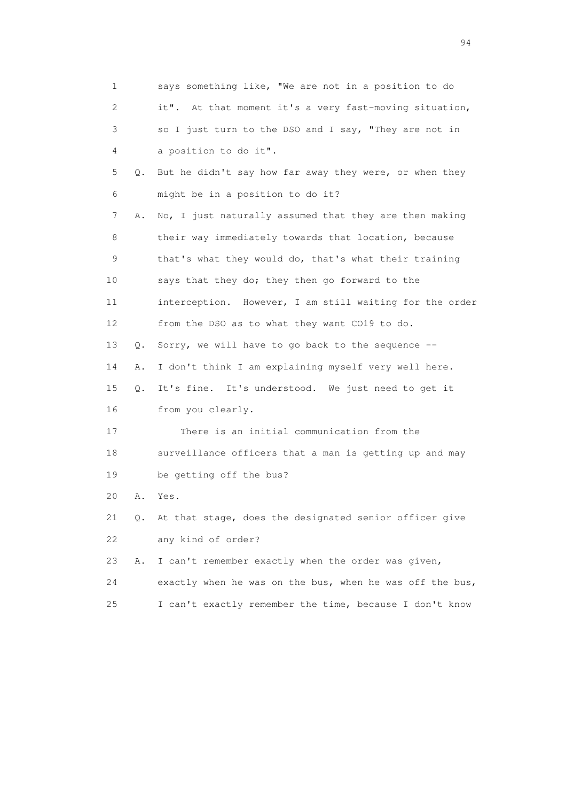| 1  |       | says something like, "We are not in a position to do     |
|----|-------|----------------------------------------------------------|
| 2  |       | it". At that moment it's a very fast-moving situation,   |
| 3  |       | so I just turn to the DSO and I say, "They are not in    |
| 4  |       | a position to do it".                                    |
| 5  | Q.    | But he didn't say how far away they were, or when they   |
| 6  |       | might be in a position to do it?                         |
| 7  | Α.    | No, I just naturally assumed that they are then making   |
| 8  |       | their way immediately towards that location, because     |
| 9  |       | that's what they would do, that's what their training    |
| 10 |       | says that they do; they then go forward to the           |
| 11 |       | interception. However, I am still waiting for the order  |
| 12 |       | from the DSO as to what they want CO19 to do.            |
| 13 | Q.    | Sorry, we will have to go back to the sequence --        |
| 14 | Α.    | I don't think I am explaining myself very well here.     |
| 15 | $Q$ . | It's fine. It's understood. We just need to get it       |
| 16 |       | from you clearly.                                        |
| 17 |       | There is an initial communication from the               |
| 18 |       | surveillance officers that a man is getting up and may   |
| 19 |       | be getting off the bus?                                  |
| 20 | Α.    | Yes.                                                     |
| 21 | Q.    | At that stage, does the designated senior officer give   |
| 22 |       | any kind of order?                                       |
| 23 | Α.    | I can't remember exactly when the order was given,       |
| 24 |       | exactly when he was on the bus, when he was off the bus, |
| 25 |       | I can't exactly remember the time, because I don't know  |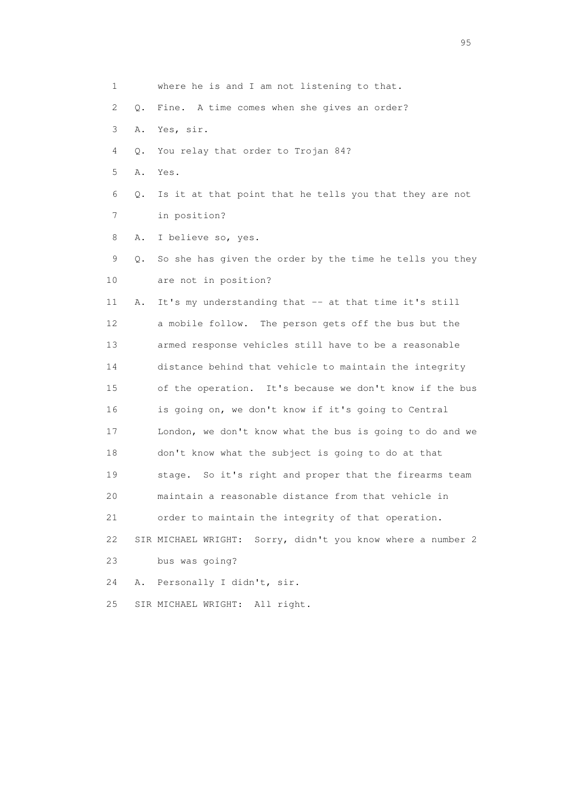| 1  |    | where he is and I am not listening to that.                 |
|----|----|-------------------------------------------------------------|
| 2  | Q. | Fine. A time comes when she gives an order?                 |
| 3  | Α. | Yes, sir.                                                   |
| 4  | Q. | You relay that order to Trojan 84?                          |
| 5  | Α. | Yes.                                                        |
| 6  | Q. | Is it at that point that he tells you that they are not     |
| 7  |    | in position?                                                |
| 8  | Α. | I believe so, yes.                                          |
| 9  | Q. | So she has given the order by the time he tells you they    |
| 10 |    | are not in position?                                        |
| 11 | Α. | It's my understanding that -- at that time it's still       |
| 12 |    | a mobile follow. The person gets off the bus but the        |
| 13 |    | armed response vehicles still have to be a reasonable       |
| 14 |    | distance behind that vehicle to maintain the integrity      |
| 15 |    | of the operation. It's because we don't know if the bus     |
| 16 |    | is going on, we don't know if it's going to Central         |
| 17 |    | London, we don't know what the bus is going to do and we    |
| 18 |    | don't know what the subject is going to do at that          |
| 19 |    | stage. So it's right and proper that the firearms team      |
| 20 |    | maintain a reasonable distance from that vehicle in         |
| 21 |    | order to maintain the integrity of that operation.          |
| 22 |    | SIR MICHAEL WRIGHT: Sorry, didn't you know where a number 2 |
| 23 |    | bus was going?                                              |
| 24 | Α. | Personally I didn't, sir.                                   |
| 25 |    | All right.<br>SIR MICHAEL WRIGHT:                           |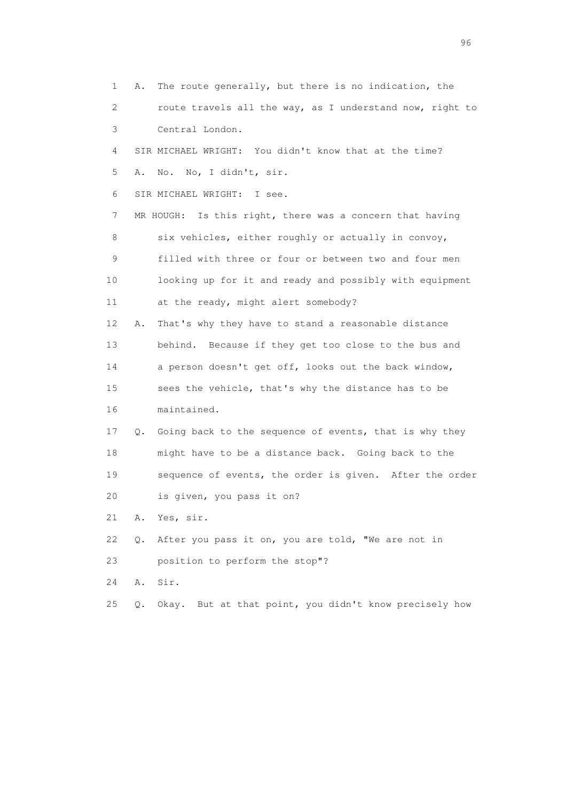1 A. The route generally, but there is no indication, the 2 route travels all the way, as I understand now, right to 3 Central London. 4 SIR MICHAEL WRIGHT: You didn't know that at the time? 5 A. No. No, I didn't, sir. 6 SIR MICHAEL WRIGHT: I see. 7 MR HOUGH: Is this right, there was a concern that having 8 six vehicles, either roughly or actually in convoy, 9 filled with three or four or between two and four men 10 looking up for it and ready and possibly with equipment 11 at the ready, might alert somebody? 12 A. That's why they have to stand a reasonable distance 13 behind. Because if they get too close to the bus and 14 a person doesn't get off, looks out the back window, 15 sees the vehicle, that's why the distance has to be 16 maintained. 17 Q. Going back to the sequence of events, that is why they 18 might have to be a distance back. Going back to the 19 sequence of events, the order is given. After the order 20 is given, you pass it on? 21 A. Yes, sir. 22 Q. After you pass it on, you are told, "We are not in 23 position to perform the stop"? 24 A. Sir. 25 Q. Okay. But at that point, you didn't know precisely how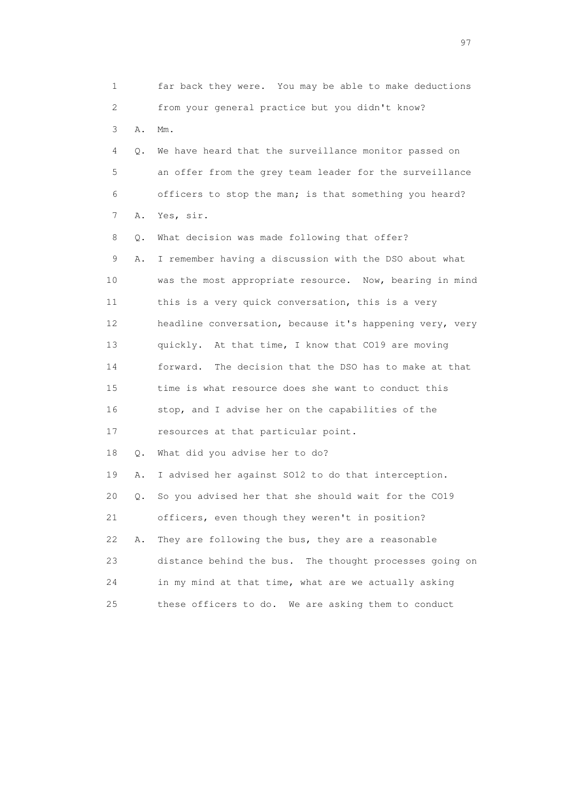1 far back they were. You may be able to make deductions 2 from your general practice but you didn't know? 3 A. Mm. 4 Q. We have heard that the surveillance monitor passed on 5 an offer from the grey team leader for the surveillance 6 officers to stop the man; is that something you heard? 7 A. Yes, sir. 8 Q. What decision was made following that offer? 9 A. I remember having a discussion with the DSO about what 10 was the most appropriate resource. Now, bearing in mind 11 this is a very quick conversation, this is a very 12 headline conversation, because it's happening very, very 13 quickly. At that time, I know that CO19 are moving 14 forward. The decision that the DSO has to make at that 15 time is what resource does she want to conduct this 16 stop, and I advise her on the capabilities of the 17 resources at that particular point. 18 Q. What did you advise her to do? 19 A. I advised her against SO12 to do that interception. 20 Q. So you advised her that she should wait for the CO19 21 officers, even though they weren't in position? 22 A. They are following the bus, they are a reasonable 23 distance behind the bus. The thought processes going on 24 in my mind at that time, what are we actually asking 25 these officers to do. We are asking them to conduct

experience of the contract of the contract of the contract of the contract of the contract of the contract of the contract of the contract of the contract of the contract of the contract of the contract of the contract of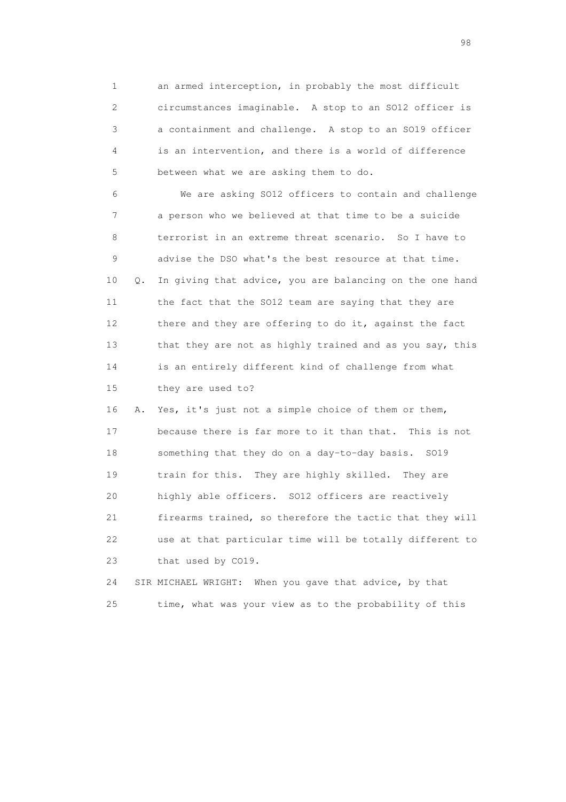1 an armed interception, in probably the most difficult 2 circumstances imaginable. A stop to an SO12 officer is 3 a containment and challenge. A stop to an SO19 officer 4 is an intervention, and there is a world of difference 5 between what we are asking them to do.

 6 We are asking SO12 officers to contain and challenge 7 a person who we believed at that time to be a suicide 8 terrorist in an extreme threat scenario. So I have to 9 advise the DSO what's the best resource at that time. 10 Q. In giving that advice, you are balancing on the one hand 11 the fact that the SO12 team are saying that they are 12 there and they are offering to do it, against the fact 13 that they are not as highly trained and as you say, this 14 is an entirely different kind of challenge from what 15 they are used to?

 16 A. Yes, it's just not a simple choice of them or them, 17 because there is far more to it than that. This is not 18 something that they do on a day-to-day basis. SO19 19 train for this. They are highly skilled. They are 20 highly able officers. SO12 officers are reactively 21 firearms trained, so therefore the tactic that they will 22 use at that particular time will be totally different to 23 that used by CO19.

 24 SIR MICHAEL WRIGHT: When you gave that advice, by that 25 time, what was your view as to the probability of this

en 1988 en 1989 en 1989 en 1989 en 1989 en 1989 en 1989 en 1989 en 1989 en 1989 en 1989 en 1989 en 1989 en 19<br>De grote en 1989 en 1989 en 1989 en 1989 en 1989 en 1989 en 1989 en 1989 en 1989 en 1989 en 1989 en 1989 en 19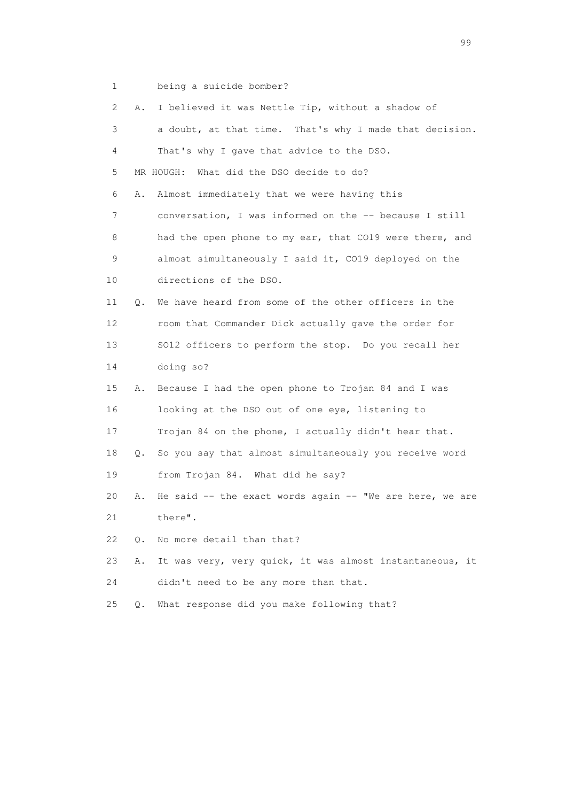1 being a suicide bomber?

| 2               | Α. | I believed it was Nettle Tip, without a shadow of              |
|-----------------|----|----------------------------------------------------------------|
| 3               |    | a doubt, at that time. That's why I made that decision.        |
| 4               |    | That's why I gave that advice to the DSO.                      |
| 5               |    | MR HOUGH: What did the DSO decide to do?                       |
| 6               | Α. | Almost immediately that we were having this                    |
| 7               |    | conversation, I was informed on the -- because I still         |
| 8               |    | had the open phone to my ear, that CO19 were there, and        |
| 9               |    | almost simultaneously I said it, CO19 deployed on the          |
| 10 <sup>°</sup> |    | directions of the DSO.                                         |
| 11              | Q. | We have heard from some of the other officers in the           |
| 12              |    | room that Commander Dick actually gave the order for           |
| 13              |    | SO12 officers to perform the stop. Do you recall her           |
| 14              |    | doing so?                                                      |
| 15              | Α. | Because I had the open phone to Trojan 84 and I was            |
| 16              |    | looking at the DSO out of one eye, listening to                |
| 17              |    | Trojan 84 on the phone, I actually didn't hear that.           |
| 18              | Q. | So you say that almost simultaneously you receive word         |
| 19              |    | from Trojan 84. What did he say?                               |
| 20              | Α. | He said $-$ - the exact words again $-$ - "We are here, we are |
| 21              |    | there".                                                        |
| 22              | Q. | No more detail than that?                                      |
| 23              | Α. | It was very, very quick, it was almost instantaneous, it       |
| 24              |    | didn't need to be any more than that.                          |
| 25              | Q. | What response did you make following that?                     |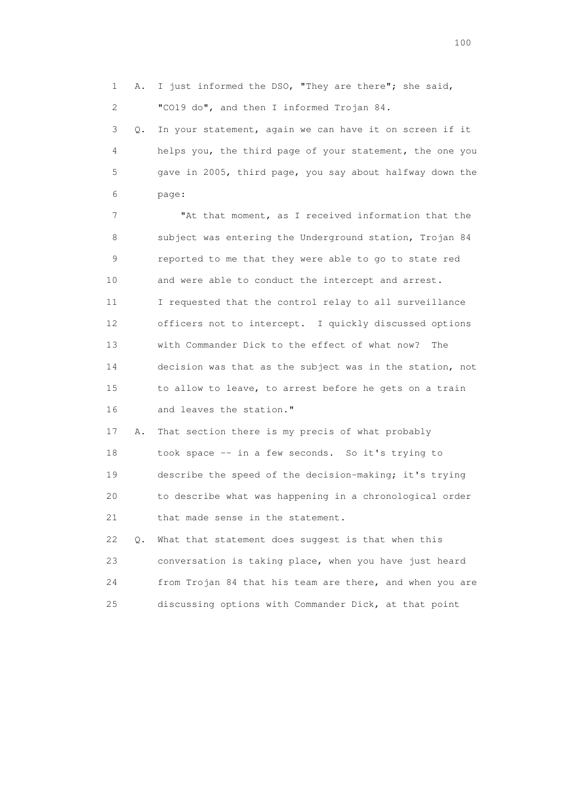1 A. I just informed the DSO, "They are there"; she said, 2 "CO19 do", and then I informed Trojan 84.

 3 Q. In your statement, again we can have it on screen if it 4 helps you, the third page of your statement, the one you 5 gave in 2005, third page, you say about halfway down the 6 page:

 7 "At that moment, as I received information that the 8 subject was entering the Underground station, Trojan 84 9 reported to me that they were able to go to state red 10 and were able to conduct the intercept and arrest. 11 I requested that the control relay to all surveillance 12 officers not to intercept. I quickly discussed options 13 with Commander Dick to the effect of what now? The 14 decision was that as the subject was in the station, not 15 to allow to leave, to arrest before he gets on a train 16 and leaves the station."

 17 A. That section there is my precis of what probably 18 took space -- in a few seconds. So it's trying to 19 describe the speed of the decision-making; it's trying 20 to describe what was happening in a chronological order 21 that made sense in the statement.

 22 Q. What that statement does suggest is that when this 23 conversation is taking place, when you have just heard 24 from Trojan 84 that his team are there, and when you are 25 discussing options with Commander Dick, at that point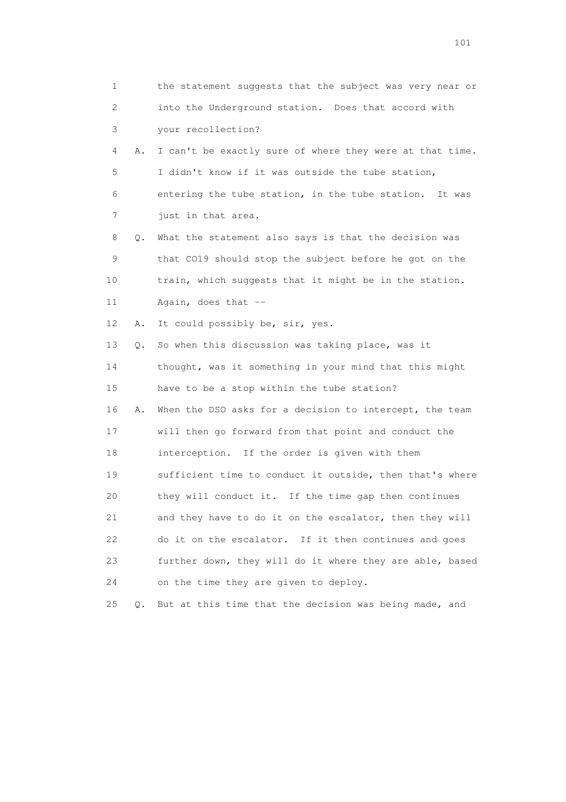| 1  |       | the statement suggests that the subject was very near or |
|----|-------|----------------------------------------------------------|
| 2  |       | into the Underground station. Does that accord with      |
| 3  |       | your recollection?                                       |
| 4  | Α.    | I can't be exactly sure of where they were at that time. |
| 5  |       | I didn't know if it was outside the tube station,        |
| 6  |       | entering the tube station, in the tube station. It was   |
| 7  |       | just in that area.                                       |
| 8  | Q.    | What the statement also says is that the decision was    |
| 9  |       | that CO19 should stop the subject before he got on the   |
| 10 |       | train, which suggests that it might be in the station.   |
| 11 |       | Again, does that --                                      |
| 12 | Α.    | It could possibly be, sir, yes.                          |
| 13 | Q.    | So when this discussion was taking place, was it         |
| 14 |       | thought, was it something in your mind that this might   |
| 15 |       | have to be a stop within the tube station?               |
| 16 | Α.    | When the DSO asks for a decision to intercept, the team  |
| 17 |       | will then go forward from that point and conduct the     |
| 18 |       | interception. If the order is given with them            |
| 19 |       | sufficient time to conduct it outside, then that's where |
| 20 |       | they will conduct it. If the time gap then continues     |
| 21 |       | and they have to do it on the escalator, then they will  |
| 22 |       | do it on the escalator. If it then continues and goes    |
| 23 |       | further down, they will do it where they are able, based |
| 24 |       | on the time they are given to deploy.                    |
| 25 | $Q$ . | But at this time that the decision was being made, and   |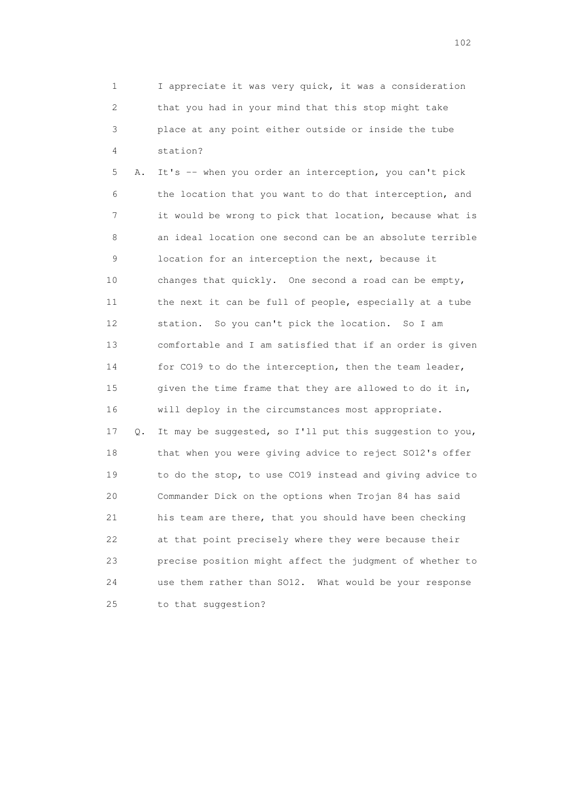1 I appreciate it was very quick, it was a consideration 2 that you had in your mind that this stop might take 3 place at any point either outside or inside the tube 4 station?

 5 A. It's -- when you order an interception, you can't pick 6 the location that you want to do that interception, and 7 it would be wrong to pick that location, because what is 8 an ideal location one second can be an absolute terrible 9 location for an interception the next, because it 10 changes that quickly. One second a road can be empty, 11 the next it can be full of people, especially at a tube 12 station. So you can't pick the location. So I am 13 comfortable and I am satisfied that if an order is given 14 for CO19 to do the interception, then the team leader, 15 given the time frame that they are allowed to do it in, 16 will deploy in the circumstances most appropriate. 17 Q. It may be suggested, so I'll put this suggestion to you, 18 that when you were giving advice to reject SO12's offer 19 to do the stop, to use CO19 instead and giving advice to 20 Commander Dick on the options when Trojan 84 has said 21 his team are there, that you should have been checking 22 at that point precisely where they were because their 23 precise position might affect the judgment of whether to 24 use them rather than SO12. What would be your response 25 to that suggestion?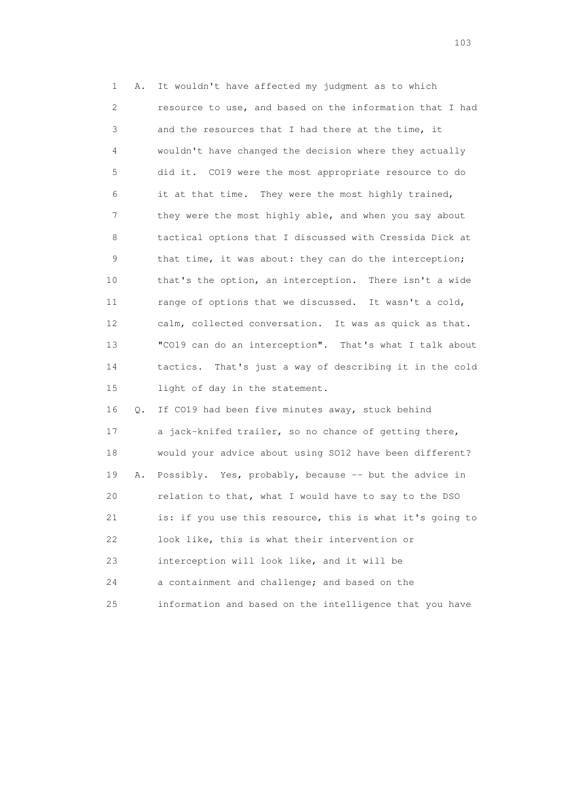1 A. It wouldn't have affected my judgment as to which 2 resource to use, and based on the information that I had 3 and the resources that I had there at the time, it 4 wouldn't have changed the decision where they actually 5 did it. CO19 were the most appropriate resource to do 6 it at that time. They were the most highly trained, 7 they were the most highly able, and when you say about 8 tactical options that I discussed with Cressida Dick at 9 that time, it was about: they can do the interception; 10 that's the option, an interception. There isn't a wide 11 range of options that we discussed. It wasn't a cold, 12 calm, collected conversation. It was as quick as that. 13 "CO19 can do an interception". That's what I talk about 14 tactics. That's just a way of describing it in the cold 15 light of day in the statement.

 16 Q. If CO19 had been five minutes away, stuck behind 17 a jack-knifed trailer, so no chance of getting there, 18 would your advice about using SO12 have been different? 19 A. Possibly. Yes, probably, because -- but the advice in 20 relation to that, what I would have to say to the DSO 21 is: if you use this resource, this is what it's going to 22 look like, this is what their intervention or 23 interception will look like, and it will be 24 a containment and challenge; and based on the 25 information and based on the intelligence that you have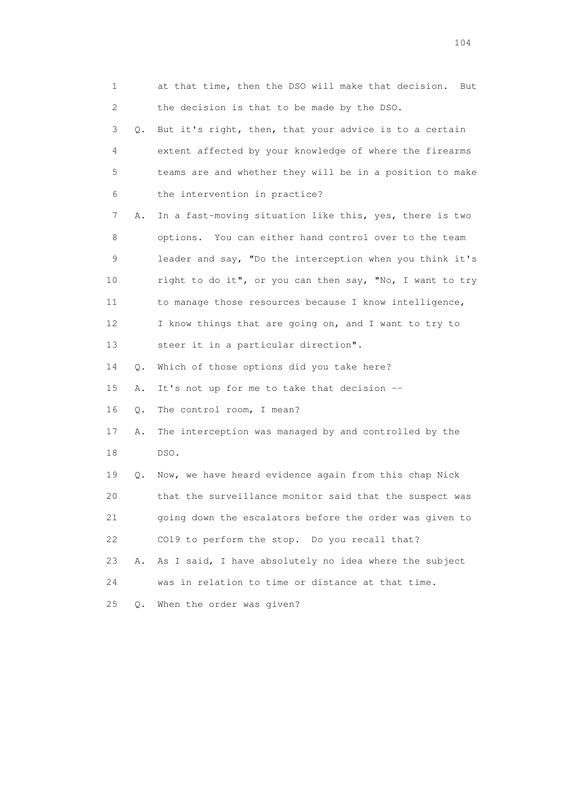| 1               |       | at that time, then the DSO will make that decision.<br>But |
|-----------------|-------|------------------------------------------------------------|
| 2               |       | the decision is that to be made by the DSO.                |
| 3               | Q.    | But it's right, then, that your advice is to a certain     |
| 4               |       | extent affected by your knowledge of where the firearms    |
| 5               |       | teams are and whether they will be in a position to make   |
| 6               |       | the intervention in practice?                              |
| 7               | Α.    | In a fast-moving situation like this, yes, there is two    |
| 8               |       | options. You can either hand control over to the team      |
| 9               |       | leader and say, "Do the interception when you think it's   |
| 10              |       | right to do it", or you can then say, "No, I want to try   |
| 11              |       | to manage those resources because I know intelligence,     |
| 12 <sup>°</sup> |       | I know things that are going on, and I want to try to      |
| 13              |       | steer it in a particular direction".                       |
| 14              | Q.    | Which of those options did you take here?                  |
| 15              | Α.    | It's not up for me to take that decision --                |
| 16              | Q.    | The control room, I mean?                                  |
| 17              | Α.    | The interception was managed by and controlled by the      |
| 18              |       | DSO.                                                       |
| 19              | Q.    | Now, we have heard evidence again from this chap Nick      |
| 20              |       | that the surveillance monitor said that the suspect was    |
| 21              |       | going down the escalators before the order was given to    |
| 22              |       | CO19 to perform the stop. Do you recall that?              |
| 23              | Α.    | As I said, I have absolutely no idea where the subject     |
| 24              |       | was in relation to time or distance at that time.          |
| 25              | $Q$ . | When the order was given?                                  |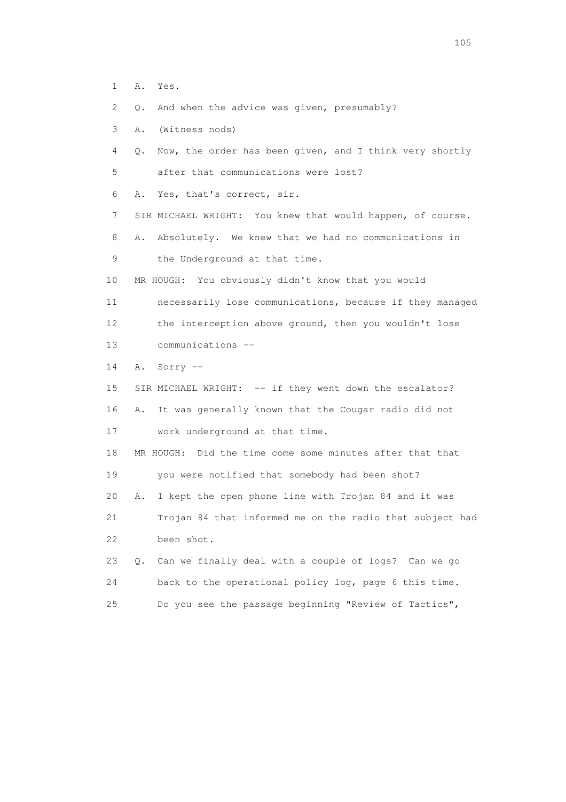- 1 A. Yes.
- 2 Q. And when the advice was given, presumably?
- 3 A. (Witness nods)
- 4 Q. Now, the order has been given, and I think very shortly 5 after that communications were lost?
- 6 A. Yes, that's correct, sir.
- 7 SIR MICHAEL WRIGHT: You knew that would happen, of course.
- 8 A. Absolutely. We knew that we had no communications in
- 9 the Underground at that time.
- 10 MR HOUGH: You obviously didn't know that you would
- 11 necessarily lose communications, because if they managed 12 the interception above ground, then you wouldn't lose 13 communications --
- 14 A. Sorry --
- 15 SIR MICHAEL WRIGHT: -- if they went down the escalator? 16 A. It was generally known that the Cougar radio did not 17 work underground at that time.
- 18 MR HOUGH: Did the time come some minutes after that that 19 you were notified that somebody had been shot?

 20 A. I kept the open phone line with Trojan 84 and it was 21 Trojan 84 that informed me on the radio that subject had

22 been shot.

 23 Q. Can we finally deal with a couple of logs? Can we go 24 back to the operational policy log, page 6 this time. 25 Do you see the passage beginning "Review of Tactics",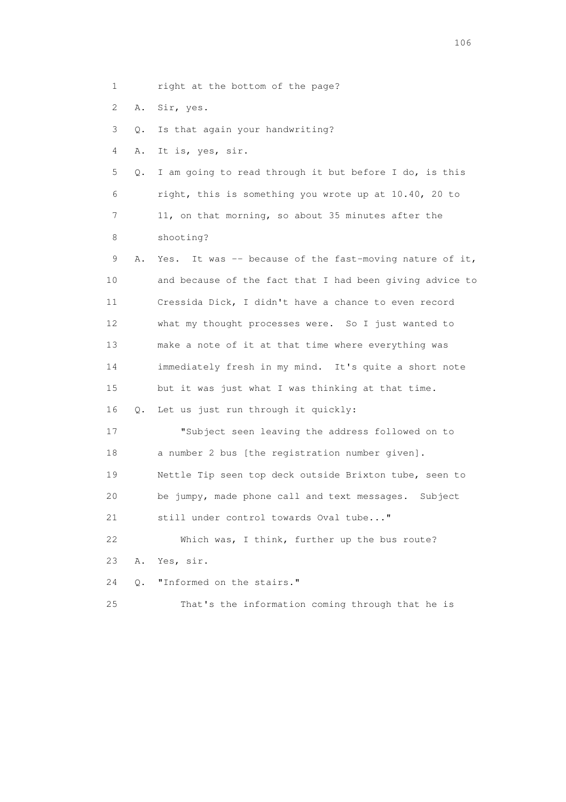| 1  |    | right at the bottom of the page?                           |
|----|----|------------------------------------------------------------|
| 2  | Α. | Sir, yes.                                                  |
| 3  | Q. | Is that again your handwriting?                            |
| 4  | Α. | It is, yes, sir.                                           |
| 5  | Q. | I am going to read through it but before I do, is this     |
| 6  |    | right, this is something you wrote up at 10.40, 20 to      |
| 7  |    | 11, on that morning, so about 35 minutes after the         |
| 8  |    | shooting?                                                  |
| 9  | Α. | It was -- because of the fast-moving nature of it,<br>Yes. |
| 10 |    | and because of the fact that I had been giving advice to   |
| 11 |    | Cressida Dick, I didn't have a chance to even record       |
| 12 |    | what my thought processes were. So I just wanted to        |
| 13 |    | make a note of it at that time where everything was        |
| 14 |    | immediately fresh in my mind. It's quite a short note      |
| 15 |    | but it was just what I was thinking at that time.          |
| 16 | Q. | Let us just run through it quickly:                        |
| 17 |    | "Subject seen leaving the address followed on to           |
| 18 |    | a number 2 bus [the registration number given].            |
| 19 |    | Nettle Tip seen top deck outside Brixton tube, seen to     |
| 20 |    | be jumpy, made phone call and text messages. Subject       |
| 21 |    | still under control towards Oval tube"                     |
| 22 |    | Which was, I think, further up the bus route?              |
| 23 | Α. | Yes, sir.                                                  |
| 24 | О. | "Informed on the stairs."                                  |
| 25 |    | That's the information coming through that he is           |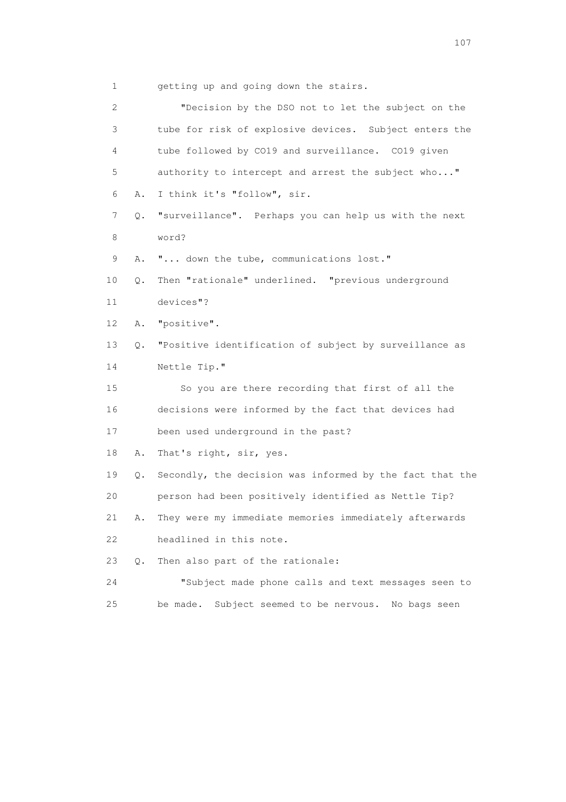1 getting up and going down the stairs.

 2 "Decision by the DSO not to let the subject on the 3 tube for risk of explosive devices. Subject enters the 4 tube followed by CO19 and surveillance. CO19 given 5 authority to intercept and arrest the subject who..." 6 A. I think it's "follow", sir. 7 Q. "surveillance". Perhaps you can help us with the next 8 word? 9 A. "... down the tube, communications lost." 10 Q. Then "rationale" underlined. "previous underground 11 devices"? 12 A. "positive". 13 Q. "Positive identification of subject by surveillance as 14 Nettle Tip." 15 So you are there recording that first of all the 16 decisions were informed by the fact that devices had 17 been used underground in the past? 18 A. That's right, sir, yes. 19 Q. Secondly, the decision was informed by the fact that the 20 person had been positively identified as Nettle Tip? 21 A. They were my immediate memories immediately afterwards 22 headlined in this note. 23 Q. Then also part of the rationale: 24 "Subject made phone calls and text messages seen to 25 be made. Subject seemed to be nervous. No bags seen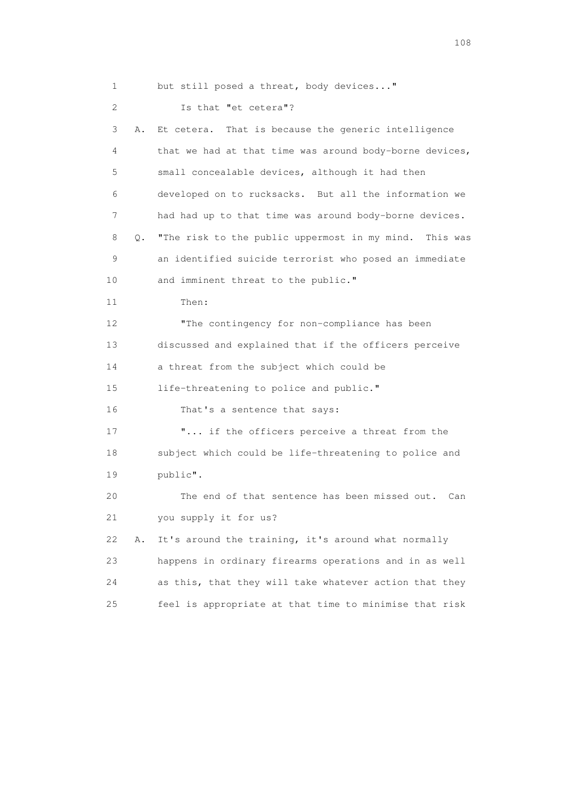1 but still posed a threat, body devices..." 2 Is that "et cetera"? 3 A. Et cetera. That is because the generic intelligence 4 that we had at that time was around body-borne devices, 5 small concealable devices, although it had then 6 developed on to rucksacks. But all the information we 7 had had up to that time was around body-borne devices. 8 Q. "The risk to the public uppermost in my mind. This was 9 an identified suicide terrorist who posed an immediate 10 and imminent threat to the public." 11 Then: 12 The contingency for non-compliance has been 13 discussed and explained that if the officers perceive 14 a threat from the subject which could be 15 life-threatening to police and public." 16 That's a sentence that says: 17 **"...** if the officers perceive a threat from the 18 subject which could be life-threatening to police and 19 public". 20 The end of that sentence has been missed out. Can 21 you supply it for us? 22 A. It's around the training, it's around what normally 23 happens in ordinary firearms operations and in as well 24 as this, that they will take whatever action that they 25 feel is appropriate at that time to minimise that risk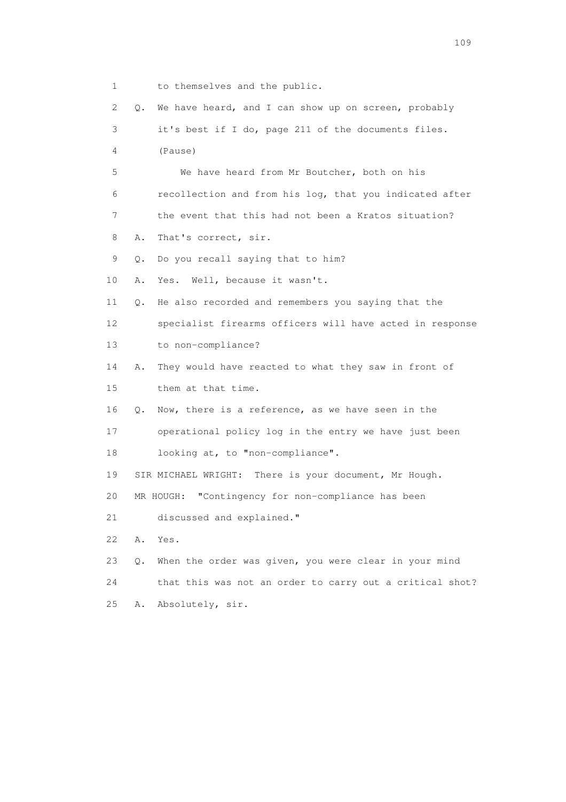1 to themselves and the public. 2 Q. We have heard, and I can show up on screen, probably 3 it's best if I do, page 211 of the documents files. 4 (Pause) 5 We have heard from Mr Boutcher, both on his 6 recollection and from his log, that you indicated after 7 the event that this had not been a Kratos situation? 8 A. That's correct, sir. 9 Q. Do you recall saying that to him? 10 A. Yes. Well, because it wasn't. 11 Q. He also recorded and remembers you saying that the 12 specialist firearms officers will have acted in response 13 to non-compliance? 14 A. They would have reacted to what they saw in front of 15 them at that time. 16 Q. Now, there is a reference, as we have seen in the 17 operational policy log in the entry we have just been 18 looking at, to "non-compliance". 19 SIR MICHAEL WRIGHT: There is your document, Mr Hough. 20 MR HOUGH: "Contingency for non-compliance has been 21 discussed and explained." 22 A. Yes. 23 Q. When the order was given, you were clear in your mind 24 that this was not an order to carry out a critical shot? 25 A. Absolutely, sir.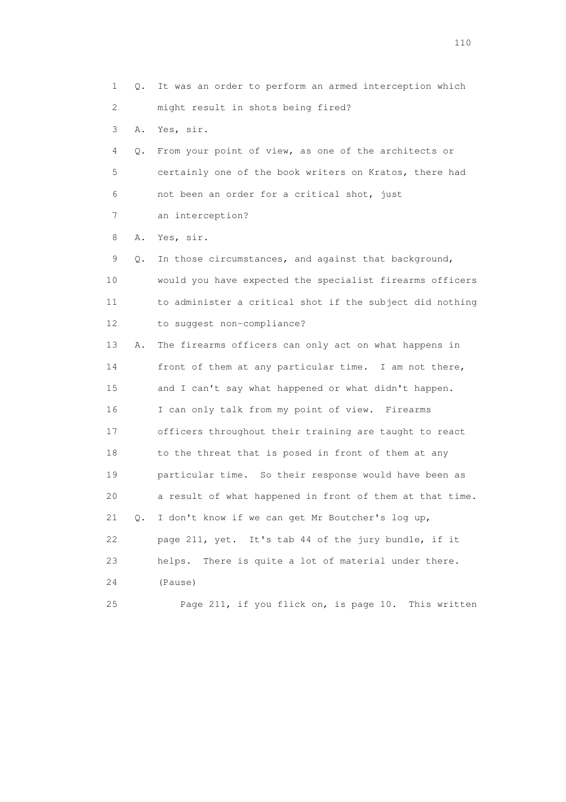1 Q. It was an order to perform an armed interception which 2 might result in shots being fired? 3 A. Yes, sir. 4 Q. From your point of view, as one of the architects or 5 certainly one of the book writers on Kratos, there had 6 not been an order for a critical shot, just 7 an interception? 8 A. Yes, sir. 9 Q. In those circumstances, and against that background, 10 would you have expected the specialist firearms officers 11 to administer a critical shot if the subject did nothing 12 to suggest non-compliance? 13 A. The firearms officers can only act on what happens in 14 front of them at any particular time. I am not there, 15 and I can't say what happened or what didn't happen. 16 I can only talk from my point of view. Firearms 17 officers throughout their training are taught to react 18 to the threat that is posed in front of them at any 19 particular time. So their response would have been as 20 a result of what happened in front of them at that time. 21 Q. I don't know if we can get Mr Boutcher's log up, 22 page 211, yet. It's tab 44 of the jury bundle, if it 23 helps. There is quite a lot of material under there. 24 (Pause) 25 Page 211, if you flick on, is page 10. This written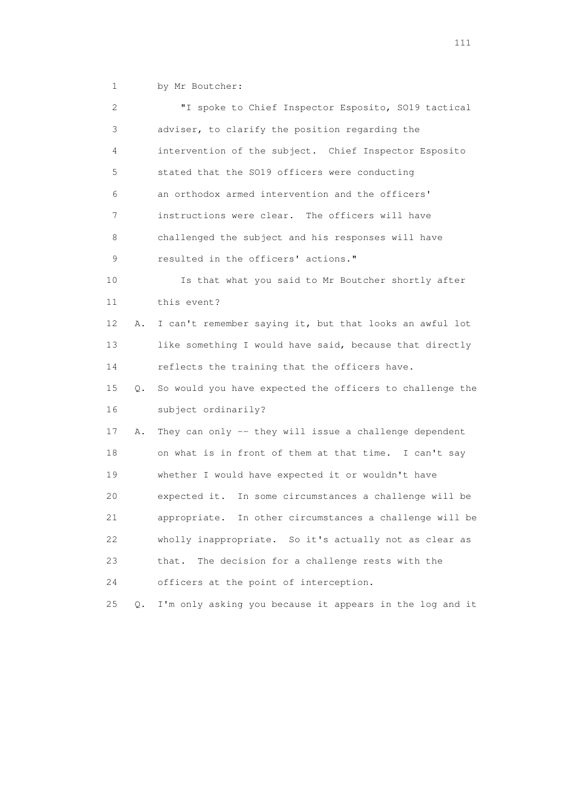1 by Mr Boutcher:

| $\mathbf{2}^{\mathsf{I}}$ |       | "I spoke to Chief Inspector Esposito, S019 tactical        |
|---------------------------|-------|------------------------------------------------------------|
| 3                         |       | adviser, to clarify the position regarding the             |
| 4                         |       | intervention of the subject. Chief Inspector Esposito      |
| 5                         |       | stated that the SO19 officers were conducting              |
| 6                         |       | an orthodox armed intervention and the officers'           |
| 7                         |       | instructions were clear. The officers will have            |
| 8                         |       | challenged the subject and his responses will have         |
| 9                         |       | resulted in the officers' actions."                        |
| 10                        |       | Is that what you said to Mr Boutcher shortly after         |
| 11                        |       | this event?                                                |
| 12                        | Α.    | I can't remember saying it, but that looks an awful lot    |
| 13                        |       | like something I would have said, because that directly    |
| 14                        |       | reflects the training that the officers have.              |
| 15                        | Q.    | So would you have expected the officers to challenge the   |
| 16                        |       | subject ordinarily?                                        |
| 17                        | Α.    | They can only -- they will issue a challenge dependent     |
| 18                        |       | on what is in front of them at that time. I can't say      |
| 19                        |       | whether I would have expected it or wouldn't have          |
| 20                        |       | expected it. In some circumstances a challenge will be     |
| 21                        |       | In other circumstances a challenge will be<br>appropriate. |
| 22                        |       | wholly inappropriate. So it's actually not as clear as     |
| 23                        |       | The decision for a challenge rests with the<br>that.       |
| 24                        |       | officers at the point of interception.                     |
| 25                        | $Q$ . | I'm only asking you because it appears in the log and it   |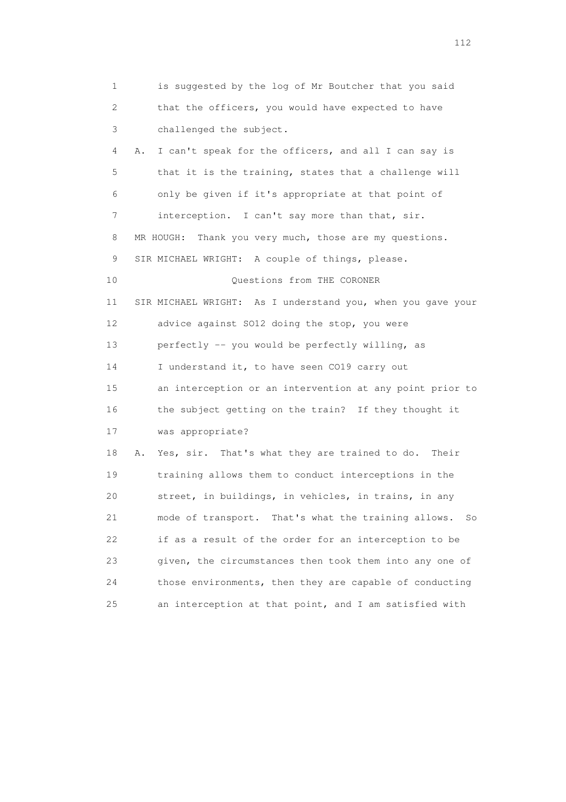1 is suggested by the log of Mr Boutcher that you said 2 that the officers, you would have expected to have 3 challenged the subject. 4 A. I can't speak for the officers, and all I can say is 5 that it is the training, states that a challenge will 6 only be given if it's appropriate at that point of 7 interception. I can't say more than that, sir. 8 MR HOUGH: Thank you very much, those are my questions. 9 SIR MICHAEL WRIGHT: A couple of things, please. 10 Questions from THE CORONER 11 SIR MICHAEL WRIGHT: As I understand you, when you gave your 12 advice against SO12 doing the stop, you were 13 perfectly -- you would be perfectly willing, as 14 I understand it, to have seen CO19 carry out 15 an interception or an intervention at any point prior to 16 the subject getting on the train? If they thought it 17 was appropriate? 18 A. Yes, sir. That's what they are trained to do. Their 19 training allows them to conduct interceptions in the 20 street, in buildings, in vehicles, in trains, in any 21 mode of transport. That's what the training allows. So 22 if as a result of the order for an interception to be 23 given, the circumstances then took them into any one of 24 those environments, then they are capable of conducting 25 an interception at that point, and I am satisfied with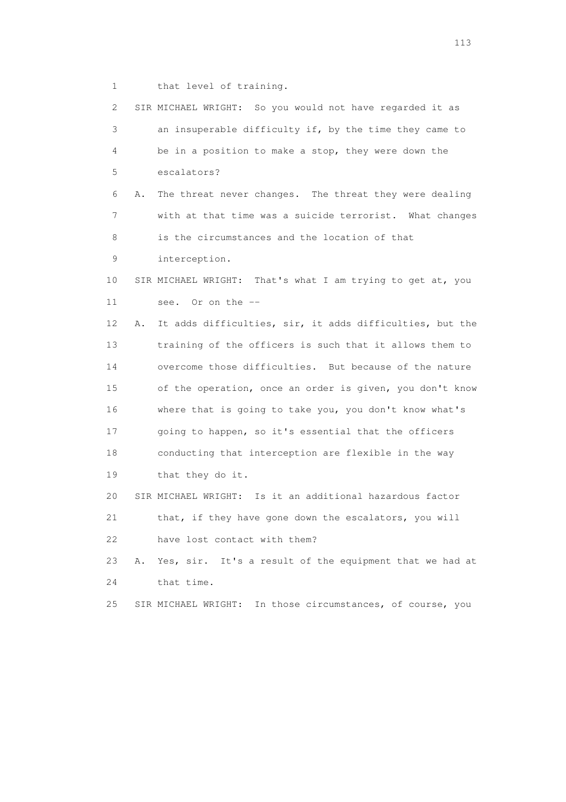1 that level of training.

| $\mathbf{2}^{\mathsf{I}}$ |    | SIR MICHAEL WRIGHT: So you would not have regarded it as   |
|---------------------------|----|------------------------------------------------------------|
| 3                         |    | an insuperable difficulty if, by the time they came to     |
| 4                         |    | be in a position to make a stop, they were down the        |
| 5                         |    | escalators?                                                |
| 6                         | Α. | The threat never changes. The threat they were dealing     |
| 7                         |    | with at that time was a suicide terrorist. What changes    |
| 8                         |    | is the circumstances and the location of that              |
| 9                         |    | interception.                                              |
| 10                        |    | SIR MICHAEL WRIGHT: That's what I am trying to get at, you |
| 11                        |    | Or on the $--$<br>see.                                     |
| 12                        | Α. | It adds difficulties, sir, it adds difficulties, but the   |
| 13                        |    | training of the officers is such that it allows them to    |
| 14                        |    | overcome those difficulties. But because of the nature     |
| 15                        |    | of the operation, once an order is given, you don't know   |
| 16                        |    | where that is going to take you, you don't know what's     |
| 17                        |    | going to happen, so it's essential that the officers       |
| 18                        |    | conducting that interception are flexible in the way       |
| 19                        |    | that they do it.                                           |
| 20                        |    | SIR MICHAEL WRIGHT: Is it an additional hazardous factor   |
| 21                        |    | that, if they have gone down the escalators, you will      |
| 22                        |    | have lost contact with them?                               |
| 23                        | Α. | Yes, sir. It's a result of the equipment that we had at    |
| 24                        |    | that time.                                                 |
| 25                        |    | SIR MICHAEL WRIGHT: In those circumstances, of course, you |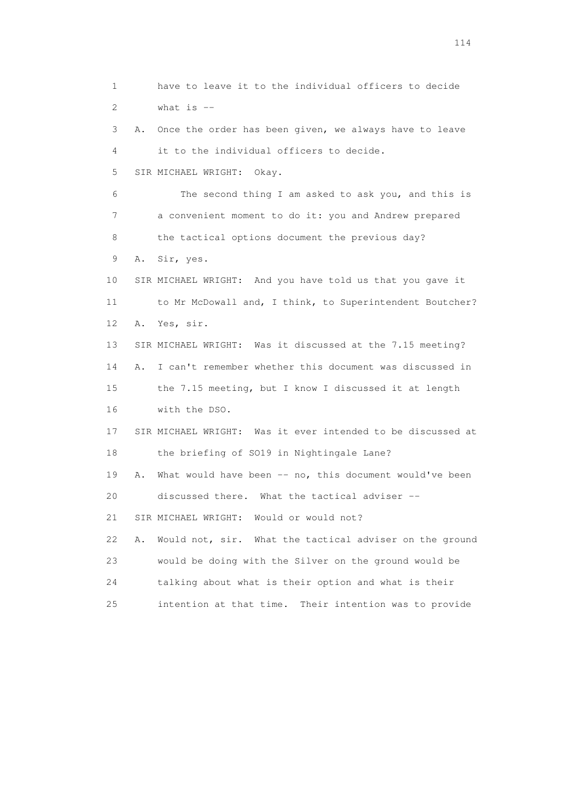1 have to leave it to the individual officers to decide 2 what is -- 3 A. Once the order has been given, we always have to leave 4 it to the individual officers to decide. 5 SIR MICHAEL WRIGHT: Okay. 6 The second thing I am asked to ask you, and this is 7 a convenient moment to do it: you and Andrew prepared 8 the tactical options document the previous day? 9 A. Sir, yes. 10 SIR MICHAEL WRIGHT: And you have told us that you gave it 11 to Mr McDowall and, I think, to Superintendent Boutcher? 12 A. Yes, sir. 13 SIR MICHAEL WRIGHT: Was it discussed at the 7.15 meeting? 14 A. I can't remember whether this document was discussed in 15 the 7.15 meeting, but I know I discussed it at length 16 with the DSO. 17 SIR MICHAEL WRIGHT: Was it ever intended to be discussed at 18 the briefing of SO19 in Nightingale Lane? 19 A. What would have been -- no, this document would've been 20 discussed there. What the tactical adviser -- 21 SIR MICHAEL WRIGHT: Would or would not? 22 A. Would not, sir. What the tactical adviser on the ground 23 would be doing with the Silver on the ground would be 24 talking about what is their option and what is their 25 intention at that time. Their intention was to provide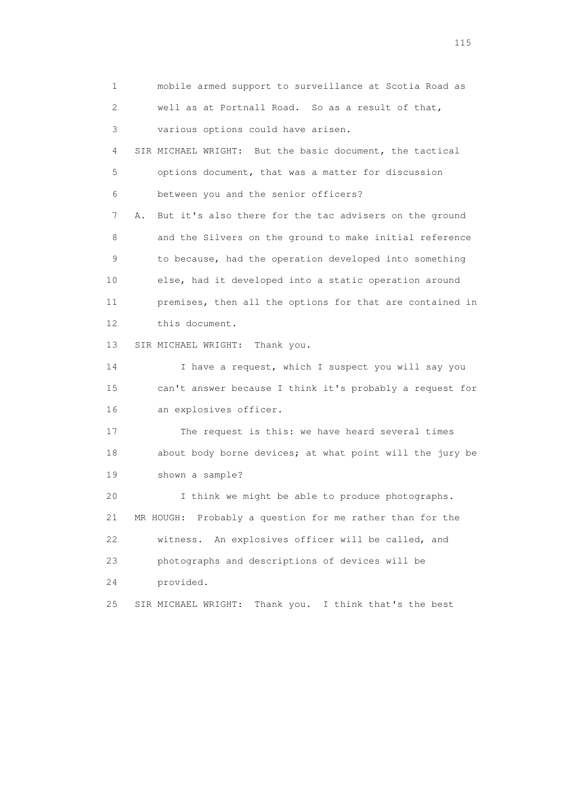1 mobile armed support to surveillance at Scotia Road as 2 well as at Portnall Road. So as a result of that, 3 various options could have arisen. 4 SIR MICHAEL WRIGHT: But the basic document, the tactical 5 options document, that was a matter for discussion 6 between you and the senior officers? 7 A. But it's also there for the tac advisers on the ground 8 and the Silvers on the ground to make initial reference 9 to because, had the operation developed into something 10 else, had it developed into a static operation around 11 premises, then all the options for that are contained in 12 this document. 13 SIR MICHAEL WRIGHT: Thank you. 14 I have a request, which I suspect you will say you 15 can't answer because I think it's probably a request for 16 an explosives officer. 17 The request is this: we have heard several times 18 about body borne devices; at what point will the jury be 19 shown a sample? 20 I think we might be able to produce photographs. 21 MR HOUGH: Probably a question for me rather than for the 22 witness. An explosives officer will be called, and 23 photographs and descriptions of devices will be 24 provided. 25 SIR MICHAEL WRIGHT: Thank you. I think that's the best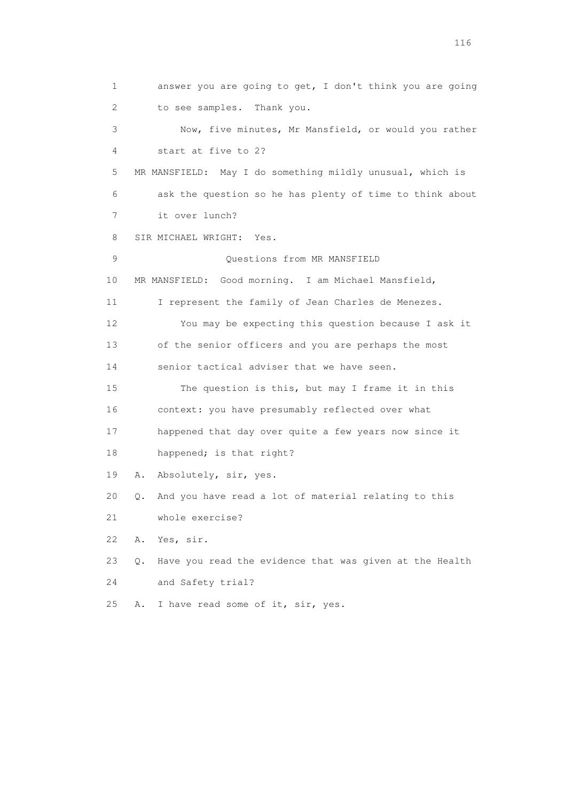1 answer you are going to get, I don't think you are going 2 to see samples. Thank you. 3 Now, five minutes, Mr Mansfield, or would you rather 4 start at five to 2? 5 MR MANSFIELD: May I do something mildly unusual, which is 6 ask the question so he has plenty of time to think about 7 it over lunch? 8 SIR MICHAEL WRIGHT: Yes. 9 Questions from MR MANSFIELD 10 MR MANSFIELD: Good morning. I am Michael Mansfield, 11 I represent the family of Jean Charles de Menezes. 12 You may be expecting this question because I ask it 13 of the senior officers and you are perhaps the most 14 senior tactical adviser that we have seen. 15 The question is this, but may I frame it in this 16 context: you have presumably reflected over what 17 happened that day over quite a few years now since it 18 happened; is that right? 19 A. Absolutely, sir, yes. 20 Q. And you have read a lot of material relating to this 21 whole exercise? 22 A. Yes, sir. 23 Q. Have you read the evidence that was given at the Health 24 and Safety trial? 25 A. I have read some of it, sir, yes.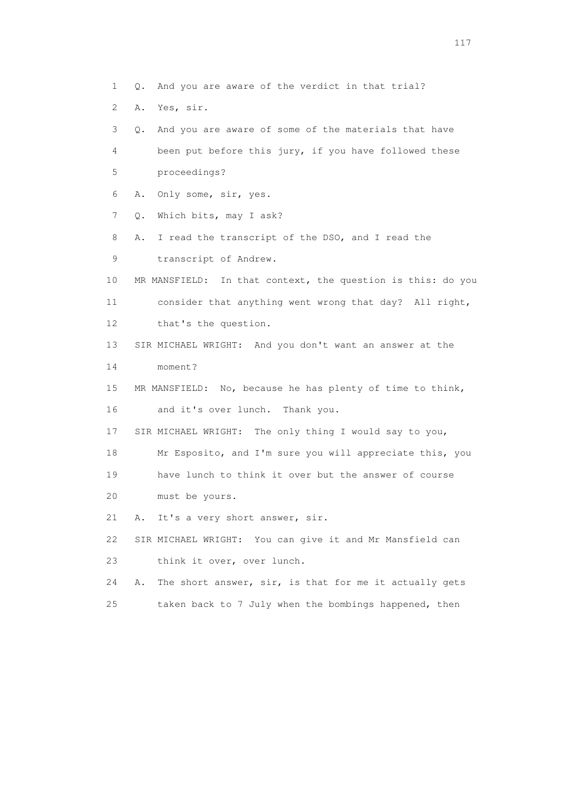1 Q. And you are aware of the verdict in that trial?

2 A. Yes, sir.

 3 Q. And you are aware of some of the materials that have 4 been put before this jury, if you have followed these 5 proceedings? 6 A. Only some, sir, yes. 7 Q. Which bits, may I ask? 8 A. I read the transcript of the DSO, and I read the 9 transcript of Andrew. 10 MR MANSFIELD: In that context, the question is this: do you 11 consider that anything went wrong that day? All right, 12 that's the question. 13 SIR MICHAEL WRIGHT: And you don't want an answer at the 14 moment? 15 MR MANSFIELD: No, because he has plenty of time to think, 16 and it's over lunch. Thank you. 17 SIR MICHAEL WRIGHT: The only thing I would say to you, 18 Mr Esposito, and I'm sure you will appreciate this, you 19 have lunch to think it over but the answer of course 20 must be yours. 21 A. It's a very short answer, sir. 22 SIR MICHAEL WRIGHT: You can give it and Mr Mansfield can 23 think it over, over lunch. 24 A. The short answer, sir, is that for me it actually gets 25 taken back to 7 July when the bombings happened, then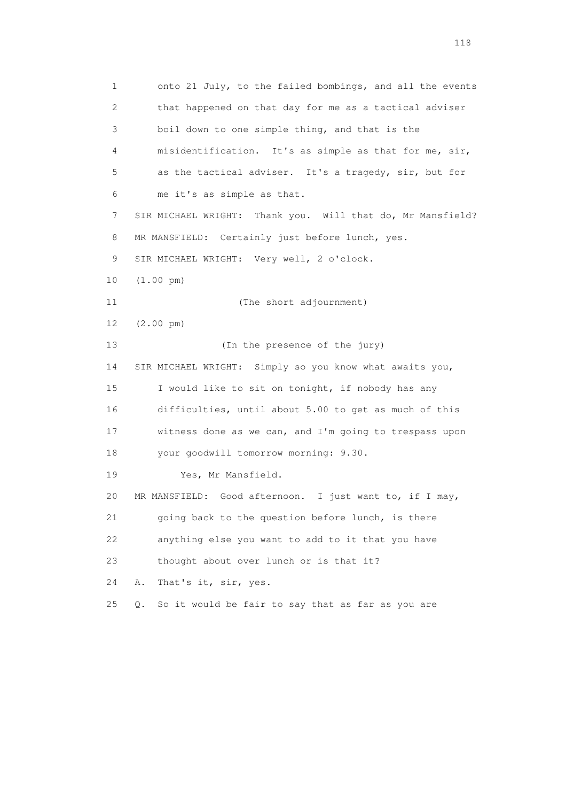1 onto 21 July, to the failed bombings, and all the events 2 that happened on that day for me as a tactical adviser 3 boil down to one simple thing, and that is the 4 misidentification. It's as simple as that for me, sir, 5 as the tactical adviser. It's a tragedy, sir, but for 6 me it's as simple as that. 7 SIR MICHAEL WRIGHT: Thank you. Will that do, Mr Mansfield? 8 MR MANSFIELD: Certainly just before lunch, yes. 9 SIR MICHAEL WRIGHT: Very well, 2 o'clock. 10 (1.00 pm) 11 (The short adjournment) 12 (2.00 pm) 13 (In the presence of the jury) 14 SIR MICHAEL WRIGHT: Simply so you know what awaits you, 15 I would like to sit on tonight, if nobody has any 16 difficulties, until about 5.00 to get as much of this 17 witness done as we can, and I'm going to trespass upon 18 your goodwill tomorrow morning: 9.30. 19 Yes, Mr Mansfield. 20 MR MANSFIELD: Good afternoon. I just want to, if I may, 21 going back to the question before lunch, is there 22 anything else you want to add to it that you have 23 thought about over lunch or is that it? 24 A. That's it, sir, yes. 25 Q. So it would be fair to say that as far as you are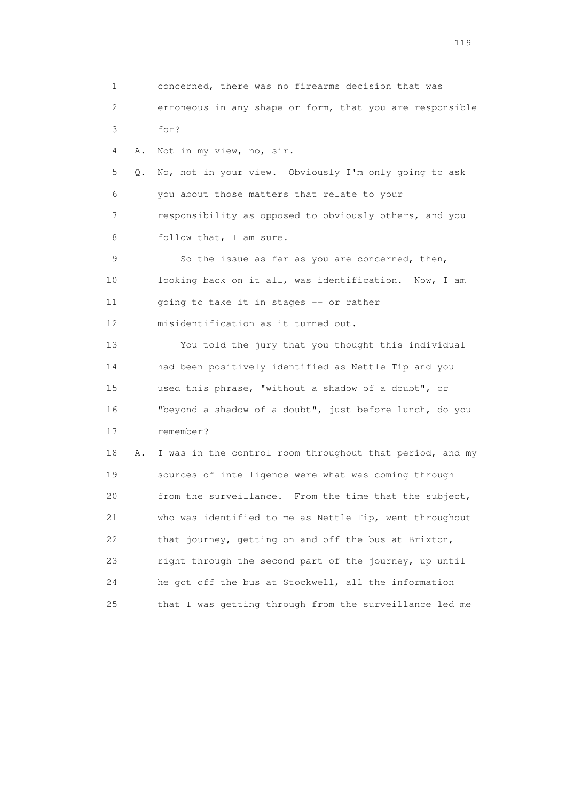1 concerned, there was no firearms decision that was 2 erroneous in any shape or form, that you are responsible 3 for? 4 A. Not in my view, no, sir. 5 Q. No, not in your view. Obviously I'm only going to ask 6 you about those matters that relate to your 7 responsibility as opposed to obviously others, and you 8 follow that, I am sure. 9 So the issue as far as you are concerned, then, 10 looking back on it all, was identification. Now, I am 11 going to take it in stages -- or rather 12 misidentification as it turned out. 13 You told the jury that you thought this individual 14 had been positively identified as Nettle Tip and you 15 used this phrase, "without a shadow of a doubt", or 16 "beyond a shadow of a doubt", just before lunch, do you 17 remember? 18 A. I was in the control room throughout that period, and my 19 sources of intelligence were what was coming through 20 from the surveillance. From the time that the subject, 21 who was identified to me as Nettle Tip, went throughout 22 that journey, getting on and off the bus at Brixton, 23 right through the second part of the journey, up until 24 he got off the bus at Stockwell, all the information 25 that I was getting through from the surveillance led me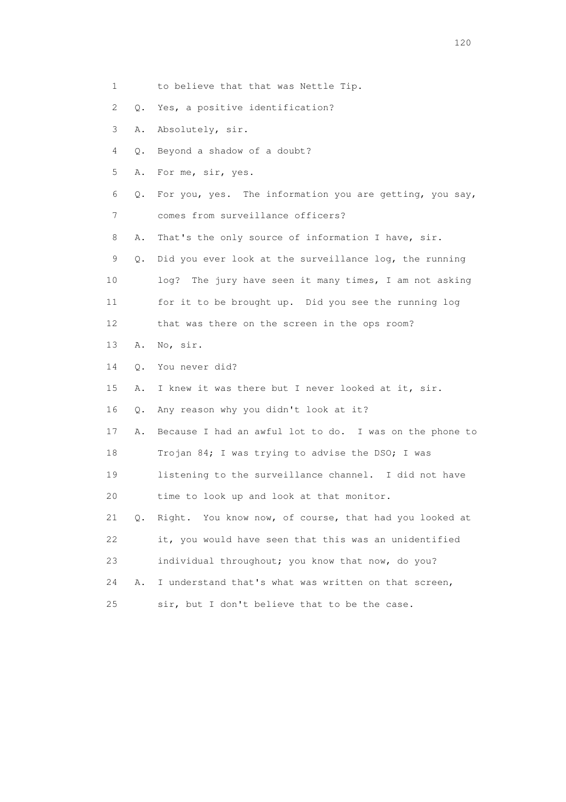|  | to believe that that was Nettle Tip. |  |  |  |  |
|--|--------------------------------------|--|--|--|--|
|--|--------------------------------------|--|--|--|--|

- 2 Q. Yes, a positive identification?
- 3 A. Absolutely, sir.
- 4 Q. Beyond a shadow of a doubt?
- 5 A. For me, sir, yes.
- 6 Q. For you, yes. The information you are getting, you say, 7 comes from surveillance officers?
- 8 A. That's the only source of information I have, sir.
- 9 Q. Did you ever look at the surveillance log, the running 10 log? The jury have seen it many times, I am not asking 11 for it to be brought up. Did you see the running log 12 that was there on the screen in the ops room?
- 13 A. No, sir.
- 14 Q. You never did?
- 15 A. I knew it was there but I never looked at it, sir.
- 16 Q. Any reason why you didn't look at it?
- 17 A. Because I had an awful lot to do. I was on the phone to
- 18 Trojan 84; I was trying to advise the DSO; I was
- 19 listening to the surveillance channel. I did not have
- 20 time to look up and look at that monitor.
- 21 Q. Right. You know now, of course, that had you looked at 22 it, you would have seen that this was an unidentified 23 individual throughout; you know that now, do you?
- 24 A. I understand that's what was written on that screen, 25 sir, but I don't believe that to be the case.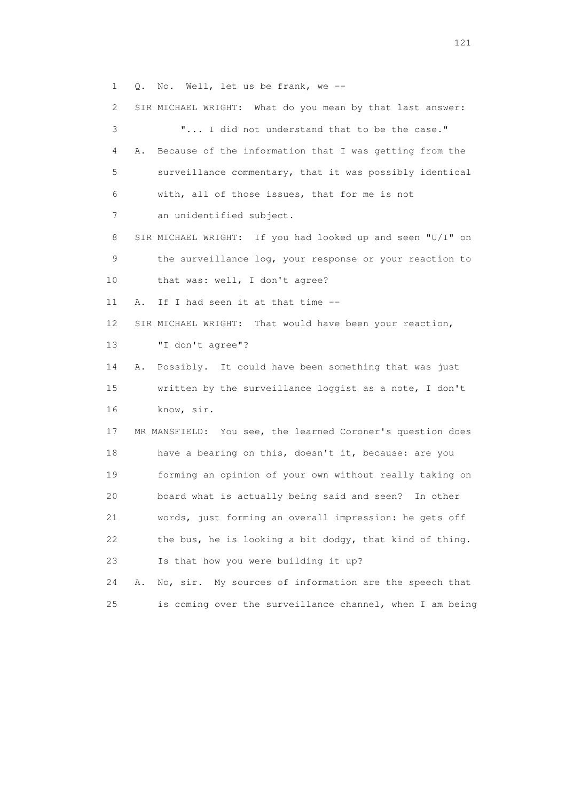1 Q. No. Well, let us be frank, we --

 2 SIR MICHAEL WRIGHT: What do you mean by that last answer: 3 "... I did not understand that to be the case." 4 A. Because of the information that I was getting from the 5 surveillance commentary, that it was possibly identical 6 with, all of those issues, that for me is not 7 an unidentified subject. 8 SIR MICHAEL WRIGHT: If you had looked up and seen "U/I" on 9 the surveillance log, your response or your reaction to 10 that was: well, I don't agree? 11 A. If I had seen it at that time -- 12 SIR MICHAEL WRIGHT: That would have been your reaction, 13 "I don't agree"? 14 A. Possibly. It could have been something that was just 15 written by the surveillance loggist as a note, I don't 16 know, sir. 17 MR MANSFIELD: You see, the learned Coroner's question does 18 have a bearing on this, doesn't it, because: are you 19 forming an opinion of your own without really taking on 20 board what is actually being said and seen? In other 21 words, just forming an overall impression: he gets off 22 the bus, he is looking a bit dodgy, that kind of thing. 23 Is that how you were building it up? 24 A. No, sir. My sources of information are the speech that

25 is coming over the surveillance channel, when I am being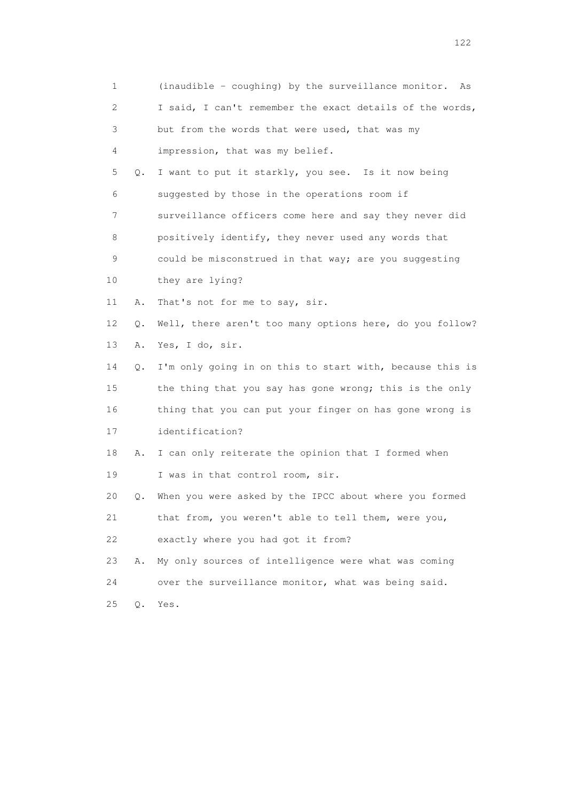| $\mathbf 1$ |    | (inaudible - coughing) by the surveillance monitor. As   |
|-------------|----|----------------------------------------------------------|
| 2           |    | I said, I can't remember the exact details of the words, |
| 3           |    | but from the words that were used, that was my           |
| 4           |    | impression, that was my belief.                          |
| 5           | Q. | I want to put it starkly, you see. Is it now being       |
| 6           |    | suggested by those in the operations room if             |
| 7           |    | surveillance officers come here and say they never did   |
| 8           |    | positively identify, they never used any words that      |
| 9           |    | could be misconstrued in that way; are you suggesting    |
| 10          |    | they are lying?                                          |
| 11          | Α. | That's not for me to say, sir.                           |
| 12          | Q. | Well, there aren't too many options here, do you follow? |
| 13          | Α. | Yes, I do, sir.                                          |
| 14          | Q. | I'm only going in on this to start with, because this is |
| 15          |    | the thing that you say has gone wrong; this is the only  |
| 16          |    | thing that you can put your finger on has gone wrong is  |
| 17          |    | identification?                                          |
| 18          | Α. | I can only reiterate the opinion that I formed when      |
| 19          |    | I was in that control room, sir.                         |
| 20          | Q. | When you were asked by the IPCC about where you formed   |
| 21          |    | that from, you weren't able to tell them, were you,      |
| 22          |    | exactly where you had got it from?                       |
| 23          | Α. | My only sources of intelligence were what was coming     |
| 24          |    | over the surveillance monitor, what was being said.      |
| 25          | Q. | Yes.                                                     |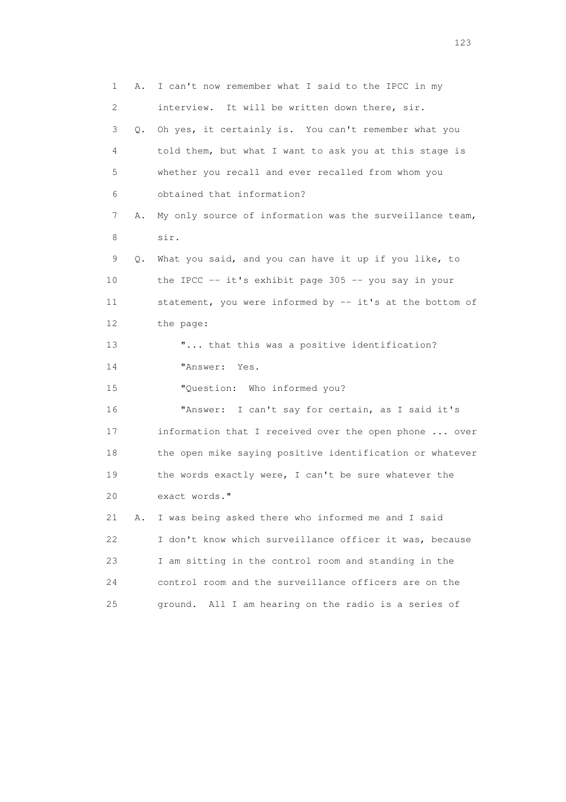| 1  | Α. | I can't now remember what I said to the IPCC in my         |
|----|----|------------------------------------------------------------|
| 2  |    | interview. It will be written down there, sir.             |
| 3  | Q. | Oh yes, it certainly is. You can't remember what you       |
| 4  |    | told them, but what I want to ask you at this stage is     |
| 5  |    | whether you recall and ever recalled from whom you         |
| 6  |    | obtained that information?                                 |
| 7  | Α. | My only source of information was the surveillance team,   |
| 8  |    | sir.                                                       |
| 9  | Q. | What you said, and you can have it up if you like, to      |
| 10 |    | the IPCC $-$ - it's exhibit page 305 $-$ - you say in your |
| 11 |    | statement, you were informed by -- it's at the bottom of   |
| 12 |    | the page:                                                  |
| 13 |    | " that this was a positive identification?                 |
| 14 |    | "Answer: Yes.                                              |
| 15 |    | "Question: Who informed you?                               |
| 16 |    | "Answer: I can't say for certain, as I said it's           |
| 17 |    | information that I received over the open phone  over      |
| 18 |    | the open mike saying positive identification or whatever   |
| 19 |    | the words exactly were, I can't be sure whatever the       |
| 20 |    | exact words."                                              |
| 21 | Α. | I was being asked there who informed me and I said         |
| 22 |    | I don't know which surveillance officer it was, because    |
| 23 |    | I am sitting in the control room and standing in the       |
| 24 |    | control room and the surveillance officers are on the      |
| 25 |    | ground. All I am hearing on the radio is a series of       |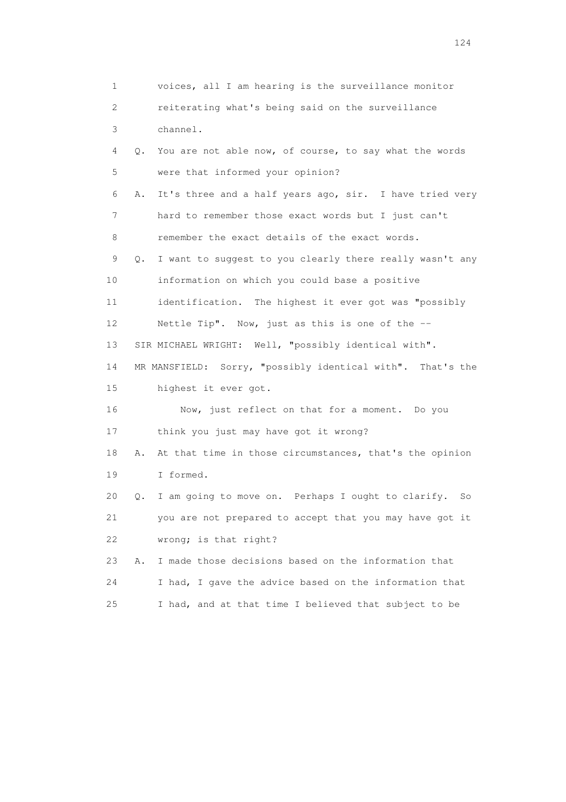1 voices, all I am hearing is the surveillance monitor 2 reiterating what's being said on the surveillance 3 channel. 4 Q. You are not able now, of course, to say what the words 5 were that informed your opinion? 6 A. It's three and a half years ago, sir. I have tried very 7 hard to remember those exact words but I just can't 8 remember the exact details of the exact words. 9 Q. I want to suggest to you clearly there really wasn't any 10 information on which you could base a positive 11 identification. The highest it ever got was "possibly 12 Nettle Tip". Now, just as this is one of the -- 13 SIR MICHAEL WRIGHT: Well, "possibly identical with". 14 MR MANSFIELD: Sorry, "possibly identical with". That's the 15 highest it ever got. 16 Now, just reflect on that for a moment. Do you 17 think you just may have got it wrong? 18 A. At that time in those circumstances, that's the opinion 19 I formed. 20 Q. I am going to move on. Perhaps I ought to clarify. So 21 you are not prepared to accept that you may have got it 22 wrong; is that right? 23 A. I made those decisions based on the information that 24 I had, I gave the advice based on the information that 25 I had, and at that time I believed that subject to be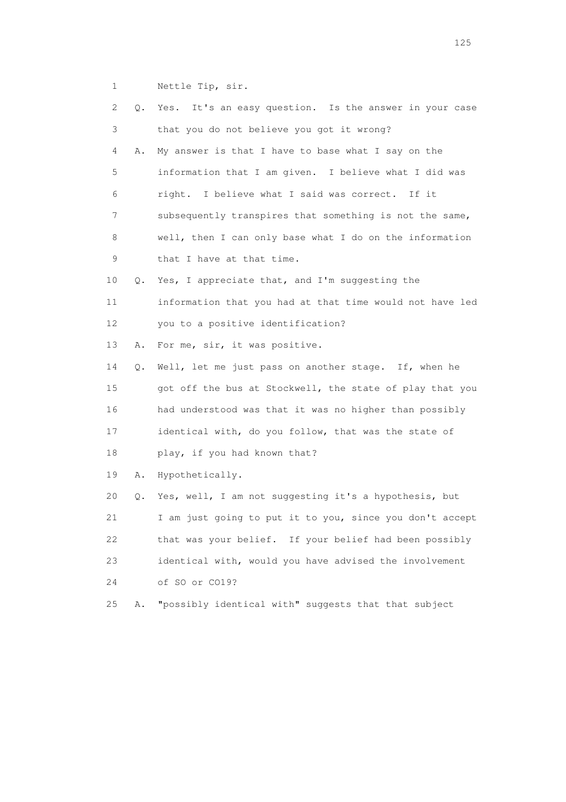1 Nettle Tip, sir.

| 2  | Q. | Yes. It's an easy question. Is the answer in your case   |
|----|----|----------------------------------------------------------|
| 3  |    | that you do not believe you got it wrong?                |
| 4  | Α. | My answer is that I have to base what I say on the       |
| 5  |    | information that I am given. I believe what I did was    |
| 6  |    | right. I believe what I said was correct. If it          |
| 7  |    | subsequently transpires that something is not the same,  |
| 8  |    | well, then I can only base what I do on the information  |
| 9  |    | that I have at that time.                                |
| 10 | Q. | Yes, I appreciate that, and I'm suggesting the           |
| 11 |    | information that you had at that time would not have led |
| 12 |    | you to a positive identification?                        |
| 13 | Α. | For me, sir, it was positive.                            |
| 14 | Q. | Well, let me just pass on another stage. If, when he     |
| 15 |    | got off the bus at Stockwell, the state of play that you |
| 16 |    | had understood was that it was no higher than possibly   |
| 17 |    | identical with, do you follow, that was the state of     |
| 18 |    | play, if you had known that?                             |
| 19 | Α. | Hypothetically.                                          |
| 20 | Q. | Yes, well, I am not suggesting it's a hypothesis, but    |
| 21 |    | I am just going to put it to you, since you don't accept |
| 22 |    | that was your belief. If your belief had been possibly   |
| 23 |    | identical with, would you have advised the involvement   |
| 24 |    | of SO or CO19?                                           |
| 25 | Α. | "possibly identical with" suggests that that subject     |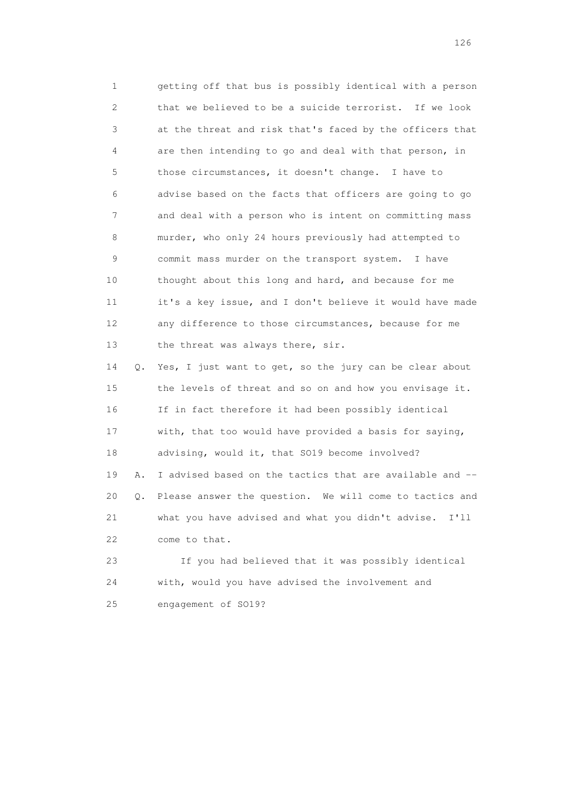1 getting off that bus is possibly identical with a person 2 that we believed to be a suicide terrorist. If we look 3 at the threat and risk that's faced by the officers that 4 are then intending to go and deal with that person, in 5 those circumstances, it doesn't change. I have to 6 advise based on the facts that officers are going to go 7 and deal with a person who is intent on committing mass 8 murder, who only 24 hours previously had attempted to 9 commit mass murder on the transport system. I have 10 thought about this long and hard, and because for me 11 it's a key issue, and I don't believe it would have made 12 any difference to those circumstances, because for me 13 the threat was always there, sir.

 14 Q. Yes, I just want to get, so the jury can be clear about 15 the levels of threat and so on and how you envisage it. 16 If in fact therefore it had been possibly identical 17 with, that too would have provided a basis for saying, 18 advising, would it, that SO19 become involved? 19 A. I advised based on the tactics that are available and -- 20 Q. Please answer the question. We will come to tactics and 21 what you have advised and what you didn't advise. I'll 22 come to that.

 23 If you had believed that it was possibly identical 24 with, would you have advised the involvement and 25 engagement of SO19?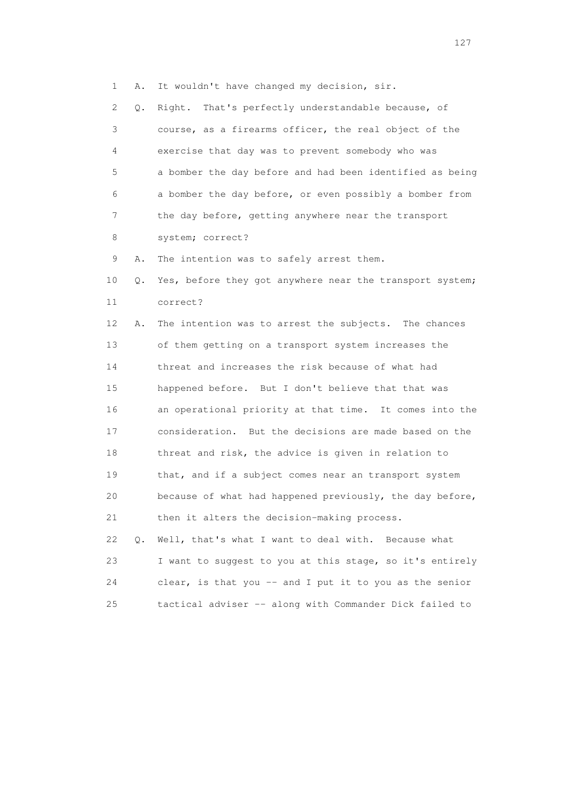1 A. It wouldn't have changed my decision, sir.

 2 Q. Right. That's perfectly understandable because, of 3 course, as a firearms officer, the real object of the 4 exercise that day was to prevent somebody who was 5 a bomber the day before and had been identified as being 6 a bomber the day before, or even possibly a bomber from 7 the day before, getting anywhere near the transport 8 system; correct? 9 A. The intention was to safely arrest them.

10 Q. Yes, before they got anywhere near the transport system; 11 correct?

 12 A. The intention was to arrest the subjects. The chances 13 of them getting on a transport system increases the 14 threat and increases the risk because of what had 15 happened before. But I don't believe that that was 16 an operational priority at that time. It comes into the 17 consideration. But the decisions are made based on the 18 threat and risk, the advice is given in relation to 19 that, and if a subject comes near an transport system 20 because of what had happened previously, the day before, 21 then it alters the decision-making process.

 22 Q. Well, that's what I want to deal with. Because what 23 I want to suggest to you at this stage, so it's entirely 24 clear, is that you -- and I put it to you as the senior 25 tactical adviser -- along with Commander Dick failed to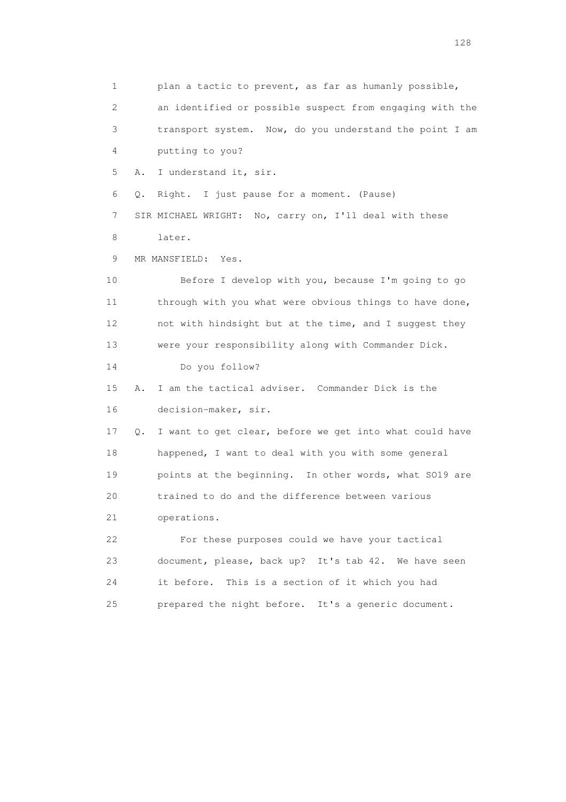1 plan a tactic to prevent, as far as humanly possible, 2 an identified or possible suspect from engaging with the 3 transport system. Now, do you understand the point I am 4 putting to you? 5 A. I understand it, sir. 6 Q. Right. I just pause for a moment. (Pause) 7 SIR MICHAEL WRIGHT: No, carry on, I'll deal with these 8 later. 9 MR MANSFIELD: Yes. 10 Before I develop with you, because I'm going to go 11 through with you what were obvious things to have done, 12 not with hindsight but at the time, and I suggest they 13 were your responsibility along with Commander Dick. 14 Do you follow? 15 A. I am the tactical adviser. Commander Dick is the 16 decision-maker, sir. 17 Q. I want to get clear, before we get into what could have 18 happened, I want to deal with you with some general 19 points at the beginning. In other words, what SO19 are 20 trained to do and the difference between various 21 operations. 22 For these purposes could we have your tactical 23 document, please, back up? It's tab 42. We have seen 24 it before. This is a section of it which you had 25 prepared the night before. It's a generic document.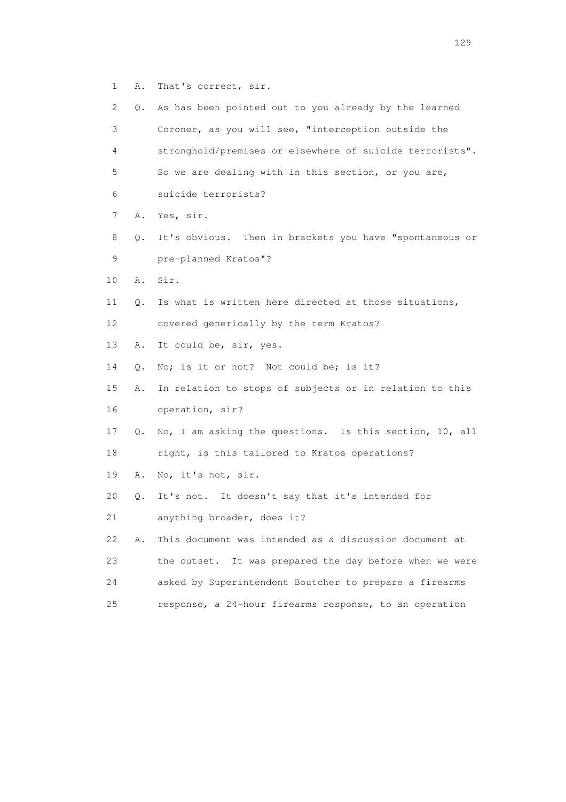1 A. That's correct, sir.

| $\mathbf{2}^{\mathsf{I}}$ | Q. | As has been pointed out to you already by the learned    |
|---------------------------|----|----------------------------------------------------------|
| 3                         |    | Coroner, as you will see, "interception outside the      |
| 4                         |    | stronghold/premises or elsewhere of suicide terrorists". |
| 5                         |    | So we are dealing with in this section, or you are,      |
| 6                         |    | suicide terrorists?                                      |
| 7                         | Α. | Yes, sir.                                                |
| 8                         | Q. | It's obvious. Then in brackets you have "spontaneous or  |
| 9                         |    | pre-planned Kratos"?                                     |
| 10                        | Α. | Sir.                                                     |
| 11                        | Q. | Is what is written here directed at those situations,    |
| 12                        |    | covered generically by the term Kratos?                  |
| 13                        | Α. | It could be, sir, yes.                                   |
| 14                        | Q. | No; is it or not? Not could be; is it?                   |
| 15                        | Α. | In relation to stops of subjects or in relation to this  |
| 16                        |    | operation, sir?                                          |
| 17                        | Q. | No, I am asking the questions. Is this section, 10, all  |
| 18                        |    | right, is this tailored to Kratos operations?            |
| 19                        | Α. | No, it's not, sir.                                       |
| 20                        | Q. | It's not. It doesn't say that it's intended for          |
| 21                        |    | anything broader, does it?                               |
| 22                        | Α. | This document was intended as a discussion document at   |
| 23                        |    | the outset. It was prepared the day before when we were  |
| 24                        |    | asked by Superintendent Boutcher to prepare a firearms   |
| $25$                      |    | response, a 24-hour firearms response, to an operation   |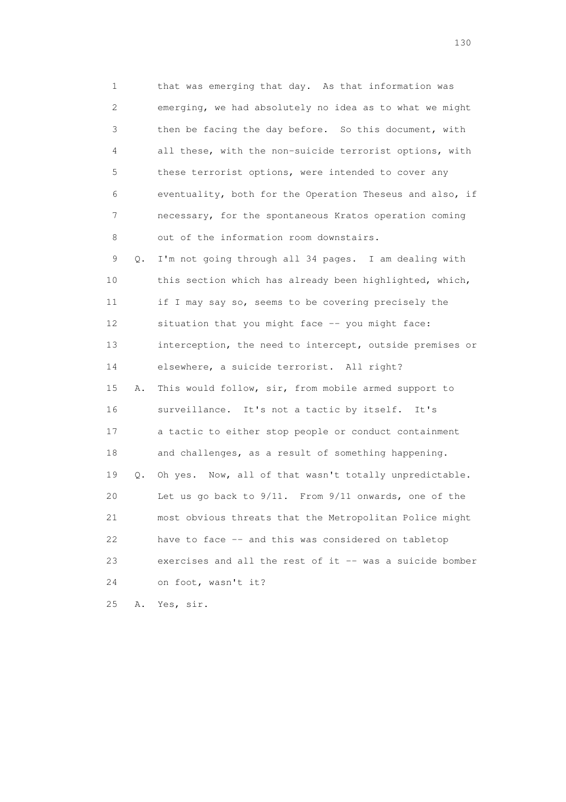1 that was emerging that day. As that information was 2 emerging, we had absolutely no idea as to what we might 3 then be facing the day before. So this document, with 4 all these, with the non-suicide terrorist options, with 5 these terrorist options, were intended to cover any 6 eventuality, both for the Operation Theseus and also, if 7 necessary, for the spontaneous Kratos operation coming 8 out of the information room downstairs.

 9 Q. I'm not going through all 34 pages. I am dealing with 10 this section which has already been highlighted, which, 11 if I may say so, seems to be covering precisely the 12 situation that you might face -- you might face: 13 interception, the need to intercept, outside premises or 14 elsewhere, a suicide terrorist. All right? 15 A. This would follow, sir, from mobile armed support to 16 surveillance. It's not a tactic by itself. It's 17 a tactic to either stop people or conduct containment 18 and challenges, as a result of something happening. 19 Q. Oh yes. Now, all of that wasn't totally unpredictable. 20 Let us go back to 9/11. From 9/11 onwards, one of the 21 most obvious threats that the Metropolitan Police might 22 have to face -- and this was considered on tabletop 23 exercises and all the rest of it -- was a suicide bomber 24 on foot, wasn't it?

25 A. Yes, sir.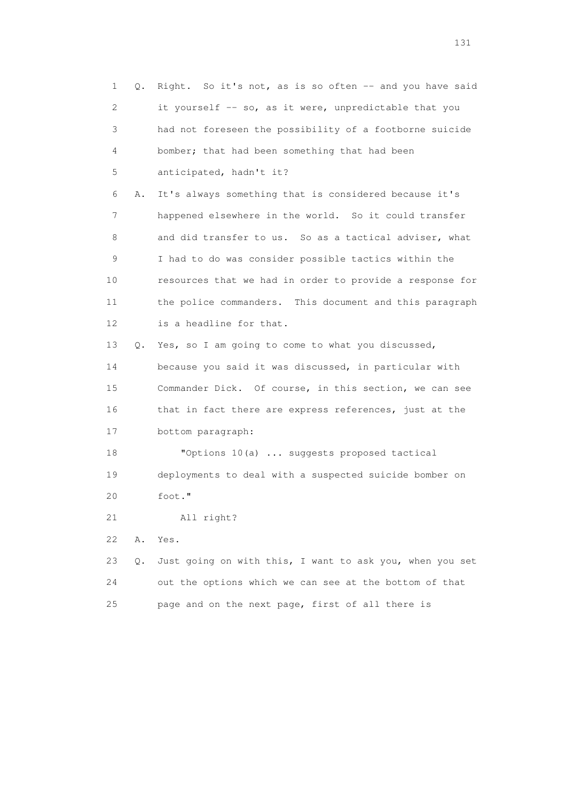1 Q. Right. So it's not, as is so often -- and you have said 2 it yourself -- so, as it were, unpredictable that you 3 had not foreseen the possibility of a footborne suicide 4 bomber; that had been something that had been 5 anticipated, hadn't it? 6 A. It's always something that is considered because it's 7 happened elsewhere in the world. So it could transfer 8 and did transfer to us. So as a tactical adviser, what 9 I had to do was consider possible tactics within the 10 resources that we had in order to provide a response for 11 the police commanders. This document and this paragraph 12 is a headline for that. 13 Q. Yes, so I am going to come to what you discussed, 14 because you said it was discussed, in particular with 15 Commander Dick. Of course, in this section, we can see 16 that in fact there are express references, just at the 17 bottom paragraph: 18 "Options 10(a) ... suggests proposed tactical 19 deployments to deal with a suspected suicide bomber on 20 foot." 21 All right? 22 A. Yes. 23 Q. Just going on with this, I want to ask you, when you set 24 out the options which we can see at the bottom of that 25 page and on the next page, first of all there is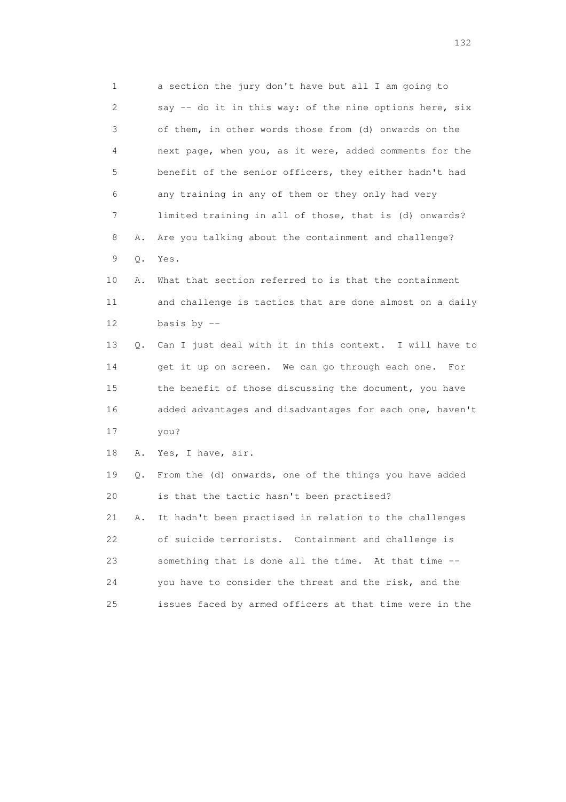1 a section the jury don't have but all I am going to 2 say -- do it in this way: of the nine options here, six 3 of them, in other words those from (d) onwards on the 4 next page, when you, as it were, added comments for the 5 benefit of the senior officers, they either hadn't had 6 any training in any of them or they only had very 7 limited training in all of those, that is (d) onwards? 8 A. Are you talking about the containment and challenge? 9 Q. Yes.

 10 A. What that section referred to is that the containment 11 and challenge is tactics that are done almost on a daily 12 basis by --

 13 Q. Can I just deal with it in this context. I will have to 14 get it up on screen. We can go through each one. For 15 the benefit of those discussing the document, you have 16 added advantages and disadvantages for each one, haven't 17 you?

18 A. Yes, I have, sir.

 19 Q. From the (d) onwards, one of the things you have added 20 is that the tactic hasn't been practised?

 21 A. It hadn't been practised in relation to the challenges 22 of suicide terrorists. Containment and challenge is 23 something that is done all the time. At that time -- 24 you have to consider the threat and the risk, and the 25 issues faced by armed officers at that time were in the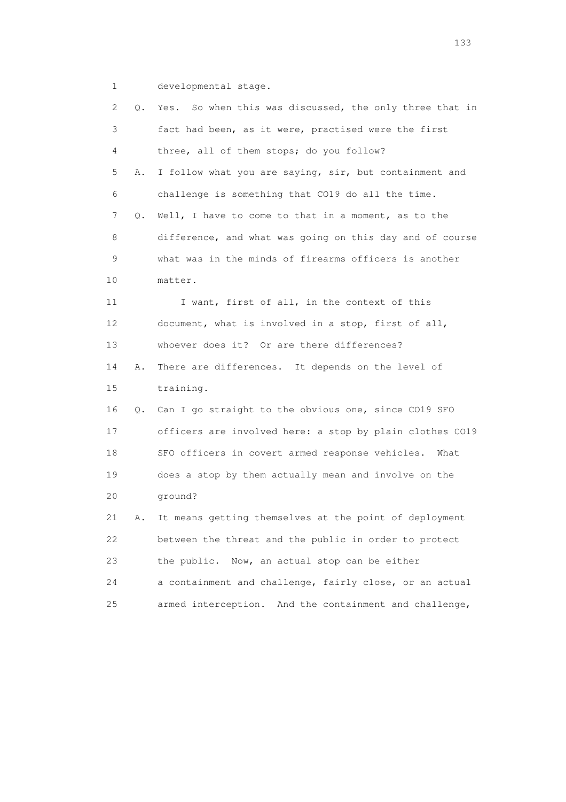1 developmental stage.

| 2    | Q. | Yes. So when this was discussed, the only three that in  |
|------|----|----------------------------------------------------------|
| 3    |    | fact had been, as it were, practised were the first      |
| 4    |    | three, all of them stops; do you follow?                 |
| 5    | Α. | I follow what you are saying, sir, but containment and   |
| 6    |    | challenge is something that CO19 do all the time.        |
| 7    | Q. | Well, I have to come to that in a moment, as to the      |
| 8    |    | difference, and what was going on this day and of course |
| 9    |    | what was in the minds of firearms officers is another    |
| 10   |    | matter.                                                  |
| 11   |    | I want, first of all, in the context of this             |
| 12   |    | document, what is involved in a stop, first of all,      |
| 13   |    | whoever does it? Or are there differences?               |
| 14   | Α. | There are differences. It depends on the level of        |
| 15   |    | training.                                                |
| 16   | Q. | Can I go straight to the obvious one, since CO19 SFO     |
| 17   |    | officers are involved here: a stop by plain clothes CO19 |
| 18   |    | SFO officers in covert armed response vehicles.<br>What  |
| 19   |    | does a stop by them actually mean and involve on the     |
| 20   |    | ground?                                                  |
| 21   | Α. | It means getting themselves at the point of deployment   |
| 22   |    | between the threat and the public in order to protect    |
| 23   |    | the public.<br>Now, an actual stop can be either         |
| 24   |    | a containment and challenge, fairly close, or an actual  |
| $25$ |    | armed interception. And the containment and challenge,   |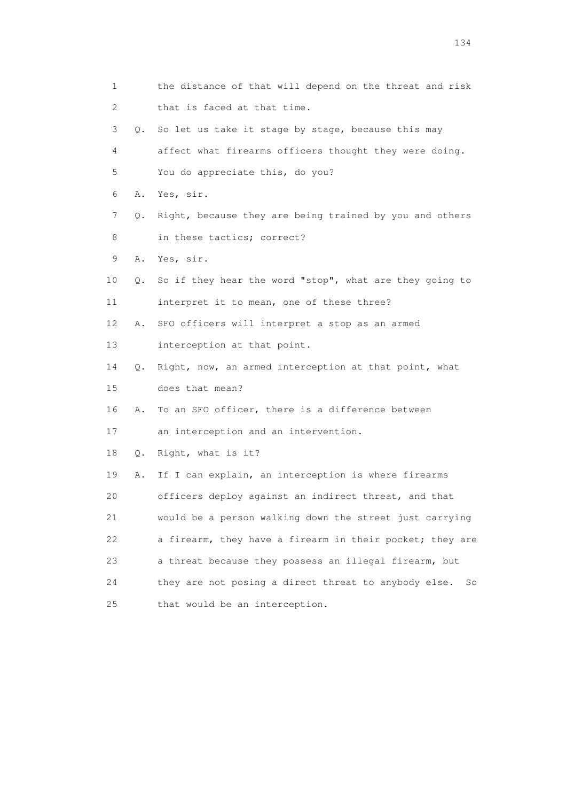1 the distance of that will depend on the threat and risk 2 that is faced at that time. 3 Q. So let us take it stage by stage, because this may 4 affect what firearms officers thought they were doing. 5 You do appreciate this, do you? 6 A. Yes, sir. 7 Q. Right, because they are being trained by you and others 8 in these tactics; correct? 9 A. Yes, sir. 10 Q. So if they hear the word "stop", what are they going to 11 interpret it to mean, one of these three? 12 A. SFO officers will interpret a stop as an armed 13 interception at that point. 14 Q. Right, now, an armed interception at that point, what 15 does that mean? 16 A. To an SFO officer, there is a difference between 17 an interception and an intervention. 18 Q. Right, what is it? 19 A. If I can explain, an interception is where firearms 20 officers deploy against an indirect threat, and that 21 would be a person walking down the street just carrying 22 a firearm, they have a firearm in their pocket; they are 23 a threat because they possess an illegal firearm, but 24 they are not posing a direct threat to anybody else. So 25 that would be an interception.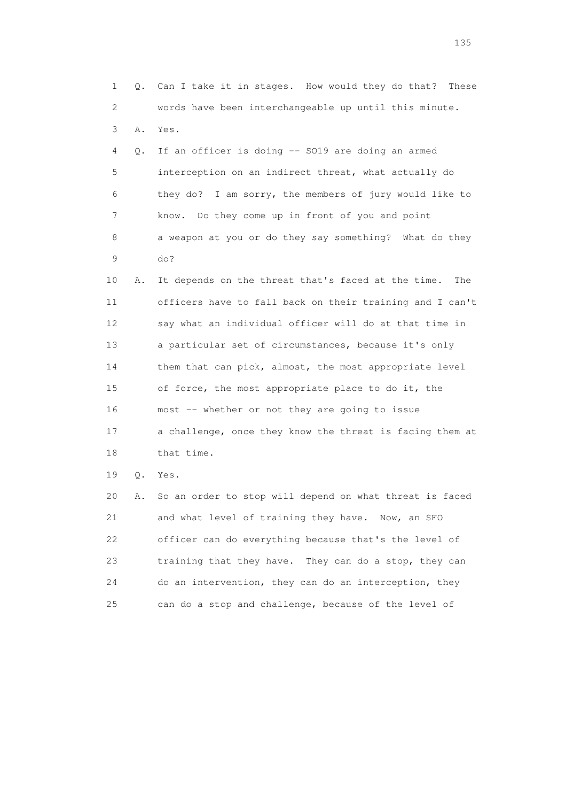1 Q. Can I take it in stages. How would they do that? These 2 words have been interchangeable up until this minute. 3 A. Yes. 4 Q. If an officer is doing -- SO19 are doing an armed 5 interception on an indirect threat, what actually do 6 they do? I am sorry, the members of jury would like to 7 know. Do they come up in front of you and point 8 a weapon at you or do they say something? What do they 9 do? 10 A. It depends on the threat that's faced at the time. The 11 officers have to fall back on their training and I can't 12 say what an individual officer will do at that time in 13 a particular set of circumstances, because it's only 14 them that can pick, almost, the most appropriate level 15 of force, the most appropriate place to do it, the 16 most -- whether or not they are going to issue 17 a challenge, once they know the threat is facing them at 18 that time. 19 Q. Yes. 20 A. So an order to stop will depend on what threat is faced

21 and what level of training they have. Now, an SFO 22 officer can do everything because that's the level of 23 training that they have. They can do a stop, they can 24 do an intervention, they can do an interception, they 25 can do a stop and challenge, because of the level of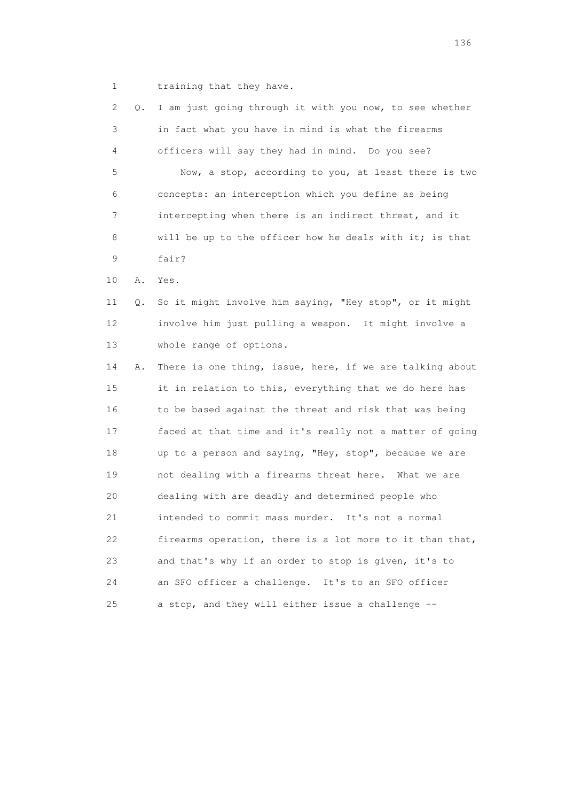1 training that they have.

| 2  | Q. | I am just going through it with you now, to see whether  |
|----|----|----------------------------------------------------------|
| 3  |    | in fact what you have in mind is what the firearms       |
| 4  |    | officers will say they had in mind. Do you see?          |
| 5  |    | Now, a stop, according to you, at least there is two     |
| 6  |    | concepts: an interception which you define as being      |
| 7  |    | intercepting when there is an indirect threat, and it    |
| 8  |    | will be up to the officer how he deals with it; is that  |
| 9  |    | fair?                                                    |
| 10 | Α. | Yes.                                                     |
| 11 | Q. | So it might involve him saying, "Hey stop", or it might  |
| 12 |    | involve him just pulling a weapon. It might involve a    |
| 13 |    | whole range of options.                                  |
| 14 | Α. | There is one thing, issue, here, if we are talking about |
| 15 |    | it in relation to this, everything that we do here has   |
| 16 |    | to be based against the threat and risk that was being   |
| 17 |    | faced at that time and it's really not a matter of going |
| 18 |    | up to a person and saying, "Hey, stop", because we are   |
| 19 |    | not dealing with a firearms threat here. What we are     |
| 20 |    | dealing with are deadly and determined people who        |
| 21 |    | intended to commit mass murder. It's not a normal        |
| 22 |    | firearms operation, there is a lot more to it than that, |
| 23 |    | and that's why if an order to stop is given, it's to     |
| 24 |    | an SFO officer a challenge. It's to an SFO officer       |
| 25 |    | a stop, and they will either issue a challenge --        |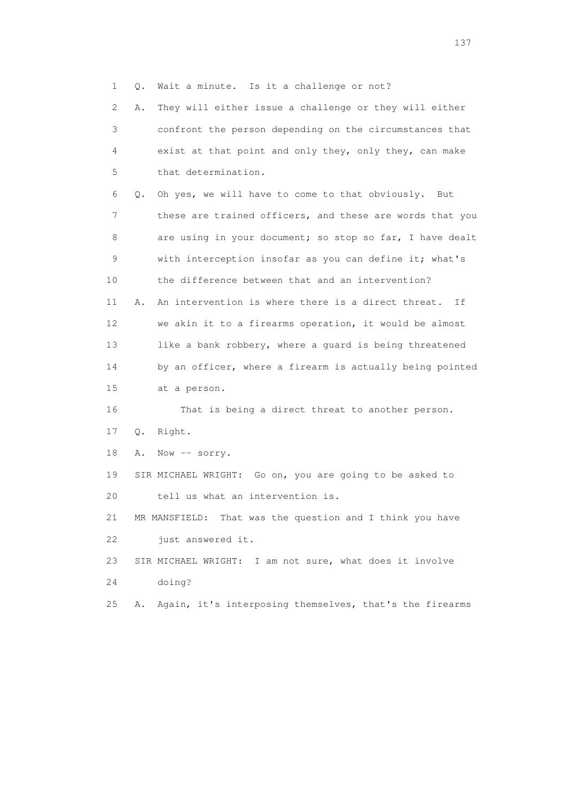1 Q. Wait a minute. Is it a challenge or not?

 2 A. They will either issue a challenge or they will either 3 confront the person depending on the circumstances that 4 exist at that point and only they, only they, can make 5 that determination.

 6 Q. Oh yes, we will have to come to that obviously. But 7 these are trained officers, and these are words that you 8 are using in your document; so stop so far, I have dealt 9 with interception insofar as you can define it; what's 10 the difference between that and an intervention? 11 A. An intervention is where there is a direct threat. If 12 we akin it to a firearms operation, it would be almost 13 like a bank robbery, where a quard is being threatened 14 by an officer, where a firearm is actually being pointed 15 at a person.

 16 That is being a direct threat to another person. 17 Q. Right.

18 A. Now -- sorry.

 19 SIR MICHAEL WRIGHT: Go on, you are going to be asked to 20 tell us what an intervention is.

 21 MR MANSFIELD: That was the question and I think you have 22 just answered it.

 23 SIR MICHAEL WRIGHT: I am not sure, what does it involve 24 doing?

25 A. Again, it's interposing themselves, that's the firearms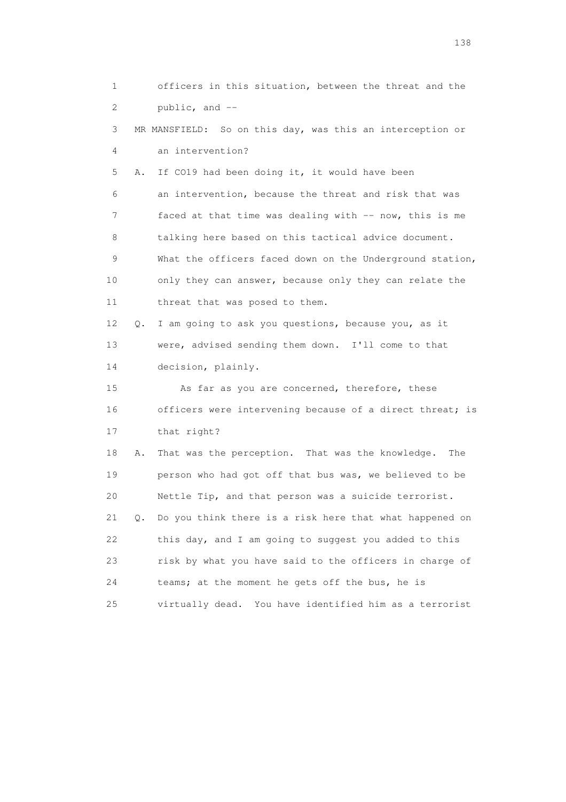1 officers in this situation, between the threat and the 2 public, and -- 3 MR MANSFIELD: So on this day, was this an interception or 4 an intervention? 5 A. If CO19 had been doing it, it would have been 6 an intervention, because the threat and risk that was 7 faced at that time was dealing with -- now, this is me 8 talking here based on this tactical advice document. 9 What the officers faced down on the Underground station, 10 only they can answer, because only they can relate the 11 threat that was posed to them. 12 Q. I am going to ask you questions, because you, as it 13 were, advised sending them down. I'll come to that 14 decision, plainly. 15 As far as you are concerned, therefore, these 16 officers were intervening because of a direct threat; is 17 that right? 18 A. That was the perception. That was the knowledge. The 19 person who had got off that bus was, we believed to be 20 Nettle Tip, and that person was a suicide terrorist. 21 Q. Do you think there is a risk here that what happened on 22 this day, and I am going to suggest you added to this 23 risk by what you have said to the officers in charge of 24 teams; at the moment he gets off the bus, he is 25 virtually dead. You have identified him as a terrorist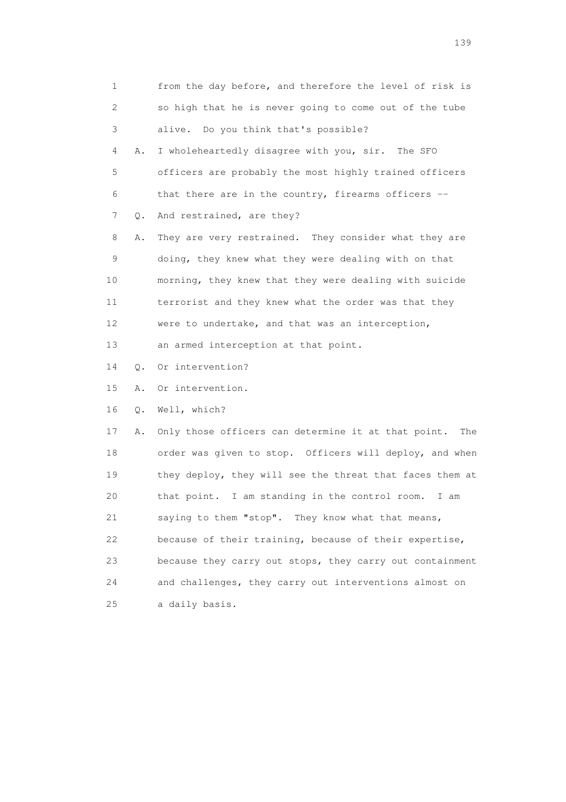1 from the day before, and therefore the level of risk is 2 so high that he is never going to come out of the tube 3 alive. Do you think that's possible? 4 A. I wholeheartedly disagree with you, sir. The SFO 5 officers are probably the most highly trained officers 6 that there are in the country, firearms officers -- 7 Q. And restrained, are they? 8 A. They are very restrained. They consider what they are 9 doing, they knew what they were dealing with on that 10 morning, they knew that they were dealing with suicide 11 terrorist and they knew what the order was that they 12 were to undertake, and that was an interception, 13 an armed interception at that point. 14 Q. Or intervention? 15 A. Or intervention. 16 Q. Well, which? 17 A. Only those officers can determine it at that point. The 18 order was given to stop. Officers will deploy, and when 19 they deploy, they will see the threat that faces them at 20 that point. I am standing in the control room. I am 21 saying to them "stop". They know what that means, 22 because of their training, because of their expertise, 23 because they carry out stops, they carry out containment 24 and challenges, they carry out interventions almost on 25 a daily basis.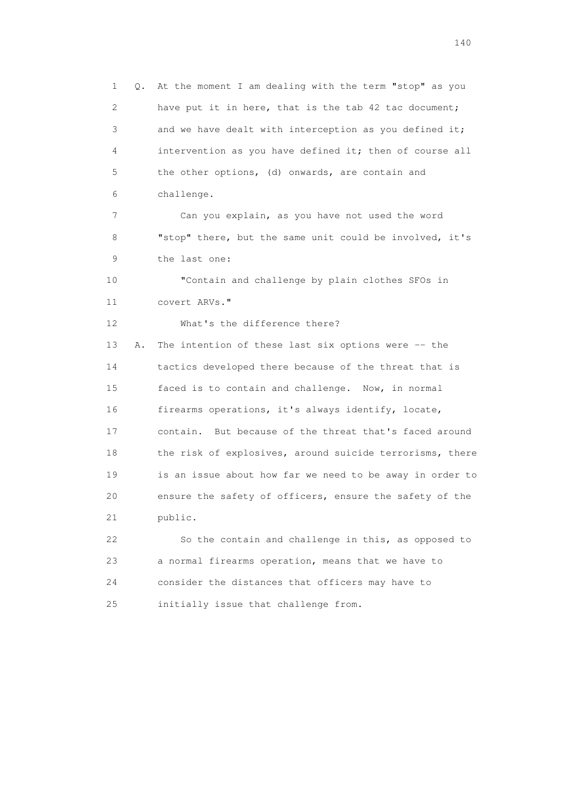1 Q. At the moment I am dealing with the term "stop" as you 2 have put it in here, that is the tab 42 tac document; 3 and we have dealt with interception as you defined it; 4 intervention as you have defined it; then of course all 5 the other options, (d) onwards, are contain and 6 challenge. 7 Can you explain, as you have not used the word 8 "stop" there, but the same unit could be involved, it's 9 the last one: 10 "Contain and challenge by plain clothes SFOs in 11 covert ARVs." 12 What's the difference there? 13 A. The intention of these last six options were -- the 14 tactics developed there because of the threat that is 15 faced is to contain and challenge. Now, in normal 16 firearms operations, it's always identify, locate, 17 contain. But because of the threat that's faced around 18 the risk of explosives, around suicide terrorisms, there 19 is an issue about how far we need to be away in order to 20 ensure the safety of officers, ensure the safety of the 21 public. 22 So the contain and challenge in this, as opposed to 23 a normal firearms operation, means that we have to

24 consider the distances that officers may have to

25 initially issue that challenge from.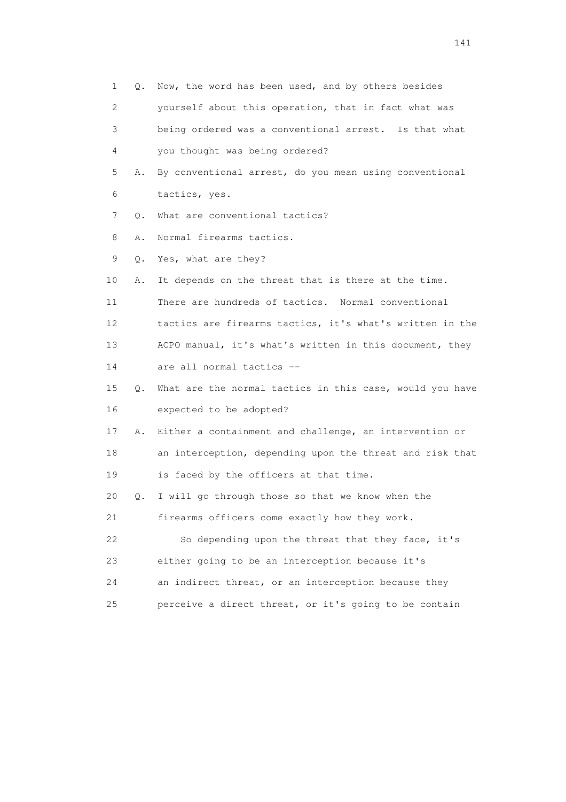1 Q. Now, the word has been used, and by others besides 2 yourself about this operation, that in fact what was 3 being ordered was a conventional arrest. Is that what 4 you thought was being ordered? 5 A. By conventional arrest, do you mean using conventional 6 tactics, yes. 7 Q. What are conventional tactics? 8 A. Normal firearms tactics. 9 Q. Yes, what are they? 10 A. It depends on the threat that is there at the time. 11 There are hundreds of tactics. Normal conventional 12 tactics are firearms tactics, it's what's written in the 13 ACPO manual, it's what's written in this document, they 14 are all normal tactics -- 15 Q. What are the normal tactics in this case, would you have 16 expected to be adopted? 17 A. Either a containment and challenge, an intervention or 18 an interception, depending upon the threat and risk that 19 is faced by the officers at that time. 20 Q. I will go through those so that we know when the 21 firearms officers come exactly how they work. 22 So depending upon the threat that they face, it's 23 either going to be an interception because it's 24 an indirect threat, or an interception because they 25 perceive a direct threat, or it's going to be contain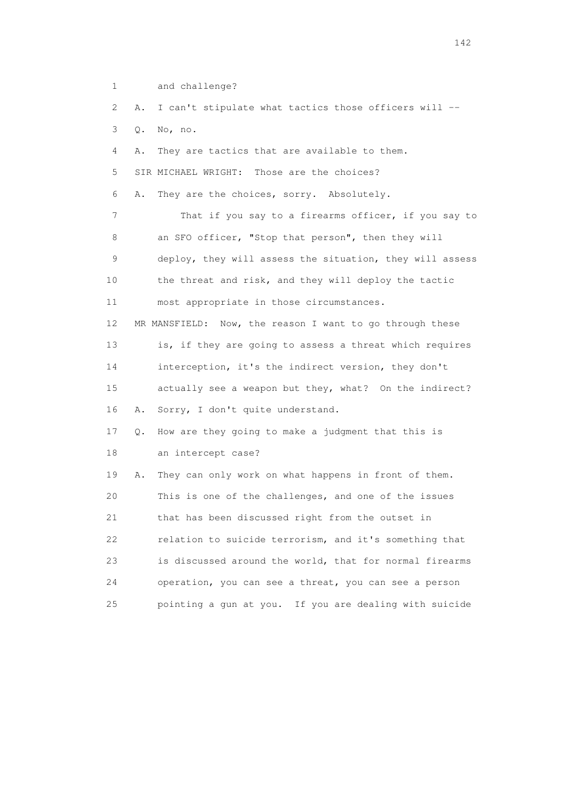1 and challenge? 2 A. I can't stipulate what tactics those officers will -- 3 Q. No, no. 4 A. They are tactics that are available to them. 5 SIR MICHAEL WRIGHT: Those are the choices? 6 A. They are the choices, sorry. Absolutely. 7 That if you say to a firearms officer, if you say to 8 an SFO officer, "Stop that person", then they will 9 deploy, they will assess the situation, they will assess 10 the threat and risk, and they will deploy the tactic 11 most appropriate in those circumstances. 12 MR MANSFIELD: Now, the reason I want to go through these 13 is, if they are going to assess a threat which requires 14 interception, it's the indirect version, they don't 15 actually see a weapon but they, what? On the indirect? 16 A. Sorry, I don't quite understand. 17 Q. How are they going to make a judgment that this is 18 an intercept case? 19 A. They can only work on what happens in front of them. 20 This is one of the challenges, and one of the issues 21 that has been discussed right from the outset in 22 relation to suicide terrorism, and it's something that 23 is discussed around the world, that for normal firearms 24 operation, you can see a threat, you can see a person 25 pointing a gun at you. If you are dealing with suicide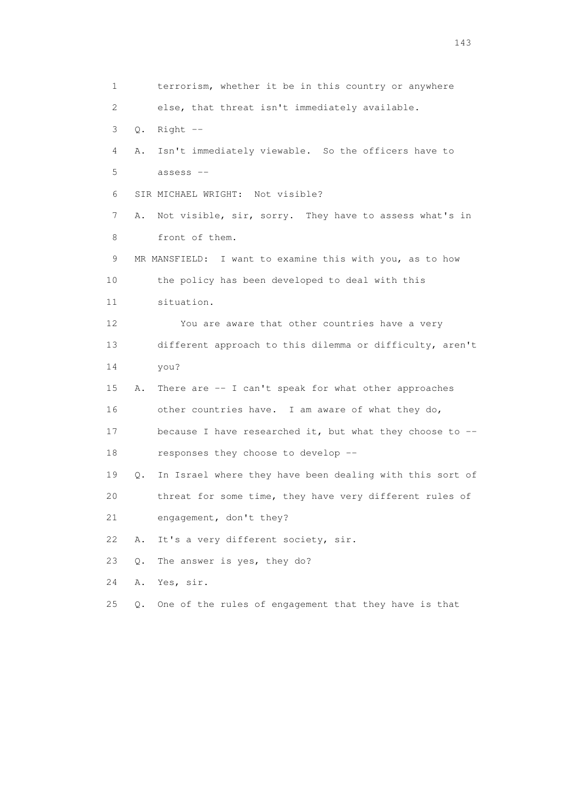1 terrorism, whether it be in this country or anywhere 2 else, that threat isn't immediately available. 3 Q. Right -- 4 A. Isn't immediately viewable. So the officers have to 5 assess -- 6 SIR MICHAEL WRIGHT: Not visible? 7 A. Not visible, sir, sorry. They have to assess what's in 8 front of them. 9 MR MANSFIELD: I want to examine this with you, as to how 10 the policy has been developed to deal with this 11 situation. 12 You are aware that other countries have a very 13 different approach to this dilemma or difficulty, aren't 14 you? 15 A. There are -- I can't speak for what other approaches 16 other countries have. I am aware of what they do, 17 because I have researched it, but what they choose to -- 18 responses they choose to develop -- 19 Q. In Israel where they have been dealing with this sort of 20 threat for some time, they have very different rules of 21 engagement, don't they? 22 A. It's a very different society, sir. 23 Q. The answer is yes, they do? 24 A. Yes, sir. 25 Q. One of the rules of engagement that they have is that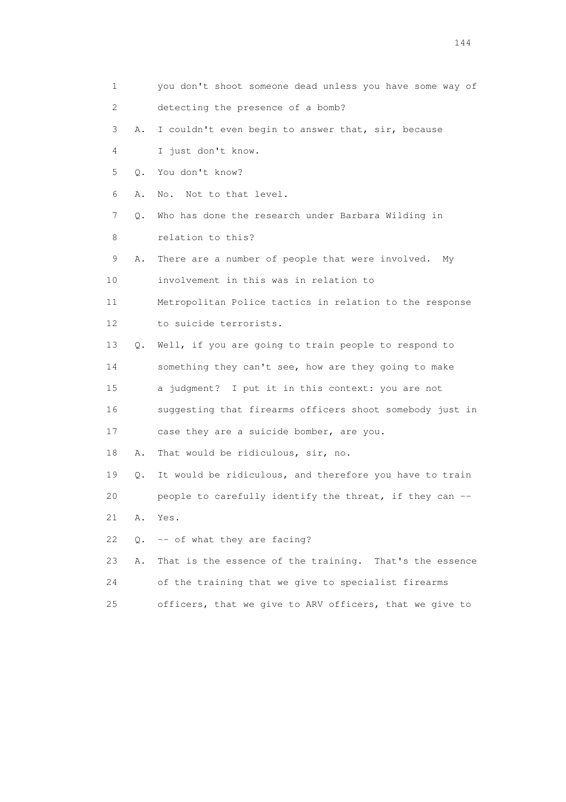1 you don't shoot someone dead unless you have some way of 2 detecting the presence of a bomb? 3 A. I couldn't even begin to answer that, sir, because 4 I just don't know. 5 Q. You don't know? 6 A. No. Not to that level. 7 Q. Who has done the research under Barbara Wilding in 8 relation to this? 9 A. There are a number of people that were involved. My 10 involvement in this was in relation to 11 Metropolitan Police tactics in relation to the response 12 to suicide terrorists. 13 Q. Well, if you are going to train people to respond to 14 something they can't see, how are they going to make 15 a judgment? I put it in this context: you are not 16 suggesting that firearms officers shoot somebody just in 17 case they are a suicide bomber, are you. 18 A. That would be ridiculous, sir, no. 19 Q. It would be ridiculous, and therefore you have to train 20 people to carefully identify the threat, if they can -- 21 A. Yes. 22 Q. -- of what they are facing? 23 A. That is the essence of the training. That's the essence 24 of the training that we give to specialist firearms 25 officers, that we give to ARV officers, that we give to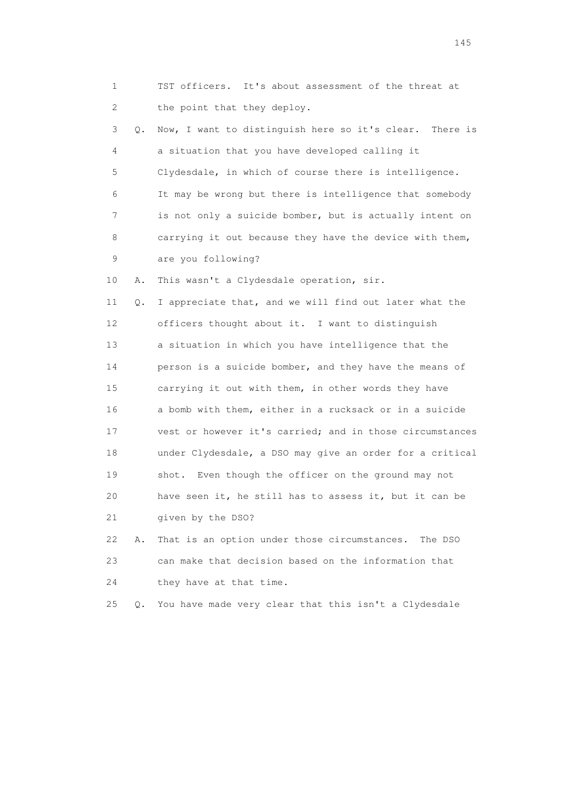1 TST officers. It's about assessment of the threat at 2 the point that they deploy. 3 Q. Now, I want to distinguish here so it's clear. There is 4 a situation that you have developed calling it 5 Clydesdale, in which of course there is intelligence. 6 It may be wrong but there is intelligence that somebody 7 is not only a suicide bomber, but is actually intent on 8 carrying it out because they have the device with them, 9 are you following? 10 A. This wasn't a Clydesdale operation, sir. 11 Q. I appreciate that, and we will find out later what the 12 officers thought about it. I want to distinguish 13 a situation in which you have intelligence that the 14 person is a suicide bomber, and they have the means of 15 carrying it out with them, in other words they have 16 a bomb with them, either in a rucksack or in a suicide 17 vest or however it's carried; and in those circumstances 18 under Clydesdale, a DSO may give an order for a critical 19 shot. Even though the officer on the ground may not 20 have seen it, he still has to assess it, but it can be 21 given by the DSO? 22 A. That is an option under those circumstances. The DSO 23 can make that decision based on the information that 24 they have at that time.

25 Q. You have made very clear that this isn't a Clydesdale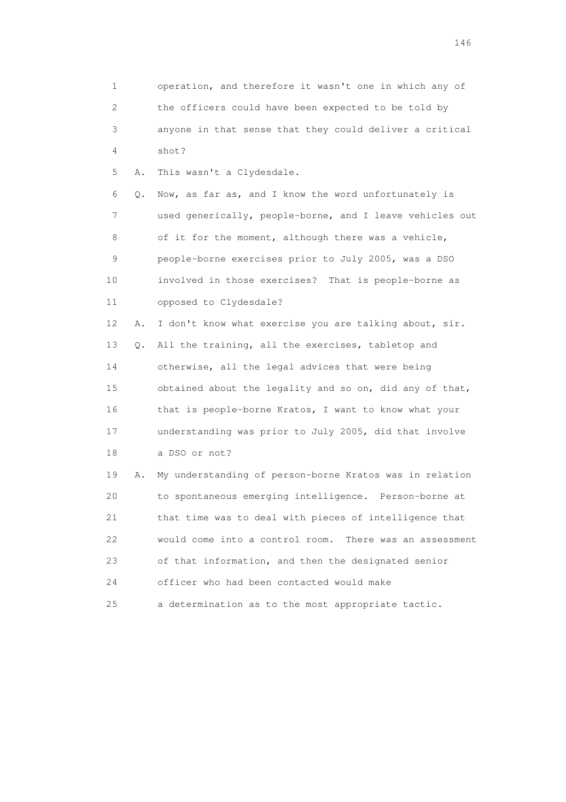| $\mathbf 1$    |    | operation, and therefore it wasn't one in which any of     |
|----------------|----|------------------------------------------------------------|
| $\overline{2}$ |    | the officers could have been expected to be told by        |
| 3              |    | anyone in that sense that they could deliver a critical    |
| 4              |    | shot?                                                      |
| 5              | Α. | This wasn't a Clydesdale.                                  |
| 6              | Q. | Now, as far as, and I know the word unfortunately is       |
| 7              |    | used generically, people-borne, and I leave vehicles out   |
| 8              |    | of it for the moment, although there was a vehicle,        |
| 9              |    | people-borne exercises prior to July 2005, was a DSO       |
| 10             |    | involved in those exercises? That is people-borne as       |
| 11             |    | opposed to Clydesdale?                                     |
| 12             | Α. | I don't know what exercise you are talking about, sir.     |
| 13             | Q. | All the training, all the exercises, tabletop and          |
| 14             |    | otherwise, all the legal advices that were being           |
| 15             |    | obtained about the legality and so on, did any of that,    |
| 16             |    | that is people-borne Kratos, I want to know what your      |
| 17             |    | understanding was prior to July 2005, did that involve     |
| 18             |    | a DSO or not?                                              |
| 19             | Α. | My understanding of person-borne Kratos was in relation    |
| 20             |    | to spontaneous emerging intelligence. Person-borne at      |
| 21             |    | that time was to deal with pieces of intelligence that     |
| 22             |    | would come into a control room.<br>There was an assessment |
| 23             |    | of that information, and then the designated senior        |
| 24             |    | officer who had been contacted would make                  |
| 25             |    | a determination as to the most appropriate tactic.         |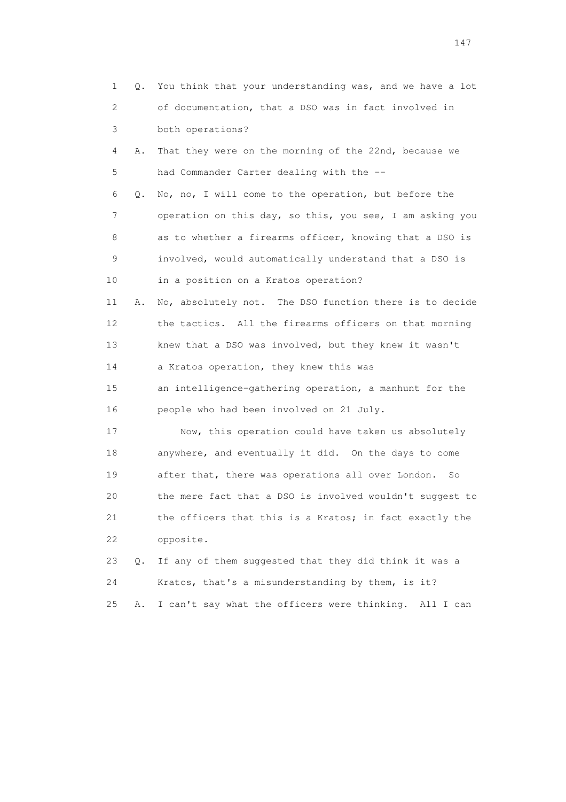| 1  | Q. | You think that your understanding was, and we have a lot  |
|----|----|-----------------------------------------------------------|
| 2  |    | of documentation, that a DSO was in fact involved in      |
| 3  |    | both operations?                                          |
| 4  | Α. | That they were on the morning of the 22nd, because we     |
| 5  |    | had Commander Carter dealing with the --                  |
| 6  | Q. | No, no, I will come to the operation, but before the      |
| 7  |    | operation on this day, so this, you see, I am asking you  |
| 8  |    | as to whether a firearms officer, knowing that a DSO is   |
| 9  |    | involved, would automatically understand that a DSO is    |
| 10 |    | in a position on a Kratos operation?                      |
| 11 | Α. | No, absolutely not. The DSO function there is to decide   |
| 12 |    | the tactics. All the firearms officers on that morning    |
| 13 |    | knew that a DSO was involved, but they knew it wasn't     |
| 14 |    | a Kratos operation, they knew this was                    |
| 15 |    | an intelligence-gathering operation, a manhunt for the    |
| 16 |    | people who had been involved on 21 July.                  |
| 17 |    | Now, this operation could have taken us absolutely        |
| 18 |    | anywhere, and eventually it did. On the days to come      |
| 19 |    | after that, there was operations all over London.<br>So   |
| 20 |    | the mere fact that a DSO is involved wouldn't suggest to  |
| 21 |    | the officers that this is a Kratos; in fact exactly the   |
| 22 |    | opposite.                                                 |
| 23 | О. | If any of them suggested that they did think it was a     |
| 24 |    | Kratos, that's a misunderstanding by them, is it?         |
| 25 | Α. | I can't say what the officers were thinking.<br>All I can |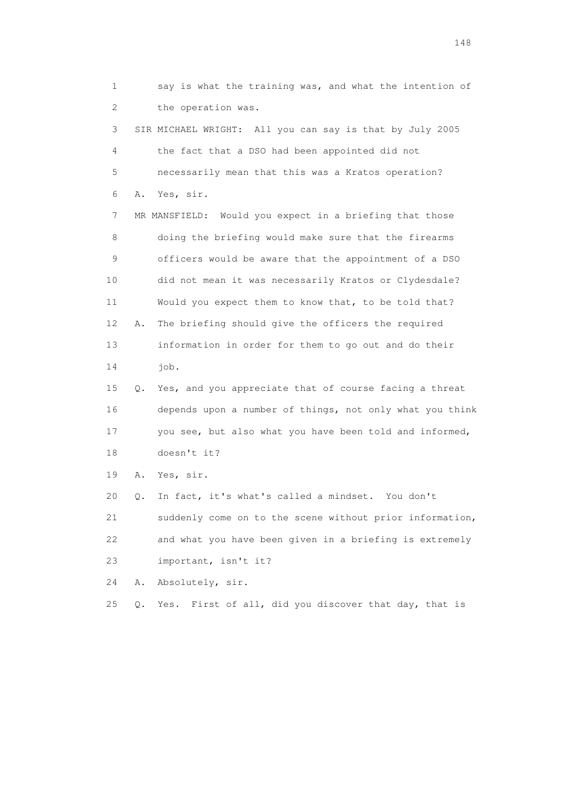1 say is what the training was, and what the intention of 2 the operation was. 3 SIR MICHAEL WRIGHT: All you can say is that by July 2005 4 the fact that a DSO had been appointed did not 5 necessarily mean that this was a Kratos operation? 6 A. Yes, sir. 7 MR MANSFIELD: Would you expect in a briefing that those 8 doing the briefing would make sure that the firearms 9 officers would be aware that the appointment of a DSO 10 did not mean it was necessarily Kratos or Clydesdale? 11 Would you expect them to know that, to be told that? 12 A. The briefing should give the officers the required 13 information in order for them to go out and do their 14 job. 15 Q. Yes, and you appreciate that of course facing a threat 16 depends upon a number of things, not only what you think 17 you see, but also what you have been told and informed, 18 doesn't it? 19 A. Yes, sir. 20 Q. In fact, it's what's called a mindset. You don't 21 suddenly come on to the scene without prior information,

 22 and what you have been given in a briefing is extremely 23 important, isn't it?

24 A. Absolutely, sir.

25 Q. Yes. First of all, did you discover that day, that is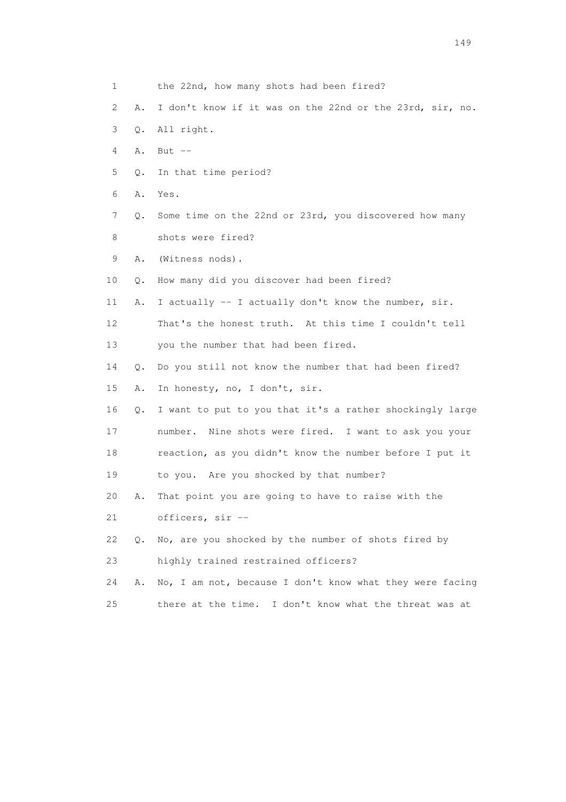|    | 1       | the 22nd, how many shots had been fired?                  |
|----|---------|-----------------------------------------------------------|
|    | 2<br>Α. | I don't know if it was on the 22nd or the 23rd, sir, no.  |
|    | 3<br>Q. | All right.                                                |
|    | 4<br>Α. | But $--$                                                  |
|    | 5<br>Q. | In that time period?                                      |
|    | 6<br>Α. | Yes.                                                      |
|    | 7<br>Q. | Some time on the 22nd or 23rd, you discovered how many    |
|    | 8       | shots were fired?                                         |
|    | 9<br>Α. | (Witness nods).                                           |
| 10 | Q.      | How many did you discover had been fired?                 |
| 11 | Α.      | I actually -- I actually don't know the number, sir.      |
| 12 |         | That's the honest truth. At this time I couldn't tell     |
| 13 |         | you the number that had been fired.                       |
| 14 | О.      | Do you still not know the number that had been fired?     |
| 15 | Α.      | In honesty, no, I don't, sir.                             |
| 16 | Q.      | I want to put to you that it's a rather shockingly large  |
| 17 |         | number. Nine shots were fired. I want to ask you your     |
| 18 |         | reaction, as you didn't know the number before I put it   |
| 19 |         | to you. Are you shocked by that number?                   |
| 20 | Α.      | That point you are going to have to raise with the        |
| 21 |         | officers, sir --                                          |
| 22 | Q.      | No, are you shocked by the number of shots fired by       |
| 23 |         | highly trained restrained officers?                       |
| 24 | Α.      | No, I am not, because I don't know what they were facing  |
| 25 |         | there at the time.<br>I don't know what the threat was at |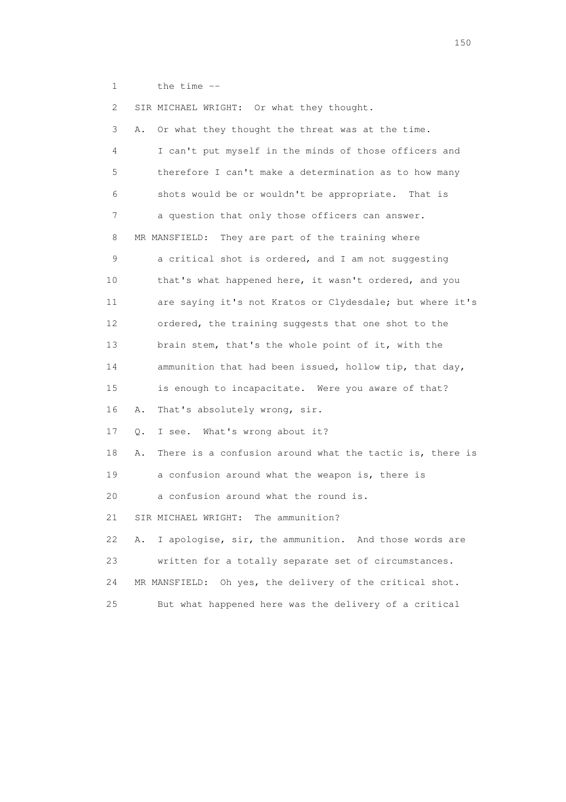1 the time --

 2 SIR MICHAEL WRIGHT: Or what they thought. 3 A. Or what they thought the threat was at the time. 4 I can't put myself in the minds of those officers and 5 therefore I can't make a determination as to how many 6 shots would be or wouldn't be appropriate. That is 7 a question that only those officers can answer. 8 MR MANSFIELD: They are part of the training where 9 a critical shot is ordered, and I am not suggesting 10 that's what happened here, it wasn't ordered, and you 11 are saying it's not Kratos or Clydesdale; but where it's 12 ordered, the training suggests that one shot to the 13 brain stem, that's the whole point of it, with the 14 ammunition that had been issued, hollow tip, that day, 15 is enough to incapacitate. Were you aware of that? 16 A. That's absolutely wrong, sir. 17 Q. I see. What's wrong about it? 18 A. There is a confusion around what the tactic is, there is 19 a confusion around what the weapon is, there is 20 a confusion around what the round is. 21 SIR MICHAEL WRIGHT: The ammunition? 22 A. I apologise, sir, the ammunition. And those words are 23 written for a totally separate set of circumstances. 24 MR MANSFIELD: Oh yes, the delivery of the critical shot. 25 But what happened here was the delivery of a critical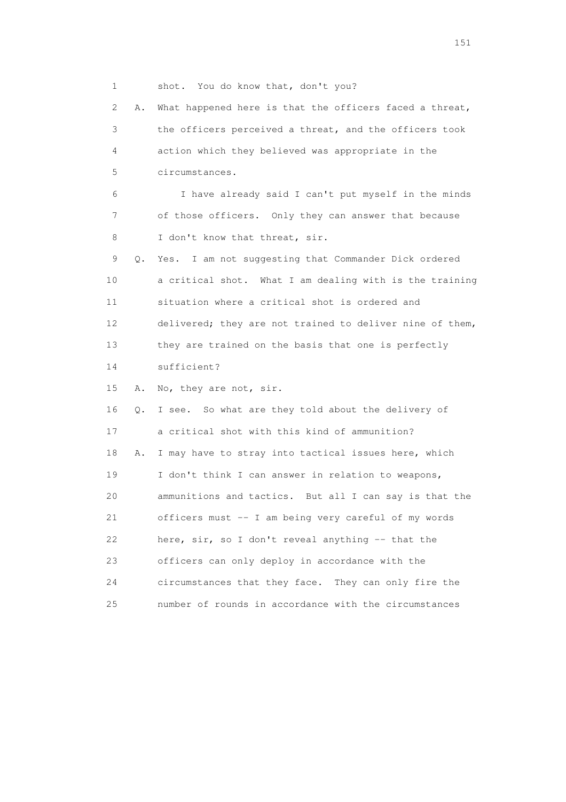1 shot. You do know that, don't you? 2 A. What happened here is that the officers faced a threat, 3 the officers perceived a threat, and the officers took 4 action which they believed was appropriate in the 5 circumstances. 6 I have already said I can't put myself in the minds 7 of those officers. Only they can answer that because 8 I don't know that threat, sir. 9 Q. Yes. I am not suggesting that Commander Dick ordered 10 a critical shot. What I am dealing with is the training 11 situation where a critical shot is ordered and 12 delivered; they are not trained to deliver nine of them, 13 they are trained on the basis that one is perfectly 14 sufficient? 15 A. No, they are not, sir. 16 Q. I see. So what are they told about the delivery of 17 a critical shot with this kind of ammunition? 18 A. I may have to stray into tactical issues here, which 19 I don't think I can answer in relation to weapons, 20 ammunitions and tactics. But all I can say is that the 21 officers must -- I am being very careful of my words 22 here, sir, so I don't reveal anything -- that the 23 officers can only deploy in accordance with the 24 circumstances that they face. They can only fire the 25 number of rounds in accordance with the circumstances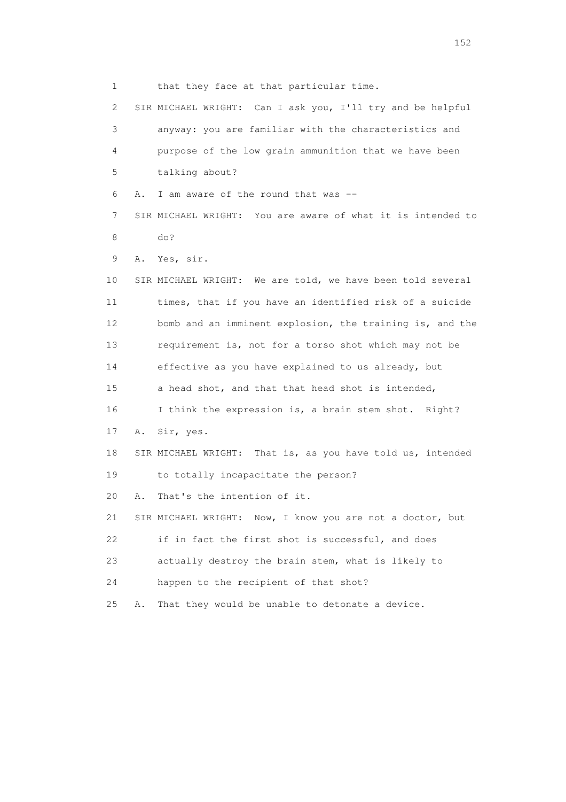1 that they face at that particular time. 2 SIR MICHAEL WRIGHT: Can I ask you, I'll try and be helpful 3 anyway: you are familiar with the characteristics and 4 purpose of the low grain ammunition that we have been 5 talking about? 6 A. I am aware of the round that was -- 7 SIR MICHAEL WRIGHT: You are aware of what it is intended to 8 do? 9 A. Yes, sir. 10 SIR MICHAEL WRIGHT: We are told, we have been told several 11 times, that if you have an identified risk of a suicide 12 bomb and an imminent explosion, the training is, and the 13 requirement is, not for a torso shot which may not be 14 effective as you have explained to us already, but 15 a head shot, and that that head shot is intended, 16 I think the expression is, a brain stem shot. Right? 17 A. Sir, yes. 18 SIR MICHAEL WRIGHT: That is, as you have told us, intended 19 to totally incapacitate the person? 20 A. That's the intention of it. 21 SIR MICHAEL WRIGHT: Now, I know you are not a doctor, but 22 if in fact the first shot is successful, and does 23 actually destroy the brain stem, what is likely to 24 happen to the recipient of that shot? 25 A. That they would be unable to detonate a device.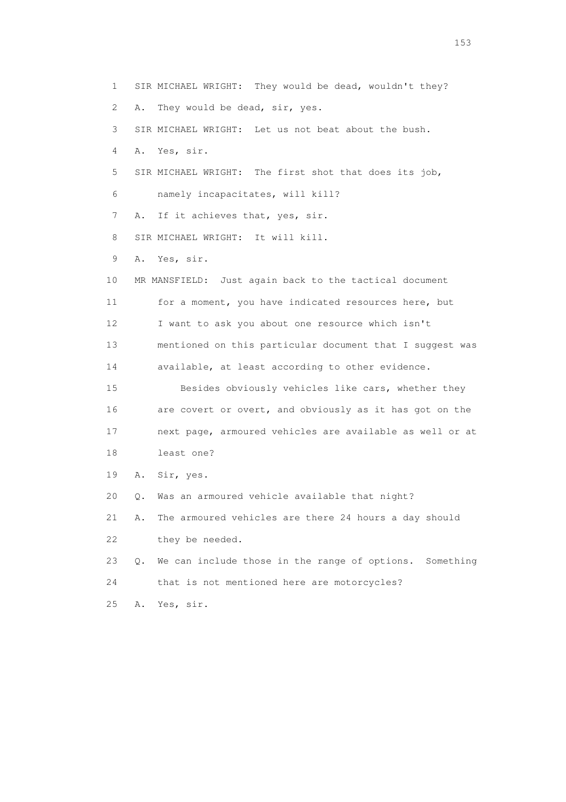1 SIR MICHAEL WRIGHT: They would be dead, wouldn't they? 2 A. They would be dead, sir, yes. 3 SIR MICHAEL WRIGHT: Let us not beat about the bush. 4 A. Yes, sir. 5 SIR MICHAEL WRIGHT: The first shot that does its job, 6 namely incapacitates, will kill? 7 A. If it achieves that, yes, sir. 8 SIR MICHAEL WRIGHT: It will kill. 9 A. Yes, sir. 10 MR MANSFIELD: Just again back to the tactical document 11 for a moment, you have indicated resources here, but 12 I want to ask you about one resource which isn't 13 mentioned on this particular document that I suggest was 14 available, at least according to other evidence. 15 Besides obviously vehicles like cars, whether they 16 are covert or overt, and obviously as it has got on the 17 next page, armoured vehicles are available as well or at 18 least one? 19 A. Sir, yes. 20 Q. Was an armoured vehicle available that night? 21 A. The armoured vehicles are there 24 hours a day should 22 they be needed. 23 Q. We can include those in the range of options. Something 24 that is not mentioned here are motorcycles? 25 A. Yes, sir.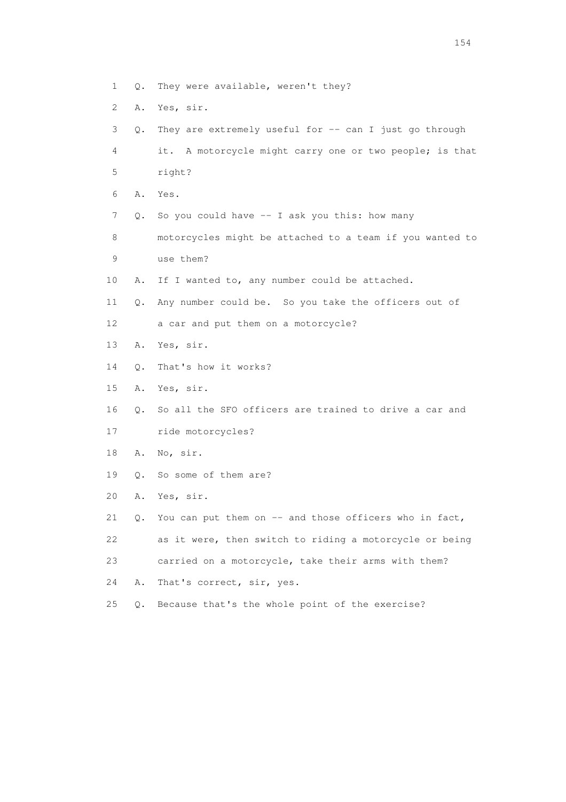- 1 Q. They were available, weren't they?
- 2 A. Yes, sir.
- 3 Q. They are extremely useful for -- can I just go through 4 it. A motorcycle might carry one or two people; is that 5 right? 6 A. Yes. 7 Q. So you could have -- I ask you this: how many 8 motorcycles might be attached to a team if you wanted to 9 use them? 10 A. If I wanted to, any number could be attached. 11 Q. Any number could be. So you take the officers out of 12 a car and put them on a motorcycle? 13 A. Yes, sir. 14 Q. That's how it works? 15 A. Yes, sir. 16 Q. So all the SFO officers are trained to drive a car and 17 ride motorcycles? 18 A. No, sir. 19 Q. So some of them are? 20 A. Yes, sir. 21 Q. You can put them on -- and those officers who in fact, 22 as it were, then switch to riding a motorcycle or being 23 carried on a motorcycle, take their arms with them? 24 A. That's correct, sir, yes. 25 Q. Because that's the whole point of the exercise?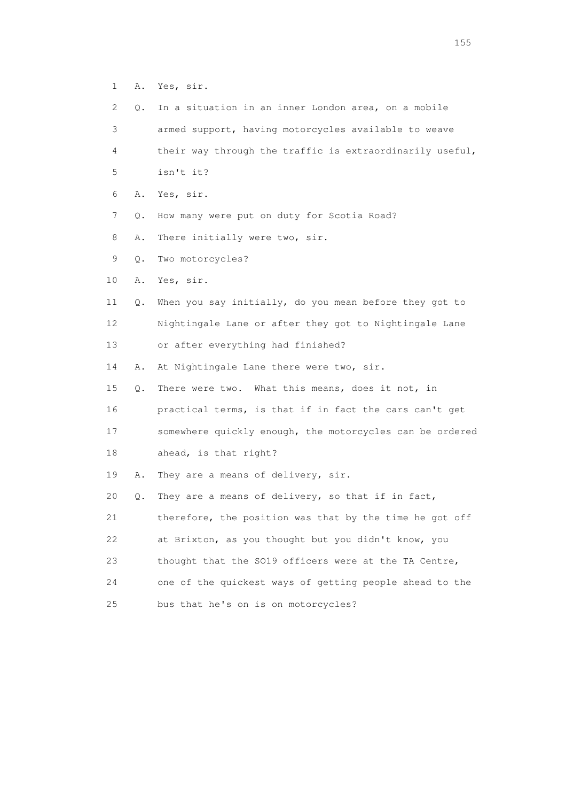1 A. Yes, sir.

| $\mathbf{2}^{\mathsf{I}}$ | Q. | In a situation in an inner London area, on a mobile      |
|---------------------------|----|----------------------------------------------------------|
| 3                         |    | armed support, having motorcycles available to weave     |
| 4                         |    | their way through the traffic is extraordinarily useful, |
| 5                         |    | isn't it?                                                |
| 6                         | Α. | Yes, sir.                                                |
| 7                         | Q. | How many were put on duty for Scotia Road?               |
| 8                         | Α. | There initially were two, sir.                           |
| 9                         | Q. | Two motorcycles?                                         |
| 10                        | Α. | Yes, sir.                                                |
| 11                        | Q. | When you say initially, do you mean before they got to   |
| 12                        |    | Nightingale Lane or after they got to Nightingale Lane   |
| 13                        |    | or after everything had finished?                        |
| 14                        | Α. | At Nightingale Lane there were two, sir.                 |
| 15                        | Q. | There were two. What this means, does it not, in         |
| 16                        |    | practical terms, is that if in fact the cars can't get   |
| 17                        |    | somewhere quickly enough, the motorcycles can be ordered |
| 18                        |    | ahead, is that right?                                    |
| 19                        | Α. | They are a means of delivery, sir.                       |
| 20                        | Q. | They are a means of delivery, so that if in fact,        |
| 21                        |    | therefore, the position was that by the time he got off  |
| 22                        |    | at Brixton, as you thought but you didn't know, you      |
| 23                        |    | thought that the SO19 officers were at the TA Centre,    |
| 24                        |    | one of the quickest ways of getting people ahead to the  |
| 25                        |    | bus that he's on is on motorcycles?                      |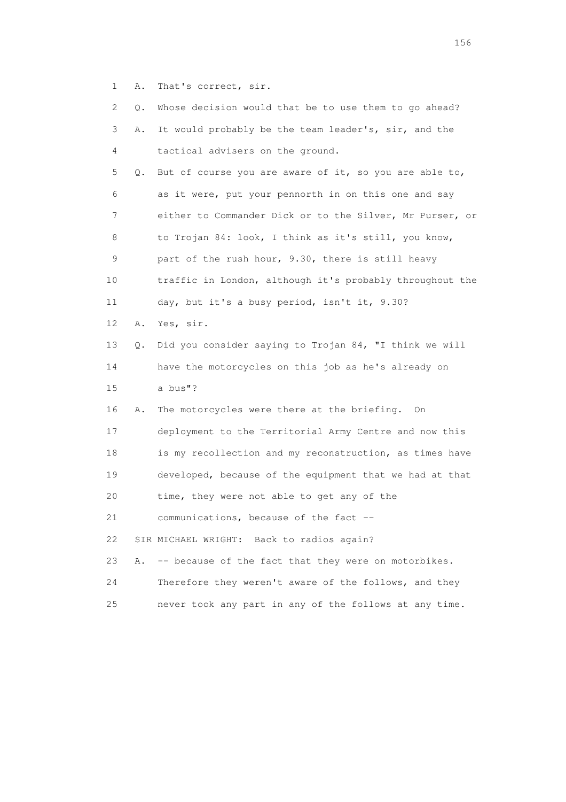1 A. That's correct, sir.

| 2  | Q.        | Whose decision would that be to use them to go ahead?    |
|----|-----------|----------------------------------------------------------|
| 3  | Α.        | It would probably be the team leader's, sir, and the     |
| 4  |           | tactical advisers on the ground.                         |
| 5  | Q.        | But of course you are aware of it, so you are able to,   |
| 6  |           | as it were, put your pennorth in on this one and say     |
| 7  |           | either to Commander Dick or to the Silver, Mr Purser, or |
| 8  |           | to Trojan 84: look, I think as it's still, you know,     |
| 9  |           | part of the rush hour, 9.30, there is still heavy        |
| 10 |           | traffic in London, although it's probably throughout the |
| 11 |           | day, but it's a busy period, isn't it, 9.30?             |
| 12 | Α.        | Yes, sir.                                                |
| 13 | $\circ$ . | Did you consider saying to Trojan 84, "I think we will   |
| 14 |           | have the motorcycles on this job as he's already on      |
| 15 |           | a bus"?                                                  |
| 16 | Α.        | The motorcycles were there at the briefing.<br>- On      |
| 17 |           | deployment to the Territorial Army Centre and now this   |
| 18 |           | is my recollection and my reconstruction, as times have  |
| 19 |           | developed, because of the equipment that we had at that  |
| 20 |           | time, they were not able to get any of the               |
| 21 |           | communications, because of the fact                      |
| 22 |           | SIR MICHAEL WRIGHT: Back to radios again?                |
| 23 | Α.        | -- because of the fact that they were on motorbikes.     |
| 24 |           | Therefore they weren't aware of the follows, and they    |
| 25 |           | never took any part in any of the follows at any time.   |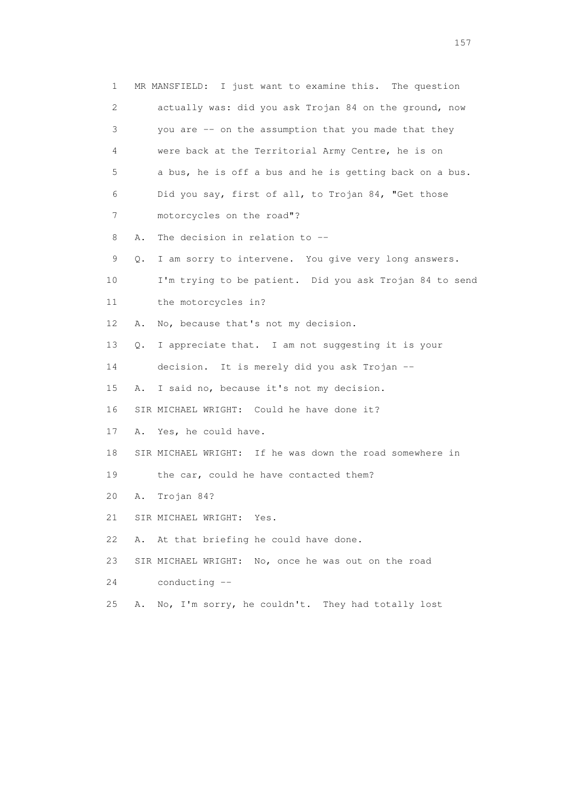| 1  |    | MR MANSFIELD: I just want to examine this. The question  |
|----|----|----------------------------------------------------------|
| 2  |    | actually was: did you ask Trojan 84 on the ground, now   |
| 3  |    | you are -- on the assumption that you made that they     |
| 4  |    | were back at the Territorial Army Centre, he is on       |
| 5  |    | a bus, he is off a bus and he is getting back on a bus.  |
| 6  |    | Did you say, first of all, to Trojan 84, "Get those      |
| 7  |    | motorcycles on the road"?                                |
| 8  | Α. | The decision in relation to --                           |
| 9  | Q. | I am sorry to intervene. You give very long answers.     |
| 10 |    | I'm trying to be patient. Did you ask Trojan 84 to send  |
| 11 |    | the motorcycles in?                                      |
| 12 | Α. | No, because that's not my decision.                      |
| 13 | Q. | I appreciate that. I am not suggesting it is your        |
| 14 |    | decision. It is merely did you ask Trojan --             |
| 15 | Α. | I said no, because it's not my decision.                 |
| 16 |    | SIR MICHAEL WRIGHT: Could he have done it?               |
| 17 | Α. | Yes, he could have.                                      |
| 18 |    | SIR MICHAEL WRIGHT: If he was down the road somewhere in |
| 19 |    | the car, could he have contacted them?                   |
| 20 | Α. | Trojan 84?                                               |
| 21 |    | SIR MICHAEL WRIGHT: Yes.                                 |
| 22 | Α. | At that briefing he could have done.                     |
| 23 |    | SIR MICHAEL WRIGHT: No, once he was out on the road      |
| 24 |    | conducting --                                            |
| 25 | Α. | No, I'm sorry, he couldn't. They had totally lost        |
|    |    |                                                          |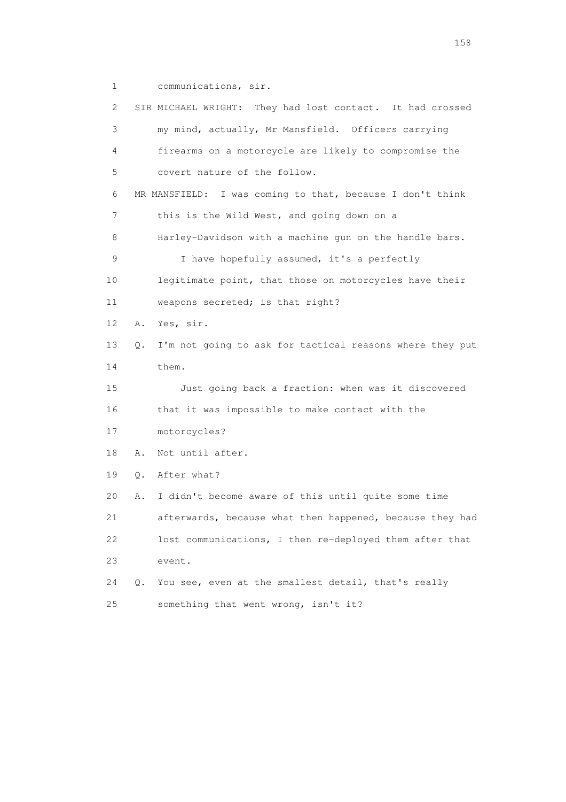1 communications, sir.

 2 SIR MICHAEL WRIGHT: They had lost contact. It had crossed 3 my mind, actually, Mr Mansfield. Officers carrying 4 firearms on a motorcycle are likely to compromise the 5 covert nature of the follow. 6 MR MANSFIELD: I was coming to that, because I don't think 7 this is the Wild West, and going down on a 8 Harley-Davidson with a machine gun on the handle bars. 9 I have hopefully assumed, it's a perfectly 10 legitimate point, that those on motorcycles have their 11 weapons secreted; is that right? 12 A. Yes, sir. 13 Q. I'm not going to ask for tactical reasons where they put 14 them. 15 Just going back a fraction: when was it discovered 16 that it was impossible to make contact with the 17 motorcycles? 18 A. Not until after. 19 Q. After what? 20 A. I didn't become aware of this until quite some time 21 afterwards, because what then happened, because they had 22 lost communications, I then re-deployed them after that 23 event. 24 Q. You see, even at the smallest detail, that's really 25 something that went wrong, isn't it?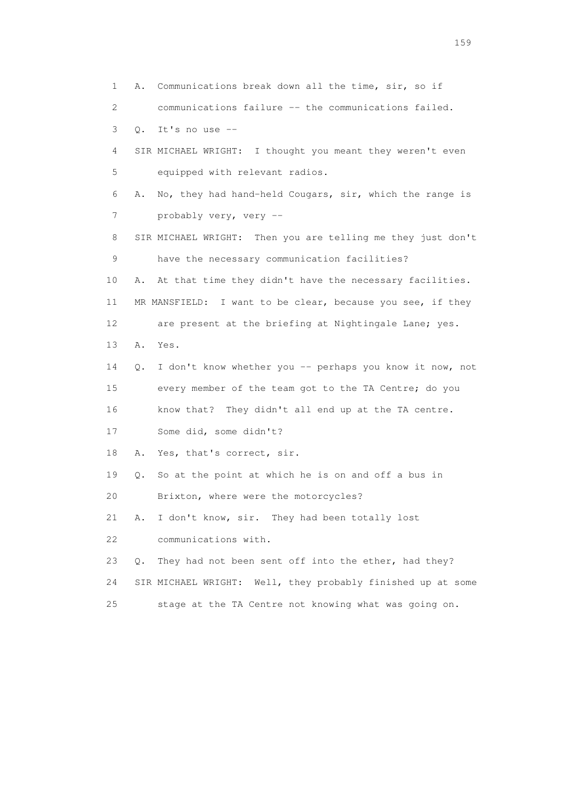1 A. Communications break down all the time, sir, so if 2 communications failure -- the communications failed. 3 Q. It's no use -- 4 SIR MICHAEL WRIGHT: I thought you meant they weren't even 5 equipped with relevant radios. 6 A. No, they had hand-held Cougars, sir, which the range is 7 probably very, very -- 8 SIR MICHAEL WRIGHT: Then you are telling me they just don't 9 have the necessary communication facilities? 10 A. At that time they didn't have the necessary facilities. 11 MR MANSFIELD: I want to be clear, because you see, if they 12 are present at the briefing at Nightingale Lane; yes. 13 A. Yes. 14 Q. I don't know whether you -- perhaps you know it now, not 15 every member of the team got to the TA Centre; do you 16 know that? They didn't all end up at the TA centre. 17 Some did, some didn't? 18 A. Yes, that's correct, sir. 19 Q. So at the point at which he is on and off a bus in 20 Brixton, where were the motorcycles? 21 A. I don't know, sir. They had been totally lost 22 communications with. 23 Q. They had not been sent off into the ether, had they? 24 SIR MICHAEL WRIGHT: Well, they probably finished up at some 25 stage at the TA Centre not knowing what was going on.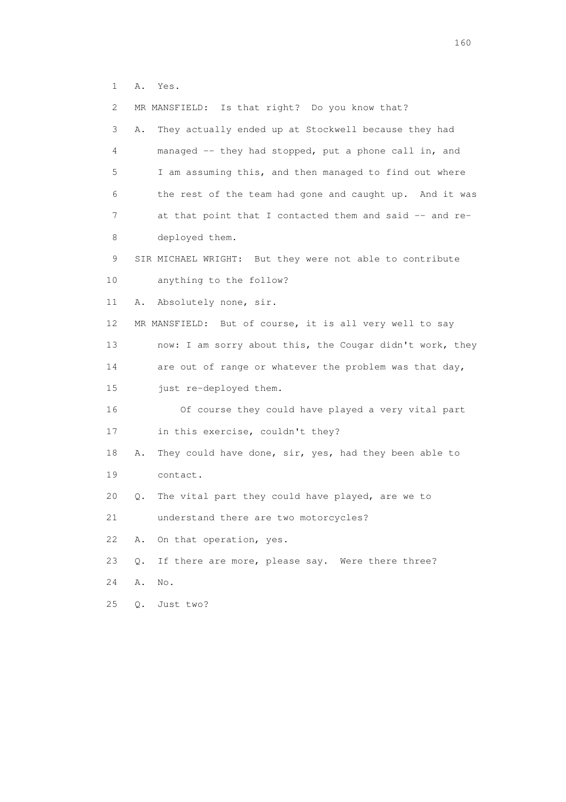1 A. Yes.

| 2  | MR MANSFIELD: Is that right? Do you know that?              |
|----|-------------------------------------------------------------|
| 3  | They actually ended up at Stockwell because they had<br>Α.  |
| 4  | managed -- they had stopped, put a phone call in, and       |
| 5  | I am assuming this, and then managed to find out where      |
| 6  | the rest of the team had gone and caught up. And it was     |
| 7  | at that point that I contacted them and said -- and re-     |
| 8  | deployed them.                                              |
| 9  | SIR MICHAEL WRIGHT: But they were not able to contribute    |
| 10 | anything to the follow?                                     |
| 11 | Absolutely none, sir.<br>Α.                                 |
| 12 | MR MANSFIELD: But of course, it is all very well to say     |
| 13 | now: I am sorry about this, the Cougar didn't work, they    |
| 14 | are out of range or whatever the problem was that day,      |
| 15 | just re-deployed them.                                      |
| 16 | Of course they could have played a very vital part          |
| 17 | in this exercise, couldn't they?                            |
| 18 | They could have done, sir, yes, had they been able to<br>Α. |
| 19 | contact.                                                    |
| 20 | The vital part they could have played, are we to<br>Q.      |
| 21 | understand there are two motorcycles?                       |
| 22 | On that operation, yes.<br>Α.                               |
| 23 | If there are more, please say. Were there three?<br>$Q$ .   |
| 24 | Α.<br>No.                                                   |
| 25 | Just two?<br>Q.                                             |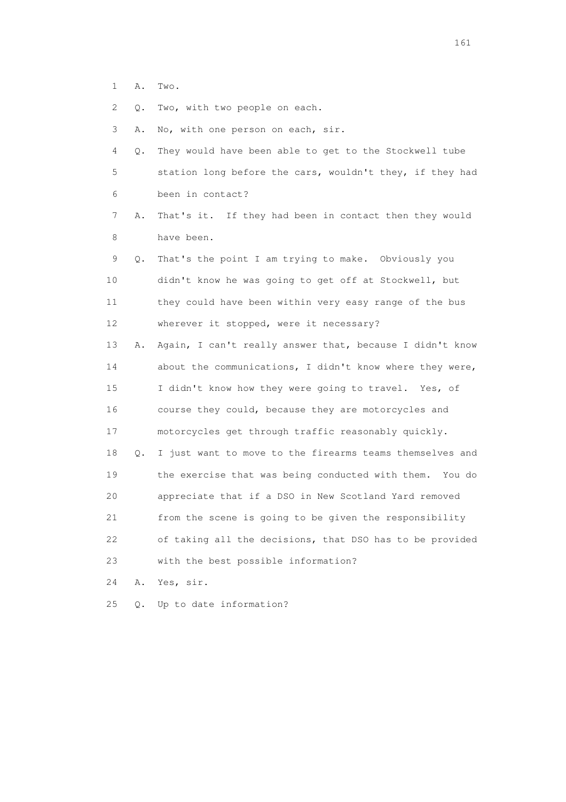1 A. Two.

2 Q. Two, with two people on each.

3 A. No, with one person on each, sir.

 4 Q. They would have been able to get to the Stockwell tube 5 station long before the cars, wouldn't they, if they had 6 been in contact?

 7 A. That's it. If they had been in contact then they would 8 have been.

 9 Q. That's the point I am trying to make. Obviously you 10 didn't know he was going to get off at Stockwell, but 11 they could have been within very easy range of the bus 12 wherever it stopped, were it necessary?

 13 A. Again, I can't really answer that, because I didn't know 14 about the communications, I didn't know where they were, 15 I didn't know how they were going to travel. Yes, of 16 course they could, because they are motorcycles and 17 motorcycles get through traffic reasonably quickly. 18 Q. I just want to move to the firearms teams themselves and 19 the exercise that was being conducted with them. You do 20 appreciate that if a DSO in New Scotland Yard removed 21 from the scene is going to be given the responsibility 22 of taking all the decisions, that DSO has to be provided 23 with the best possible information?

24 A. Yes, sir.

25 Q. Up to date information?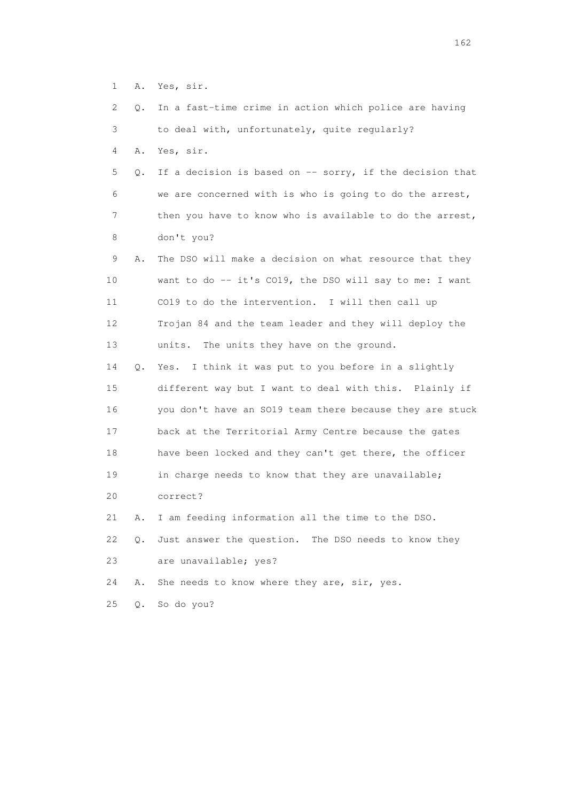1 A. Yes, sir.

|  |  | 2 Q. In a fast-time crime in action which police are having |  |  |  |  |
|--|--|-------------------------------------------------------------|--|--|--|--|
|  |  |                                                             |  |  |  |  |

3 to deal with, unfortunately, quite regularly?

4 A. Yes, sir.

 5 Q. If a decision is based on -- sorry, if the decision that 6 we are concerned with is who is going to do the arrest, 7 then you have to know who is available to do the arrest, 8 don't you?

 9 A. The DSO will make a decision on what resource that they 10 want to do -- it's CO19, the DSO will say to me: I want 11 CO19 to do the intervention. I will then call up 12 Trojan 84 and the team leader and they will deploy the 13 units. The units they have on the ground.

 14 Q. Yes. I think it was put to you before in a slightly 15 different way but I want to deal with this. Plainly if 16 you don't have an SO19 team there because they are stuck 17 back at the Territorial Army Centre because the gates 18 have been locked and they can't get there, the officer 19 in charge needs to know that they are unavailable; 20 correct?

21 A. I am feeding information all the time to the DSO.

 22 Q. Just answer the question. The DSO needs to know they 23 are unavailable; yes?

24 A. She needs to know where they are, sir, yes.

25 Q. So do you?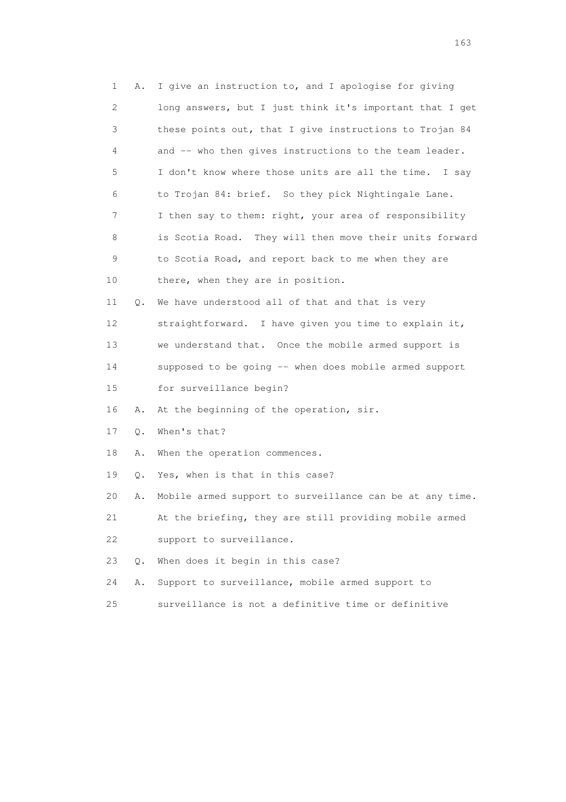1 A. I give an instruction to, and I apologise for giving 2 long answers, but I just think it's important that I get 3 these points out, that I give instructions to Trojan 84 4 and -- who then gives instructions to the team leader. 5 I don't know where those units are all the time. I say 6 to Trojan 84: brief. So they pick Nightingale Lane. 7 I then say to them: right, your area of responsibility 8 is Scotia Road. They will then move their units forward 9 to Scotia Road, and report back to me when they are 10 there, when they are in position. 11 Q. We have understood all of that and that is very 12 straightforward. I have given you time to explain it, 13 we understand that. Once the mobile armed support is 14 supposed to be going -- when does mobile armed support 15 for surveillance begin? 16 A. At the beginning of the operation, sir. 17 Q. When's that? 18 A. When the operation commences. 19 Q. Yes, when is that in this case? 20 A. Mobile armed support to surveillance can be at any time. 21 At the briefing, they are still providing mobile armed 22 support to surveillance. 23 Q. When does it begin in this case? 24 A. Support to surveillance, mobile armed support to 25 surveillance is not a definitive time or definitive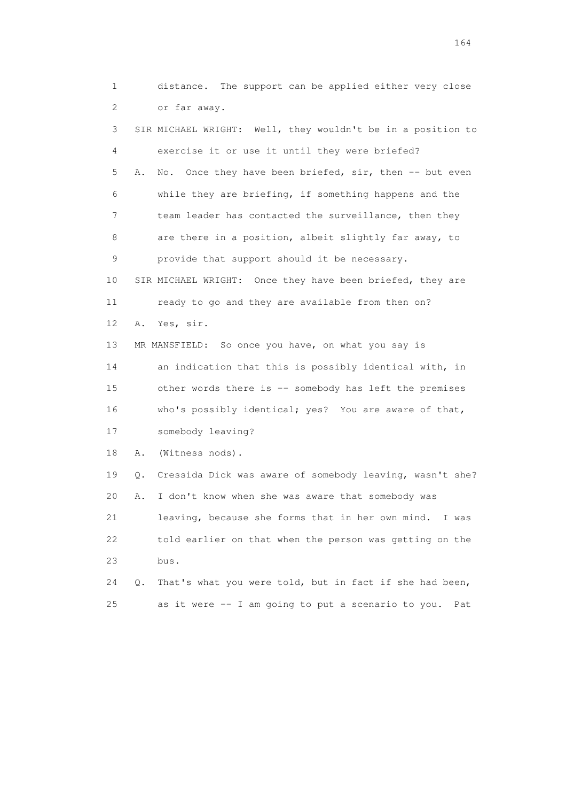1 distance. The support can be applied either very close 2 or far away.

 3 SIR MICHAEL WRIGHT: Well, they wouldn't be in a position to 4 exercise it or use it until they were briefed? 5 A. No. Once they have been briefed, sir, then -- but even 6 while they are briefing, if something happens and the 7 team leader has contacted the surveillance, then they 8 are there in a position, albeit slightly far away, to 9 provide that support should it be necessary. 10 SIR MICHAEL WRIGHT: Once they have been briefed, they are 11 ready to go and they are available from then on? 12 A. Yes, sir. 13 MR MANSFIELD: So once you have, on what you say is 14 an indication that this is possibly identical with, in 15 other words there is -- somebody has left the premises 16 who's possibly identical; yes? You are aware of that, 17 somebody leaving? 18 A. (Witness nods). 19 Q. Cressida Dick was aware of somebody leaving, wasn't she? 20 A. I don't know when she was aware that somebody was 21 leaving, because she forms that in her own mind. I was 22 told earlier on that when the person was getting on the 23 bus. 24 Q. That's what you were told, but in fact if she had been, 25 as it were -- I am going to put a scenario to you. Pat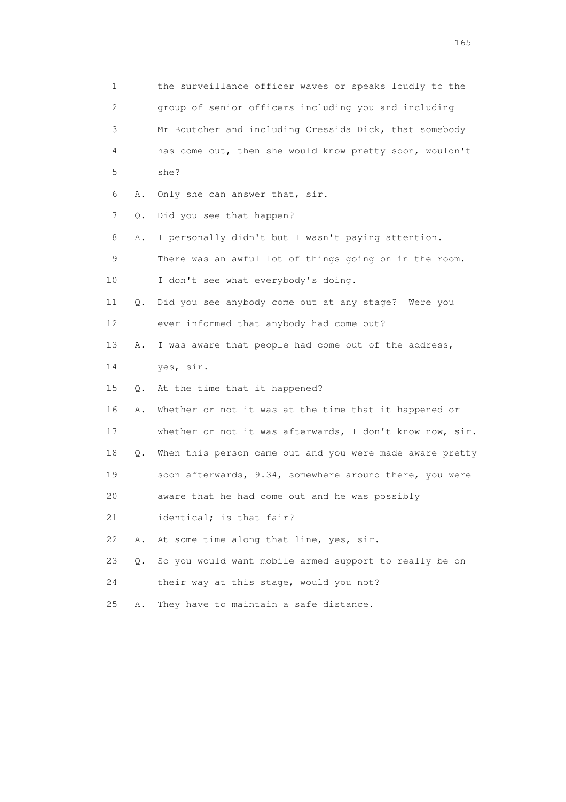1 the surveillance officer waves or speaks loudly to the 2 group of senior officers including you and including 3 Mr Boutcher and including Cressida Dick, that somebody 4 has come out, then she would know pretty soon, wouldn't 5 she? 6 A. Only she can answer that, sir. 7 Q. Did you see that happen? 8 A. I personally didn't but I wasn't paying attention. 9 There was an awful lot of things going on in the room. 10 I don't see what everybody's doing. 11 Q. Did you see anybody come out at any stage? Were you 12 ever informed that anybody had come out? 13 A. I was aware that people had come out of the address, 14 yes, sir. 15 Q. At the time that it happened? 16 A. Whether or not it was at the time that it happened or 17 whether or not it was afterwards, I don't know now, sir. 18 Q. When this person came out and you were made aware pretty 19 soon afterwards, 9.34, somewhere around there, you were 20 aware that he had come out and he was possibly 21 identical; is that fair? 22 A. At some time along that line, yes, sir. 23 Q. So you would want mobile armed support to really be on 24 their way at this stage, would you not? 25 A. They have to maintain a safe distance.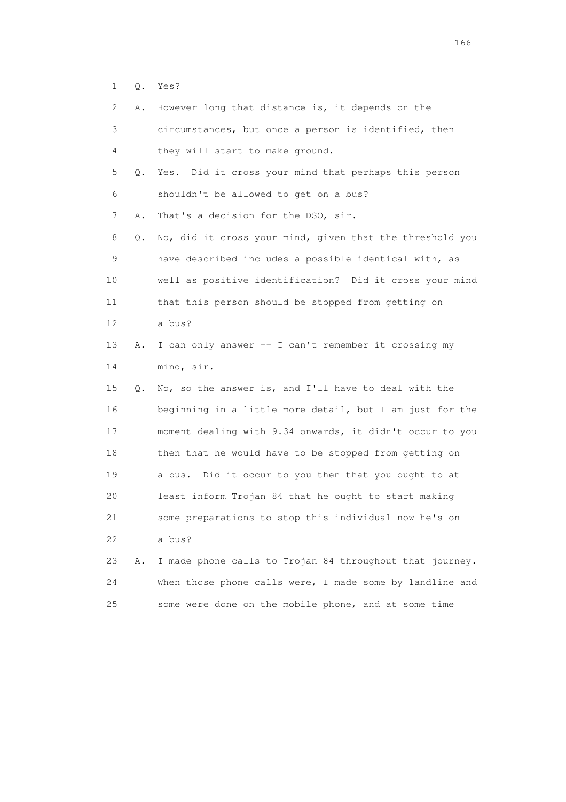1 Q. Yes?

2 A. However long that distance is, it depends on the

| 3               |    | circumstances, but once a person is identified, then     |
|-----------------|----|----------------------------------------------------------|
| 4               |    | they will start to make ground.                          |
| 5               | Q. | Yes. Did it cross your mind that perhaps this person     |
| 6               |    | shouldn't be allowed to get on a bus?                    |
| 7               | Α. | That's a decision for the DSO, sir.                      |
| 8               | Q. | No, did it cross your mind, given that the threshold you |
| 9               |    | have described includes a possible identical with, as    |
| 10              |    | well as positive identification? Did it cross your mind  |
| 11              |    | that this person should be stopped from getting on       |
| 12 <sup>°</sup> |    | a bus?                                                   |
| 13              | Α. | I can only answer -- I can't remember it crossing my     |
| 14              |    | mind, sir.                                               |
| 15              | О. | No, so the answer is, and I'll have to deal with the     |
| 16              |    | beginning in a little more detail, but I am just for the |
| 17              |    | moment dealing with 9.34 onwards, it didn't occur to you |
| 18              |    | then that he would have to be stopped from getting on    |
| 19              |    | a bus. Did it occur to you then that you ought to at     |
| 20              |    | least inform Trojan 84 that he ought to start making     |
| 21              |    | some preparations to stop this individual now he's on    |
| 22              |    | a bus?                                                   |
| 23              | Α. | I made phone calls to Trojan 84 throughout that journey. |
| 24              |    | When those phone calls were, I made some by landline and |
|                 |    |                                                          |

25 some were done on the mobile phone, and at some time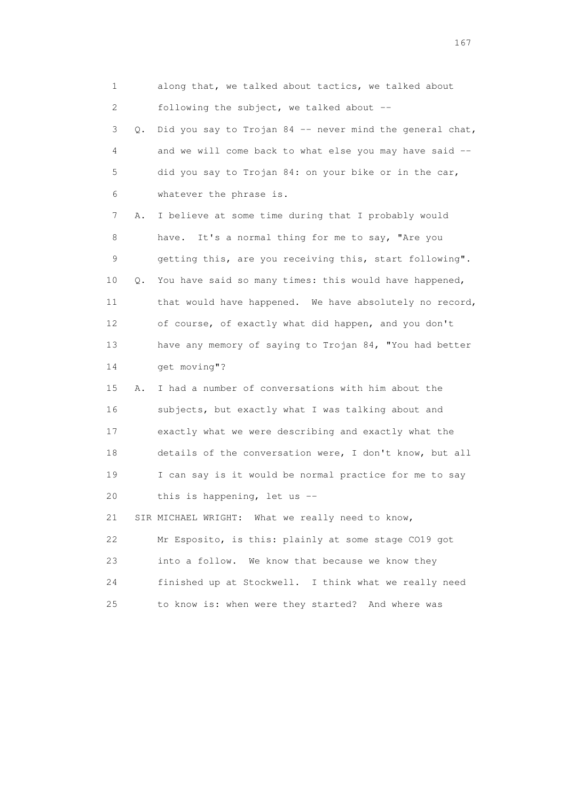| 1           |    | along that, we talked about tactics, we talked about     |
|-------------|----|----------------------------------------------------------|
| 2           |    | following the subject, we talked about --                |
| 3           | Q. | Did you say to Trojan 84 -- never mind the general chat, |
| 4           |    | and we will come back to what else you may have said --  |
| 5           |    | did you say to Trojan 84: on your bike or in the car,    |
| 6           |    | whatever the phrase is.                                  |
| 7           | Α. | I believe at some time during that I probably would      |
| 8           |    | It's a normal thing for me to say, "Are you<br>have.     |
| $\mathsf 9$ |    | getting this, are you receiving this, start following".  |
| 10          | Q. | You have said so many times: this would have happened,   |
| 11          |    | that would have happened. We have absolutely no record,  |
| 12          |    | of course, of exactly what did happen, and you don't     |
| 13          |    | have any memory of saying to Trojan 84, "You had better  |
| 14          |    | get moving"?                                             |
| 15          | Α. | I had a number of conversations with him about the       |
| 16          |    | subjects, but exactly what I was talking about and       |
| 17          |    | exactly what we were describing and exactly what the     |
| 18          |    | details of the conversation were, I don't know, but all  |
| 19          |    | I can say is it would be normal practice for me to say   |
| 20          |    | this is happening, let us --                             |
| 21          |    | SIR MICHAEL WRIGHT: What we really need to know,         |
| 22          |    | Mr Esposito, is this: plainly at some stage CO19 got     |
| 23          |    | into a follow. We know that because we know they         |
| 24          |    | finished up at Stockwell. I think what we really need    |
| 25          |    | to know is: when were they started? And where was        |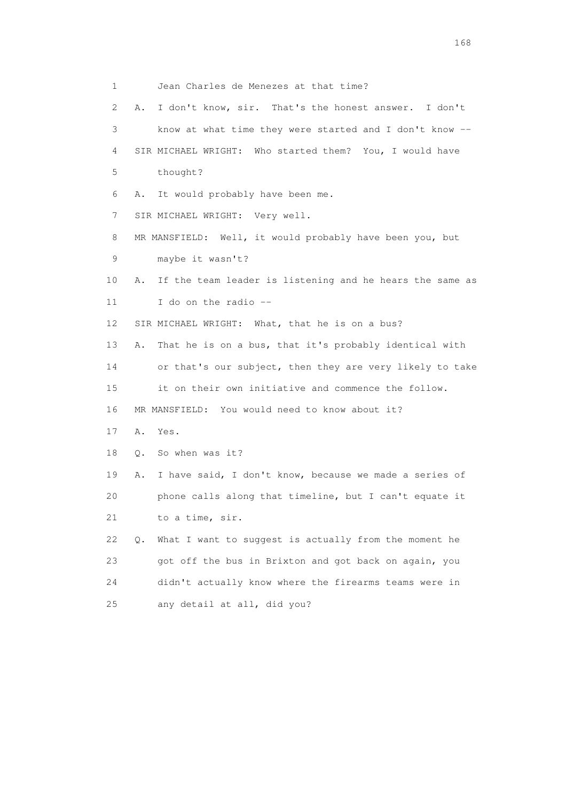1 Jean Charles de Menezes at that time? 2 A. I don't know, sir. That's the honest answer. I don't 3 know at what time they were started and I don't know -- 4 SIR MICHAEL WRIGHT: Who started them? You, I would have 5 thought? 6 A. It would probably have been me. 7 SIR MICHAEL WRIGHT: Very well. 8 MR MANSFIELD: Well, it would probably have been you, but 9 maybe it wasn't? 10 A. If the team leader is listening and he hears the same as 11 I do on the radio -- 12 SIR MICHAEL WRIGHT: What, that he is on a bus? 13 A. That he is on a bus, that it's probably identical with 14 or that's our subject, then they are very likely to take 15 it on their own initiative and commence the follow. 16 MR MANSFIELD: You would need to know about it? 17 A. Yes. 18 Q. So when was it? 19 A. I have said, I don't know, because we made a series of 20 phone calls along that timeline, but I can't equate it 21 to a time, sir. 22 Q. What I want to suggest is actually from the moment he 23 got off the bus in Brixton and got back on again, you 24 didn't actually know where the firearms teams were in 25 any detail at all, did you?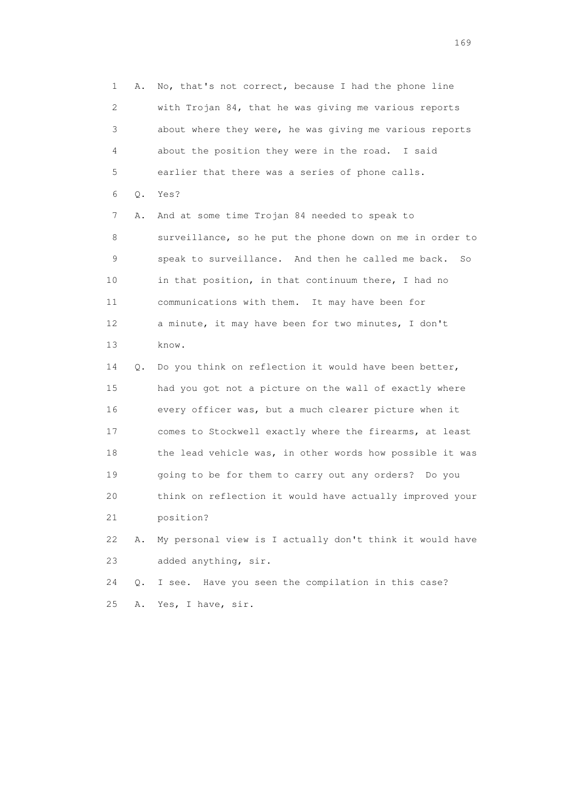1 A. No, that's not correct, because I had the phone line 2 with Trojan 84, that he was giving me various reports 3 about where they were, he was giving me various reports 4 about the position they were in the road. I said 5 earlier that there was a series of phone calls. 6 Q. Yes? 7 A. And at some time Trojan 84 needed to speak to 8 surveillance, so he put the phone down on me in order to 9 speak to surveillance. And then he called me back. So 10 in that position, in that continuum there, I had no 11 communications with them. It may have been for 12 a minute, it may have been for two minutes, I don't 13 know. 14 Q. Do you think on reflection it would have been better, 15 had you got not a picture on the wall of exactly where 16 every officer was, but a much clearer picture when it 17 comes to Stockwell exactly where the firearms, at least 18 the lead vehicle was, in other words how possible it was 19 going to be for them to carry out any orders? Do you 20 think on reflection it would have actually improved your 21 position?

 22 A. My personal view is I actually don't think it would have 23 added anything, sir.

 24 Q. I see. Have you seen the compilation in this case? 25 A. Yes, I have, sir.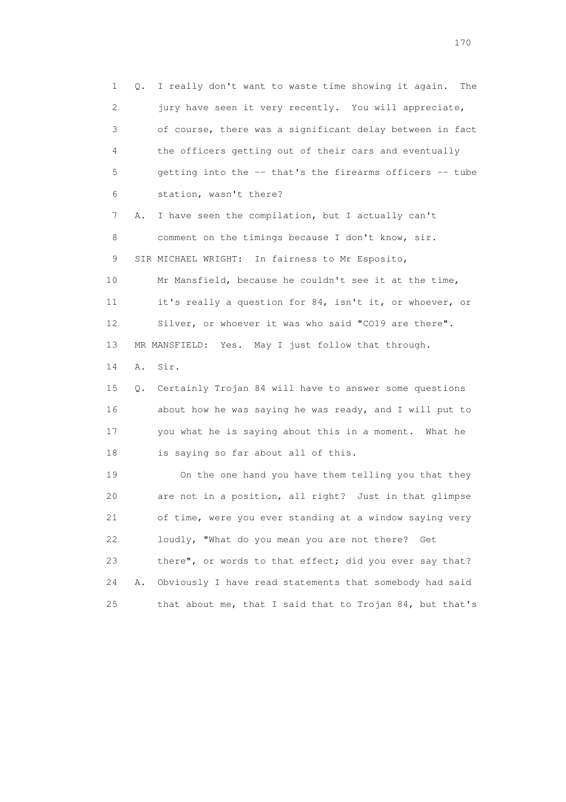1 Q. I really don't want to waste time showing it again. The 2 jury have seen it very recently. You will appreciate, 3 of course, there was a significant delay between in fact 4 the officers getting out of their cars and eventually 5 getting into the -- that's the firearms officers -- tube 6 station, wasn't there? 7 A. I have seen the compilation, but I actually can't 8 comment on the timings because I don't know, sir. 9 SIR MICHAEL WRIGHT: In fairness to Mr Esposito, 10 Mr Mansfield, because he couldn't see it at the time, 11 it's really a question for 84, isn't it, or whoever, or 12 Silver, or whoever it was who said "CO19 are there". 13 MR MANSFIELD: Yes. May I just follow that through. 14 A. Sir.

 15 Q. Certainly Trojan 84 will have to answer some questions 16 about how he was saying he was ready, and I will put to 17 you what he is saying about this in a moment. What he 18 is saying so far about all of this.

 19 On the one hand you have them telling you that they 20 are not in a position, all right? Just in that glimpse 21 of time, were you ever standing at a window saying very 22 loudly, "What do you mean you are not there? Get 23 there", or words to that effect; did you ever say that? 24 A. Obviously I have read statements that somebody had said 25 that about me, that I said that to Trojan 84, but that's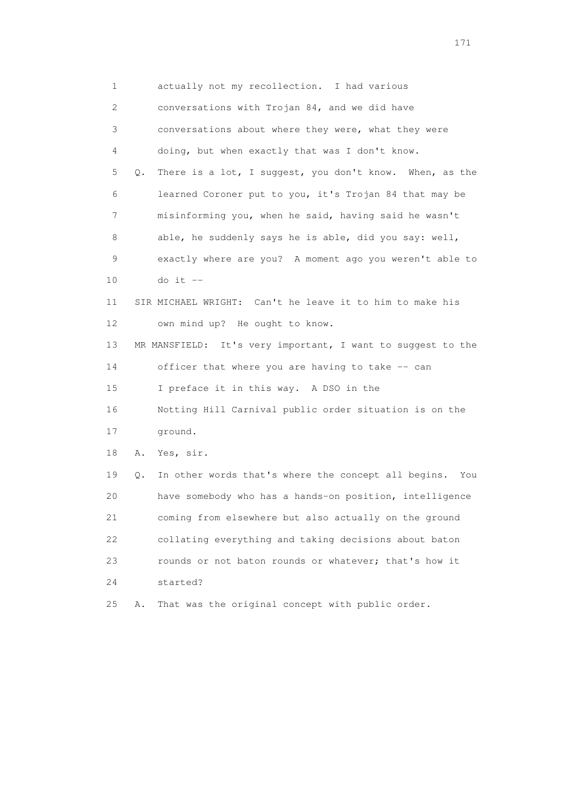1 actually not my recollection. I had various 2 conversations with Trojan 84, and we did have 3 conversations about where they were, what they were 4 doing, but when exactly that was I don't know. 5 Q. There is a lot, I suggest, you don't know. When, as the 6 learned Coroner put to you, it's Trojan 84 that may be 7 misinforming you, when he said, having said he wasn't 8 able, he suddenly says he is able, did you say: well, 9 exactly where are you? A moment ago you weren't able to 10 do it -- 11 SIR MICHAEL WRIGHT: Can't he leave it to him to make his 12 own mind up? He ought to know. 13 MR MANSFIELD: It's very important, I want to suggest to the 14 officer that where you are having to take -- can 15 I preface it in this way. A DSO in the 16 Notting Hill Carnival public order situation is on the 17 ground. 18 A. Yes, sir. 19 Q. In other words that's where the concept all begins. You 20 have somebody who has a hands-on position, intelligence 21 coming from elsewhere but also actually on the ground 22 collating everything and taking decisions about baton 23 rounds or not baton rounds or whatever; that's how it 24 started? 25 A. That was the original concept with public order.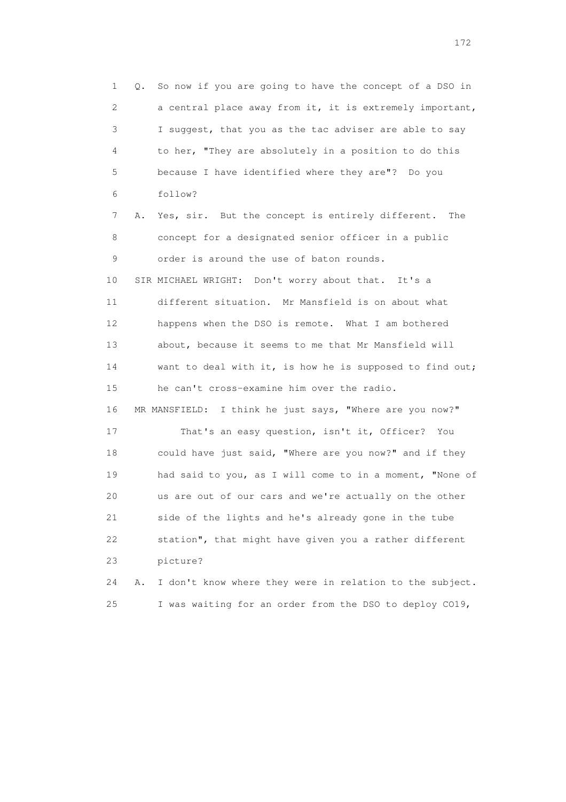1 Q. So now if you are going to have the concept of a DSO in 2 a central place away from it, it is extremely important, 3 I suggest, that you as the tac adviser are able to say 4 to her, "They are absolutely in a position to do this 5 because I have identified where they are"? Do you 6 follow? 7 A. Yes, sir. But the concept is entirely different. The 8 concept for a designated senior officer in a public 9 order is around the use of baton rounds. 10 SIR MICHAEL WRIGHT: Don't worry about that. It's a 11 different situation. Mr Mansfield is on about what 12 happens when the DSO is remote. What I am bothered 13 about, because it seems to me that Mr Mansfield will 14 want to deal with it, is how he is supposed to find out; 15 he can't cross-examine him over the radio. 16 MR MANSFIELD: I think he just says, "Where are you now?" 17 That's an easy question, isn't it, Officer? You 18 could have just said, "Where are you now?" and if they 19 had said to you, as I will come to in a moment, "None of 20 us are out of our cars and we're actually on the other 21 side of the lights and he's already gone in the tube 22 station", that might have given you a rather different 23 picture? 24 A. I don't know where they were in relation to the subject.

25 I was waiting for an order from the DSO to deploy CO19,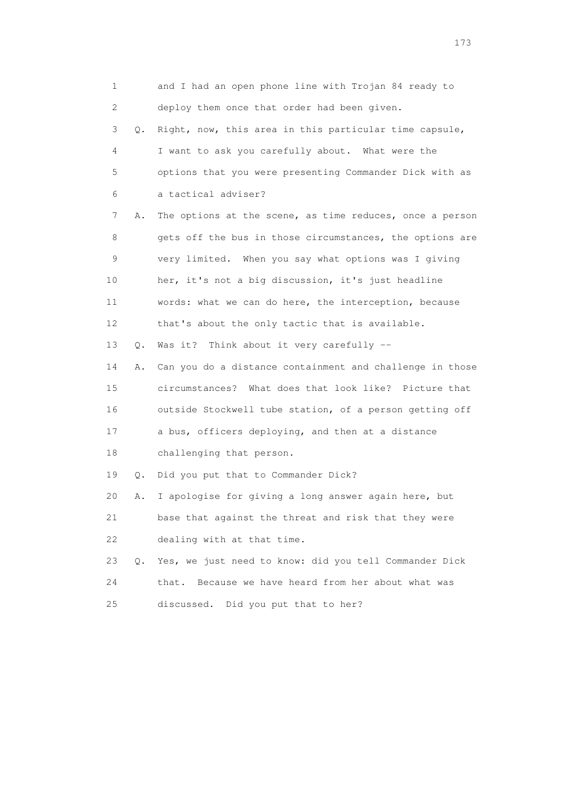| 1                         |               | and I had an open phone line with Trojan 84 ready to     |
|---------------------------|---------------|----------------------------------------------------------|
| $\mathbf{2}^{\mathsf{I}}$ |               | deploy them once that order had been given.              |
| 3                         | Q.            | Right, now, this area in this particular time capsule,   |
| 4                         |               | I want to ask you carefully about. What were the         |
| 5                         |               | options that you were presenting Commander Dick with as  |
| 6                         |               | a tactical adviser?                                      |
| 7                         | Α.            | The options at the scene, as time reduces, once a person |
| 8                         |               | gets off the bus in those circumstances, the options are |
| 9                         |               | very limited. When you say what options was I giving     |
| 10                        |               | her, it's not a big discussion, it's just headline       |
| 11                        |               | words: what we can do here, the interception, because    |
| 12                        |               | that's about the only tactic that is available.          |
| 13                        | $Q$ .         | Was it? Think about it very carefully --                 |
| 14                        | Α.            | Can you do a distance containment and challenge in those |
| 15                        |               | circumstances? What does that look like? Picture that    |
| 16                        |               | outside Stockwell tube station, of a person getting off  |
| 17                        |               | a bus, officers deploying, and then at a distance        |
| 18                        |               | challenging that person.                                 |
| 19                        | Q.            | Did you put that to Commander Dick?                      |
| 20                        | Α.            | I apologise for giving a long answer again here, but     |
| 21                        |               | base that against the threat and risk that they were     |
| 22                        |               | dealing with at that time.                               |
| 23                        | $Q_{\bullet}$ | Yes, we just need to know: did you tell Commander Dick   |
| 24                        |               | Because we have heard from her about what was<br>that.   |
| 25                        |               | discussed. Did you put that to her?                      |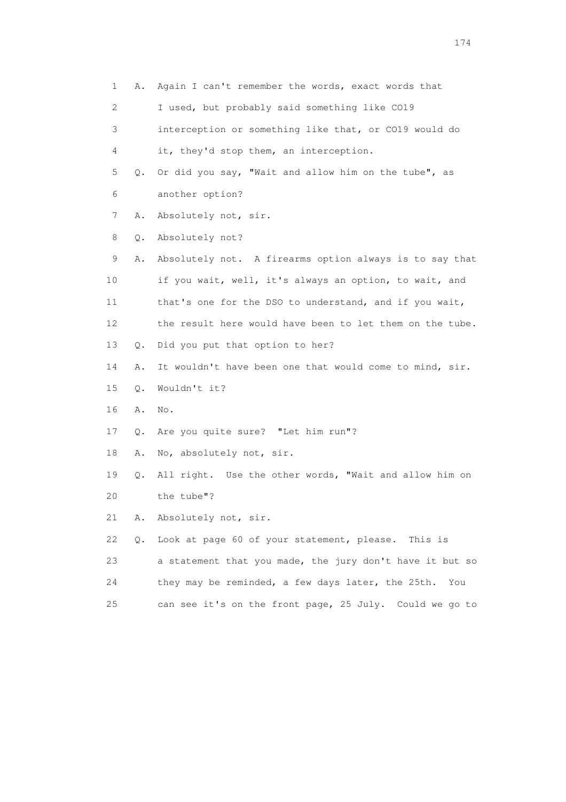1 A. Again I can't remember the words, exact words that 2 I used, but probably said something like CO19 3 interception or something like that, or CO19 would do 4 it, they'd stop them, an interception. 5 Q. Or did you say, "Wait and allow him on the tube", as 6 another option? 7 A. Absolutely not, sir. 8 Q. Absolutely not? 9 A. Absolutely not. A firearms option always is to say that 10 if you wait, well, it's always an option, to wait, and 11 that's one for the DSO to understand, and if you wait, 12 the result here would have been to let them on the tube. 13 Q. Did you put that option to her? 14 A. It wouldn't have been one that would come to mind, sir. 15 Q. Wouldn't it? 16 A. No. 17 Q. Are you quite sure? "Let him run"? 18 A. No, absolutely not, sir. 19 Q. All right. Use the other words, "Wait and allow him on 20 the tube"? 21 A. Absolutely not, sir. 22 Q. Look at page 60 of your statement, please. This is 23 a statement that you made, the jury don't have it but so 24 they may be reminded, a few days later, the 25th. You 25 can see it's on the front page, 25 July. Could we go to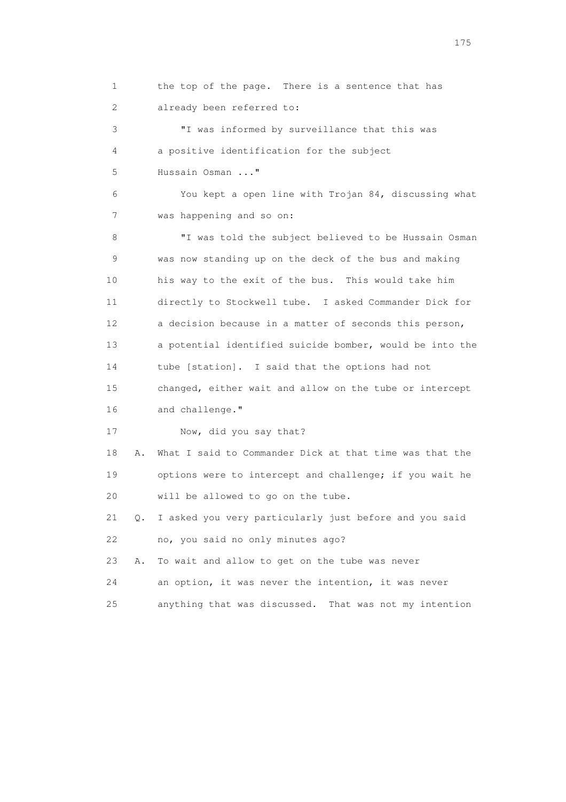1 the top of the page. There is a sentence that has 2 already been referred to:

 3 "I was informed by surveillance that this was 4 a positive identification for the subject 5 Hussain Osman ..."

 6 You kept a open line with Trojan 84, discussing what 7 was happening and so on:

 8 "I was told the subject believed to be Hussain Osman 9 was now standing up on the deck of the bus and making 10 his way to the exit of the bus. This would take him 11 directly to Stockwell tube. I asked Commander Dick for 12 a decision because in a matter of seconds this person, 13 a potential identified suicide bomber, would be into the 14 tube [station]. I said that the options had not 15 changed, either wait and allow on the tube or intercept 16 and challenge."

17 Now, did you say that?

 18 A. What I said to Commander Dick at that time was that the 19 options were to intercept and challenge; if you wait he 20 will be allowed to go on the tube.

 21 Q. I asked you very particularly just before and you said 22 no, you said no only minutes ago?

23 A. To wait and allow to get on the tube was never

24 an option, it was never the intention, it was never

25 anything that was discussed. That was not my intention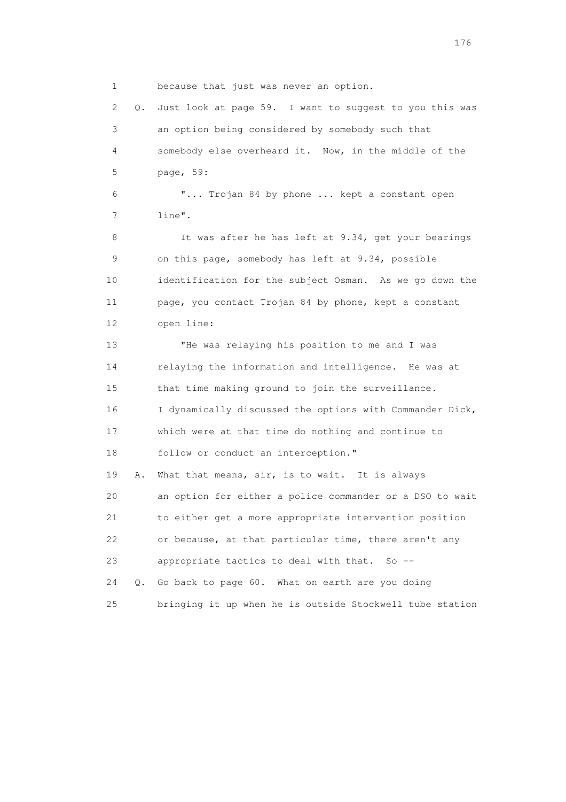1 because that just was never an option.

 2 Q. Just look at page 59. I want to suggest to you this was 3 an option being considered by somebody such that 4 somebody else overheard it. Now, in the middle of the 5 page, 59: 6 "... Trojan 84 by phone ... kept a constant open 7 line". 8 It was after he has left at 9.34, get your bearings 9 on this page, somebody has left at 9.34, possible 10 identification for the subject Osman. As we go down the 11 page, you contact Trojan 84 by phone, kept a constant 12 open line: 13 "He was relaying his position to me and I was 14 relaying the information and intelligence. He was at 15 that time making ground to join the surveillance. 16 I dynamically discussed the options with Commander Dick, 17 which were at that time do nothing and continue to 18 follow or conduct an interception." 19 A. What that means, sir, is to wait. It is always 20 an option for either a police commander or a DSO to wait 21 to either get a more appropriate intervention position 22 or because, at that particular time, there aren't any 23 appropriate tactics to deal with that. So -- 24 Q. Go back to page 60. What on earth are you doing 25 bringing it up when he is outside Stockwell tube station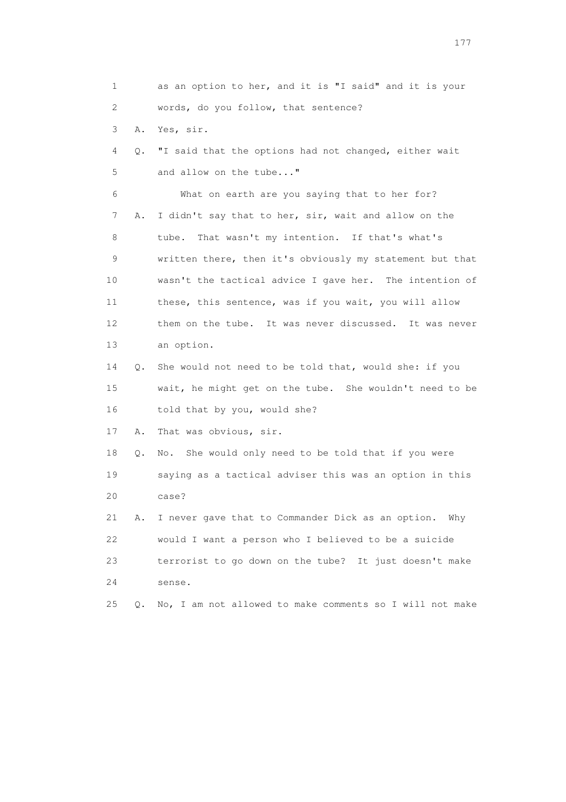1 as an option to her, and it is "I said" and it is your 2 words, do you follow, that sentence? 3 A. Yes, sir. 4 Q. "I said that the options had not changed, either wait 5 and allow on the tube..." 6 What on earth are you saying that to her for? 7 A. I didn't say that to her, sir, wait and allow on the 8 tube. That wasn't my intention. If that's what's 9 written there, then it's obviously my statement but that 10 wasn't the tactical advice I gave her. The intention of 11 these, this sentence, was if you wait, you will allow 12 them on the tube. It was never discussed. It was never 13 an option. 14 Q. She would not need to be told that, would she: if you 15 wait, he might get on the tube. She wouldn't need to be 16 told that by you, would she? 17 A. That was obvious, sir. 18 Q. No. She would only need to be told that if you were 19 saying as a tactical adviser this was an option in this 20 case? 21 A. I never gave that to Commander Dick as an option. Why 22 would I want a person who I believed to be a suicide 23 terrorist to go down on the tube? It just doesn't make 24 sense. 25 Q. No, I am not allowed to make comments so I will not make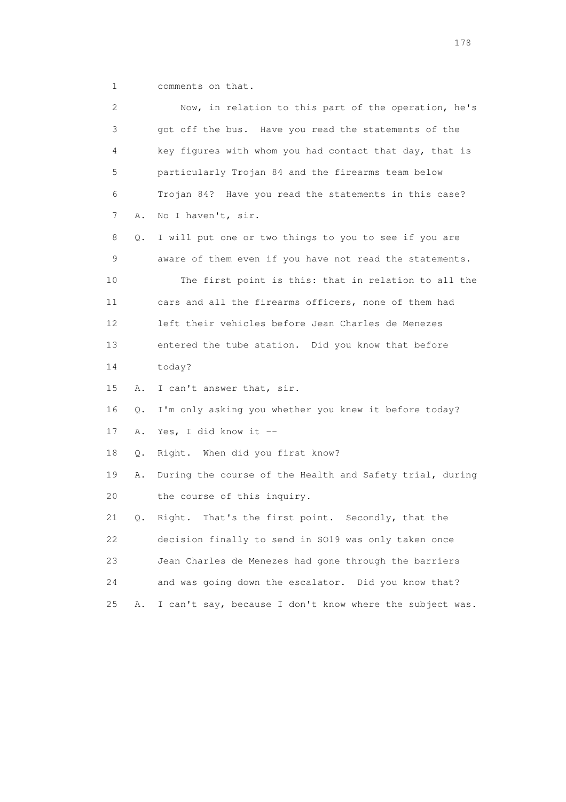1 comments on that.

| 2               |    | Now, in relation to this part of the operation, he's     |
|-----------------|----|----------------------------------------------------------|
| 3               |    | got off the bus. Have you read the statements of the     |
| 4               |    | key figures with whom you had contact that day, that is  |
| 5               |    | particularly Trojan 84 and the firearms team below       |
| 6               |    | Trojan 84? Have you read the statements in this case?    |
| 7               | Α. | No I haven't, sir.                                       |
| 8               | Q. | I will put one or two things to you to see if you are    |
| 9               |    | aware of them even if you have not read the statements.  |
| 10              |    | The first point is this: that in relation to all the     |
| 11              |    | cars and all the firearms officers, none of them had     |
| 12 <sup>°</sup> |    | left their vehicles before Jean Charles de Menezes       |
| 13              |    | entered the tube station. Did you know that before       |
| 14              |    | today?                                                   |
| 15              | Α. | I can't answer that, sir.                                |
| 16              | Q. | I'm only asking you whether you knew it before today?    |
| 17              | Α. | Yes, I did know it --                                    |
| 18              | Q. | Right. When did you first know?                          |
| 19              | Α. | During the course of the Health and Safety trial, during |
| 20              |    | the course of this inquiry.                              |
| 21              | Q. | Right. That's the first point. Secondly, that the        |
| 22              |    | decision finally to send in SO19 was only taken once     |
| 23              |    | Jean Charles de Menezes had gone through the barriers    |
| 24              |    | and was going down the escalator. Did you know that?     |
| 25              | Α. | I can't say, because I don't know where the subject was. |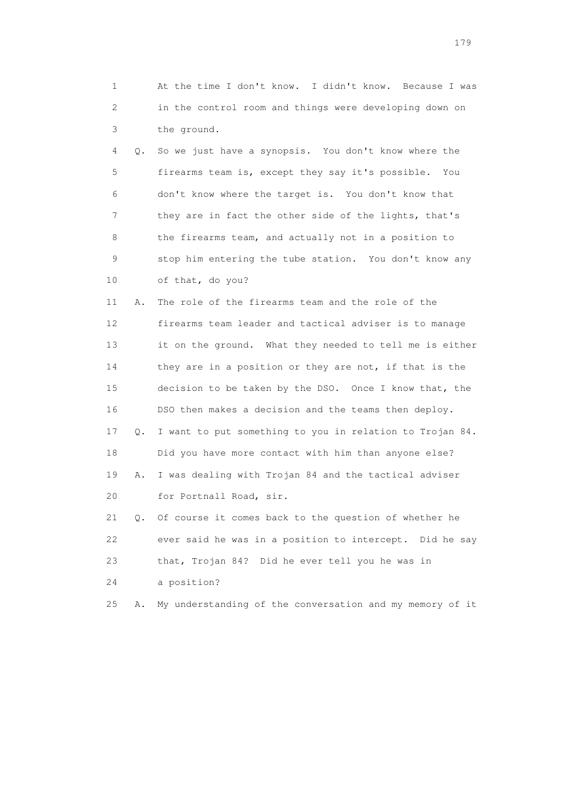1 At the time I don't know. I didn't know. Because I was 2 in the control room and things were developing down on 3 the ground.

 4 Q. So we just have a synopsis. You don't know where the 5 firearms team is, except they say it's possible. You 6 don't know where the target is. You don't know that 7 they are in fact the other side of the lights, that's 8 the firearms team, and actually not in a position to 9 stop him entering the tube station. You don't know any 10 of that, do you?

 11 A. The role of the firearms team and the role of the 12 firearms team leader and tactical adviser is to manage 13 it on the ground. What they needed to tell me is either 14 they are in a position or they are not, if that is the 15 decision to be taken by the DSO. Once I know that, the 16 DSO then makes a decision and the teams then deploy. 17 Q. I want to put something to you in relation to Trojan 84. 18 Did you have more contact with him than anyone else? 19 A. I was dealing with Trojan 84 and the tactical adviser 20 for Portnall Road, sir. 21 Q. Of course it comes back to the question of whether he

 22 ever said he was in a position to intercept. Did he say 23 that, Trojan 84? Did he ever tell you he was in 24 a position?

25 A. My understanding of the conversation and my memory of it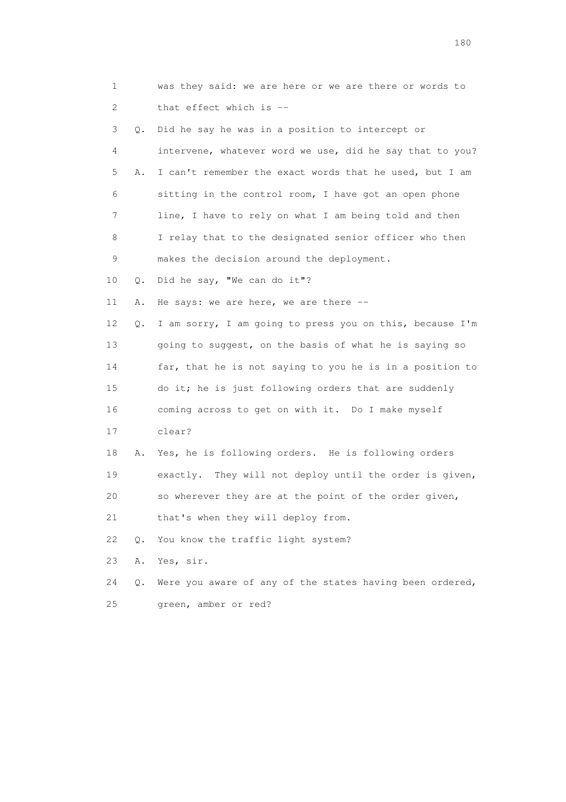| 1  |    | was they said: we are here or we are there or words to   |
|----|----|----------------------------------------------------------|
| 2  |    | that effect which is --                                  |
| 3  | Q. | Did he say he was in a position to intercept or          |
| 4  |    | intervene, whatever word we use, did he say that to you? |
| 5  | Α. | I can't remember the exact words that he used, but I am  |
| 6  |    | sitting in the control room, I have got an open phone    |
| 7  |    | line, I have to rely on what I am being told and then    |
| 8  |    | I relay that to the designated senior officer who then   |
| 9  |    | makes the decision around the deployment.                |
| 10 | Q. | Did he say, "We can do it"?                              |
| 11 | Α. | He says: we are here, we are there $-$                   |
| 12 | Q. | I am sorry, I am going to press you on this, because I'm |
| 13 |    | going to suggest, on the basis of what he is saying so   |
| 14 |    | far, that he is not saying to you he is in a position to |
| 15 |    | do it; he is just following orders that are suddenly     |
| 16 |    | coming across to get on with it. Do I make myself        |
| 17 |    | clear?                                                   |
| 18 | Α. | Yes, he is following orders. He is following orders      |
| 19 |    | exactly. They will not deploy until the order is given,  |
| 20 |    | so wherever they are at the point of the order given,    |
| 21 |    | that's when they will deploy from.                       |
| 22 | Q. | You know the traffic light system?                       |
| 23 | Α. | Yes, sir.                                                |
| 24 | Q. | Were you aware of any of the states having been ordered, |
| 25 |    | green, amber or red?                                     |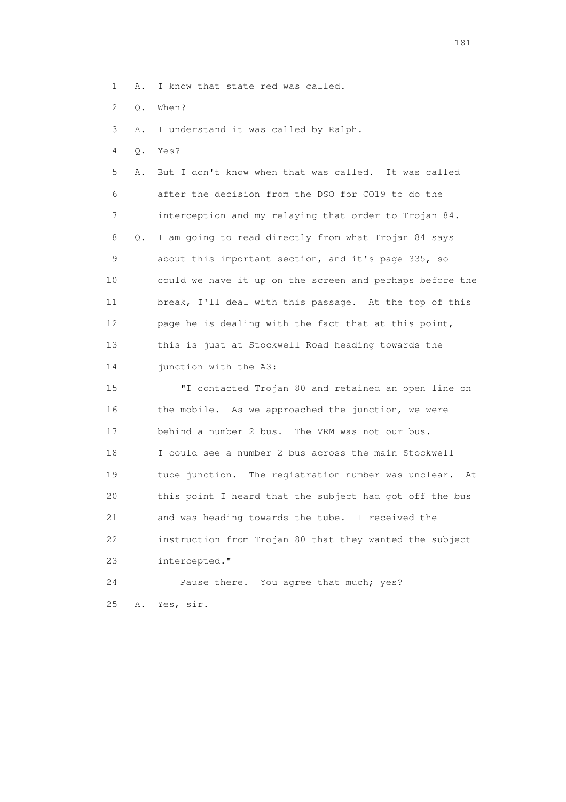- 1 A. I know that state red was called.
- 2 Q. When?

3 A. I understand it was called by Ralph.

4 Q. Yes?

 5 A. But I don't know when that was called. It was called 6 after the decision from the DSO for CO19 to do the 7 interception and my relaying that order to Trojan 84. 8 Q. I am going to read directly from what Trojan 84 says 9 about this important section, and it's page 335, so 10 could we have it up on the screen and perhaps before the 11 break, I'll deal with this passage. At the top of this 12 page he is dealing with the fact that at this point, 13 this is just at Stockwell Road heading towards the 14 junction with the A3:

 15 "I contacted Trojan 80 and retained an open line on 16 the mobile. As we approached the junction, we were 17 behind a number 2 bus. The VRM was not our bus. 18 I could see a number 2 bus across the main Stockwell 19 tube junction. The registration number was unclear. At 20 this point I heard that the subject had got off the bus 21 and was heading towards the tube. I received the 22 instruction from Trojan 80 that they wanted the subject 23 intercepted."

 24 Pause there. You agree that much; yes? 25 A. Yes, sir.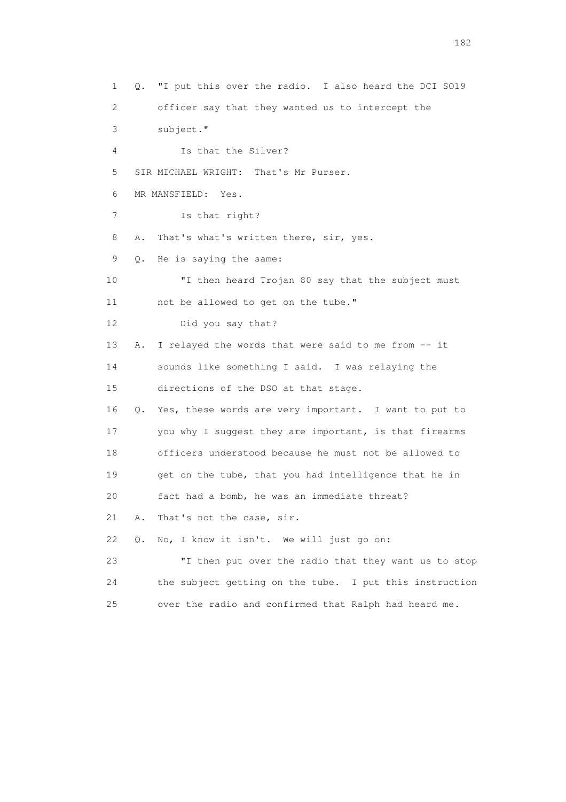1 Q. "I put this over the radio. I also heard the DCI SO19 2 officer say that they wanted us to intercept the 3 subject." 4 Is that the Silver? 5 SIR MICHAEL WRIGHT: That's Mr Purser. 6 MR MANSFIELD: Yes. 7 Is that right? 8 A. That's what's written there, sir, yes. 9 Q. He is saying the same: 10 "I then heard Trojan 80 say that the subject must 11 not be allowed to get on the tube." 12 Did you say that? 13 A. I relayed the words that were said to me from -- it 14 sounds like something I said. I was relaying the 15 directions of the DSO at that stage. 16 Q. Yes, these words are very important. I want to put to 17 you why I suggest they are important, is that firearms 18 officers understood because he must not be allowed to 19 get on the tube, that you had intelligence that he in 20 fact had a bomb, he was an immediate threat? 21 A. That's not the case, sir. 22 Q. No, I know it isn't. We will just go on: 23 "I then put over the radio that they want us to stop 24 the subject getting on the tube. I put this instruction 25 over the radio and confirmed that Ralph had heard me.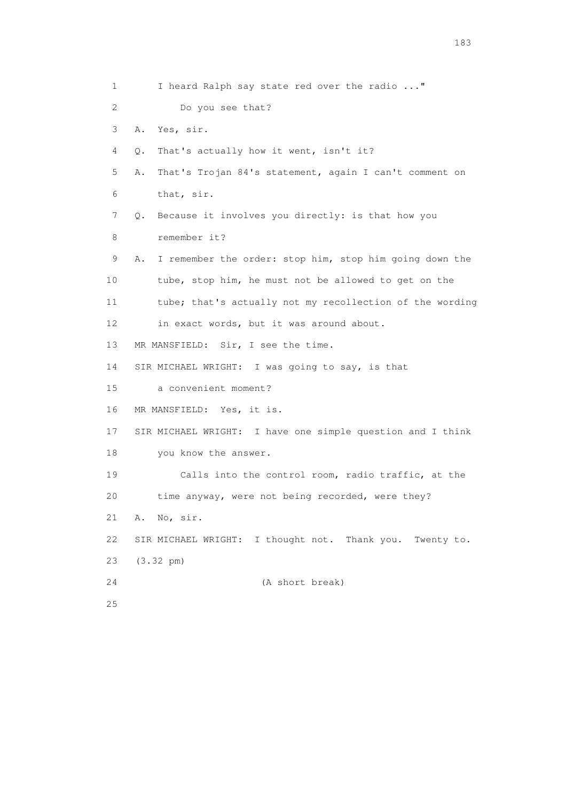1 I heard Ralph say state red over the radio ..." 2 Do you see that? 3 A. Yes, sir. 4 Q. That's actually how it went, isn't it? 5 A. That's Trojan 84's statement, again I can't comment on 6 that, sir. 7 Q. Because it involves you directly: is that how you 8 remember it? 9 A. I remember the order: stop him, stop him going down the 10 tube, stop him, he must not be allowed to get on the 11 tube; that's actually not my recollection of the wording 12 in exact words, but it was around about. 13 MR MANSFIELD: Sir, I see the time. 14 SIR MICHAEL WRIGHT: I was going to say, is that 15 a convenient moment? 16 MR MANSFIELD: Yes, it is. 17 SIR MICHAEL WRIGHT: I have one simple question and I think 18 you know the answer. 19 Calls into the control room, radio traffic, at the 20 time anyway, were not being recorded, were they? 21 A. No, sir. 22 SIR MICHAEL WRIGHT: I thought not. Thank you. Twenty to. 23 (3.32 pm) 24 (A short break) 25

183 and the contract of the contract of the contract of the contract of the contract of the contract of the contract of the contract of the contract of the contract of the contract of the contract of the contract of the co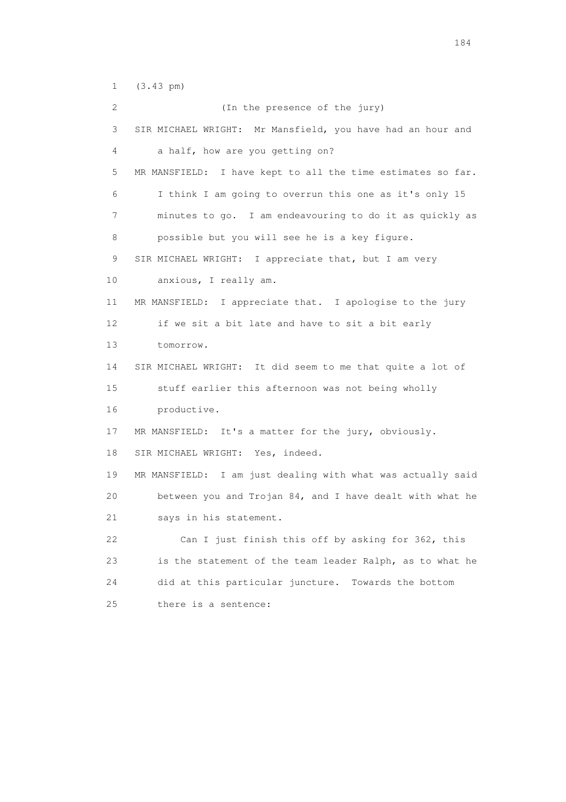1 (3.43 pm)

 2 (In the presence of the jury) 3 SIR MICHAEL WRIGHT: Mr Mansfield, you have had an hour and 4 a half, how are you getting on? 5 MR MANSFIELD: I have kept to all the time estimates so far. 6 I think I am going to overrun this one as it's only 15 7 minutes to go. I am endeavouring to do it as quickly as 8 possible but you will see he is a key figure. 9 SIR MICHAEL WRIGHT: I appreciate that, but I am very 10 anxious, I really am. 11 MR MANSFIELD: I appreciate that. I apologise to the jury 12 if we sit a bit late and have to sit a bit early 13 tomorrow. 14 SIR MICHAEL WRIGHT: It did seem to me that quite a lot of 15 stuff earlier this afternoon was not being wholly 16 productive. 17 MR MANSFIELD: It's a matter for the jury, obviously. 18 SIR MICHAEL WRIGHT: Yes, indeed. 19 MR MANSFIELD: I am just dealing with what was actually said 20 between you and Trojan 84, and I have dealt with what he 21 says in his statement. 22 Can I just finish this off by asking for 362, this 23 is the statement of the team leader Ralph, as to what he 24 did at this particular juncture. Towards the bottom 25 there is a sentence: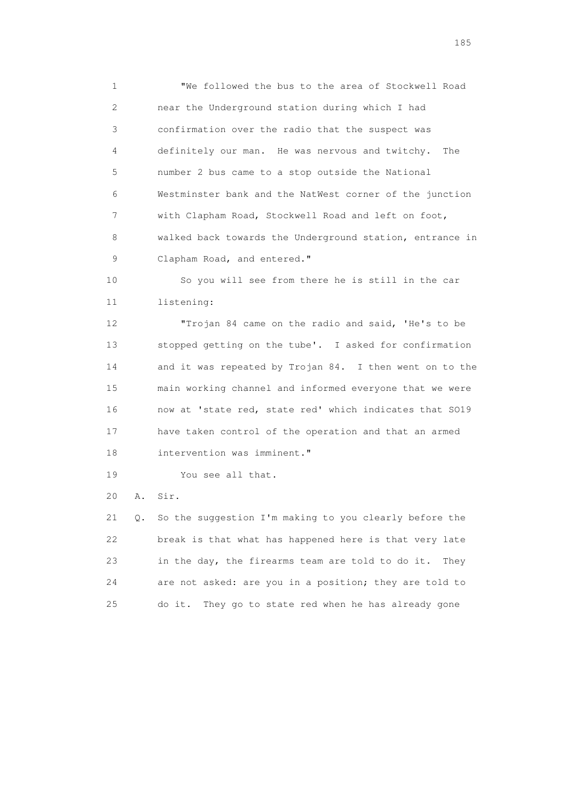1 "We followed the bus to the area of Stockwell Road 2 near the Underground station during which I had 3 confirmation over the radio that the suspect was 4 definitely our man. He was nervous and twitchy. The 5 number 2 bus came to a stop outside the National 6 Westminster bank and the NatWest corner of the junction 7 with Clapham Road, Stockwell Road and left on foot, 8 walked back towards the Underground station, entrance in 9 Clapham Road, and entered."

 10 So you will see from there he is still in the car 11 listening:

 12 "Trojan 84 came on the radio and said, 'He's to be 13 stopped getting on the tube'. I asked for confirmation 14 and it was repeated by Trojan 84. I then went on to the 15 main working channel and informed everyone that we were 16 now at 'state red, state red' which indicates that SO19 17 have taken control of the operation and that an armed 18 intervention was imminent."

19 You see all that.

20 A. Sir.

 21 Q. So the suggestion I'm making to you clearly before the 22 break is that what has happened here is that very late 23 in the day, the firearms team are told to do it. They 24 are not asked: are you in a position; they are told to 25 do it. They go to state red when he has already gone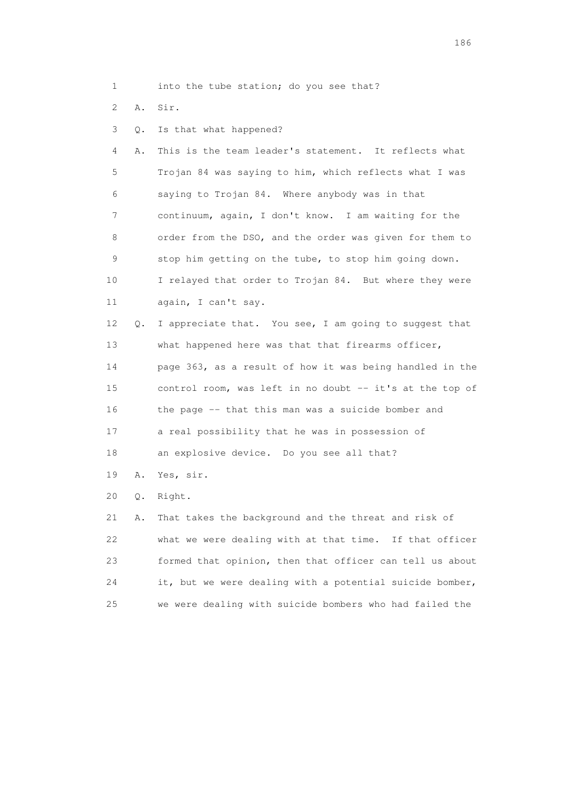- 1 into the tube station; do you see that?
- 2 A. Sir.
- 3 Q. Is that what happened?

 4 A. This is the team leader's statement. It reflects what 5 Trojan 84 was saying to him, which reflects what I was 6 saying to Trojan 84. Where anybody was in that 7 continuum, again, I don't know. I am waiting for the 8 order from the DSO, and the order was given for them to 9 stop him getting on the tube, to stop him going down. 10 I relayed that order to Trojan 84. But where they were 11 again, I can't say.

 12 Q. I appreciate that. You see, I am going to suggest that 13 what happened here was that that firearms officer, 14 page 363, as a result of how it was being handled in the 15 control room, was left in no doubt -- it's at the top of 16 the page -- that this man was a suicide bomber and 17 a real possibility that he was in possession of 18 an explosive device. Do you see all that?

- 19 A. Yes, sir.
- 20 Q. Right.

 21 A. That takes the background and the threat and risk of 22 what we were dealing with at that time. If that officer 23 formed that opinion, then that officer can tell us about 24 it, but we were dealing with a potential suicide bomber, 25 we were dealing with suicide bombers who had failed the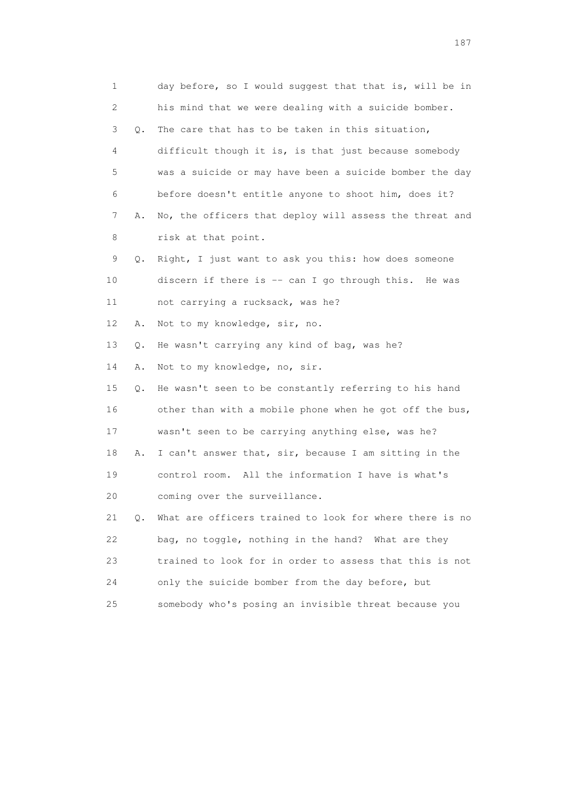| 1  |    | day before, so I would suggest that that is, will be in |
|----|----|---------------------------------------------------------|
| 2  |    | his mind that we were dealing with a suicide bomber.    |
| 3  | Q. | The care that has to be taken in this situation,        |
| 4  |    | difficult though it is, is that just because somebody   |
| 5  |    | was a suicide or may have been a suicide bomber the day |
| 6  |    | before doesn't entitle anyone to shoot him, does it?    |
| 7  | Α. | No, the officers that deploy will assess the threat and |
| 8  |    | risk at that point.                                     |
| 9  | Q. | Right, I just want to ask you this: how does someone    |
| 10 |    | discern if there is -- can I go through this. He was    |
| 11 |    | not carrying a rucksack, was he?                        |
| 12 | Α. | Not to my knowledge, sir, no.                           |
| 13 | Q. | He wasn't carrying any kind of bag, was he?             |
| 14 | Α. | Not to my knowledge, no, sir.                           |
| 15 | Q. | He wasn't seen to be constantly referring to his hand   |
| 16 |    | other than with a mobile phone when he got off the bus, |
| 17 |    | wasn't seen to be carrying anything else, was he?       |
| 18 | Α. | I can't answer that, sir, because I am sitting in the   |
| 19 |    | control room. All the information I have is what's      |
| 20 |    | coming over the surveillance.                           |
| 21 | 0. | What are officers trained to look for where there is no |
| 22 |    | bag, no toggle, nothing in the hand? What are they      |
| 23 |    | trained to look for in order to assess that this is not |
| 24 |    | only the suicide bomber from the day before, but        |
| 25 |    | somebody who's posing an invisible threat because you   |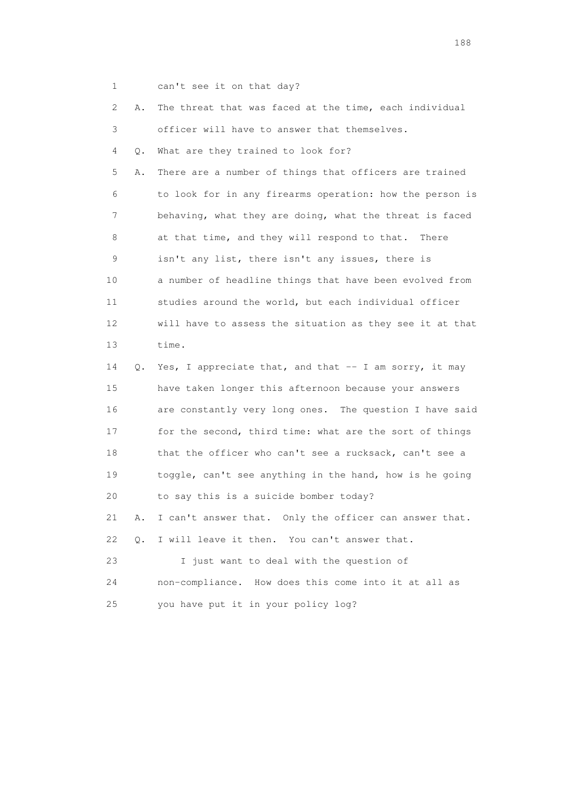1 can't see it on that day?

 2 A. The threat that was faced at the time, each individual 3 officer will have to answer that themselves.

4 Q. What are they trained to look for?

 5 A. There are a number of things that officers are trained 6 to look for in any firearms operation: how the person is 7 behaving, what they are doing, what the threat is faced 8 at that time, and they will respond to that. There 9 isn't any list, there isn't any issues, there is 10 a number of headline things that have been evolved from 11 studies around the world, but each individual officer 12 will have to assess the situation as they see it at that 13 time.

 14 Q. Yes, I appreciate that, and that -- I am sorry, it may 15 have taken longer this afternoon because your answers 16 are constantly very long ones. The question I have said 17 for the second, third time: what are the sort of things 18 that the officer who can't see a rucksack, can't see a 19 toggle, can't see anything in the hand, how is he going 20 to say this is a suicide bomber today? 21 A. I can't answer that. Only the officer can answer that. 22 Q. I will leave it then. You can't answer that. 23 I just want to deal with the question of

 24 non-compliance. How does this come into it at all as 25 you have put it in your policy log?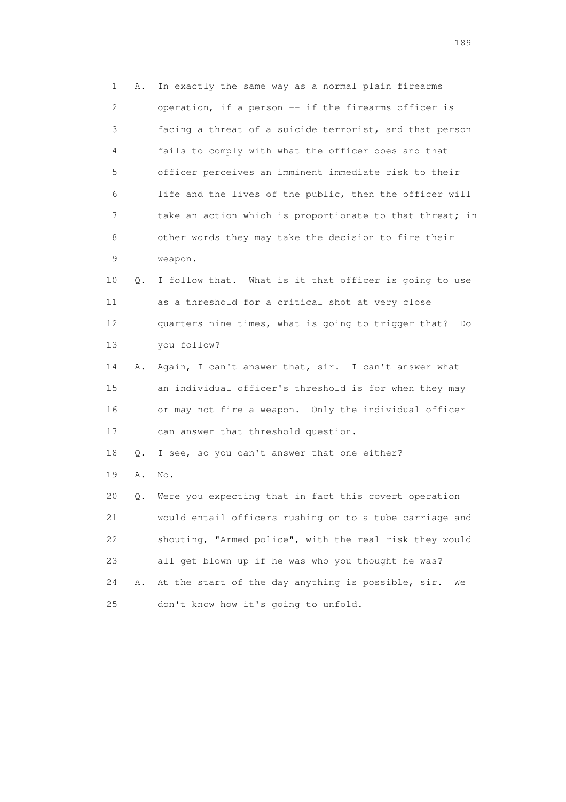1 A. In exactly the same way as a normal plain firearms 2 operation, if a person -- if the firearms officer is 3 facing a threat of a suicide terrorist, and that person 4 fails to comply with what the officer does and that 5 officer perceives an imminent immediate risk to their 6 life and the lives of the public, then the officer will 7 take an action which is proportionate to that threat; in 8 other words they may take the decision to fire their 9 weapon. 10 Q. I follow that. What is it that officer is going to use 11 as a threshold for a critical shot at very close 12 quarters nine times, what is going to trigger that? Do 13 you follow? 14 A. Again, I can't answer that, sir. I can't answer what 15 an individual officer's threshold is for when they may 16 or may not fire a weapon. Only the individual officer 17 can answer that threshold question. 18 Q. I see, so you can't answer that one either? 19 A. No. 20 Q. Were you expecting that in fact this covert operation 21 would entail officers rushing on to a tube carriage and 22 shouting, "Armed police", with the real risk they would 23 all get blown up if he was who you thought he was? 24 A. At the start of the day anything is possible, sir. We 25 don't know how it's going to unfold.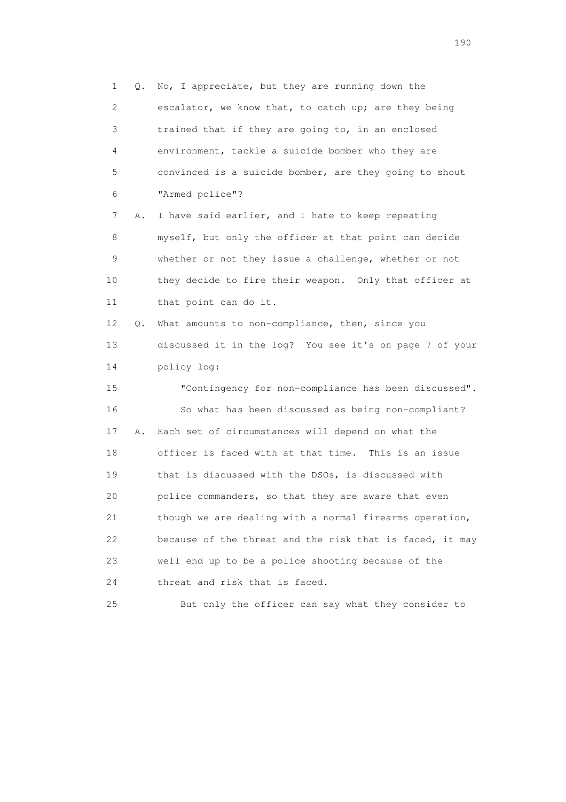1 Q. No, I appreciate, but they are running down the 2 escalator, we know that, to catch up; are they being 3 trained that if they are going to, in an enclosed 4 environment, tackle a suicide bomber who they are 5 convinced is a suicide bomber, are they going to shout 6 "Armed police"? 7 A. I have said earlier, and I hate to keep repeating 8 myself, but only the officer at that point can decide 9 whether or not they issue a challenge, whether or not 10 they decide to fire their weapon. Only that officer at 11 that point can do it. 12 Q. What amounts to non-compliance, then, since you 13 discussed it in the log? You see it's on page 7 of your 14 policy log: 15 "Contingency for non-compliance has been discussed". 16 So what has been discussed as being non-compliant? 17 A. Each set of circumstances will depend on what the 18 officer is faced with at that time. This is an issue 19 that is discussed with the DSOs, is discussed with 20 police commanders, so that they are aware that even 21 though we are dealing with a normal firearms operation, 22 because of the threat and the risk that is faced, it may 23 well end up to be a police shooting because of the 24 threat and risk that is faced.

25 But only the officer can say what they consider to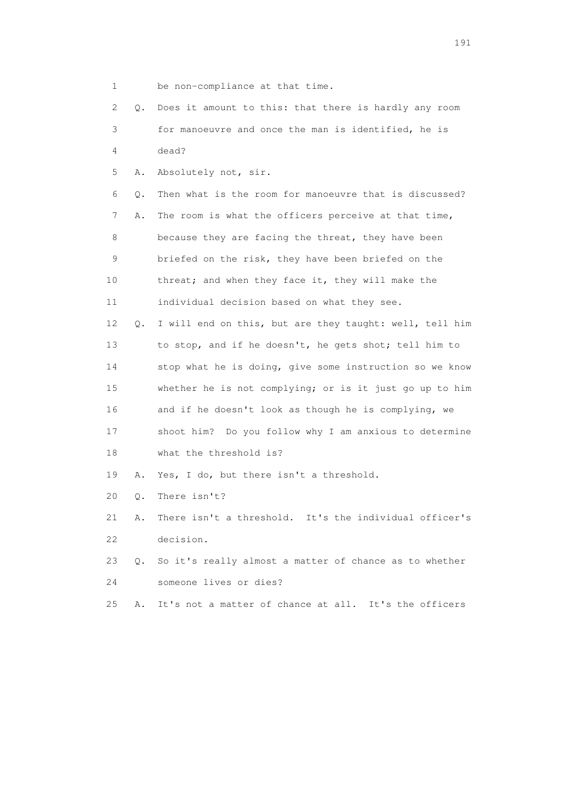| $\mathbf 1$ |           | be non-compliance at that time.                         |
|-------------|-----------|---------------------------------------------------------|
| 2           | О.        | Does it amount to this: that there is hardly any room   |
| 3           |           | for manoeuvre and once the man is identified, he is     |
| 4           |           | dead?                                                   |
| 5           | Α.        | Absolutely not, sir.                                    |
| 6           | Q.        | Then what is the room for manoeuvre that is discussed?  |
| 7           | Α.        | The room is what the officers perceive at that time,    |
| 8           |           | because they are facing the threat, they have been      |
| 9           |           | briefed on the risk, they have been briefed on the      |
| 10          |           | threat; and when they face it, they will make the       |
| 11          |           | individual decision based on what they see.             |
| 12          | О.        | I will end on this, but are they taught: well, tell him |
| 13          |           | to stop, and if he doesn't, he gets shot; tell him to   |
| 14          |           | stop what he is doing, give some instruction so we know |
| 15          |           | whether he is not complying; or is it just go up to him |
| 16          |           | and if he doesn't look as though he is complying, we    |
| 17          |           | shoot him? Do you follow why I am anxious to determine  |
| 18          |           | what the threshold is?                                  |
| 19          | Α.        | Yes, I do, but there isn't a threshold.                 |
| 20          | Q.        | There isn't?                                            |
| 21          | Α.        | There isn't a threshold. It's the individual officer's  |
| 22          |           | decision.                                               |
| 23          | $\circ$ . | So it's really almost a matter of chance as to whether  |
| 24          |           | someone lives or dies?                                  |

25 A. It's not a matter of chance at all. It's the officers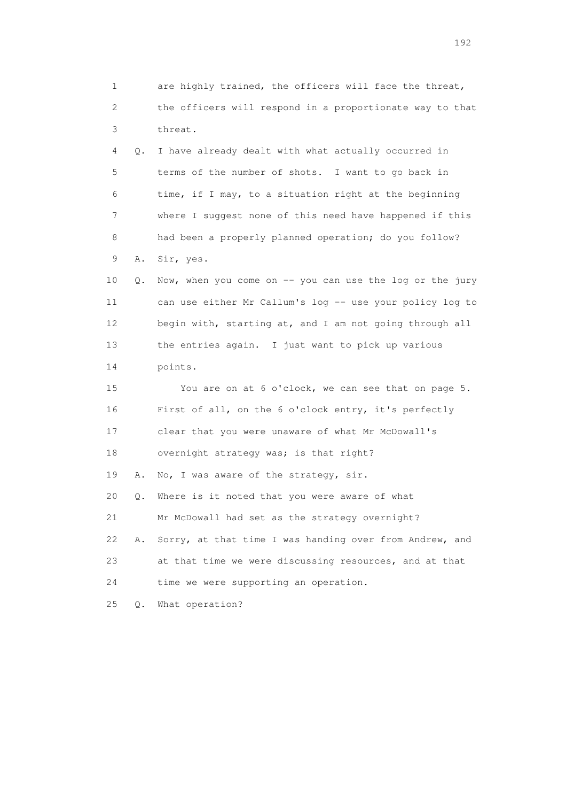1 are highly trained, the officers will face the threat, 2 the officers will respond in a proportionate way to that 3 threat. 4 Q. I have already dealt with what actually occurred in 5 terms of the number of shots. I want to go back in 6 time, if I may, to a situation right at the beginning 7 where I suggest none of this need have happened if this 8 had been a properly planned operation; do you follow? 9 A. Sir, yes. 10 Q. Now, when you come on -- you can use the log or the jury 11 can use either Mr Callum's log -- use your policy log to 12 begin with, starting at, and I am not going through all 13 the entries again. I just want to pick up various 14 points. 15 You are on at 6 o'clock, we can see that on page 5. 16 First of all, on the 6 o'clock entry, it's perfectly 17 clear that you were unaware of what Mr McDowall's 18 overnight strategy was; is that right? 19 A. No, I was aware of the strategy, sir. 20 Q. Where is it noted that you were aware of what 21 Mr McDowall had set as the strategy overnight? 22 A. Sorry, at that time I was handing over from Andrew, and 23 at that time we were discussing resources, and at that 24 time we were supporting an operation. 25 Q. What operation?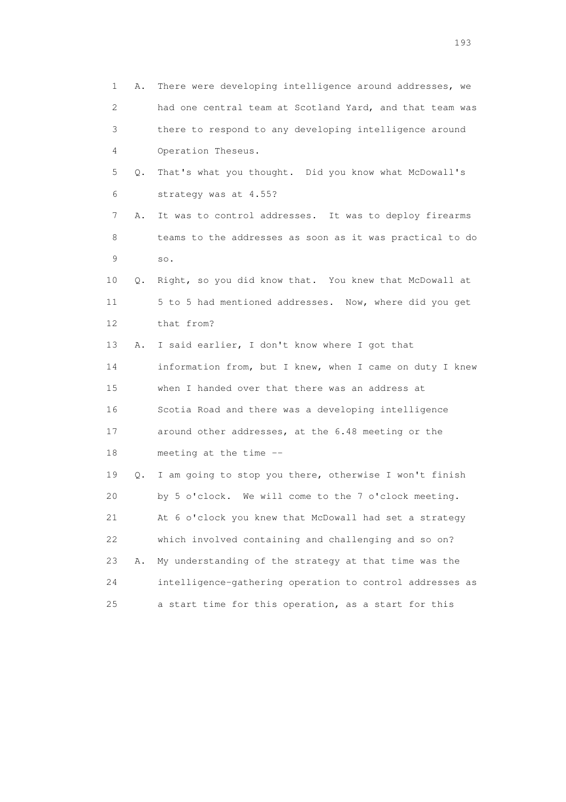1 A. There were developing intelligence around addresses, we 2 had one central team at Scotland Yard, and that team was 3 there to respond to any developing intelligence around 4 Operation Theseus. 5 Q. That's what you thought. Did you know what McDowall's 6 strategy was at 4.55? 7 A. It was to control addresses. It was to deploy firearms 8 teams to the addresses as soon as it was practical to do 9 so. 10 Q. Right, so you did know that. You knew that McDowall at 11 5 to 5 had mentioned addresses. Now, where did you get 12 that from? 13 A. I said earlier, I don't know where I got that 14 information from, but I knew, when I came on duty I knew 15 when I handed over that there was an address at 16 Scotia Road and there was a developing intelligence 17 around other addresses, at the 6.48 meeting or the 18 meeting at the time -- 19 Q. I am going to stop you there, otherwise I won't finish 20 by 5 o'clock. We will come to the 7 o'clock meeting. 21 At 6 o'clock you knew that McDowall had set a strategy 22 which involved containing and challenging and so on? 23 A. My understanding of the strategy at that time was the 24 intelligence-gathering operation to control addresses as 25 a start time for this operation, as a start for this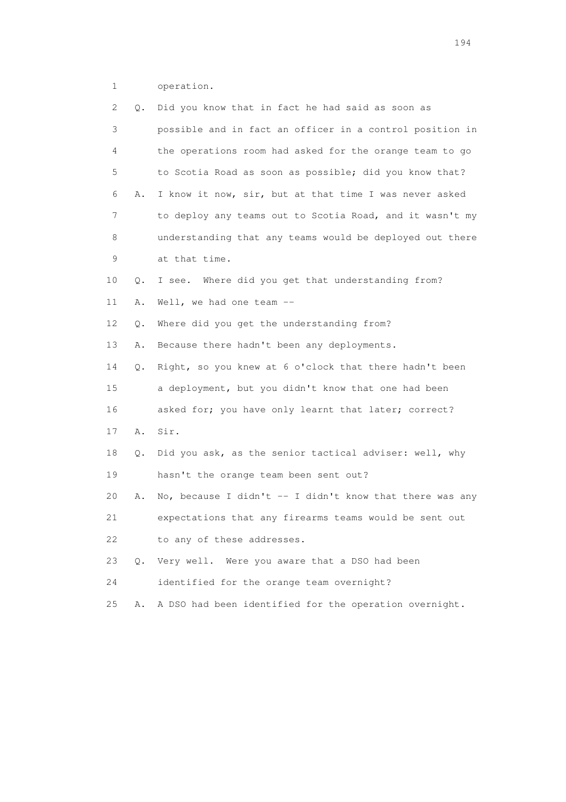1 operation.

| 2  | Q.            | Did you know that in fact he had said as soon as          |
|----|---------------|-----------------------------------------------------------|
| 3  |               | possible and in fact an officer in a control position in  |
| 4  |               | the operations room had asked for the orange team to go   |
| 5  |               | to Scotia Road as soon as possible; did you know that?    |
| 6  | Α.            | I know it now, sir, but at that time I was never asked    |
| 7  |               | to deploy any teams out to Scotia Road, and it wasn't my  |
| 8  |               | understanding that any teams would be deployed out there  |
| 9  |               | at that time.                                             |
| 10 | Q.            | I see. Where did you get that understanding from?         |
| 11 | Α.            | Well, we had one team --                                  |
| 12 | Q.            | Where did you get the understanding from?                 |
| 13 | Α.            | Because there hadn't been any deployments.                |
| 14 | Q.            | Right, so you knew at 6 o'clock that there hadn't been    |
| 15 |               | a deployment, but you didn't know that one had been       |
| 16 |               | asked for; you have only learnt that later; correct?      |
| 17 | Α.            | Sir.                                                      |
| 18 | Q.            | Did you ask, as the senior tactical adviser: well, why    |
| 19 |               | hasn't the orange team been sent out?                     |
| 20 | Α.            | No, because I didn't $-$ I didn't know that there was any |
| 21 |               | expectations that any firearms teams would be sent out    |
| 22 |               | to any of these addresses.                                |
| 23 | $Q_{\bullet}$ | Very well. Were you aware that a DSO had been             |
| 24 |               | identified for the orange team overnight?                 |
| 25 | Α.            | A DSO had been identified for the operation overnight.    |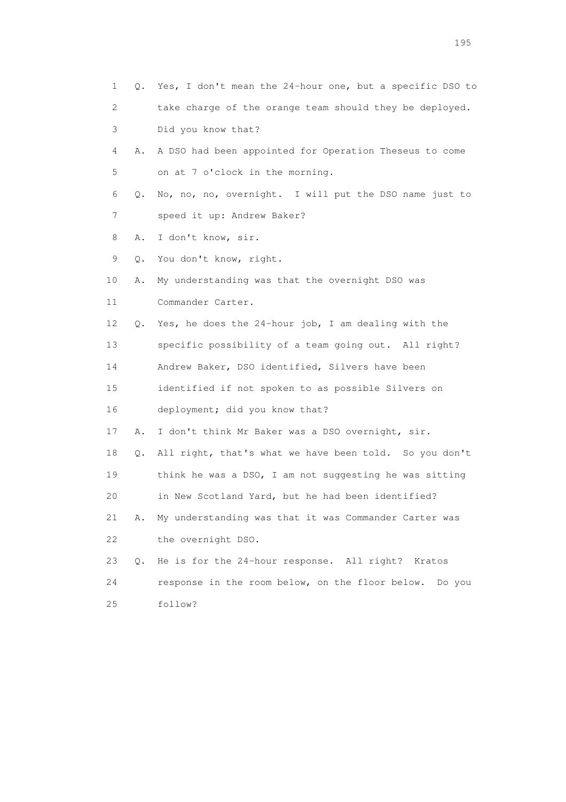| 1  |    | Q. Yes, I don't mean the 24-hour one, but a specific DSO to |
|----|----|-------------------------------------------------------------|
| 2  |    | take charge of the orange team should they be deployed.     |
| 3  |    | Did you know that?                                          |
| 4  | Α. | A DSO had been appointed for Operation Theseus to come      |
| 5  |    | on at 7 o'clock in the morning.                             |
| 6  | Q. | No, no, no, overnight. I will put the DSO name just to      |
| 7  |    | speed it up: Andrew Baker?                                  |
| 8  | Α. | I don't know, sir.                                          |
| 9  | Q. | You don't know, right.                                      |
| 10 | Α. | My understanding was that the overnight DSO was             |
| 11 |    | Commander Carter.                                           |
| 12 | Q. | Yes, he does the 24-hour job, I am dealing with the         |
| 13 |    | specific possibility of a team going out. All right?        |
| 14 |    | Andrew Baker, DSO identified, Silvers have been             |
| 15 |    | identified if not spoken to as possible Silvers on          |
| 16 |    | deployment; did you know that?                              |
| 17 | Α. | I don't think Mr Baker was a DSO overnight, sir.            |
| 18 | Q. | All right, that's what we have been told. So you don't      |
| 19 |    | think he was a DSO, I am not suggesting he was sitting      |
| 20 |    | in New Scotland Yard, but he had been identified?           |
| 21 | Α. | My understanding was that it was Commander Carter was       |
| 22 |    | the overnight DSO.                                          |
| 23 | Q. | He is for the 24-hour response. All right?<br>Kratos        |
| 24 |    | response in the room below, on the floor below. Do you      |
| 25 |    | follow?                                                     |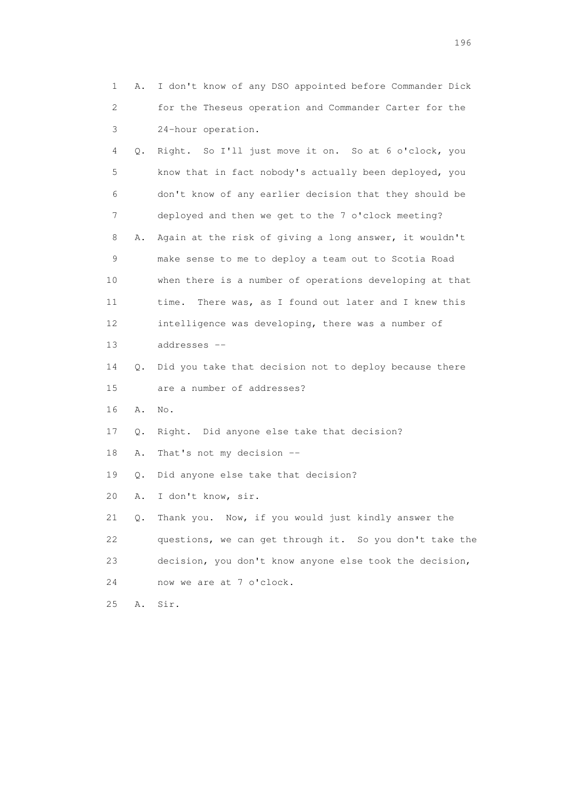1 A. I don't know of any DSO appointed before Commander Dick 2 for the Theseus operation and Commander Carter for the 3 24-hour operation. 4 Q. Right. So I'll just move it on. So at 6 o'clock, you 5 know that in fact nobody's actually been deployed, you 6 don't know of any earlier decision that they should be 7 deployed and then we get to the 7 o'clock meeting? 8 A. Again at the risk of giving a long answer, it wouldn't 9 make sense to me to deploy a team out to Scotia Road 10 when there is a number of operations developing at that 11 time. There was, as I found out later and I knew this 12 intelligence was developing, there was a number of 13 addresses -- 14 Q. Did you take that decision not to deploy because there 15 are a number of addresses? 16 A. No. 17 Q. Right. Did anyone else take that decision? 18 A. That's not my decision -- 19 Q. Did anyone else take that decision? 20 A. I don't know, sir. 21 Q. Thank you. Now, if you would just kindly answer the 22 questions, we can get through it. So you don't take the 23 decision, you don't know anyone else took the decision, 24 now we are at 7 o'clock. 25 A. Sir.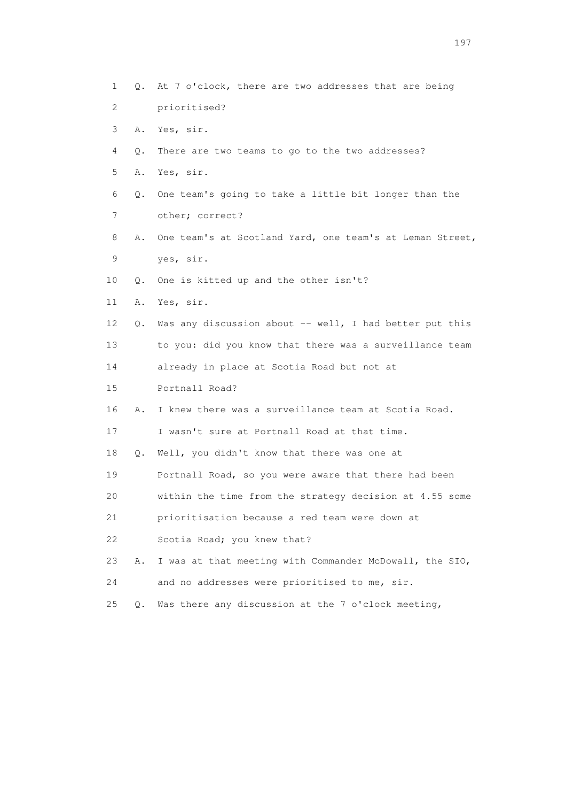1 Q. At 7 o'clock, there are two addresses that are being 2 prioritised? 3 A. Yes, sir. 4 Q. There are two teams to go to the two addresses? 5 A. Yes, sir. 6 Q. One team's going to take a little bit longer than the 7 other; correct? 8 A. One team's at Scotland Yard, one team's at Leman Street, 9 yes, sir. 10 Q. One is kitted up and the other isn't? 11 A. Yes, sir. 12 Q. Was any discussion about -- well, I had better put this 13 to you: did you know that there was a surveillance team 14 already in place at Scotia Road but not at 15 Portnall Road? 16 A. I knew there was a surveillance team at Scotia Road. 17 I wasn't sure at Portnall Road at that time. 18 Q. Well, you didn't know that there was one at 19 Portnall Road, so you were aware that there had been 20 within the time from the strategy decision at 4.55 some 21 prioritisation because a red team were down at 22 Scotia Road; you knew that? 23 A. I was at that meeting with Commander McDowall, the SIO, 24 and no addresses were prioritised to me, sir. 25 Q. Was there any discussion at the 7 o'clock meeting,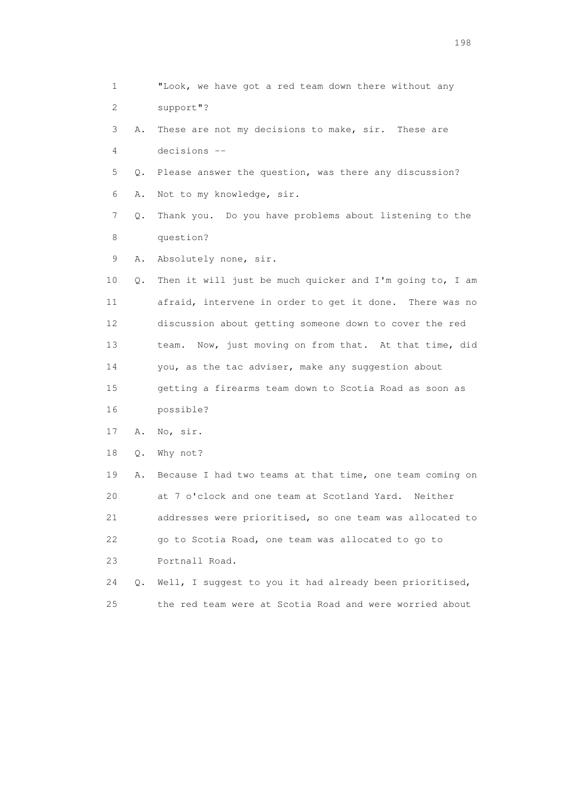1 "Look, we have got a red team down there without any 2 support"? 3 A. These are not my decisions to make, sir. These are 4 decisions -- 5 Q. Please answer the question, was there any discussion? 6 A. Not to my knowledge, sir. 7 Q. Thank you. Do you have problems about listening to the 8 question? 9 A. Absolutely none, sir. 10 Q. Then it will just be much quicker and I'm going to, I am 11 afraid, intervene in order to get it done. There was no 12 discussion about getting someone down to cover the red 13 team. Now, just moving on from that. At that time, did 14 you, as the tac adviser, make any suggestion about 15 getting a firearms team down to Scotia Road as soon as 16 possible? 17 A. No, sir. 18 Q. Why not? 19 A. Because I had two teams at that time, one team coming on 20 at 7 o'clock and one team at Scotland Yard. Neither 21 addresses were prioritised, so one team was allocated to 22 go to Scotia Road, one team was allocated to go to 23 Portnall Road. 24 Q. Well, I suggest to you it had already been prioritised, 25 the red team were at Scotia Road and were worried about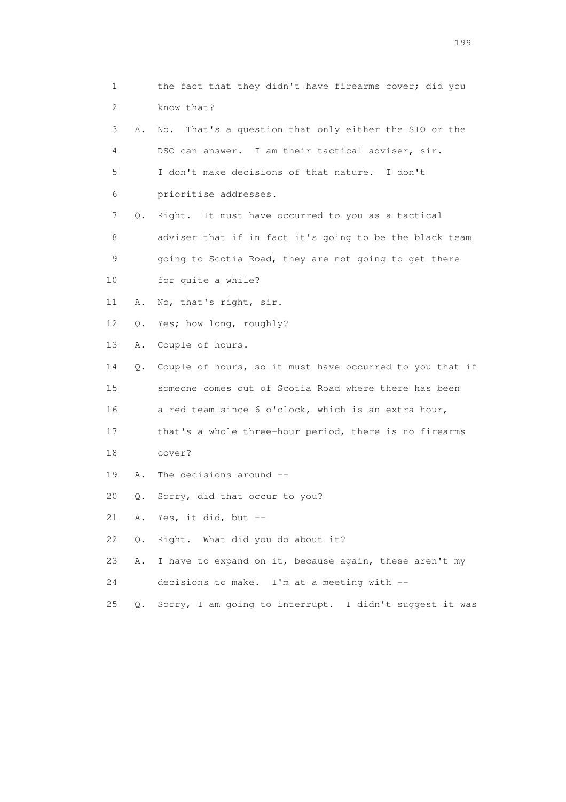1 the fact that they didn't have firearms cover; did you 2 know that? 3 A. No. That's a question that only either the SIO or the 4 DSO can answer. I am their tactical adviser, sir. 5 I don't make decisions of that nature. I don't 6 prioritise addresses. 7 Q. Right. It must have occurred to you as a tactical 8 adviser that if in fact it's going to be the black team 9 going to Scotia Road, they are not going to get there 10 for quite a while? 11 A. No, that's right, sir. 12 Q. Yes; how long, roughly? 13 A. Couple of hours. 14 Q. Couple of hours, so it must have occurred to you that if 15 someone comes out of Scotia Road where there has been 16 a red team since 6 o'clock, which is an extra hour, 17 that's a whole three-hour period, there is no firearms 18 cover? 19 A. The decisions around -- 20 Q. Sorry, did that occur to you? 21 A. Yes, it did, but -- 22 Q. Right. What did you do about it? 23 A. I have to expand on it, because again, these aren't my 24 decisions to make. I'm at a meeting with -- 25 Q. Sorry, I am going to interrupt. I didn't suggest it was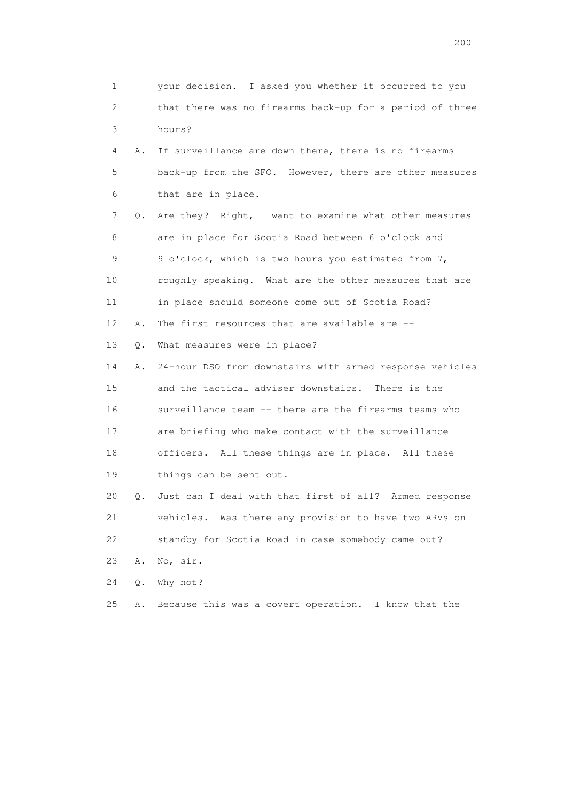1 your decision. I asked you whether it occurred to you 2 that there was no firearms back-up for a period of three 3 hours? 4 A. If surveillance are down there, there is no firearms 5 back-up from the SFO. However, there are other measures 6 that are in place. 7 Q. Are they? Right, I want to examine what other measures 8 are in place for Scotia Road between 6 o'clock and 9 9 o'clock, which is two hours you estimated from 7, 10 roughly speaking. What are the other measures that are 11 in place should someone come out of Scotia Road? 12 A. The first resources that are available are -- 13 Q. What measures were in place? 14 A. 24-hour DSO from downstairs with armed response vehicles 15 and the tactical adviser downstairs. There is the 16 surveillance team -- there are the firearms teams who 17 are briefing who make contact with the surveillance 18 officers. All these things are in place. All these 19 things can be sent out. 20 Q. Just can I deal with that first of all? Armed response 21 vehicles. Was there any provision to have two ARVs on 22 standby for Scotia Road in case somebody came out? 23 A. No, sir. 24 Q. Why not? 25 A. Because this was a covert operation. I know that the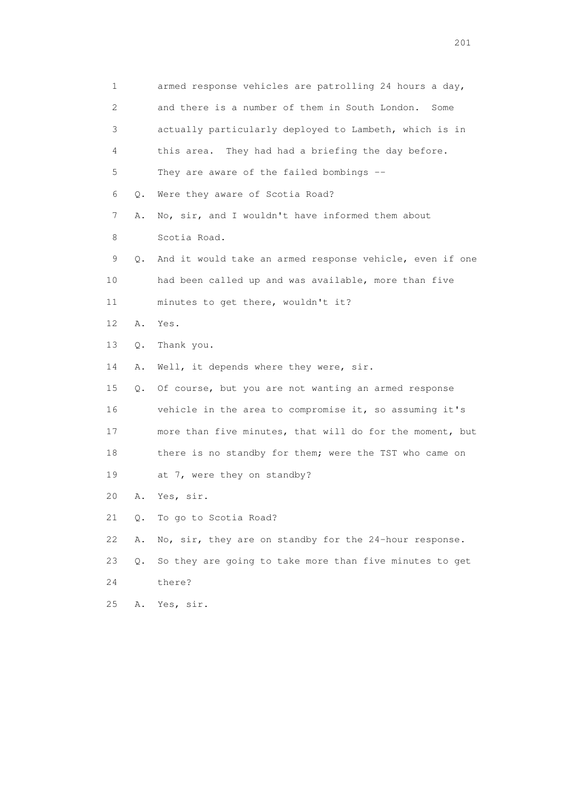| 1                         |           | armed response vehicles are patrolling 24 hours a day,   |
|---------------------------|-----------|----------------------------------------------------------|
| $\mathbf{2}^{\mathsf{I}}$ |           | and there is a number of them in South London.<br>Some   |
| 3                         |           | actually particularly deployed to Lambeth, which is in   |
| 4                         |           | They had had a briefing the day before.<br>this area.    |
| 5                         |           | They are aware of the failed bombings --                 |
| 6                         | Q.        | Were they aware of Scotia Road?                          |
| 7                         | Α.        | No, sir, and I wouldn't have informed them about         |
| 8                         |           | Scotia Road.                                             |
| 9                         | Q.        | And it would take an armed response vehicle, even if one |
| 10                        |           | had been called up and was available, more than five     |
| 11                        |           | minutes to get there, wouldn't it?                       |
| 12                        | Α.        | Yes.                                                     |
| 13                        | Q.        | Thank you.                                               |
| 14                        | Α.        | Well, it depends where they were, sir.                   |
| 15                        | Q.        | Of course, but you are not wanting an armed response     |
| 16                        |           | vehicle in the area to compromise it, so assuming it's   |
| 17                        |           | more than five minutes, that will do for the moment, but |
| 18                        |           | there is no standby for them; were the TST who came on   |
| 19                        |           | at 7, were they on standby?                              |
| 20                        | Α.        | Yes, sir.                                                |
| 21                        | $\circ$ . | To go to Scotia Road?                                    |
| 22                        | Α.        | No, sir, they are on standby for the 24-hour response.   |
| 23                        | $Q$ .     | So they are going to take more than five minutes to get  |
| 24                        |           | there?                                                   |
| 25                        | Α.        | Yes, sir.                                                |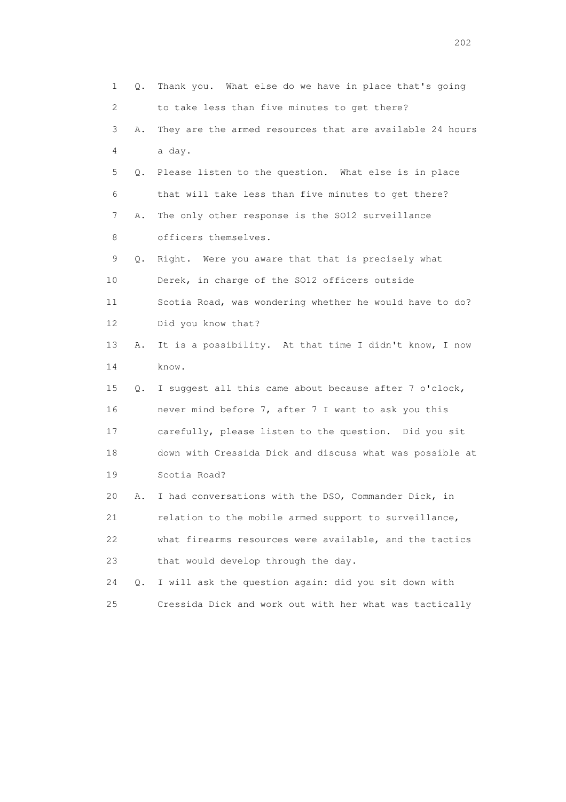| 1                         | Q. | Thank you. What else do we have in place that's going    |
|---------------------------|----|----------------------------------------------------------|
| $\mathbf{2}^{\mathsf{I}}$ |    | to take less than five minutes to get there?             |
| 3                         | Α. | They are the armed resources that are available 24 hours |
| 4                         |    | a day.                                                   |
| 5                         | Q. | Please listen to the question. What else is in place     |
| 6                         |    | that will take less than five minutes to get there?      |
| 7                         | Α. | The only other response is the SO12 surveillance         |
| 8                         |    | officers themselves.                                     |
| 9                         | Q. | Right. Were you aware that that is precisely what        |
| 10                        |    | Derek, in charge of the SO12 officers outside            |
| 11                        |    | Scotia Road, was wondering whether he would have to do?  |
| 12                        |    | Did you know that?                                       |
| 13                        | Α. | It is a possibility. At that time I didn't know, I now   |
| 14                        |    | know.                                                    |
| 15                        | Q. | I suggest all this came about because after 7 o'clock,   |
| 16                        |    | never mind before 7, after 7 I want to ask you this      |
| 17                        |    | carefully, please listen to the question. Did you sit    |
| 18                        |    | down with Cressida Dick and discuss what was possible at |
| 19                        |    | Scotia Road?                                             |
| 20                        | Α. | I had conversations with the DSO, Commander Dick, in     |
| 21                        |    | relation to the mobile armed support to surveillance,    |
| 22                        |    | what firearms resources were available, and the tactics  |
| 23                        |    | that would develop through the day.                      |
| 24                        | Q. | I will ask the question again: did you sit down with     |
| 25                        |    | Cressida Dick and work out with her what was tactically  |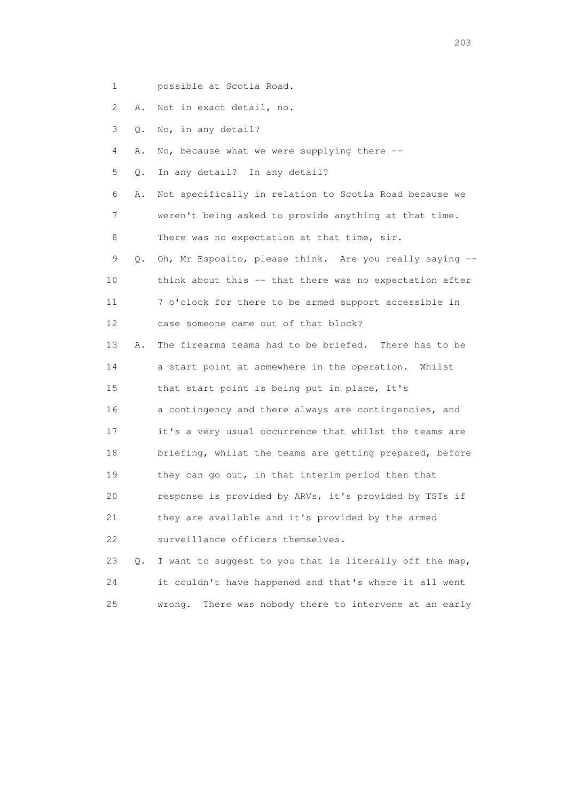- 1 possible at Scotia Road.
- 2 A. Not in exact detail, no.
- 3 Q. No, in any detail?
- 4 A. No, because what we were supplying there --
- 5 Q. In any detail? In any detail?

 6 A. Not specifically in relation to Scotia Road because we 7 weren't being asked to provide anything at that time. 8 There was no expectation at that time, sir.

 9 Q. Oh, Mr Esposito, please think. Are you really saying -- 10 think about this -- that there was no expectation after 11 7 o'clock for there to be armed support accessible in 12 case someone came out of that block?

 13 A. The firearms teams had to be briefed. There has to be 14 a start point at somewhere in the operation. Whilst 15 that start point is being put in place, it's 16 a contingency and there always are contingencies, and 17 it's a very usual occurrence that whilst the teams are 18 briefing, whilst the teams are getting prepared, before 19 they can go out, in that interim period then that 20 response is provided by ARVs, it's provided by TSTs if 21 they are available and it's provided by the armed 22 surveillance officers themselves.

 23 Q. I want to suggest to you that is literally off the map, 24 it couldn't have happened and that's where it all went 25 wrong. There was nobody there to intervene at an early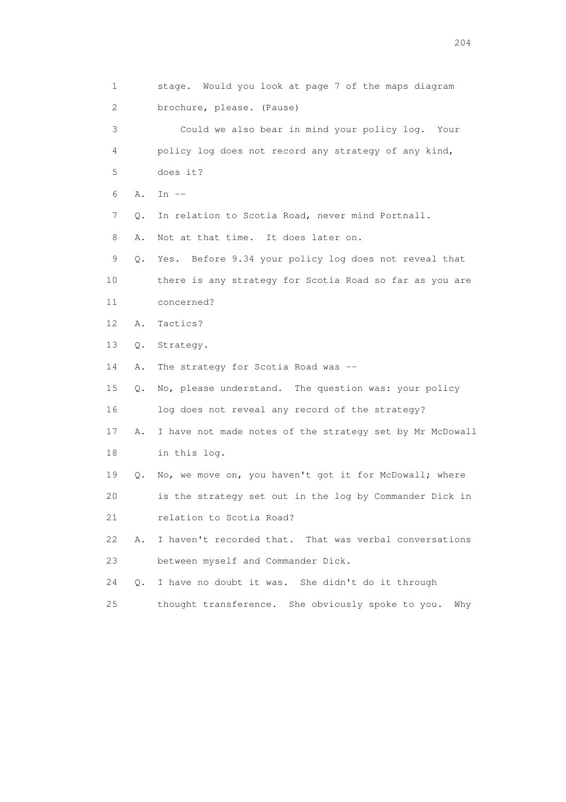1 stage. Would you look at page 7 of the maps diagram 2 brochure, please. (Pause) 3 Could we also bear in mind your policy log. Your 4 policy log does not record any strategy of any kind, 5 does it? 6 A. In -- 7 Q. In relation to Scotia Road, never mind Portnall. 8 A. Not at that time. It does later on. 9 Q. Yes. Before 9.34 your policy log does not reveal that 10 there is any strategy for Scotia Road so far as you are 11 concerned? 12 A. Tactics? 13 Q. Strategy. 14 A. The strategy for Scotia Road was -- 15 Q. No, please understand. The question was: your policy 16 log does not reveal any record of the strategy? 17 A. I have not made notes of the strategy set by Mr McDowall 18 in this log. 19 Q. No, we move on, you haven't got it for McDowall; where 20 is the strategy set out in the log by Commander Dick in 21 relation to Scotia Road? 22 A. I haven't recorded that. That was verbal conversations 23 between myself and Commander Dick. 24 Q. I have no doubt it was. She didn't do it through 25 thought transference. She obviously spoke to you. Why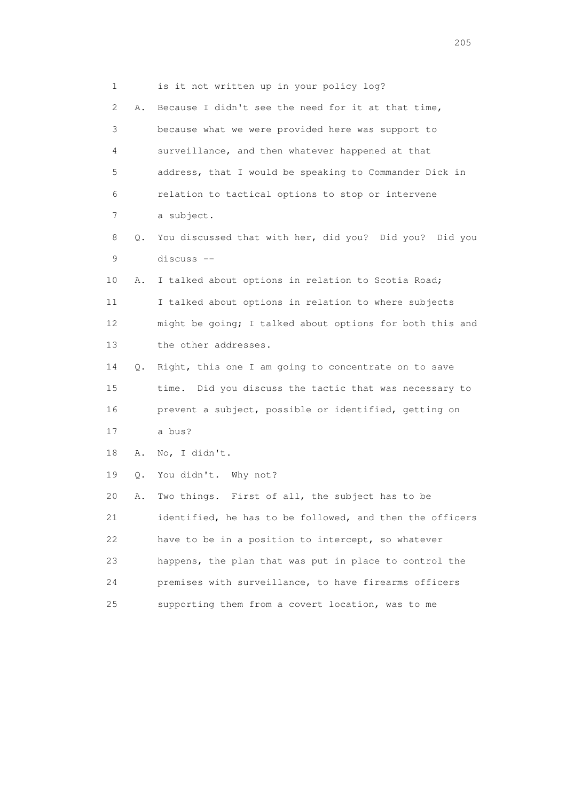| 1            |    | is it not written up in your policy log?                 |
|--------------|----|----------------------------------------------------------|
| $\mathbf{2}$ | Α. | Because I didn't see the need for it at that time,       |
| 3            |    | because what we were provided here was support to        |
| 4            |    | surveillance, and then whatever happened at that         |
| 5            |    | address, that I would be speaking to Commander Dick in   |
| 6            |    | relation to tactical options to stop or intervene        |
| 7            |    | a subject.                                               |
| 8            | Q. | You discussed that with her, did you? Did you? Did you   |
| 9            |    | discuss --                                               |
| 10           | Α. | I talked about options in relation to Scotia Road;       |
| 11           |    | I talked about options in relation to where subjects     |
| 12           |    | might be going; I talked about options for both this and |
| 13           |    | the other addresses.                                     |
| 14           | Q. | Right, this one I am going to concentrate on to save     |
| 15           |    | time. Did you discuss the tactic that was necessary to   |
| 16           |    | prevent a subject, possible or identified, getting on    |
| 17           |    | a bus?                                                   |
| 18           | Α. | No, I didn't.                                            |
| 19           | Q. | You didn't. Why not?                                     |
| 20           | Α. | Two things. First of all, the subject has to be          |
| 21           |    | identified, he has to be followed, and then the officers |
| 22           |    | have to be in a position to intercept, so whatever       |
| 23           |    | happens, the plan that was put in place to control the   |
| 24           |    | premises with surveillance, to have firearms officers    |
| 25           |    | supporting them from a covert location, was to me        |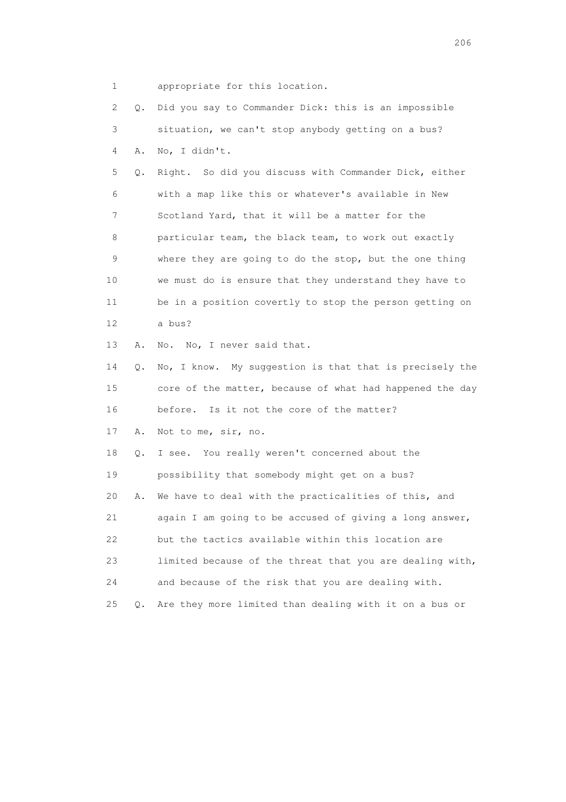1 appropriate for this location.

 2 Q. Did you say to Commander Dick: this is an impossible 3 situation, we can't stop anybody getting on a bus? 4 A. No, I didn't. 5 Q. Right. So did you discuss with Commander Dick, either 6 with a map like this or whatever's available in New 7 Scotland Yard, that it will be a matter for the 8 particular team, the black team, to work out exactly 9 where they are going to do the stop, but the one thing 10 we must do is ensure that they understand they have to 11 be in a position covertly to stop the person getting on 12 a bus? 13 A. No. No, I never said that. 14 Q. No, I know. My suggestion is that that is precisely the 15 core of the matter, because of what had happened the day 16 before. Is it not the core of the matter? 17 A. Not to me, sir, no. 18 Q. I see. You really weren't concerned about the 19 possibility that somebody might get on a bus? 20 A. We have to deal with the practicalities of this, and 21 again I am going to be accused of giving a long answer, 22 but the tactics available within this location are 23 limited because of the threat that you are dealing with, 24 and because of the risk that you are dealing with. 25 Q. Are they more limited than dealing with it on a bus or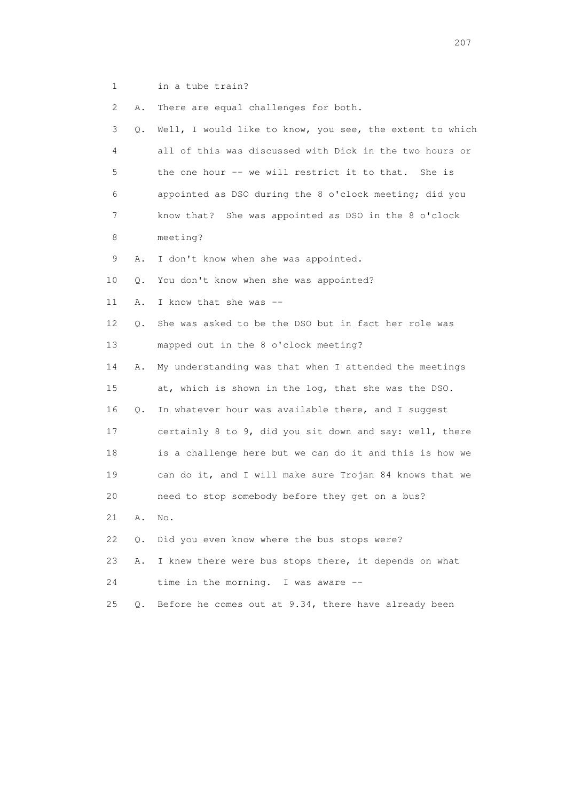1 in a tube train?

2 A. There are equal challenges for both.

| 3               | $\circ$ . | Well, I would like to know, you see, the extent to which |
|-----------------|-----------|----------------------------------------------------------|
| 4               |           | all of this was discussed with Dick in the two hours or  |
| 5               |           | the one hour -- we will restrict it to that. She is      |
| 6               |           | appointed as DSO during the 8 o'clock meeting; did you   |
| 7               |           | She was appointed as DSO in the 8 o'clock<br>know that?  |
| 8               |           | meeting?                                                 |
| 9               | Α.        | I don't know when she was appointed.                     |
| 10              | Q.        | You don't know when she was appointed?                   |
| 11              | Α.        | I know that she was --                                   |
| 12 <sup>°</sup> | Q.        | She was asked to be the DSO but in fact her role was     |
| 13              |           | mapped out in the 8 o'clock meeting?                     |
| 14              | Α.        | My understanding was that when I attended the meetings   |
| 15              |           | at, which is shown in the log, that she was the DSO.     |
| 16              | О.        | In whatever hour was available there, and I suggest      |
| 17              |           | certainly 8 to 9, did you sit down and say: well, there  |
| 18              |           | is a challenge here but we can do it and this is how we  |
| 19              |           | can do it, and I will make sure Trojan 84 knows that we  |
| 20              |           | need to stop somebody before they get on a bus?          |
| 21              | Α.        | No.                                                      |
| 22              | Q.        | Did you even know where the bus stops were?              |
| 23              | Α.        | I knew there were bus stops there, it depends on what    |
| 24              |           | time in the morning. I was aware $-$                     |
| 25              | Q.        | Before he comes out at 9.34, there have already been     |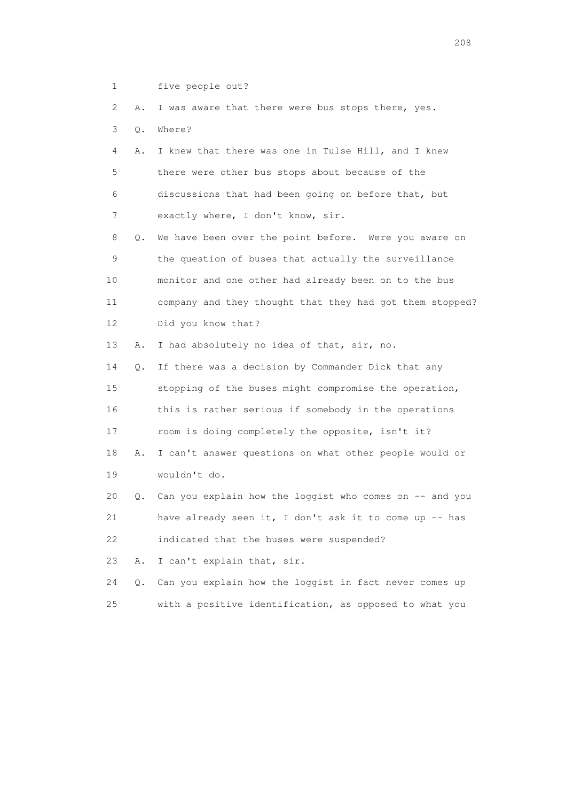1 five people out?

2 A. I was aware that there were bus stops there, yes.

3 Q. Where?

 4 A. I knew that there was one in Tulse Hill, and I knew 5 there were other bus stops about because of the 6 discussions that had been going on before that, but 7 exactly where, I don't know, sir.

 8 Q. We have been over the point before. Were you aware on 9 the question of buses that actually the surveillance 10 monitor and one other had already been on to the bus 11 company and they thought that they had got them stopped? 12 Did you know that?

13 A. I had absolutely no idea of that, sir, no.

 14 Q. If there was a decision by Commander Dick that any 15 stopping of the buses might compromise the operation, 16 this is rather serious if somebody in the operations 17 room is doing completely the opposite, isn't it? 18 A. I can't answer questions on what other people would or 19 wouldn't do.

 20 Q. Can you explain how the loggist who comes on -- and you 21 have already seen it, I don't ask it to come up -- has 22 indicated that the buses were suspended?

23 A. I can't explain that, sir.

 24 Q. Can you explain how the loggist in fact never comes up 25 with a positive identification, as opposed to what you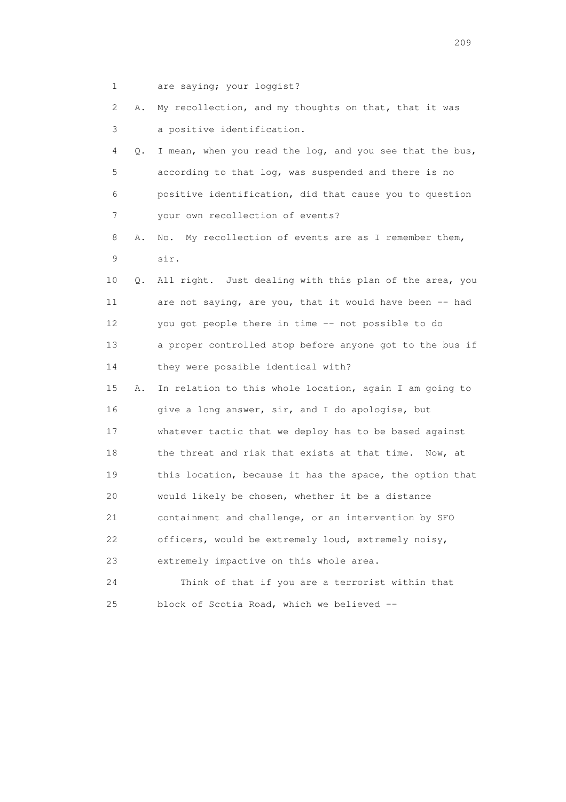1 are saying; your loggist?

| 2               | Α. | My recollection, and my thoughts on that, that it was    |
|-----------------|----|----------------------------------------------------------|
| 3               |    | a positive identification.                               |
| 4               | Q. | I mean, when you read the log, and you see that the bus, |
| 5               |    | according to that log, was suspended and there is no     |
| 6               |    | positive identification, did that cause you to question  |
| 7               |    | your own recollection of events?                         |
| 8               | Α. | My recollection of events are as I remember them,<br>No. |
| 9               |    | sir.                                                     |
| 10              | Q. | All right. Just dealing with this plan of the area, you  |
| 11              |    | are not saying, are you, that it would have been -- had  |
| 12 <sup>°</sup> |    | you got people there in time -- not possible to do       |
| 13              |    | a proper controlled stop before anyone got to the bus if |
| 14              |    | they were possible identical with?                       |
| 15              | Α. | In relation to this whole location, again I am going to  |
| 16              |    | give a long answer, sir, and I do apologise, but         |
| 17              |    | whatever tactic that we deploy has to be based against   |
| 18              |    | the threat and risk that exists at that time. Now, at    |
| 19              |    | this location, because it has the space, the option that |
| 20              |    | would likely be chosen, whether it be a distance         |
| 21              |    | containment and challenge, or an intervention by SFO     |
| 22              |    | officers, would be extremely loud, extremely noisy,      |
| 23              |    | extremely impactive on this whole area.                  |
| 24              |    | Think of that if you are a terrorist within that         |
| 25              |    | block of Scotia Road, which we believed --               |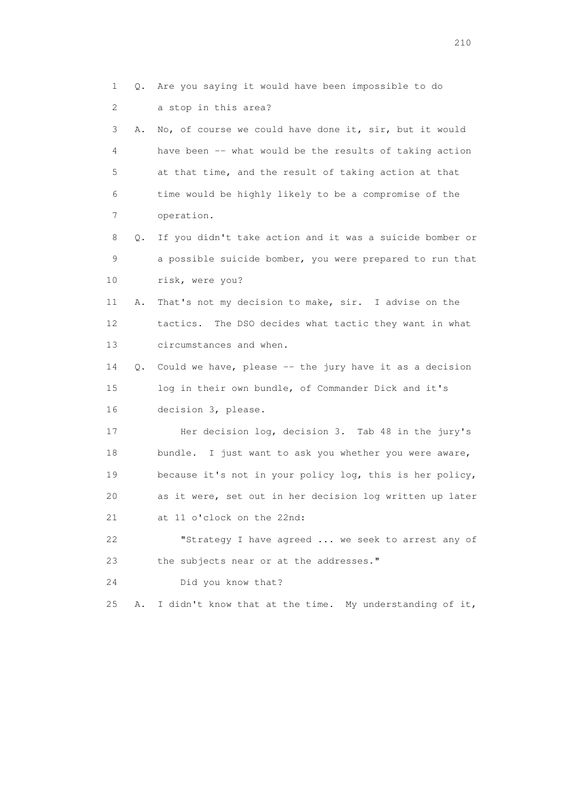1 Q. Are you saying it would have been impossible to do 2 a stop in this area? 3 A. No, of course we could have done it, sir, but it would 4 have been -- what would be the results of taking action 5 at that time, and the result of taking action at that 6 time would be highly likely to be a compromise of the 7 operation. 8 Q. If you didn't take action and it was a suicide bomber or 9 a possible suicide bomber, you were prepared to run that 10 risk, were you? 11 A. That's not my decision to make, sir. I advise on the 12 tactics. The DSO decides what tactic they want in what 13 circumstances and when. 14 Q. Could we have, please -- the jury have it as a decision 15 log in their own bundle, of Commander Dick and it's 16 decision 3, please. 17 Her decision log, decision 3. Tab 48 in the jury's 18 bundle. I just want to ask you whether you were aware, 19 because it's not in your policy log, this is her policy, 20 as it were, set out in her decision log written up later 21 at 11 o'clock on the 22nd: 22 "Strategy I have agreed ... we seek to arrest any of 23 the subjects near or at the addresses." 24 Did you know that? 25 A. I didn't know that at the time. My understanding of it,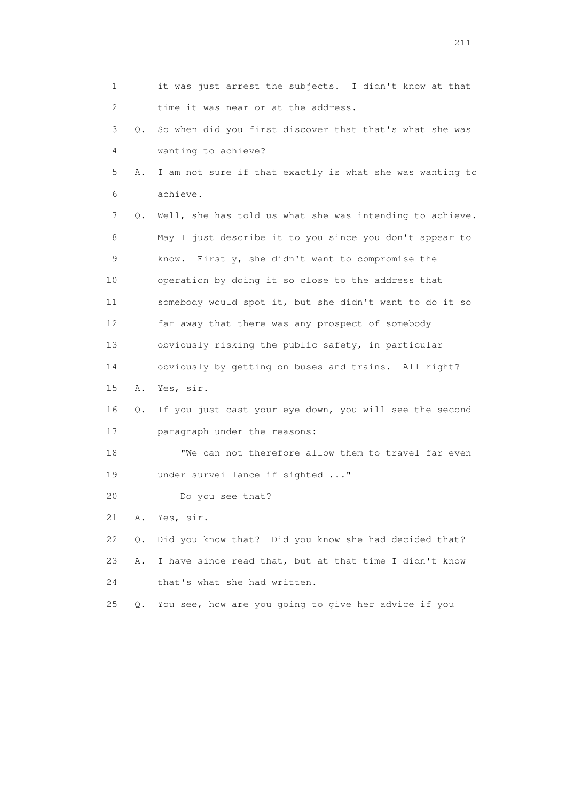1 it was just arrest the subjects. I didn't know at that 2 time it was near or at the address. 3 Q. So when did you first discover that that's what she was 4 wanting to achieve? 5 A. I am not sure if that exactly is what she was wanting to 6 achieve. 7 Q. Well, she has told us what she was intending to achieve. 8 May I just describe it to you since you don't appear to 9 know. Firstly, she didn't want to compromise the 10 operation by doing it so close to the address that 11 somebody would spot it, but she didn't want to do it so 12 far away that there was any prospect of somebody 13 obviously risking the public safety, in particular 14 obviously by getting on buses and trains. All right? 15 A. Yes, sir. 16 Q. If you just cast your eye down, you will see the second 17 paragraph under the reasons: 18 "We can not therefore allow them to travel far even 19 under surveillance if sighted ..." 20 Do you see that? 21 A. Yes, sir. 22 Q. Did you know that? Did you know she had decided that? 23 A. I have since read that, but at that time I didn't know 24 that's what she had written. 25 Q. You see, how are you going to give her advice if you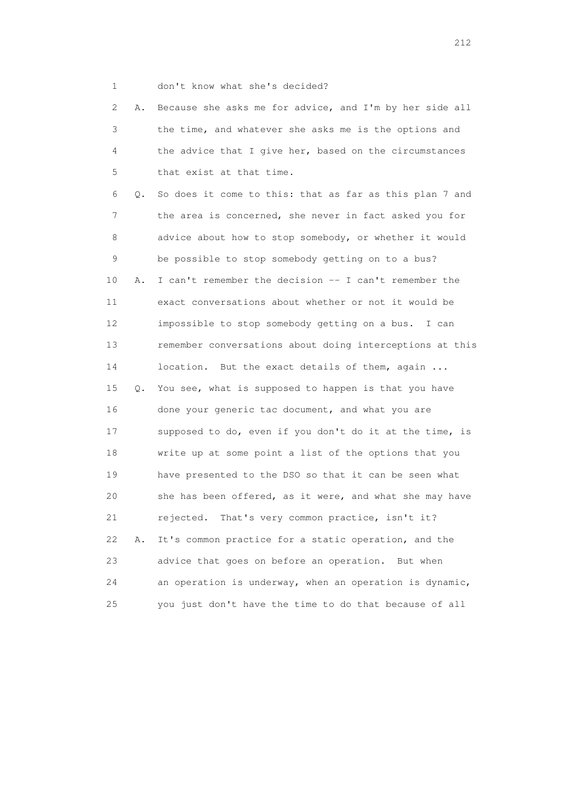- 
- 1 don't know what she's decided?

 2 A. Because she asks me for advice, and I'm by her side all 3 the time, and whatever she asks me is the options and 4 the advice that I give her, based on the circumstances 5 that exist at that time.

 6 Q. So does it come to this: that as far as this plan 7 and 7 the area is concerned, she never in fact asked you for 8 advice about how to stop somebody, or whether it would 9 be possible to stop somebody getting on to a bus? 10 A. I can't remember the decision -- I can't remember the 11 exact conversations about whether or not it would be 12 impossible to stop somebody getting on a bus. I can 13 remember conversations about doing interceptions at this 14 location. But the exact details of them, again ... 15 Q. You see, what is supposed to happen is that you have 16 done your generic tac document, and what you are 17 supposed to do, even if you don't do it at the time, is 18 write up at some point a list of the options that you 19 have presented to the DSO so that it can be seen what 20 she has been offered, as it were, and what she may have 21 rejected. That's very common practice, isn't it? 22 A. It's common practice for a static operation, and the 23 advice that goes on before an operation. But when 24 an operation is underway, when an operation is dynamic, 25 you just don't have the time to do that because of all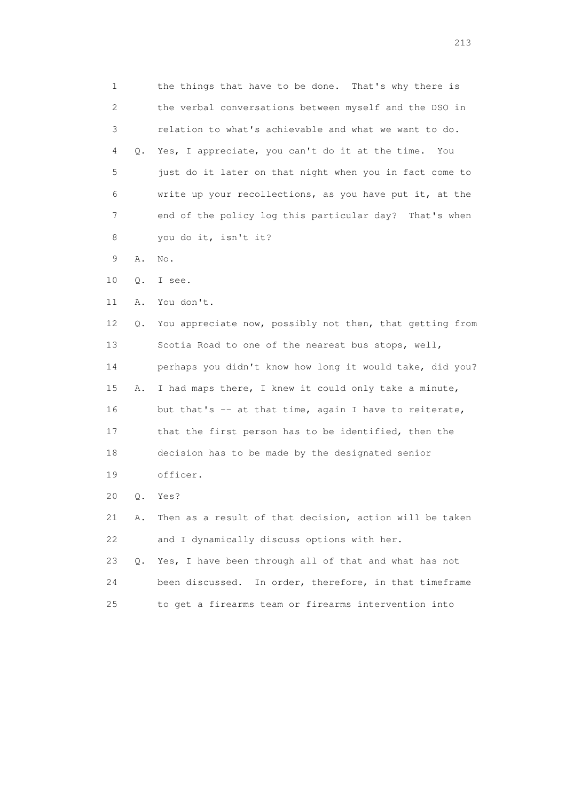1 the things that have to be done. That's why there is 2 the verbal conversations between myself and the DSO in 3 relation to what's achievable and what we want to do. 4 Q. Yes, I appreciate, you can't do it at the time. You 5 just do it later on that night when you in fact come to 6 write up your recollections, as you have put it, at the 7 end of the policy log this particular day? That's when 8 you do it, isn't it? 9 A. No. 10 Q. I see. 11 A. You don't. 12 Q. You appreciate now, possibly not then, that getting from 13 Scotia Road to one of the nearest bus stops, well, 14 perhaps you didn't know how long it would take, did you? 15 A. I had maps there, I knew it could only take a minute, 16 but that's -- at that time, again I have to reiterate, 17 that the first person has to be identified, then the 18 decision has to be made by the designated senior 19 officer. 20 Q. Yes? 21 A. Then as a result of that decision, action will be taken 22 and I dynamically discuss options with her. 23 Q. Yes, I have been through all of that and what has not 24 been discussed. In order, therefore, in that timeframe 25 to get a firearms team or firearms intervention into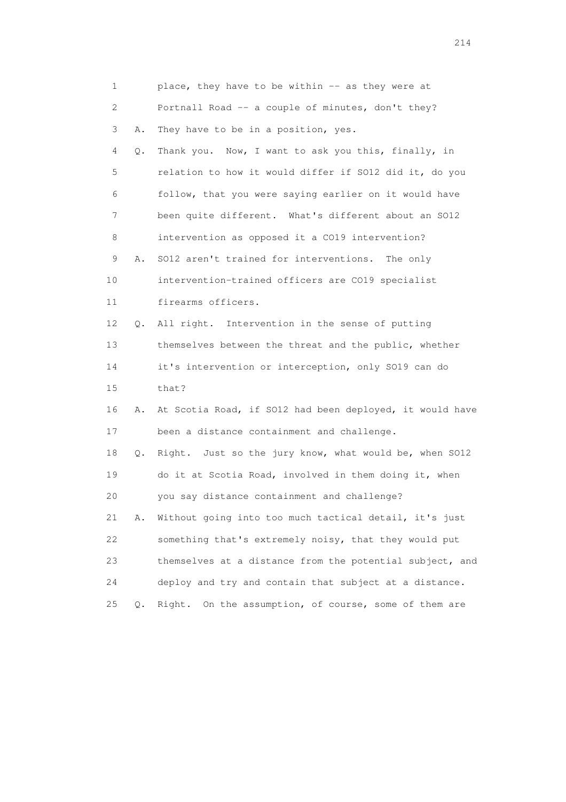| 1  |    | place, they have to be within -- as they were at         |
|----|----|----------------------------------------------------------|
| 2  |    | Portnall Road -- a couple of minutes, don't they?        |
| 3  | Α. | They have to be in a position, yes.                      |
| 4  | Q. | Thank you. Now, I want to ask you this, finally, in      |
| 5  |    | relation to how it would differ if SO12 did it, do you   |
| 6  |    | follow, that you were saying earlier on it would have    |
| 7  |    | been quite different. What's different about an SO12     |
| 8  |    | intervention as opposed it a CO19 intervention?          |
| 9  | Α. | SO12 aren't trained for interventions.<br>The only       |
| 10 |    | intervention-trained officers are CO19 specialist        |
| 11 |    | firearms officers.                                       |
| 12 | Q. | All right. Intervention in the sense of putting          |
| 13 |    | themselves between the threat and the public, whether    |
| 14 |    | it's intervention or interception, only SO19 can do      |
| 15 |    | that?                                                    |
| 16 | Α. | At Scotia Road, if SO12 had been deployed, it would have |
| 17 |    | been a distance containment and challenge.               |
| 18 | Q. | Right. Just so the jury know, what would be, when SO12   |
| 19 |    | do it at Scotia Road, involved in them doing it, when    |
| 20 |    | you say distance containment and challenge?              |
| 21 | Α. | Without going into too much tactical detail, it's just   |
| 22 |    | something that's extremely noisy, that they would put    |
| 23 |    | themselves at a distance from the potential subject, and |
| 24 |    | deploy and try and contain that subject at a distance.   |
| 25 | Q. | On the assumption, of course, some of them are<br>Right. |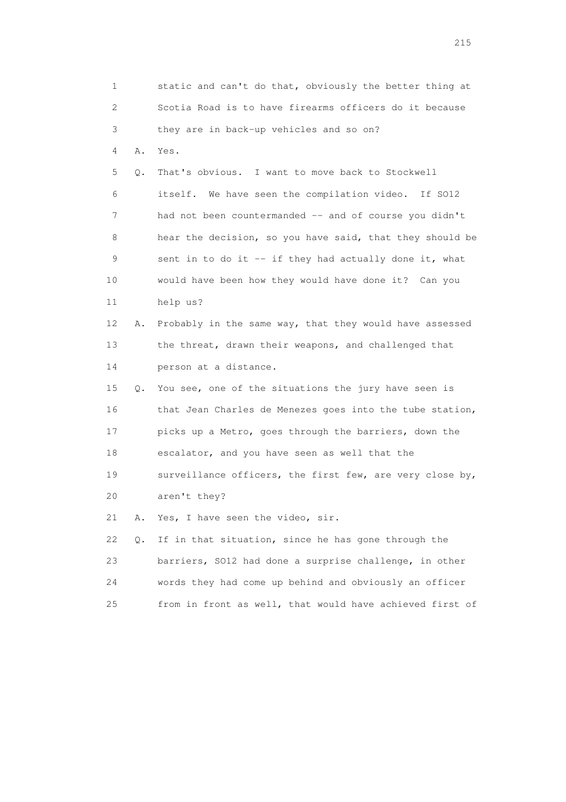1 static and can't do that, obviously the better thing at 2 Scotia Road is to have firearms officers do it because 3 they are in back-up vehicles and so on? 4 A. Yes. 5 Q. That's obvious. I want to move back to Stockwell 6 itself. We have seen the compilation video. If SO12 7 had not been countermanded -- and of course you didn't 8 hear the decision, so you have said, that they should be 9 sent in to do it -- if they had actually done it, what 10 would have been how they would have done it? Can you 11 help us? 12 A. Probably in the same way, that they would have assessed 13 the threat, drawn their weapons, and challenged that 14 person at a distance. 15 Q. You see, one of the situations the jury have seen is 16 that Jean Charles de Menezes goes into the tube station, 17 picks up a Metro, goes through the barriers, down the 18 escalator, and you have seen as well that the 19 surveillance officers, the first few, are very close by, 20 aren't they? 21 A. Yes, I have seen the video, sir. 22 Q. If in that situation, since he has gone through the 23 barriers, SO12 had done a surprise challenge, in other 24 words they had come up behind and obviously an officer 25 from in front as well, that would have achieved first of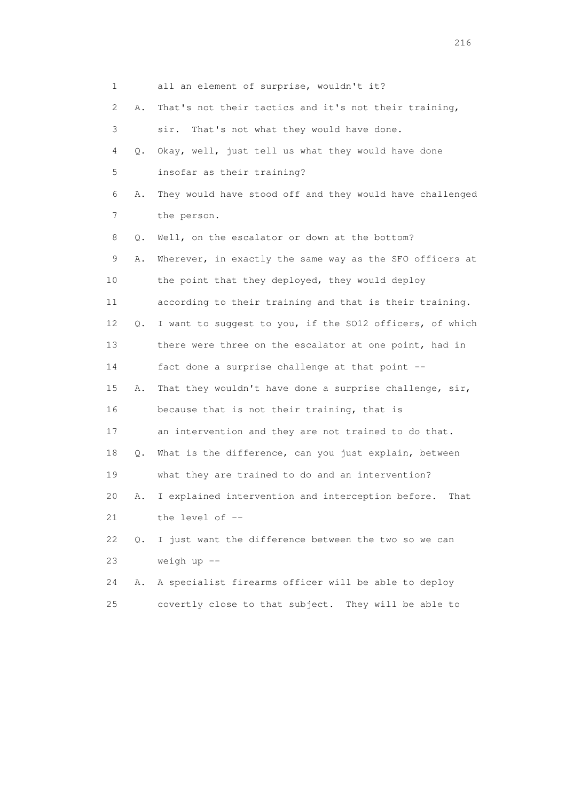| 1  |           | all an element of surprise, wouldn't it?                  |
|----|-----------|-----------------------------------------------------------|
| 2  | Α.        | That's not their tactics and it's not their training,     |
| 3  |           | That's not what they would have done.<br>sir.             |
| 4  | Q.        | Okay, well, just tell us what they would have done        |
| 5  |           | insofar as their training?                                |
| 6  | Α.        | They would have stood off and they would have challenged  |
| 7  |           | the person.                                               |
| 8  | Q.        | Well, on the escalator or down at the bottom?             |
| 9  | Α.        | Wherever, in exactly the same way as the SFO officers at  |
| 10 |           | the point that they deployed, they would deploy           |
| 11 |           | according to their training and that is their training.   |
| 12 | Q.        | I want to suggest to you, if the SO12 officers, of which  |
| 13 |           | there were three on the escalator at one point, had in    |
| 14 |           | fact done a surprise challenge at that point --           |
| 15 | Α.        | That they wouldn't have done a surprise challenge, sir,   |
| 16 |           | because that is not their training, that is               |
| 17 |           | an intervention and they are not trained to do that.      |
| 18 | Q.        | What is the difference, can you just explain, between     |
| 19 |           | what they are trained to do and an intervention?          |
| 20 | Α.        | I explained intervention and interception before.<br>That |
| 21 |           | the level of --                                           |
| 22 | $\circ$ . | I just want the difference between the two so we can      |
| 23 |           | weigh $up$ $-$                                            |
| 24 | Α.        | A specialist firearms officer will be able to deploy      |
| 25 |           | covertly close to that subject. They will be able to      |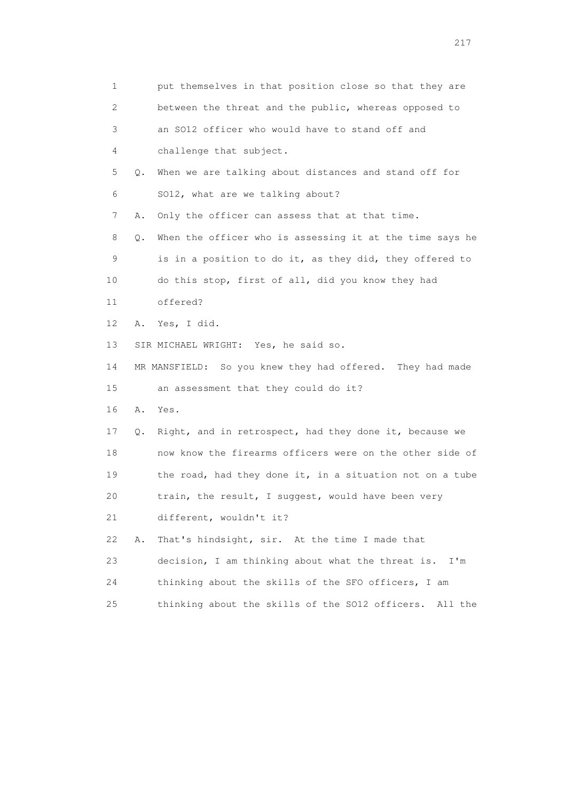| 1                         |    | put themselves in that position close so that they are     |
|---------------------------|----|------------------------------------------------------------|
| $\mathbf{2}^{\mathsf{I}}$ |    | between the threat and the public, whereas opposed to      |
| 3                         |    | an SO12 officer who would have to stand off and            |
| 4                         |    | challenge that subject.                                    |
| 5                         | Q. | When we are talking about distances and stand off for      |
| 6                         |    | SO12, what are we talking about?                           |
| 7                         | Α. | Only the officer can assess that at that time.             |
| 8                         | Q. | When the officer who is assessing it at the time says he   |
| 9                         |    | is in a position to do it, as they did, they offered to    |
| 10                        |    | do this stop, first of all, did you know they had          |
| 11                        |    | offered?                                                   |
| 12                        | Α. | Yes, I did.                                                |
| 13                        |    | SIR MICHAEL WRIGHT: Yes, he said so.                       |
| 14                        |    | MR MANSFIELD: So you knew they had offered. They had made  |
| 15                        |    | an assessment that they could do it?                       |
| 16                        | Α. | Yes.                                                       |
| 17                        | Q. | Right, and in retrospect, had they done it, because we     |
| 18                        |    | now know the firearms officers were on the other side of   |
| 19                        |    | the road, had they done it, in a situation not on a tube   |
| 20                        |    | train, the result, I suggest, would have been very         |
| 21                        |    | different, wouldn't it?                                    |
| 22                        | Α. | That's hindsight, sir. At the time I made that             |
| 23                        |    | decision, I am thinking about what the threat is.<br>I'm   |
| 24                        |    | thinking about the skills of the SFO officers, I am        |
| 25                        |    | thinking about the skills of the SO12 officers.<br>All the |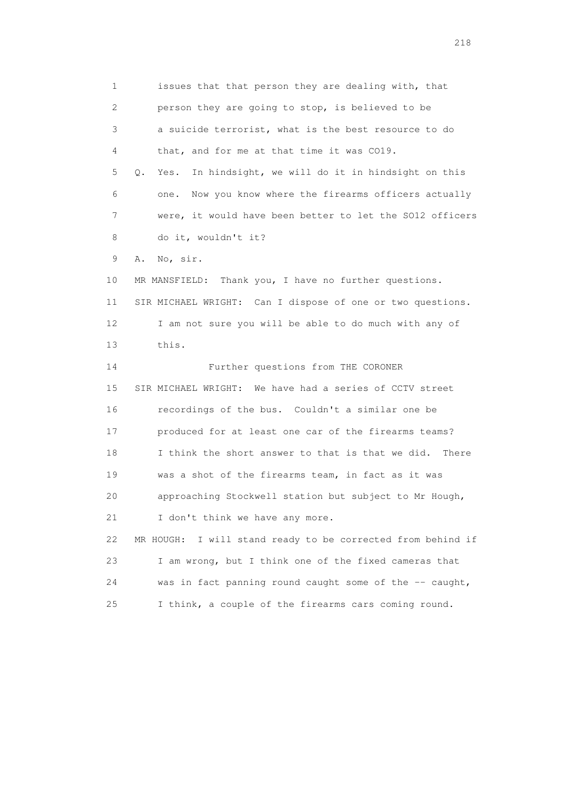1 issues that that person they are dealing with, that 2 person they are going to stop, is believed to be 3 a suicide terrorist, what is the best resource to do 4 that, and for me at that time it was CO19. 5 Q. Yes. In hindsight, we will do it in hindsight on this 6 one. Now you know where the firearms officers actually 7 were, it would have been better to let the SO12 officers 8 do it, wouldn't it? 9 A. No, sir. 10 MR MANSFIELD: Thank you, I have no further questions. 11 SIR MICHAEL WRIGHT: Can I dispose of one or two questions. 12 I am not sure you will be able to do much with any of 13 this. 14 Further questions from THE CORONER 15 SIR MICHAEL WRIGHT: We have had a series of CCTV street 16 recordings of the bus. Couldn't a similar one be 17 produced for at least one car of the firearms teams? 18 I think the short answer to that is that we did. There 19 was a shot of the firearms team, in fact as it was 20 approaching Stockwell station but subject to Mr Hough, 21 I don't think we have any more. 22 MR HOUGH: I will stand ready to be corrected from behind if 23 I am wrong, but I think one of the fixed cameras that 24 was in fact panning round caught some of the -- caught, 25 I think, a couple of the firearms cars coming round.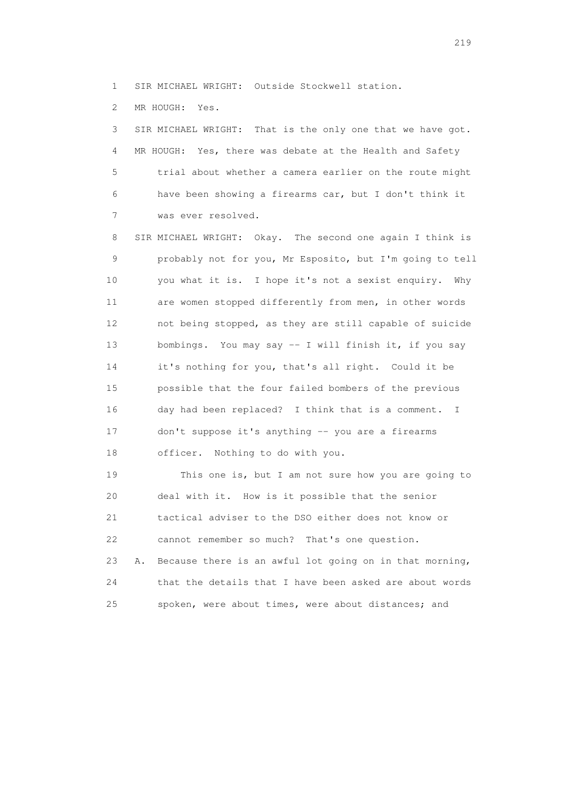1 SIR MICHAEL WRIGHT: Outside Stockwell station.

2 MR HOUGH: Yes.

 3 SIR MICHAEL WRIGHT: That is the only one that we have got. 4 MR HOUGH: Yes, there was debate at the Health and Safety 5 trial about whether a camera earlier on the route might 6 have been showing a firearms car, but I don't think it 7 was ever resolved.

 8 SIR MICHAEL WRIGHT: Okay. The second one again I think is 9 probably not for you, Mr Esposito, but I'm going to tell 10 you what it is. I hope it's not a sexist enquiry. Why 11 are women stopped differently from men, in other words 12 not being stopped, as they are still capable of suicide 13 bombings. You may say -- I will finish it, if you say 14 it's nothing for you, that's all right. Could it be 15 possible that the four failed bombers of the previous 16 day had been replaced? I think that is a comment. I 17 don't suppose it's anything -- you are a firearms 18 officer. Nothing to do with you.

 19 This one is, but I am not sure how you are going to 20 deal with it. How is it possible that the senior 21 tactical adviser to the DSO either does not know or 22 cannot remember so much? That's one question. 23 A. Because there is an awful lot going on in that morning, 24 that the details that I have been asked are about words 25 spoken, were about times, were about distances; and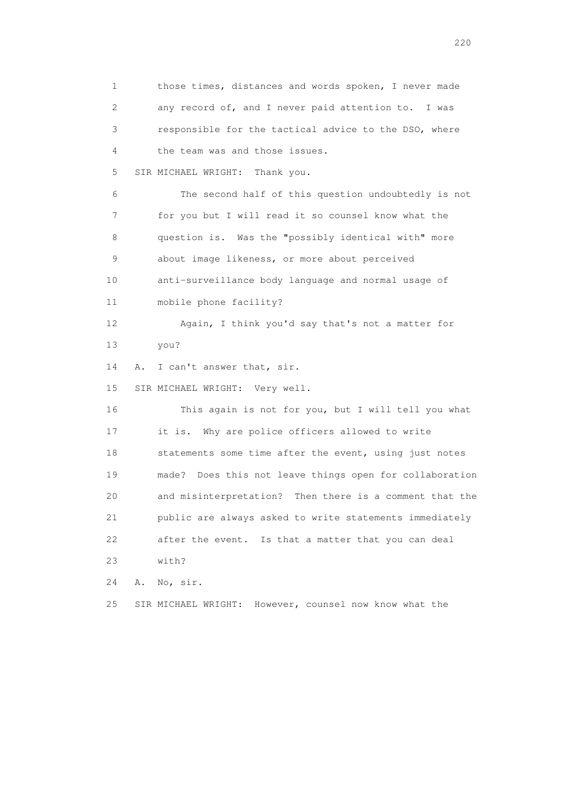1 those times, distances and words spoken, I never made 2 any record of, and I never paid attention to. I was 3 responsible for the tactical advice to the DSO, where 4 the team was and those issues. 5 SIR MICHAEL WRIGHT: Thank you. 6 The second half of this question undoubtedly is not 7 for you but I will read it so counsel know what the 8 question is. Was the "possibly identical with" more 9 about image likeness, or more about perceived 10 anti-surveillance body language and normal usage of 11 mobile phone facility? 12 Again, I think you'd say that's not a matter for 13 you? 14 A. I can't answer that, sir. 15 SIR MICHAEL WRIGHT: Very well. 16 This again is not for you, but I will tell you what 17 it is. Why are police officers allowed to write 18 statements some time after the event, using just notes 19 made? Does this not leave things open for collaboration 20 and misinterpretation? Then there is a comment that the 21 public are always asked to write statements immediately 22 after the event. Is that a matter that you can deal 23 with? 24 A. No, sir. 25 SIR MICHAEL WRIGHT: However, counsel now know what the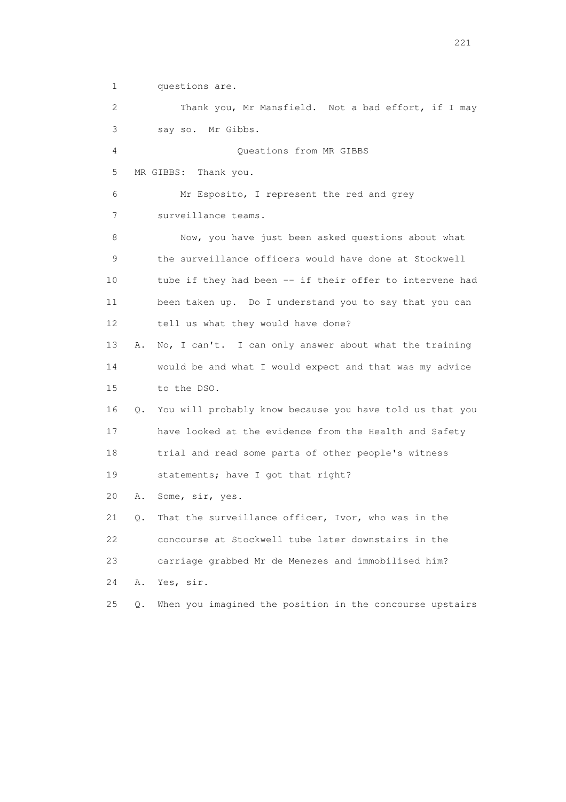1 questions are. 2 Thank you, Mr Mansfield. Not a bad effort, if I may 3 say so. Mr Gibbs. 4 Questions from MR GIBBS 5 MR GIBBS: Thank you. 6 Mr Esposito, I represent the red and grey 7 surveillance teams. 8 Now, you have just been asked questions about what 9 the surveillance officers would have done at Stockwell 10 tube if they had been -- if their offer to intervene had 11 been taken up. Do I understand you to say that you can 12 tell us what they would have done? 13 A. No, I can't. I can only answer about what the training 14 would be and what I would expect and that was my advice 15 to the DSO. 16 Q. You will probably know because you have told us that you 17 have looked at the evidence from the Health and Safety 18 trial and read some parts of other people's witness 19 statements; have I got that right? 20 A. Some, sir, yes. 21 Q. That the surveillance officer, Ivor, who was in the 22 concourse at Stockwell tube later downstairs in the 23 carriage grabbed Mr de Menezes and immobilised him? 24 A. Yes, sir. 25 Q. When you imagined the position in the concourse upstairs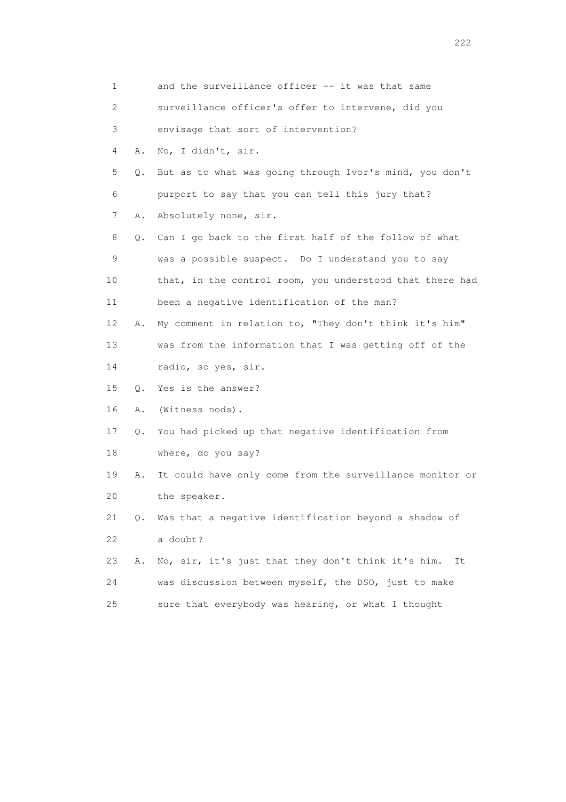| 1                         |    | and the surveillance officer -- it was that same         |
|---------------------------|----|----------------------------------------------------------|
| $\mathbf{2}^{\mathsf{I}}$ |    | surveillance officer's offer to intervene, did you       |
| 3                         |    | envisage that sort of intervention?                      |
| 4                         | Α. | No, I didn't, sir.                                       |
| 5                         | Q. | But as to what was going through Ivor's mind, you don't  |
| 6                         |    | purport to say that you can tell this jury that?         |
| 7                         | Α. | Absolutely none, sir.                                    |
| 8                         | Q. | Can I go back to the first half of the follow of what    |
| 9                         |    | was a possible suspect. Do I understand you to say       |
| 10                        |    | that, in the control room, you understood that there had |
| 11                        |    | been a negative identification of the man?               |
| 12                        | Α. | My comment in relation to, "They don't think it's him"   |
| 13                        |    | was from the information that I was getting off of the   |
| 14                        |    | radio, so yes, sir.                                      |
| 15                        | 0. | Yes is the answer?                                       |
| 16                        | Α. | (Witness nods).                                          |
| 17                        | Q. | You had picked up that negative identification from      |
| 18                        |    | where, do you say?                                       |
| 19                        | Α. | It could have only come from the surveillance monitor or |
| 20                        |    | the speaker.                                             |
| 21                        | Q. | Was that a negative identification beyond a shadow of    |
| 22                        |    | a doubt?                                                 |
| 23                        | Α. | No, sir, it's just that they don't think it's him.<br>It |
| 24                        |    | was discussion between myself, the DSO, just to make     |
| 25                        |    | sure that everybody was hearing, or what I thought       |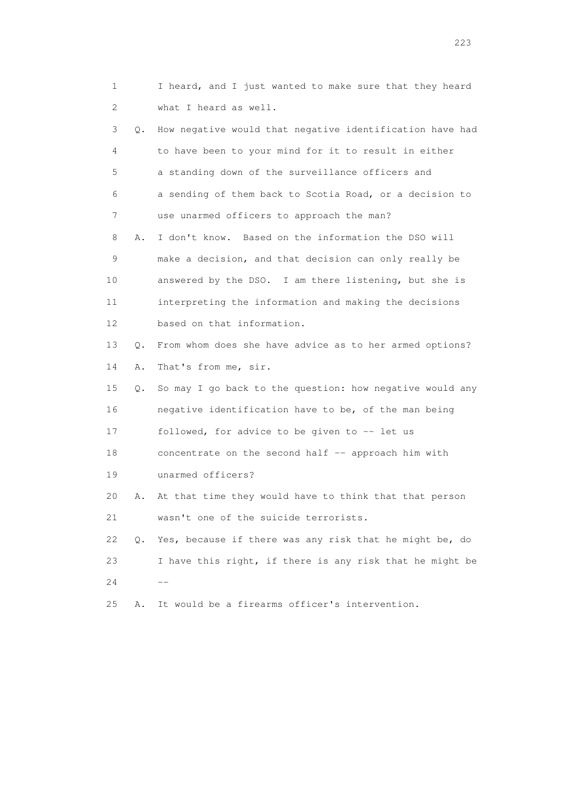1 I heard, and I just wanted to make sure that they heard 2 what I heard as well. 3 Q. How negative would that negative identification have had 4 to have been to your mind for it to result in either 5 a standing down of the surveillance officers and 6 a sending of them back to Scotia Road, or a decision to 7 use unarmed officers to approach the man? 8 A. I don't know. Based on the information the DSO will 9 make a decision, and that decision can only really be 10 answered by the DSO. I am there listening, but she is 11 interpreting the information and making the decisions 12 based on that information. 13 Q. From whom does she have advice as to her armed options? 14 A. That's from me, sir. 15 Q. So may I go back to the question: how negative would any 16 negative identification have to be, of the man being 17 followed, for advice to be given to -- let us 18 concentrate on the second half -- approach him with 19 unarmed officers? 20 A. At that time they would have to think that that person 21 wasn't one of the suicide terrorists. 22 Q. Yes, because if there was any risk that he might be, do 23 I have this right, if there is any risk that he might be  $24$  --25 A. It would be a firearms officer's intervention.

<u>223</u>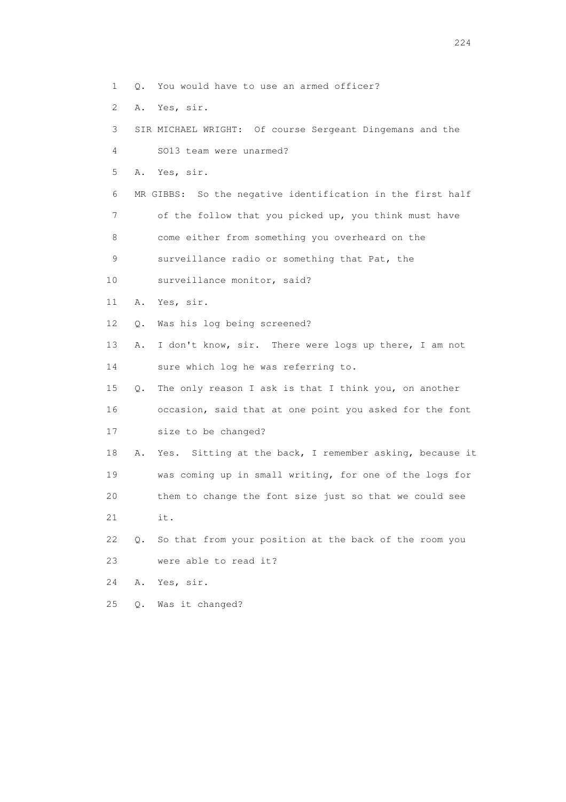- 1 Q. You would have to use an armed officer?
- 2 A. Yes, sir.
- 3 SIR MICHAEL WRIGHT: Of course Sergeant Dingemans and the

4 SO13 team were unarmed?

5 A. Yes, sir.

 6 MR GIBBS: So the negative identification in the first half 7 of the follow that you picked up, you think must have

8 come either from something you overheard on the

9 surveillance radio or something that Pat, the

- 10 surveillance monitor, said?
- 11 A. Yes, sir.
- 12 Q. Was his log being screened?
- 13 A. I don't know, sir. There were logs up there, I am not 14 sure which log he was referring to.
- 15 Q. The only reason I ask is that I think you, on another 16 occasion, said that at one point you asked for the font 17 size to be changed?
- 18 A. Yes. Sitting at the back, I remember asking, because it 19 was coming up in small writing, for one of the logs for 20 them to change the font size just so that we could see 21 it.
- 22 Q. So that from your position at the back of the room you 23 were able to read it?
- 24 A. Yes, sir.
- 25 Q. Was it changed?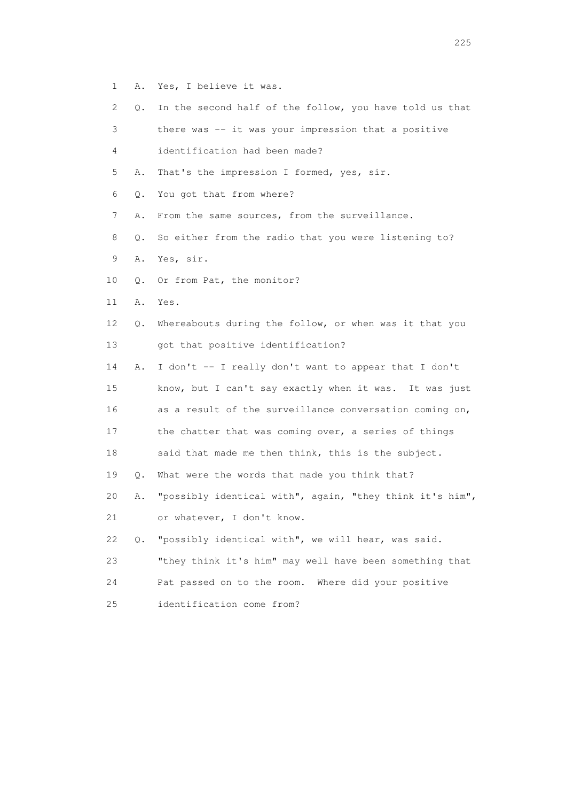- 1 A. Yes, I believe it was.
- 2 Q. In the second half of the follow, you have told us that
- 3 there was -- it was your impression that a positive
- 4 identification had been made?
- 5 A. That's the impression I formed, yes, sir.
- 6 Q. You got that from where?
- 7 A. From the same sources, from the surveillance.
- 8 Q. So either from the radio that you were listening to?
- 9 A. Yes, sir.
- 10 Q. Or from Pat, the monitor?
- 11 A. Yes.
- 12 Q. Whereabouts during the follow, or when was it that you 13 got that positive identification?
- 14 A. I don't -- I really don't want to appear that I don't 15 know, but I can't say exactly when it was. It was just 16 as a result of the surveillance conversation coming on, 17 the chatter that was coming over, a series of things 18 said that made me then think, this is the subject. 19 Q. What were the words that made you think that? 20 A. "possibly identical with", again, "they think it's him", 21 or whatever, I don't know.
- 22 Q. "possibly identical with", we will hear, was said.
- 23 "they think it's him" may well have been something that 24 Pat passed on to the room. Where did your positive 25 identification come from?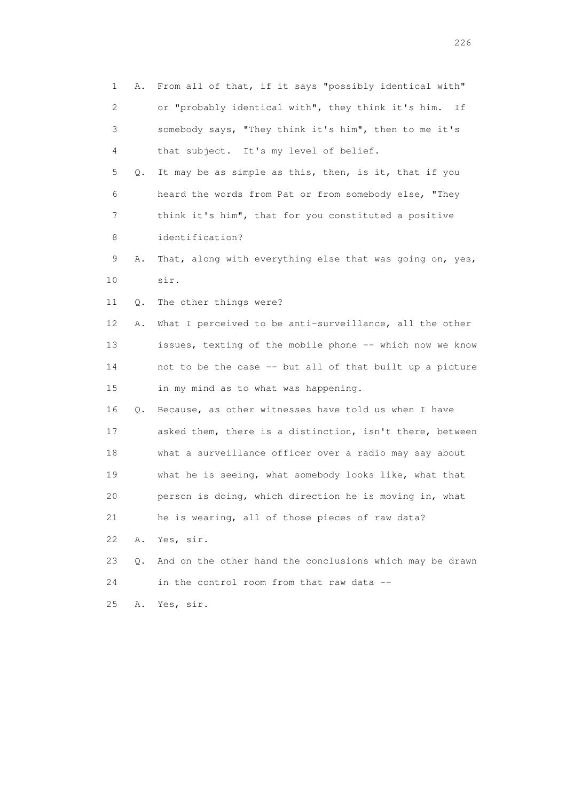1 A. From all of that, if it says "possibly identical with" 2 or "probably identical with", they think it's him. If 3 somebody says, "They think it's him", then to me it's 4 that subject. It's my level of belief. 5 Q. It may be as simple as this, then, is it, that if you 6 heard the words from Pat or from somebody else, "They 7 think it's him", that for you constituted a positive 8 identification? 9 A. That, along with everything else that was going on, yes, 10 sir. 11 Q. The other things were? 12 A. What I perceived to be anti-surveillance, all the other 13 issues, texting of the mobile phone -- which now we know 14 not to be the case -- but all of that built up a picture 15 in my mind as to what was happening. 16 Q. Because, as other witnesses have told us when I have 17 asked them, there is a distinction, isn't there, between 18 what a surveillance officer over a radio may say about 19 what he is seeing, what somebody looks like, what that 20 person is doing, which direction he is moving in, what 21 he is wearing, all of those pieces of raw data? 22 A. Yes, sir. 23 Q. And on the other hand the conclusions which may be drawn 24 in the control room from that raw data --25 A. Yes, sir.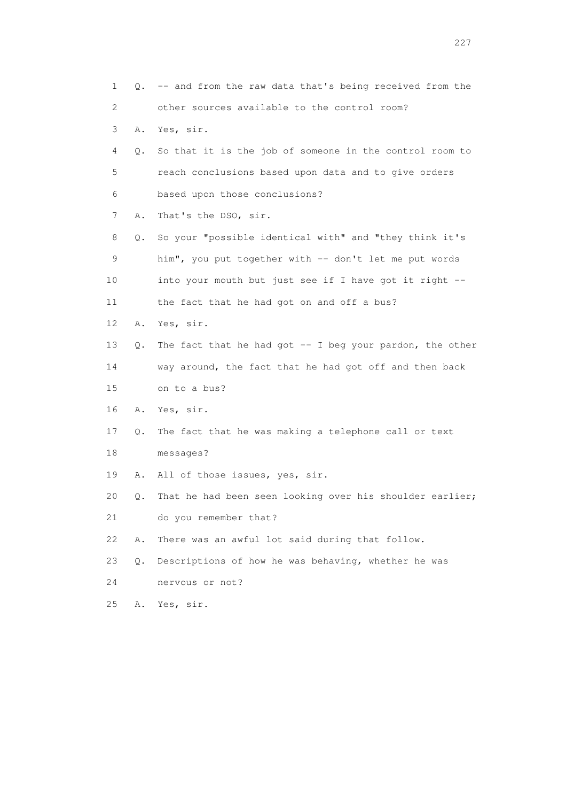| 1  |       | Q. -- and from the raw data that's being received from the |
|----|-------|------------------------------------------------------------|
| 2  |       | other sources available to the control room?               |
| 3  | Α.    | Yes, sir.                                                  |
| 4  | Q.    | So that it is the job of someone in the control room to    |
| 5  |       | reach conclusions based upon data and to give orders       |
| 6  |       | based upon those conclusions?                              |
| 7  | Α.    | That's the DSO, sir.                                       |
| 8  | Q.    | So your "possible identical with" and "they think it's     |
| 9  |       | him", you put together with -- don't let me put words      |
| 10 |       | into your mouth but just see if I have got it right --     |
| 11 |       | the fact that he had got on and off a bus?                 |
| 12 | Α.    | Yes, sir.                                                  |
| 13 | Q.    | The fact that he had got $-$ I beg your pardon, the other  |
| 14 |       | way around, the fact that he had got off and then back     |
| 15 |       | on to a bus?                                               |
| 16 | Α.    | Yes, sir.                                                  |
| 17 | Q.    | The fact that he was making a telephone call or text       |
| 18 |       | messages?                                                  |
| 19 | Α.    | All of those issues, yes, sir.                             |
| 20 | Q.    | That he had been seen looking over his shoulder earlier;   |
| 21 |       | do you remember that?                                      |
| 22 | Α.    | There was an awful lot said during that follow.            |
| 23 | $Q$ . | Descriptions of how he was behaving, whether he was        |
| 24 |       | nervous or not?                                            |
| 25 | Α.    | Yes, sir.                                                  |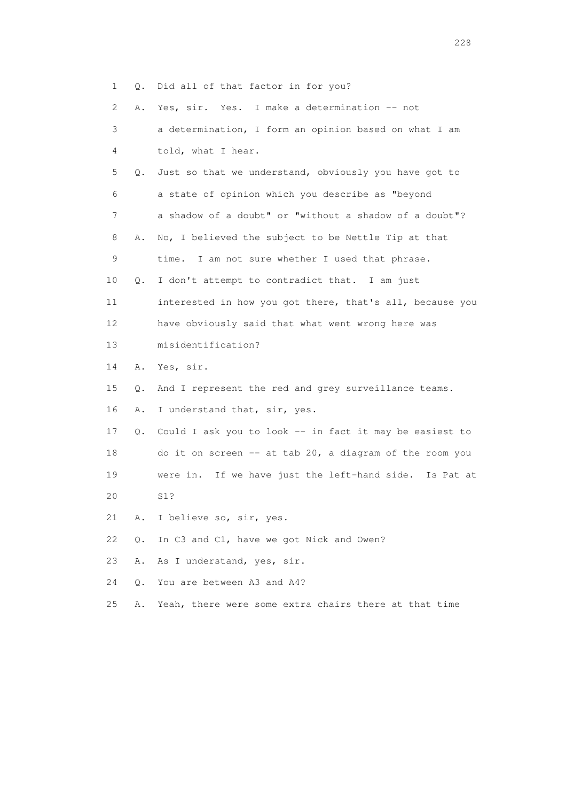1 Q. Did all of that factor in for you?

2 A. Yes, sir. Yes. I make a determination -- not

| 3               |    | a determination, I form an opinion based on what I am    |
|-----------------|----|----------------------------------------------------------|
| 4               |    | told, what I hear.                                       |
| 5               | О. | Just so that we understand, obviously you have got to    |
| 6               |    | a state of opinion which you describe as "beyond         |
| 7               |    | a shadow of a doubt" or "without a shadow of a doubt"?   |
| 8               | Α. | No, I believed the subject to be Nettle Tip at that      |
| 9               |    | time. I am not sure whether I used that phrase.          |
| 10              | О. | I don't attempt to contradict that. I am just            |
| 11              |    | interested in how you got there, that's all, because you |
| 12 <sup>°</sup> |    | have obviously said that what went wrong here was        |
| 13              |    | misidentification?                                       |
| 14              | Α. | Yes, sir.                                                |
| 15              | Q. | And I represent the red and grey surveillance teams.     |
| 16              | Α. | I understand that, sir, yes.                             |
| 17              | Q. | Could I ask you to look -- in fact it may be easiest to  |
| 18              |    | do it on screen -- at tab 20, a diagram of the room you  |
| 19              |    | were in. If we have just the left-hand side. Is Pat at   |
| 20              |    | S1?                                                      |
| 21              | Α. | I believe so, sir, yes.                                  |
| 22              | Q. | In C3 and C1, have we got Nick and Owen?                 |
| 23              | Α. | As I understand, yes, sir.                               |
| 24              | О. | You are between A3 and A4?                               |

25 A. Yeah, there were some extra chairs there at that time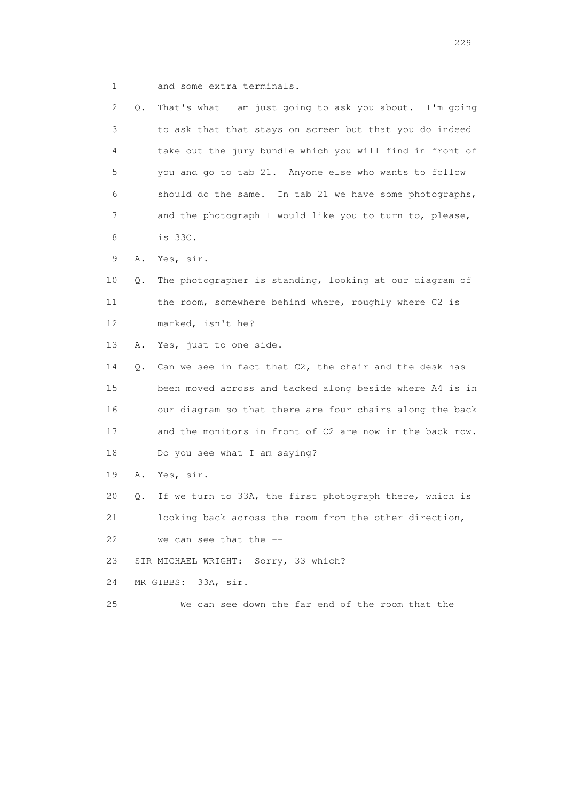1 and some extra terminals.

| 2  | Q. | That's what I am just going to ask you about. I'm going  |
|----|----|----------------------------------------------------------|
| 3  |    | to ask that that stays on screen but that you do indeed  |
| 4  |    | take out the jury bundle which you will find in front of |
| 5  |    | you and go to tab 21. Anyone else who wants to follow    |
| 6  |    | should do the same. In tab 21 we have some photographs,  |
| 7  |    | and the photograph I would like you to turn to, please,  |
| 8  |    | is 33C.                                                  |
| 9  | Α. | Yes, sir.                                                |
| 10 | Q. | The photographer is standing, looking at our diagram of  |
| 11 |    | the room, somewhere behind where, roughly where C2 is    |
| 12 |    | marked, isn't he?                                        |
| 13 | Α. | Yes, just to one side.                                   |
| 14 | Q. | Can we see in fact that C2, the chair and the desk has   |
| 15 |    | been moved across and tacked along beside where A4 is in |
| 16 |    | our diagram so that there are four chairs along the back |
| 17 |    | and the monitors in front of C2 are now in the back row. |
| 18 |    | Do you see what I am saying?                             |
| 19 | Α. | Yes, sir.                                                |
| 20 | Q. | If we turn to 33A, the first photograph there, which is  |
| 21 |    | looking back across the room from the other direction,   |
| 22 |    | we can see that the $-$ -                                |
| 23 |    | SIR MICHAEL WRIGHT: Sorry, 33 which?                     |
| 24 |    | MR GIBBS: 33A, sir.                                      |
| 25 |    | We can see down the far end of the room that the         |

<u>229</u><br>229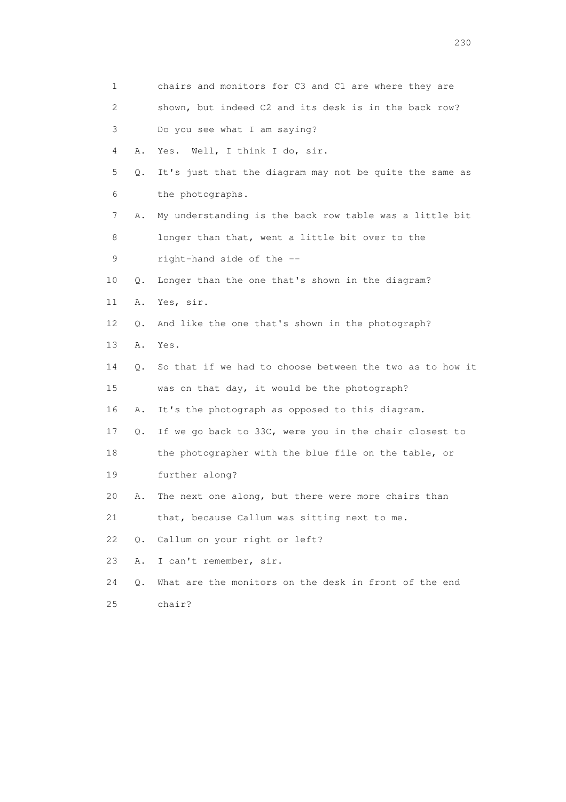| 1               |    | chairs and monitors for C3 and C1 are where they are     |
|-----------------|----|----------------------------------------------------------|
| 2               |    | shown, but indeed C2 and its desk is in the back row?    |
| 3               |    | Do you see what I am saying?                             |
| 4               | Α. | Well, I think I do, sir.<br>Yes.                         |
| 5               | Q. | It's just that the diagram may not be quite the same as  |
| 6               |    | the photographs.                                         |
| 7               | Α. | My understanding is the back row table was a little bit  |
| 8               |    | longer than that, went a little bit over to the          |
| 9               |    | right-hand side of the --                                |
| 10              | Q. | Longer than the one that's shown in the diagram?         |
| 11              | Α. | Yes, sir.                                                |
| 12 <sup>°</sup> | Q. | And like the one that's shown in the photograph?         |
| 13              | Α. | Yes.                                                     |
| 14              | Q. | So that if we had to choose between the two as to how it |
| 15              |    | was on that day, it would be the photograph?             |
| 16              | Α. | It's the photograph as opposed to this diagram.          |
| 17              | Q. | If we go back to 33C, were you in the chair closest to   |
| 18              |    | the photographer with the blue file on the table, or     |
| 19              |    | further along?                                           |
| 20              | Α. | The next one along, but there were more chairs than      |
| 21              |    | that, because Callum was sitting next to me.             |
| 22              | Q. | Callum on your right or left?                            |
| 23              | Α. | I can't remember, sir.                                   |
| 24              | Q. | What are the monitors on the desk in front of the end    |
| 25              |    | chair?                                                   |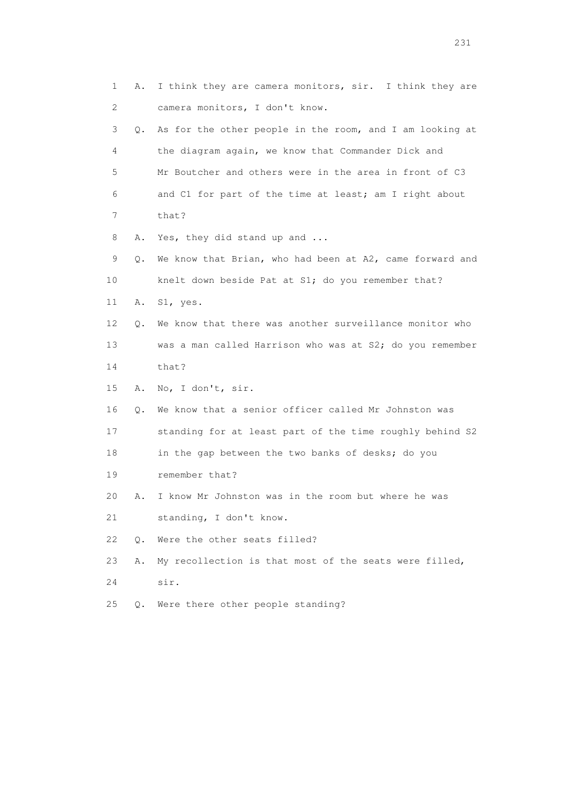| 1  | Α. | I think they are camera monitors, sir. I think they are  |
|----|----|----------------------------------------------------------|
| 2  |    | camera monitors, I don't know.                           |
| 3  | Q. | As for the other people in the room, and I am looking at |
| 4  |    | the diagram again, we know that Commander Dick and       |
| 5  |    | Mr Boutcher and others were in the area in front of C3   |
| 6  |    | and C1 for part of the time at least; am I right about   |
| 7  |    | that?                                                    |
| 8  | Α. | Yes, they did stand up and                               |
| 9  | Q. | We know that Brian, who had been at A2, came forward and |
| 10 |    | knelt down beside Pat at S1; do you remember that?       |
| 11 | Α. | S1, yes.                                                 |
| 12 | О. | We know that there was another surveillance monitor who  |
| 13 |    | was a man called Harrison who was at S2; do you remember |
| 14 |    | that?                                                    |
| 15 | Α. | No, I don't, sir.                                        |
| 16 | Q. | We know that a senior officer called Mr Johnston was     |
| 17 |    | standing for at least part of the time roughly behind S2 |
| 18 |    | in the gap between the two banks of desks; do you        |
| 19 |    | remember that?                                           |
| 20 | Α. | I know Mr Johnston was in the room but where he was      |
| 21 |    | standing, I don't know.                                  |
| 22 | О. | Were the other seats filled?                             |
| 23 | Α. | My recollection is that most of the seats were filled,   |
| 24 |    | sir.                                                     |
| 25 | Q. | Were there other people standing?                        |
|    |    |                                                          |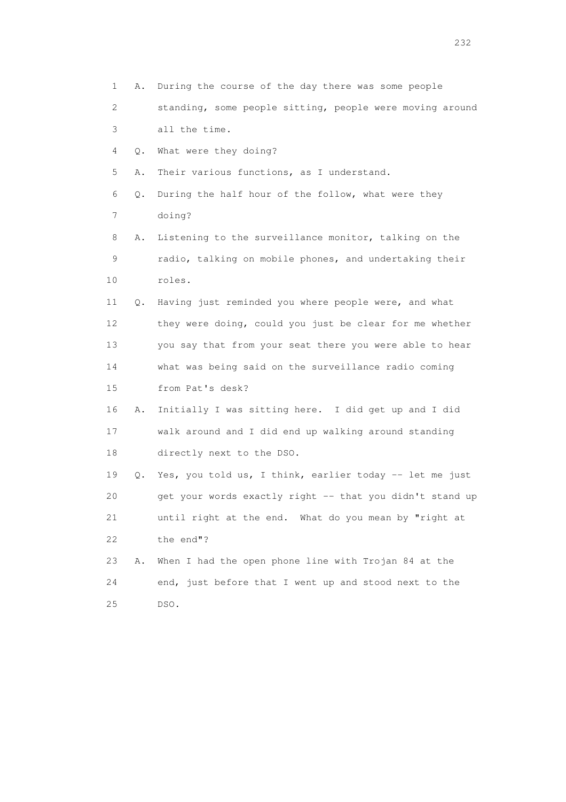1 A. During the course of the day there was some people 2 standing, some people sitting, people were moving around 3 all the time. 4 Q. What were they doing? 5 A. Their various functions, as I understand. 6 Q. During the half hour of the follow, what were they 7 doing? 8 A. Listening to the surveillance monitor, talking on the 9 radio, talking on mobile phones, and undertaking their 10 roles. 11 Q. Having just reminded you where people were, and what 12 they were doing, could you just be clear for me whether 13 you say that from your seat there you were able to hear 14 what was being said on the surveillance radio coming 15 from Pat's desk? 16 A. Initially I was sitting here. I did get up and I did 17 walk around and I did end up walking around standing 18 directly next to the DSO. 19 Q. Yes, you told us, I think, earlier today -- let me just 20 get your words exactly right -- that you didn't stand up 21 until right at the end. What do you mean by "right at 22 the end"? 23 A. When I had the open phone line with Trojan 84 at the 24 end, just before that I went up and stood next to the 25 DSO.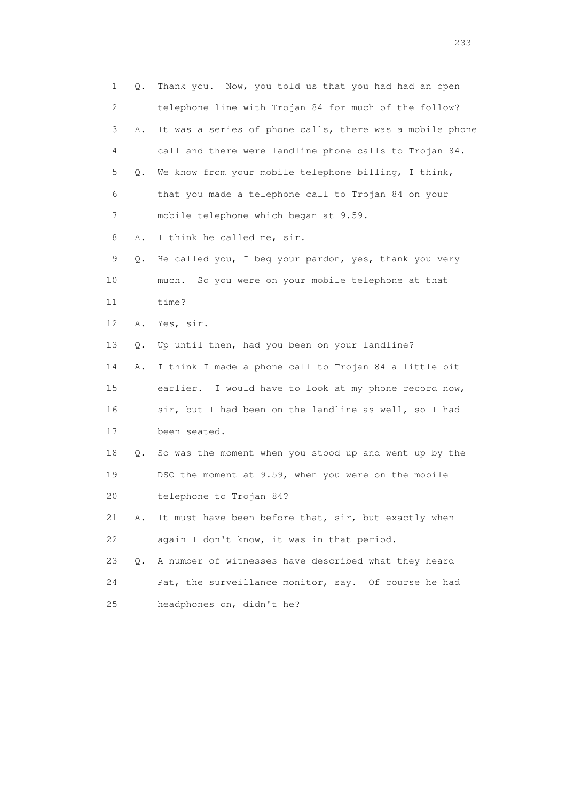1 Q. Thank you. Now, you told us that you had had an open 2 telephone line with Trojan 84 for much of the follow? 3 A. It was a series of phone calls, there was a mobile phone 4 call and there were landline phone calls to Trojan 84. 5 Q. We know from your mobile telephone billing, I think, 6 that you made a telephone call to Trojan 84 on your 7 mobile telephone which began at 9.59. 8 A. I think he called me, sir. 9 Q. He called you, I beg your pardon, yes, thank you very 10 much. So you were on your mobile telephone at that 11 time? 12 A. Yes, sir. 13 Q. Up until then, had you been on your landline? 14 A. I think I made a phone call to Trojan 84 a little bit 15 earlier. I would have to look at my phone record now, 16 sir, but I had been on the landline as well, so I had 17 been seated. 18 Q. So was the moment when you stood up and went up by the 19 DSO the moment at 9.59, when you were on the mobile 20 telephone to Trojan 84? 21 A. It must have been before that, sir, but exactly when 22 again I don't know, it was in that period. 23 Q. A number of witnesses have described what they heard 24 Pat, the surveillance monitor, say. Of course he had 25 headphones on, didn't he?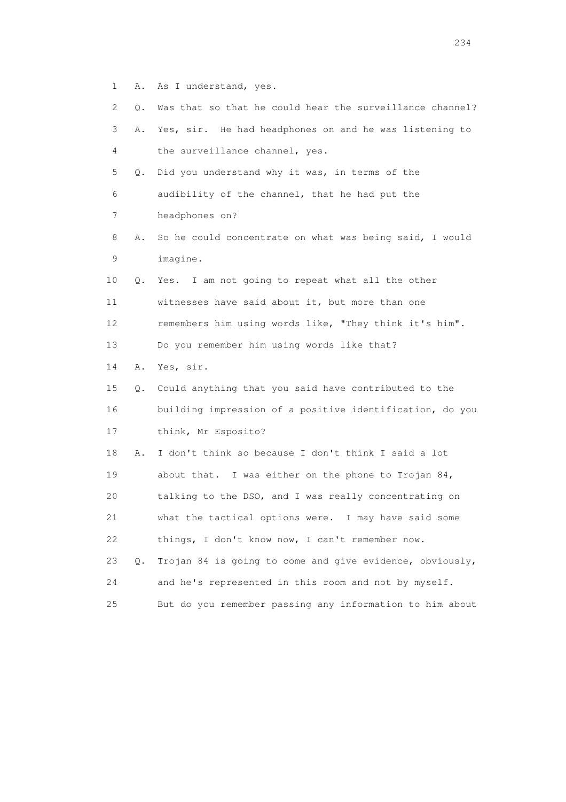1 A. As I understand, yes.

| 2  | Q. | Was that so that he could hear the surveillance channel? |
|----|----|----------------------------------------------------------|
| 3  | Α. | Yes, sir. He had headphones on and he was listening to   |
| 4  |    | the surveillance channel, yes.                           |
| 5  | Q. | Did you understand why it was, in terms of the           |
| 6  |    | audibility of the channel, that he had put the           |
| 7  |    | headphones on?                                           |
| 8  | Α. | So he could concentrate on what was being said, I would  |
| 9  |    | imagine.                                                 |
| 10 | Q. | I am not going to repeat what all the other<br>Yes.      |
| 11 |    | witnesses have said about it, but more than one          |
| 12 |    | remembers him using words like, "They think it's him".   |
| 13 |    | Do you remember him using words like that?               |
| 14 | Α. | Yes, sir.                                                |
| 15 | Q. | Could anything that you said have contributed to the     |
| 16 |    | building impression of a positive identification, do you |
| 17 |    | think, Mr Esposito?                                      |
| 18 | Α. | I don't think so because I don't think I said a lot      |
| 19 |    | about that. I was either on the phone to Trojan 84,      |
| 20 |    | talking to the DSO, and I was really concentrating on    |
| 21 |    | what the tactical options were. I may have said some     |
| 22 |    | things, I don't know now, I can't remember now.          |
|    |    |                                                          |
| 23 | О. | Trojan 84 is going to come and give evidence, obviously, |
| 24 |    | and he's represented in this room and not by myself.     |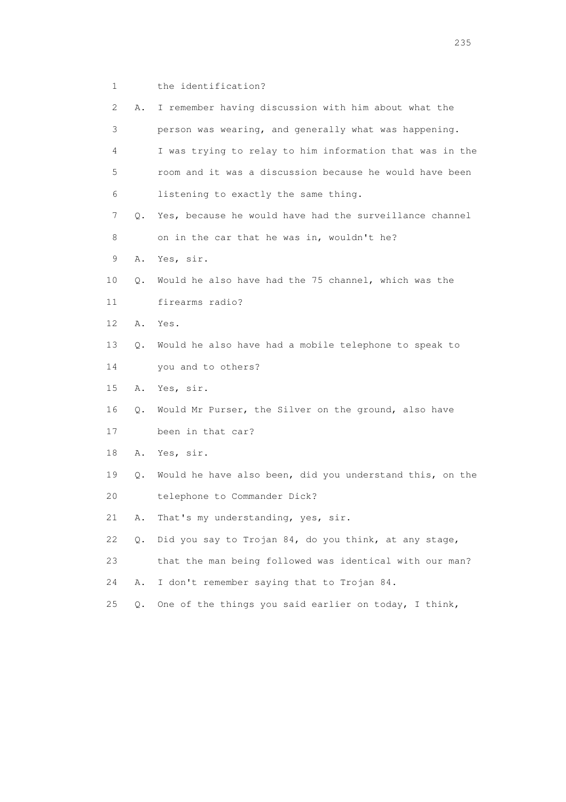1 the identification?

| 2               | Α.    | I remember having discussion with him about what the     |
|-----------------|-------|----------------------------------------------------------|
| 3               |       | person was wearing, and generally what was happening.    |
| 4               |       | I was trying to relay to him information that was in the |
| 5               |       | room and it was a discussion because he would have been  |
| 6               |       | listening to exactly the same thing.                     |
| 7               | Q.    | Yes, because he would have had the surveillance channel  |
| 8               |       | on in the car that he was in, wouldn't he?               |
| 9               | Α.    | Yes, sir.                                                |
| 10              | Q.    | Would he also have had the 75 channel, which was the     |
| 11              |       | firearms radio?                                          |
| 12 <sup>°</sup> | Α.    | Yes.                                                     |
| 13              | Q.    | Would he also have had a mobile telephone to speak to    |
| 14              |       | you and to others?                                       |
| 15              | Α.    | Yes, sir.                                                |
| 16              | Q.    | Would Mr Purser, the Silver on the ground, also have     |
| 17              |       | been in that car?                                        |
| 18              | Α.    | Yes, sir.                                                |
| 19              | Q.    | Would he have also been, did you understand this, on the |
| 20              |       | telephone to Commander Dick?                             |
| 21              | Α.    | That's my understanding, yes, sir.                       |
| 22              | Q.    | Did you say to Trojan 84, do you think, at any stage,    |
| 23              |       | that the man being followed was identical with our man?  |
| 24              | Α.    | I don't remember saying that to Trojan 84.               |
| 25              | $Q$ . | One of the things you said earlier on today, I think,    |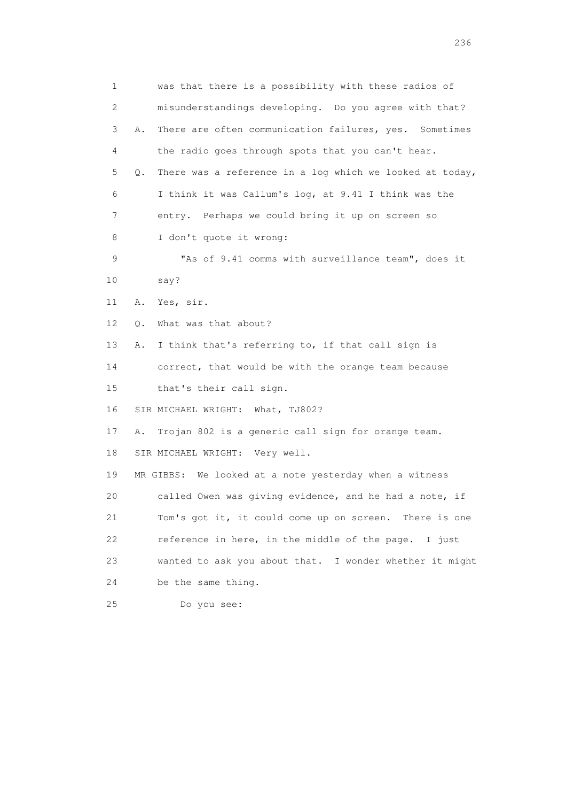| 1  | was that there is a possibility with these radios of           |
|----|----------------------------------------------------------------|
| 2  | misunderstandings developing. Do you agree with that?          |
| 3  | There are often communication failures, yes. Sometimes<br>Α.   |
| 4  | the radio goes through spots that you can't hear.              |
| 5  | There was a reference in a log which we looked at today,<br>Q. |
| 6  | I think it was Callum's log, at 9.41 I think was the           |
| 7  | entry. Perhaps we could bring it up on screen so               |
| 8  | I don't quote it wrong:                                        |
| 9  | "As of 9.41 comms with surveillance team", does it             |
| 10 | say?                                                           |
| 11 | Yes, sir.<br>Α.                                                |
| 12 | What was that about?<br>Q.                                     |
| 13 | I think that's referring to, if that call sign is<br>Α.        |
| 14 | correct, that would be with the orange team because            |
| 15 | that's their call sign.                                        |
| 16 | SIR MICHAEL WRIGHT: What, TJ802?                               |
| 17 | Trojan 802 is a generic call sign for orange team.<br>Α.       |
| 18 | SIR MICHAEL WRIGHT: Very well.                                 |
| 19 | MR GIBBS: We looked at a note yesterday when a witness         |
| 20 | called Owen was giving evidence, and he had a note, if         |
| 21 | Tom's got it, it could come up on screen. There is one         |
| 22 | reference in here, in the middle of the page. I just           |
| 23 | wanted to ask you about that. I wonder whether it might        |
| 24 | be the same thing.                                             |
| 25 | Do you see:                                                    |

<u>236</u> **236**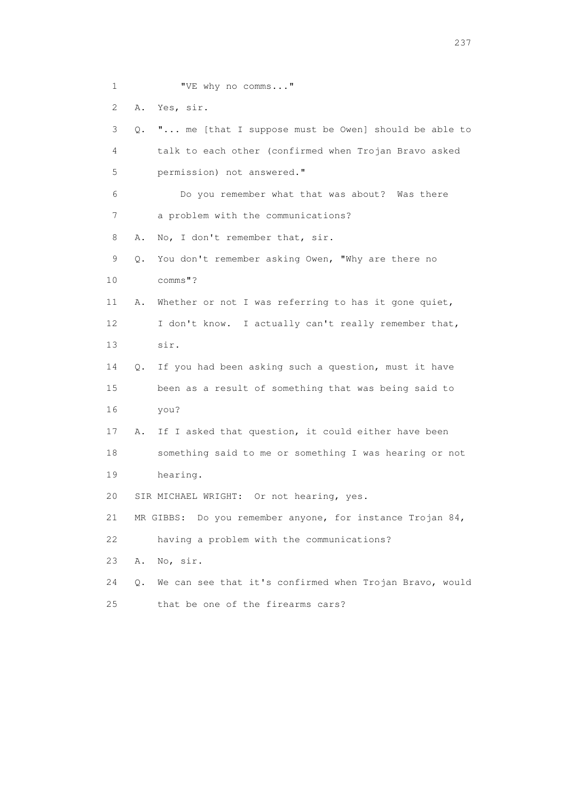1 "VE why no comms..."

2 A. Yes, sir.

 3 Q. "... me [that I suppose must be Owen] should be able to 4 talk to each other (confirmed when Trojan Bravo asked 5 permission) not answered." 6 Do you remember what that was about? Was there 7 a problem with the communications? 8 A. No, I don't remember that, sir. 9 Q. You don't remember asking Owen, "Why are there no 10 comms"? 11 A. Whether or not I was referring to has it gone quiet, 12 I don't know. I actually can't really remember that, 13 sir. 14 Q. If you had been asking such a question, must it have 15 been as a result of something that was being said to 16 you? 17 A. If I asked that question, it could either have been 18 something said to me or something I was hearing or not 19 hearing. 20 SIR MICHAEL WRIGHT: Or not hearing, yes. 21 MR GIBBS: Do you remember anyone, for instance Trojan 84, 22 having a problem with the communications? 23 A. No, sir. 24 Q. We can see that it's confirmed when Trojan Bravo, would 25 that be one of the firearms cars?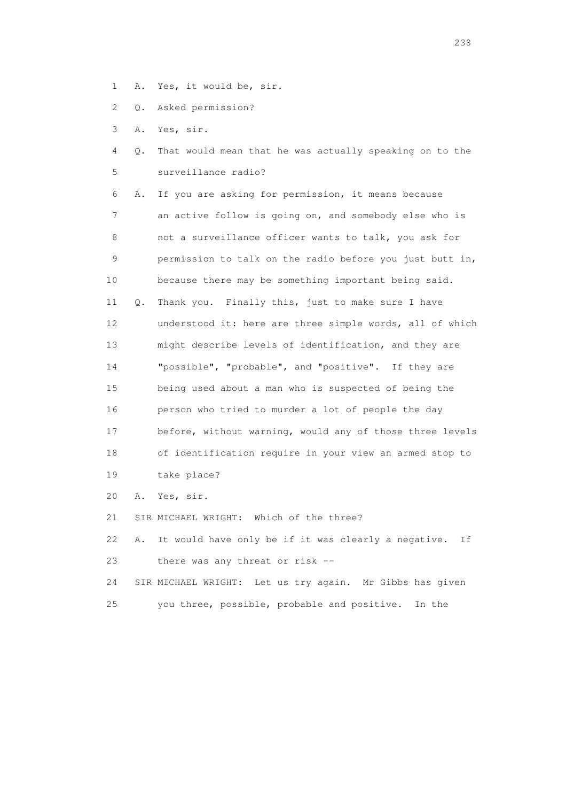- 1 A. Yes, it would be, sir.
- 2 Q. Asked permission?
- 3 A. Yes, sir.
- 4 Q. That would mean that he was actually speaking on to the 5 surveillance radio?

 6 A. If you are asking for permission, it means because 7 an active follow is going on, and somebody else who is 8 not a surveillance officer wants to talk, you ask for 9 permission to talk on the radio before you just butt in, 10 because there may be something important being said. 11 Q. Thank you. Finally this, just to make sure I have 12 understood it: here are three simple words, all of which 13 might describe levels of identification, and they are 14 "possible", "probable", and "positive". If they are 15 being used about a man who is suspected of being the 16 person who tried to murder a lot of people the day 17 before, without warning, would any of those three levels 18 of identification require in your view an armed stop to 19 take place?

20 A. Yes, sir.

21 SIR MICHAEL WRIGHT: Which of the three?

 22 A. It would have only be if it was clearly a negative. If 23 there was any threat or risk --

 24 SIR MICHAEL WRIGHT: Let us try again. Mr Gibbs has given 25 you three, possible, probable and positive. In the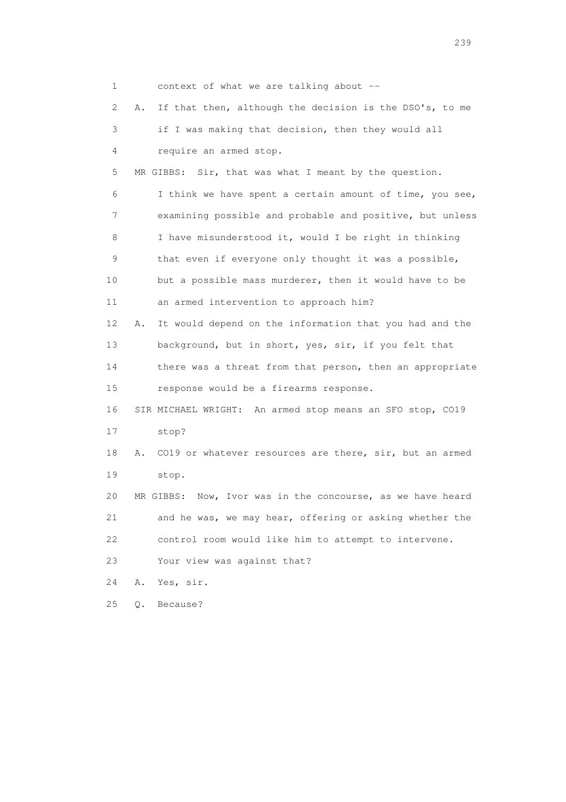| 1  |    | context of what we are talking about $-$                      |
|----|----|---------------------------------------------------------------|
| 2  | Α. | If that then, although the decision is the DSO's, to me       |
| 3  |    | if I was making that decision, then they would all            |
| 4  |    | require an armed stop.                                        |
| 5  |    | MR GIBBS: Sir, that was what I meant by the question.         |
| 6  |    | I think we have spent a certain amount of time, you see,      |
| 7  |    | examining possible and probable and positive, but unless      |
| 8  |    | I have misunderstood it, would I be right in thinking         |
| 9  |    | that even if everyone only thought it was a possible,         |
| 10 |    | but a possible mass murderer, then it would have to be        |
| 11 |    | an armed intervention to approach him?                        |
| 12 | Α. | It would depend on the information that you had and the       |
| 13 |    | background, but in short, yes, sir, if you felt that          |
| 14 |    | there was a threat from that person, then an appropriate      |
| 15 |    | response would be a firearms response.                        |
| 16 |    | SIR MICHAEL WRIGHT: An armed stop means an SFO stop, CO19     |
| 17 |    | stop?                                                         |
| 18 | Α. | CO19 or whatever resources are there, sir, but an armed       |
| 19 |    | stop.                                                         |
| 20 |    | Now, Ivor was in the concourse, as we have heard<br>MR GIBBS: |
| 21 |    | and he was, we may hear, offering or asking whether the       |
| 22 |    | control room would like him to attempt to intervene.          |
| 23 |    | Your view was against that?                                   |
| 24 | Α. | Yes, sir.                                                     |
| 25 | Q. | Because?                                                      |

239 and 239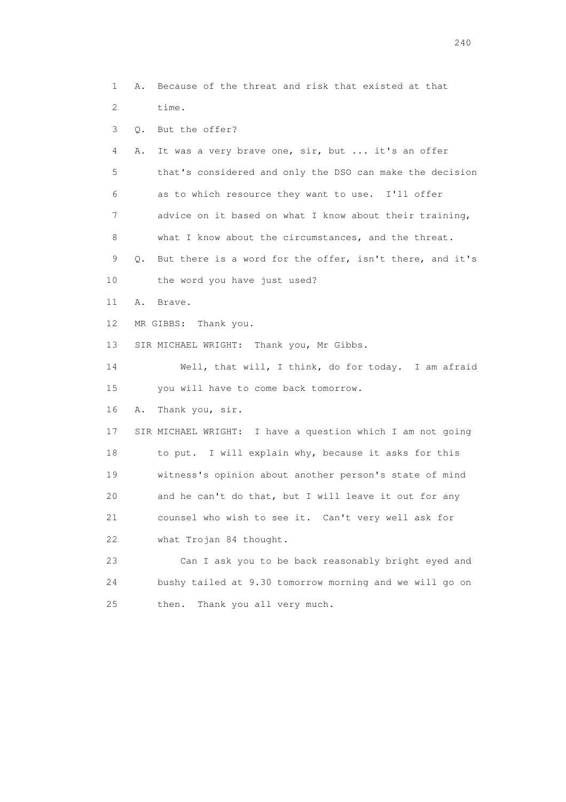1 A. Because of the threat and risk that existed at that 2 time. 3 Q. But the offer? 4 A. It was a very brave one, sir, but ... it's an offer 5 that's considered and only the DSO can make the decision 6 as to which resource they want to use. I'll offer 7 advice on it based on what I know about their training, 8 what I know about the circumstances, and the threat. 9 Q. But there is a word for the offer, isn't there, and it's 10 the word you have just used? 11 A. Brave. 12 MR GIBBS: Thank you. 13 SIR MICHAEL WRIGHT: Thank you, Mr Gibbs. 14 Well, that will, I think, do for today. I am afraid 15 you will have to come back tomorrow. 16 A. Thank you, sir. 17 SIR MICHAEL WRIGHT: I have a question which I am not going 18 to put. I will explain why, because it asks for this 19 witness's opinion about another person's state of mind 20 and he can't do that, but I will leave it out for any 21 counsel who wish to see it. Can't very well ask for 22 what Trojan 84 thought. 23 Can I ask you to be back reasonably bright eyed and 24 bushy tailed at 9.30 tomorrow morning and we will go on 25 then. Thank you all very much.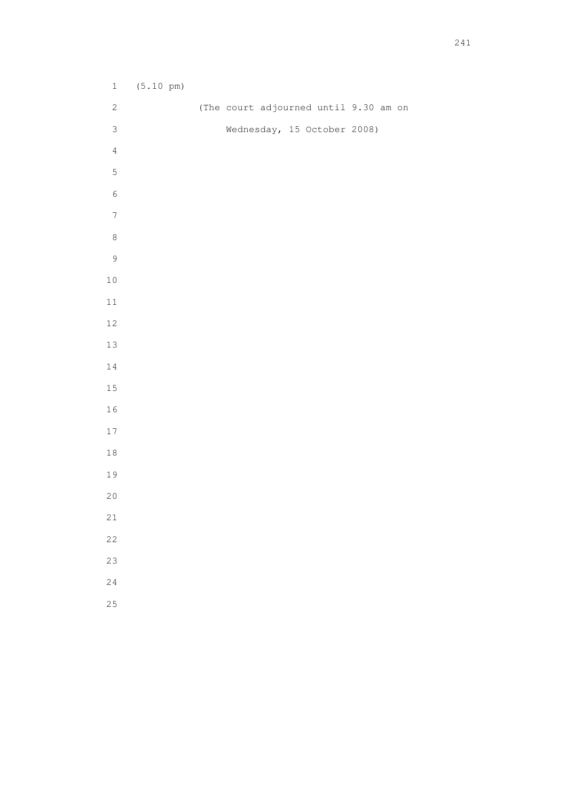| $\ensuremath{\mathbbm{1}}$ | $(5.10 \text{ pm})$ |  |                             |                                       |
|----------------------------|---------------------|--|-----------------------------|---------------------------------------|
| $\sqrt{2}$                 |                     |  |                             | (The court adjourned until 9.30 am on |
| $\mathsf 3$                |                     |  | Wednesday, 15 October 2008) |                                       |
| $\sqrt{4}$                 |                     |  |                             |                                       |
| $\mathsf S$                |                     |  |                             |                                       |
| $\sqrt{6}$                 |                     |  |                             |                                       |
| $\boldsymbol{7}$           |                     |  |                             |                                       |
| $\,8\,$                    |                     |  |                             |                                       |
| $\mathsf 9$                |                     |  |                             |                                       |
| $10\,$                     |                     |  |                             |                                       |
| $11\,$                     |                     |  |                             |                                       |
| $12\,$                     |                     |  |                             |                                       |
| 13                         |                     |  |                             |                                       |
| $1\,4$                     |                     |  |                             |                                       |
| 15                         |                     |  |                             |                                       |
| 16                         |                     |  |                             |                                       |
| $17\,$                     |                     |  |                             |                                       |
| $1\,8$                     |                     |  |                             |                                       |
| 19                         |                     |  |                             |                                       |
| 20                         |                     |  |                             |                                       |
| $2\sqrt{1}$                |                     |  |                             |                                       |
| 22                         |                     |  |                             |                                       |
| 23                         |                     |  |                             |                                       |
| 24                         |                     |  |                             |                                       |
| 25                         |                     |  |                             |                                       |